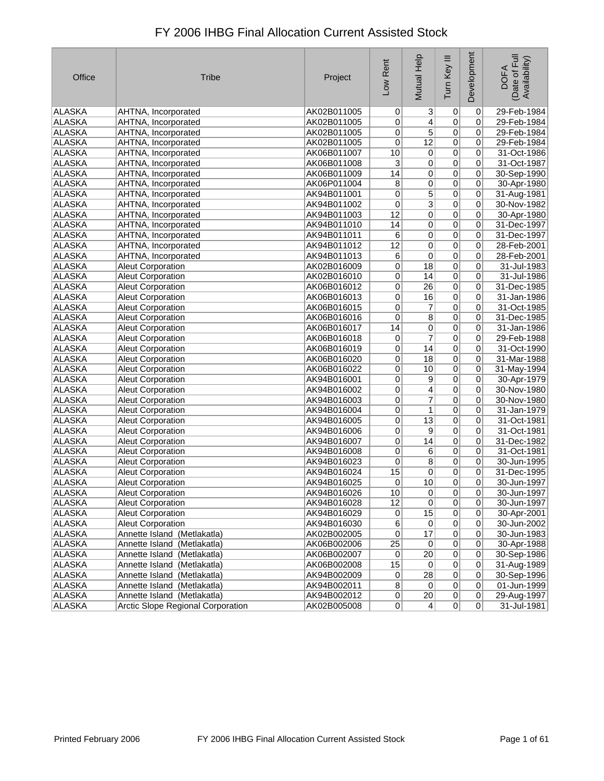| Office        | <b>Tribe</b>                      | Project     | Low Rent        | Mutual Help     | Tum Key III    | Development    | Date of Full<br>Availability)<br><b>DOFA</b> |
|---------------|-----------------------------------|-------------|-----------------|-----------------|----------------|----------------|----------------------------------------------|
| ALASKA        | AHTNA, Incorporated               | AK02B011005 | $\overline{0}$  | 3               | $\overline{0}$ | $\overline{0}$ | 29-Feb-1984                                  |
| ALASKA        | AHTNA, Incorporated               | AK02B011005 | 0               | 4               | $\overline{0}$ | 0              | 29-Feb-1984                                  |
| ALASKA        | AHTNA, Incorporated               | AK02B011005 | 0               | $\overline{5}$  | $\overline{0}$ | 0              | 29-Feb-1984                                  |
| <b>ALASKA</b> | AHTNA, Incorporated               | AK02B011005 | $\overline{0}$  | $\overline{12}$ | $\overline{0}$ | 0              | 29-Feb-1984                                  |
| <b>ALASKA</b> | AHTNA, Incorporated               | AK06B011007 | 10              | 0               | $\overline{0}$ | 0              | 31-Oct-1986                                  |
| <b>ALASKA</b> | AHTNA, Incorporated               | AK06B011008 | $\mathbf{3}$    | 0               | $\overline{0}$ | 0              | 31-Oct-1987                                  |
| <b>ALASKA</b> | AHTNA, Incorporated               | AK06B011009 | 14              | 0               | $\overline{0}$ | 0              | 30-Sep-1990                                  |
| <b>ALASKA</b> | AHTNA, Incorporated               | AK06P011004 | $\overline{8}$  | $\overline{0}$  | $\overline{0}$ | 0              | 30-Apr-1980                                  |
| <b>ALASKA</b> | AHTNA, Incorporated               | AK94B011001 | 0               | $\overline{5}$  | $\overline{0}$ | 0              | 31-Aug-1981                                  |
| <b>ALASKA</b> | AHTNA, Incorporated               | AK94B011002 | 0               | $\overline{3}$  | $\overline{0}$ | 0              | 30-Nov-1982                                  |
| ALASKA        | AHTNA, Incorporated               | AK94B011003 | $\overline{12}$ | 0               | $\overline{0}$ | 0              | 30-Apr-1980                                  |
| <b>ALASKA</b> | AHTNA, Incorporated               | AK94B011010 | 14              | 0               | $\overline{0}$ | 0              | 31-Dec-1997                                  |
| <b>ALASKA</b> | AHTNA, Incorporated               | AK94B011011 | 6               | 0               | $\overline{0}$ | 0              | 31-Dec-1997                                  |
| <b>ALASKA</b> | AHTNA, Incorporated               | AK94B011012 | $\overline{12}$ | 0               | $\overline{0}$ | 0              | 28-Feb-2001                                  |
| ALASKA        | AHTNA, Incorporated               | AK94B011013 | 6               | 0               | $\overline{0}$ | 0              | 28-Feb-2001                                  |
| <b>ALASKA</b> | <b>Aleut Corporation</b>          | AK02B016009 | 0               | $\overline{18}$ | $\overline{0}$ | 0              | 31-Jul-1983                                  |
| <b>ALASKA</b> | <b>Aleut Corporation</b>          | AK02B016010 | $\overline{0}$  | 14              | $\overline{0}$ | 0              | 31-Jul-1986                                  |
| ALASKA        | Aleut Corporation                 | AK06B016012 | 0               | $\overline{26}$ | $\overline{0}$ | 0              | 31-Dec-1985                                  |
| <b>ALASKA</b> | <b>Aleut Corporation</b>          | AK06B016013 | 0               | $\overline{16}$ | $\overline{0}$ | 0              | 31-Jan-1986                                  |
| <b>ALASKA</b> | Aleut Corporation                 | AK06B016015 | 0               | 7               | $\overline{0}$ | 0              | 31-Oct-1985                                  |
| <b>ALASKA</b> | Aleut Corporation                 | AK06B016016 | 0               | 8               | $\overline{0}$ | 0              | 31-Dec-1985                                  |
| ALASKA        | Aleut Corporation                 | AK06B016017 | 14              | 0               | $\overline{0}$ | 0              | 31-Jan-1986                                  |
| ALASKA        | <b>Aleut Corporation</b>          | AK06B016018 | $\overline{0}$  | 7               | $\overline{0}$ | 0              | 29-Feb-1988                                  |
| <b>ALASKA</b> | Aleut Corporation                 | AK06B016019 | 0               | $\overline{14}$ | $\overline{0}$ | 0              | 31-Oct-1990                                  |
| <b>ALASKA</b> | <b>Aleut Corporation</b>          | AK06B016020 | 0               | 18              | $\overline{0}$ | 0              | 31-Mar-1988                                  |
| <b>ALASKA</b> | <b>Aleut Corporation</b>          | AK06B016022 | 0               | 10              | $\overline{0}$ | 0              | 31-May-1994                                  |
| ALASKA        | Aleut Corporation                 | AK94B016001 | 0               | 9               | $\overline{0}$ | 0              | 30-Apr-1979                                  |
| <b>ALASKA</b> | Aleut Corporation                 | AK94B016002 | 0               | $\overline{4}$  | $\overline{0}$ | 0              | 30-Nov-1980                                  |
| <b>ALASKA</b> | Aleut Corporation                 | AK94B016003 | $\overline{0}$  | 7               | $\overline{0}$ | 0              | 30-Nov-1980                                  |
| ALASKA        | Aleut Corporation                 | AK94B016004 | 0               | $\mathbf{1}$    | $\overline{0}$ | 0              | 31-Jan-1979                                  |
| <b>ALASKA</b> | <b>Aleut Corporation</b>          | AK94B016005 | $\overline{0}$  | $\overline{13}$ | $\overline{0}$ | 0              | 31-Oct-1981                                  |
| <b>ALASKA</b> | <b>Aleut Corporation</b>          | AK94B016006 | $\overline{0}$  | 9               | $\overline{0}$ | 0              | 31-Oct-1981                                  |
| <b>ALASKA</b> | <b>Aleut Corporation</b>          | AK94B016007 | 0               | 14              | $\overline{0}$ | 0              | 31-Dec-1982                                  |
| ALASKA        | Aleut Corporation                 | AK94B016008 | 0               | 6               | $\overline{0}$ | 0              | 31-Oct-1981                                  |
| ALASKA        | <b>Aleut Corporation</b>          | AK94B016023 | $\overline{0}$  | $\overline{8}$  | $\overline{0}$ | 0              | 30-Jun-1995                                  |
| ALASKA        | Aleut Corporation                 | AK94B016024 | 15              | 0               | $\overline{0}$ | 0              | 31-Dec-1995                                  |
| ALASKA        | Aleut Corporation                 | AK94B016025 | 0               | 10              | 0              | 0              | 30-Jun-1997                                  |
| ALASKA        | <b>Aleut Corporation</b>          | AK94B016026 | 10              | 0               | $\mathsf{U}$   | $\mathsf{U}$   | 30-Jun-1997                                  |
| <b>ALASKA</b> | <b>Aleut Corporation</b>          | AK94B016028 | 12              | 0               | 0              | 0              | 30-Jun-1997                                  |
| ALASKA        | Aleut Corporation                 | AK94B016029 | 0               | 15              | $\overline{0}$ | 0              | 30-Apr-2001                                  |
| <b>ALASKA</b> | <b>Aleut Corporation</b>          | AK94B016030 | 6               | 0               | 0              | 0              | 30-Jun-2002                                  |
| <b>ALASKA</b> | Annette Island (Metlakatla)       | AK02B002005 | $\overline{0}$  | $\overline{17}$ | $\overline{0}$ | $\pmb{0}$      | 30-Jun-1983                                  |
| <b>ALASKA</b> | Annette Island (Metlakatla)       | AK06B002006 | 25              | $\overline{0}$  | $\overline{0}$ | 0              | 30-Apr-1988                                  |
| ALASKA        | Annette Island (Metlakatla)       | AK06B002007 | $\overline{0}$  | $\overline{20}$ | $\overline{0}$ | 0              | 30-Sep-1986                                  |
| <b>ALASKA</b> | Annette Island (Metlakatla)       | AK06B002008 | 15              | 0               | $\overline{0}$ | 0              | 31-Aug-1989                                  |
| <b>ALASKA</b> | Annette Island (Metlakatla)       | AK94B002009 | 0               | 28              | $\overline{0}$ | $\pmb{0}$      | 30-Sep-1996                                  |
| ALASKA        | Annette Island (Metlakatla)       | AK94B002011 | $\overline{8}$  | $\pmb{0}$       | $\overline{0}$ | $\pmb{0}$      | 01-Jun-1999                                  |
| ALASKA        | Annette Island (Metlakatla)       | AK94B002012 | 0               | $\overline{20}$ | $\overline{0}$ | 0              | 29-Aug-1997                                  |
| ALASKA        | Arctic Slope Regional Corporation | AK02B005008 | 0               | 4               | 0              | 0              | 31-Jul-1981                                  |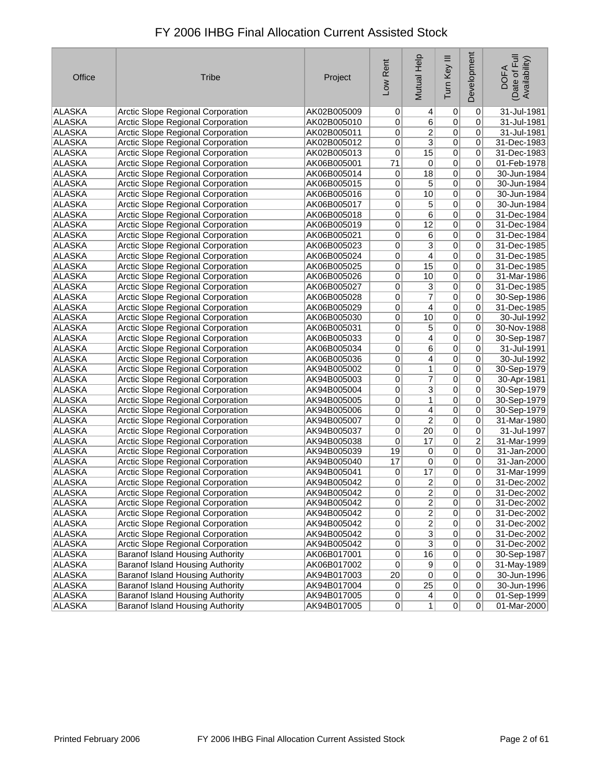| Office        | <b>Tribe</b>                             | Project     | Low Rent        | Mutual Help             | Tum Key III     | Development    | Date of Full<br>Availability)<br><b>DOFA</b> |
|---------------|------------------------------------------|-------------|-----------------|-------------------------|-----------------|----------------|----------------------------------------------|
| ALASKA        | Arctic Slope Regional Corporation        | AK02B005009 | $\overline{0}$  | $\vert 4 \vert$         | 0               | 0              | 31-Jul-1981                                  |
| ALASKA        | Arctic Slope Regional Corporation        | AK02B005010 | 0               | 6                       | $\overline{0}$  | 0              | 31-Jul-1981                                  |
| ALASKA        | Arctic Slope Regional Corporation        | AK02B005011 | 0               | $\overline{2}$          | $\pmb{0}$       | 0              | 31-Jul-1981                                  |
| <b>ALASKA</b> | <b>Arctic Slope Regional Corporation</b> | AK02B005012 | 0               | $\overline{3}$          | $\overline{0}$  | 0              | 31-Dec-1983                                  |
| ALASKA        | Arctic Slope Regional Corporation        | AK02B005013 | 0               | $\overline{15}$         | $\overline{0}$  | 0              | 31-Dec-1983                                  |
| <b>ALASKA</b> | Arctic Slope Regional Corporation        | AK06B005001 | 71              | $\vert 0 \vert$         | $\overline{0}$  | 0              | 01-Feb-1978                                  |
| ALASKA        | Arctic Slope Regional Corporation        | AK06B005014 | 0               | $\overline{18}$         | $\pmb{0}$       | 0              | 30-Jun-1984                                  |
| <b>ALASKA</b> | Arctic Slope Regional Corporation        | AK06B005015 | 0               | $\overline{5}$          | $\overline{0}$  | 0              | 30-Jun-1984                                  |
| <b>ALASKA</b> | Arctic Slope Regional Corporation        | AK06B005016 | 0               | 10                      | $\overline{0}$  | 0              | 30-Jun-1984                                  |
| <b>ALASKA</b> | Arctic Slope Regional Corporation        | AK06B005017 | 0               | 5                       | $\overline{0}$  | 0              | 30-Jun-1984                                  |
| ALASKA        | Arctic Slope Regional Corporation        | AK06B005018 | 0               | $\overline{6}$          | 0               | 0              | 31-Dec-1984                                  |
| ALASKA        | Arctic Slope Regional Corporation        | AK06B005019 | $\overline{0}$  | $\overline{12}$         | $\overline{0}$  | 0              | 31-Dec-1984                                  |
| <b>ALASKA</b> | Arctic Slope Regional Corporation        | AK06B005021 | 0               | $\overline{6}$          | $\overline{0}$  | 0              | 31-Dec-1984                                  |
| <b>ALASKA</b> | <b>Arctic Slope Regional Corporation</b> | AK06B005023 | 0               | $\overline{3}$          | $\overline{0}$  | 0              | 31-Dec-1985                                  |
| ALASKA        | Arctic Slope Regional Corporation        | AK06B005024 | 0               | $\overline{4}$          | 0               | 0              | 31-Dec-1985                                  |
| ALASKA        | Arctic Slope Regional Corporation        | AK06B005025 | $\overline{0}$  | $\overline{15}$         | $\overline{0}$  | 0              | 31-Dec-1985                                  |
| <b>ALASKA</b> | Arctic Slope Regional Corporation        | AK06B005026 | 0               | 10                      | $\overline{0}$  | 0              | 31-Mar-1986                                  |
| ALASKA        | Arctic Slope Regional Corporation        | AK06B005027 | 0               | $\overline{3}$          | $\overline{0}$  | 0              | 31-Dec-1985                                  |
| ALASKA        | Arctic Slope Regional Corporation        | AK06B005028 | 0               | $\overline{\mathbf{7}}$ | $\overline{0}$  | 0              | 30-Sep-1986                                  |
| <b>ALASKA</b> | Arctic Slope Regional Corporation        | AK06B005029 | 0               | 4                       | $\overline{0}$  | 0              | 31-Dec-1985                                  |
| <b>ALASKA</b> | <b>Arctic Slope Regional Corporation</b> | AK06B005030 | 0               | 10                      | $\overline{0}$  | 0              | 30-Jul-1992                                  |
| ALASKA        | Arctic Slope Regional Corporation        | AK06B005031 | 0               | 5                       | $\overline{0}$  | 0              | 30-Nov-1988                                  |
| ALASKA        | Arctic Slope Regional Corporation        | AK06B005033 | 0               | $\overline{4}$          | $\overline{0}$  | 0              | 30-Sep-1987                                  |
| <b>ALASKA</b> | Arctic Slope Regional Corporation        | AK06B005034 | 0               | $\overline{6}$          | $\overline{0}$  | 0              | 31-Jul-1991                                  |
| <b>ALASKA</b> | Arctic Slope Regional Corporation        | AK06B005036 | 0               | $\vert 4 \vert$         | $\overline{0}$  | 0              | 30-Jul-1992                                  |
| <b>ALASKA</b> | Arctic Slope Regional Corporation        | AK94B005002 | 0               | 1                       | $\overline{0}$  | 0              | 30-Sep-1979                                  |
| ALASKA        | <b>Arctic Slope Regional Corporation</b> | AK94B005003 | 0               | $\overline{7}$          | $\overline{0}$  | 0              | 30-Apr-1981                                  |
| ALASKA        | Arctic Slope Regional Corporation        | AK94B005004 | 0               | $\overline{3}$          | $\overline{0}$  | 0              | 30-Sep-1979                                  |
| <b>ALASKA</b> | Arctic Slope Regional Corporation        | AK94B005005 | 0               | 1                       | $\overline{0}$  | 0              | 30-Sep-1979                                  |
| ALASKA        | Arctic Slope Regional Corporation        | AK94B005006 | 0               | 4                       | $\pmb{0}$       | 0              | 30-Sep-1979                                  |
| <b>ALASKA</b> | Arctic Slope Regional Corporation        | AK94B005007 | 0               | $\overline{2}$          | $\overline{0}$  | 0              | 31-Mar-1980                                  |
| <b>ALASKA</b> | Arctic Slope Regional Corporation        | AK94B005037 | 0               | $\overline{20}$         | $\overline{0}$  | 0              | 31-Jul-1997                                  |
| <b>ALASKA</b> | Arctic Slope Regional Corporation        | AK94B005038 | 0               | 17                      | $\overline{0}$  | $\overline{2}$ | 31-Mar-1999                                  |
| ALASKA        | Arctic Slope Regional Corporation        | AK94B005039 | 19              | $\pmb{0}$               | $\overline{0}$  | 0              | 31-Jan-2000                                  |
| ALASKA        | Arctic Slope Regional Corporation        | AK94B005040 | 17              | $\overline{0}$          | $\overline{0}$  | 0              | 31-Jan-2000                                  |
| ALASKA        | Arctic Slope Regional Corporation        | AK94B005041 | 0               | 17                      | 0               | 0              | 31-Mar-1999                                  |
| ALASKA        | <b>Arctic Slope Regional Corporation</b> | AK94B005042 | 0               | 2                       | 0               | 0              | 31-Dec-2002                                  |
| ALASKA        | Arctic Slope Regional Corporation        | AK94B005042 | 0               | $\mathbf{Z}$            | $\vert 0 \vert$ | 0              | 31-Dec-2002                                  |
| <b>ALASKA</b> | Arctic Slope Regional Corporation        | AK94B005042 | $\overline{0}$  | $\overline{2}$          | $\overline{0}$  | 0              | 31-Dec-2002                                  |
| ALASKA        | Arctic Slope Regional Corporation        | AK94B005042 | $\overline{0}$  | $\overline{2}$          | $\overline{0}$  | 0              | 31-Dec-2002                                  |
| ALASKA        | Arctic Slope Regional Corporation        | AK94B005042 | $\vert 0 \vert$ | $\overline{2}$          | $\pmb{0}$       | 0              | 31-Dec-2002                                  |
| ALASKA        | Arctic Slope Regional Corporation        | AK94B005042 | $\mathsf{o}$    | $\overline{3}$          | $\pmb{0}$       | 0              | 31-Dec-2002                                  |
| ALASKA        | Arctic Slope Regional Corporation        | AK94B005042 | $\mathsf{o}$    | $\overline{3}$          | $\overline{0}$  | 0              | 31-Dec-2002                                  |
| ALASKA        | <b>Baranof Island Housing Authority</b>  | AK06B017001 | $\mathsf{o}$    | 16                      | $\overline{0}$  | 0              | 30-Sep-1987                                  |
| <b>ALASKA</b> | Baranof Island Housing Authority         | AK06B017002 | $\overline{0}$  | $\overline{9}$          | $\pmb{0}$       | 0              | 31-May-1989                                  |
| ALASKA        | Baranof Island Housing Authority         | AK94B017003 | 20 <sup>°</sup> | $\overline{0}$          | $\overline{0}$  | 0              | 30-Jun-1996                                  |
| ALASKA        | <b>Baranof Island Housing Authority</b>  | AK94B017004 | $\overline{0}$  | $\overline{25}$         | $\overline{0}$  | 0              | 30-Jun-1996                                  |
| ALASKA        | Baranof Island Housing Authority         | AK94B017005 | $\overline{0}$  | $\vert 4 \vert$         | $\overline{0}$  | 0              | 01-Sep-1999                                  |
| ALASKA        | <b>Baranof Island Housing Authority</b>  | AK94B017005 | 0               | 1                       | 0               | 0              | 01-Mar-2000                                  |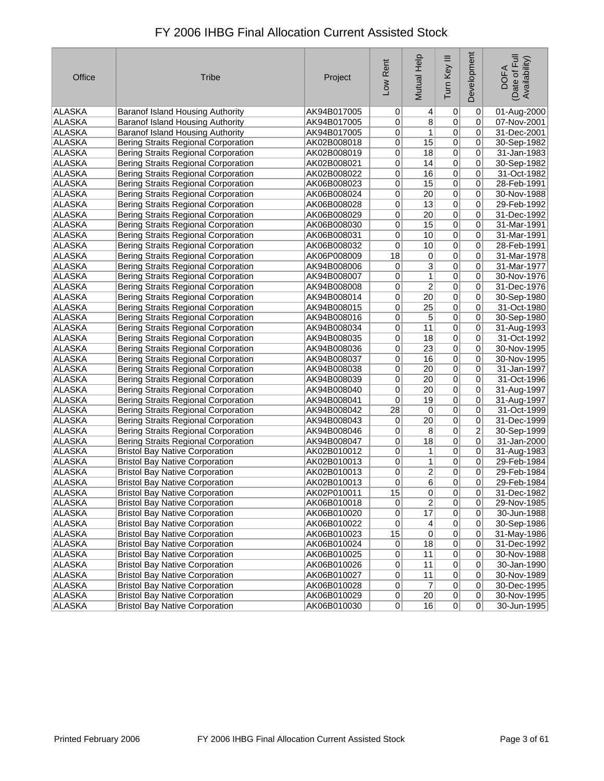| Office        | <b>Tribe</b>                               | Project     | Low Rent        | Mutual Help     | Tum Key III    | Development     | Date of Full<br>Availability)<br><b>DOFA</b> |
|---------------|--------------------------------------------|-------------|-----------------|-----------------|----------------|-----------------|----------------------------------------------|
| ALASKA        | Baranof Island Housing Authority           | AK94B017005 | 0               | $\vert 4 \vert$ | 0              | 0               | 01-Aug-2000                                  |
| ALASKA        | Baranof Island Housing Authority           | AK94B017005 | 0               | $\overline{8}$  | 0              | 0               | 07-Nov-2001                                  |
| <b>ALASKA</b> | Baranof Island Housing Authority           | AK94B017005 | 0               | 1               | 0              | 0               | 31-Dec-2001                                  |
| <b>ALASKA</b> | Bering Straits Regional Corporation        | AK02B008018 | $\overline{0}$  | 15              | 0              | 0               | 30-Sep-1982                                  |
| <b>ALASKA</b> | <b>Bering Straits Regional Corporation</b> | AK02B008019 | 0               | 18              | 0              | 0               | 31-Jan-1983                                  |
| <b>ALASKA</b> | <b>Bering Straits Regional Corporation</b> | AK02B008021 | 0               | 14              | 0              | 0               | 30-Sep-1982                                  |
| <b>ALASKA</b> | Bering Straits Regional Corporation        | AK02B008022 | 0               | 16              | 0              | 0               | 31-Oct-1982                                  |
| <b>ALASKA</b> | Bering Straits Regional Corporation        | AK06B008023 | $\overline{0}$  | 15              | $\overline{0}$ | 0               | 28-Feb-1991                                  |
| ALASKA        | <b>Bering Straits Regional Corporation</b> | AK06B008024 | 0               | $\overline{20}$ | 0              | 0               | 30-Nov-1988                                  |
| ALASKA        | <b>Bering Straits Regional Corporation</b> | AK06B008028 | 0               | 13              | 0              | 0               | 29-Feb-1992                                  |
| ALASKA        | <b>Bering Straits Regional Corporation</b> | AK06B008029 | 0               | 20              | 0              | 0               | 31-Dec-1992                                  |
| <b>ALASKA</b> | Bering Straits Regional Corporation        | AK06B008030 | 0               | 15              | 0              | 0               | 31-Mar-1991                                  |
| ALASKA        | Bering Straits Regional Corporation        | AK06B008031 | 0               | 10              | $\overline{0}$ | 0               | 31-Mar-1991                                  |
| <b>ALASKA</b> | Bering Straits Regional Corporation        | AK06B008032 | 0               | 10              | $\overline{0}$ | 0               | 28-Feb-1991                                  |
| <b>ALASKA</b> | <b>Bering Straits Regional Corporation</b> | AK06P008009 | 18              | $\pmb{0}$       | 0              | 0               | 31-Mar-1978                                  |
| ALASKA        | <b>Bering Straits Regional Corporation</b> | AK94B008006 | $\overline{0}$  | $\overline{3}$  | $\overline{0}$ | 0               | 31-Mar-1977                                  |
| ALASKA        | Bering Straits Regional Corporation        | AK94B008007 | 0               | $\mathbf{1}$    | 0              | 0               | 30-Nov-1976                                  |
| ALASKA        | <b>Bering Straits Regional Corporation</b> | AK94B008008 | $\overline{0}$  | $\overline{2}$  | $\overline{0}$ | 0               | 31-Dec-1976                                  |
| <b>ALASKA</b> | <b>Bering Straits Regional Corporation</b> | AK94B008014 | $\overline{0}$  | $\overline{20}$ | $\overline{0}$ | 0               | 30-Sep-1980                                  |
| <b>ALASKA</b> | Bering Straits Regional Corporation        | AK94B008015 | 0               | $\overline{25}$ | $\overline{0}$ | 0               | 31-Oct-1980                                  |
| ALASKA        | Bering Straits Regional Corporation        | AK94B008016 | 0               | 5               | $\overline{0}$ | 0               | 30-Sep-1980                                  |
| ALASKA        | Bering Straits Regional Corporation        | AK94B008034 | 0               | 11              | $\overline{0}$ | 0               | 31-Aug-1993                                  |
| ALASKA        | Bering Straits Regional Corporation        | AK94B008035 | $\overline{0}$  | 18              | $\overline{0}$ | $\overline{0}$  | 31-Oct-1992                                  |
| ALASKA        | <b>Bering Straits Regional Corporation</b> | AK94B008036 | 0               | $\overline{23}$ | $\overline{0}$ | 0               | 30-Nov-1995                                  |
| <b>ALASKA</b> | <b>Bering Straits Regional Corporation</b> | AK94B008037 | 0               | 16              | $\overline{0}$ | 0               | 30-Nov-1995                                  |
| <b>ALASKA</b> | Bering Straits Regional Corporation        | AK94B008038 | 0               | 20 <sup>2</sup> | $\overline{0}$ | 0               | 31-Jan-1997                                  |
| <b>ALASKA</b> | Bering Straits Regional Corporation        | AK94B008039 | 0               | $\overline{20}$ | $\overline{0}$ | $\overline{0}$  | 31-Oct-1996                                  |
| <b>ALASKA</b> | Bering Straits Regional Corporation        | AK94B008040 | 0               | 20              | $\overline{0}$ | 0               | 31-Aug-1997                                  |
| ALASKA        | Bering Straits Regional Corporation        | AK94B008041 | 0               | 19              | 0              | 0               | 31-Aug-1997                                  |
| ALASKA        | Bering Straits Regional Corporation        | AK94B008042 | 28              | 0               | 0              | 0               | 31-Oct-1999                                  |
| <b>ALASKA</b> | Bering Straits Regional Corporation        | AK94B008043 | 0               | $\overline{20}$ | 0              | 0               | 31-Dec-1999                                  |
| <b>ALASKA</b> | <b>Bering Straits Regional Corporation</b> | AK94B008046 | 0               | $\overline{8}$  | 0              | 2               | 30-Sep-1999                                  |
| ALASKA        | <b>Bering Straits Regional Corporation</b> | AK94B008047 | $\overline{0}$  | $\overline{18}$ | $\overline{0}$ | $\overline{0}$  | 31-Jan-2000                                  |
| ALASKA        | <b>Bristol Bay Native Corporation</b>      | AK02B010012 | $\overline{0}$  | 1               | 0              | 0               | 31-Aug-1983                                  |
| ALASKA        | <b>Bristol Bay Native Corporation</b>      | AK02B010013 | 0               | $\mathbf{1}$    | 0              | $\overline{0}$  | 29-Feb-1984                                  |
| ALASKA        | <b>Bristol Bay Native Corporation</b>      | AK02B010013 | $\overline{0}$  | $\overline{2}$  | 0              | 0               | 29-Feb-1984                                  |
| ALASKA        | <b>Bristol Bay Native Corporation</b>      | AK02B010013 | 0               | 6               | 0              | 0               | 29-Feb-1984                                  |
| ALASKA        | <b>Bristol Bay Native Corporation</b>      | AK02P010011 | 15              | 0               | $\sigma$       | 0               | 31-Dec-1982                                  |
| <b>ALASKA</b> | <b>Bristol Bay Native Corporation</b>      | AK06B010018 | 0               | $\overline{2}$  | 0              | $\vert 0 \vert$ | 29-Nov-1985                                  |
| ALASKA        | <b>Bristol Bay Native Corporation</b>      | AK06B010020 | $\overline{0}$  | 17              | 0              | $\overline{0}$  | 30-Jun-1988                                  |
| ALASKA        | <b>Bristol Bay Native Corporation</b>      | AK06B010022 | $\overline{0}$  | $\vert 4 \vert$ | 0              | $\overline{0}$  | 30-Sep-1986                                  |
| ALASKA        | <b>Bristol Bay Native Corporation</b>      | AK06B010023 | 15              | $\overline{0}$  | 0              | $\overline{0}$  | 31-May-1986                                  |
| ALASKA        | <b>Bristol Bay Native Corporation</b>      | AK06B010024 | 0               | 18              | 0              | $\overline{0}$  | 31-Dec-1992                                  |
| ALASKA        | <b>Bristol Bay Native Corporation</b>      | AK06B010025 | $\overline{0}$  | 11              | $\overline{0}$ | $\overline{0}$  | 30-Nov-1988                                  |
| <b>ALASKA</b> | <b>Bristol Bay Native Corporation</b>      | AK06B010026 | $\vert 0 \vert$ | 11              | $\overline{0}$ | $\overline{0}$  | 30-Jan-1990                                  |
| ALASKA        | <b>Bristol Bay Native Corporation</b>      | AK06B010027 | 0               | 11              | $\overline{0}$ | $\overline{0}$  | 30-Nov-1989                                  |
| ALASKA        | <b>Bristol Bay Native Corporation</b>      | AK06B010028 | 0               | $\overline{7}$  | $\overline{0}$ | 0               | 30-Dec-1995                                  |
| ALASKA        | <b>Bristol Bay Native Corporation</b>      | AK06B010029 | 0               | 20 <sub>2</sub> | $\overline{0}$ | $\overline{0}$  | 30-Nov-1995                                  |
| ALASKA        | <b>Bristol Bay Native Corporation</b>      | AK06B010030 | 0               | 16              | 0              | 0               | 30-Jun-1995                                  |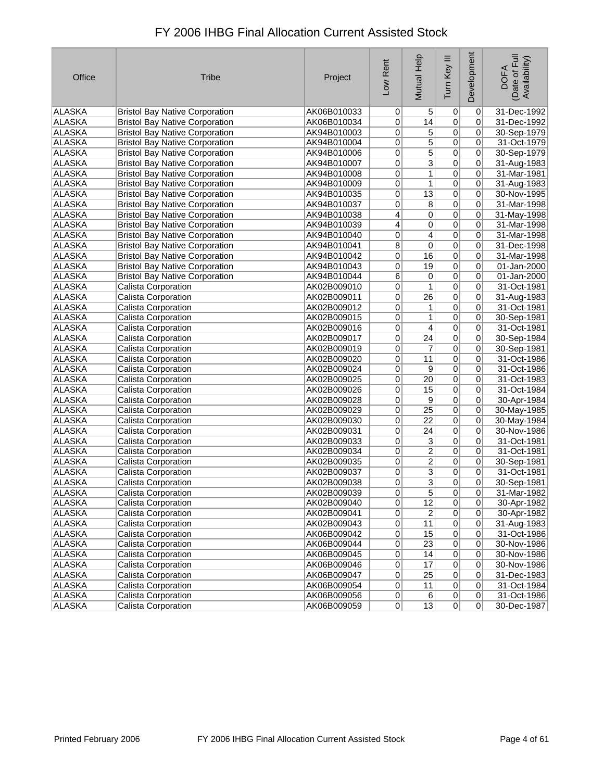| Office        | <b>Tribe</b>                          | Project     | Low Rent       | Mutual Help      | Tum Key III     | Development    | Date of Full<br>Availability)<br><b>DOFA</b> |
|---------------|---------------------------------------|-------------|----------------|------------------|-----------------|----------------|----------------------------------------------|
| ALASKA        | <b>Bristol Bay Native Corporation</b> | AK06B010033 | 0              | 5                | 0               | 0              | 31-Dec-1992                                  |
| ALASKA        | <b>Bristol Bay Native Corporation</b> | AK06B010034 | 0              | 14               | $\overline{0}$  | 0              | 31-Dec-1992                                  |
| <b>ALASKA</b> | <b>Bristol Bay Native Corporation</b> | AK94B010003 | 0              | 5                | $\pmb{0}$       | 0              | 30-Sep-1979                                  |
| <b>ALASKA</b> | <b>Bristol Bay Native Corporation</b> | AK94B010004 | 0              | 5                | $\overline{0}$  | 0              | 31-Oct-1979                                  |
| <b>ALASKA</b> | <b>Bristol Bay Native Corporation</b> | AK94B010006 | 0              | $\overline{5}$   | $\overline{0}$  | 0              | 30-Sep-1979                                  |
| <b>ALASKA</b> | <b>Bristol Bay Native Corporation</b> | AK94B010007 | 0              | $\overline{3}$   | $\overline{0}$  | 0              | 31-Aug-1983                                  |
| <b>ALASKA</b> | <b>Bristol Bay Native Corporation</b> | AK94B010008 | 0              | 1                | $\mathbf 0$     | 0              | 31-Mar-1981                                  |
| <b>ALASKA</b> | <b>Bristol Bay Native Corporation</b> | AK94B010009 | $\overline{0}$ | 1                | $\overline{0}$  | $\overline{0}$ | 31-Aug-1983                                  |
| <b>ALASKA</b> | <b>Bristol Bay Native Corporation</b> | AK94B010035 | $\overline{0}$ | $\overline{13}$  | $\overline{0}$  | 0              | 30-Nov-1995                                  |
| <b>ALASKA</b> | <b>Bristol Bay Native Corporation</b> | AK94B010037 | 0              | $\overline{8}$   | $\overline{0}$  | 0              | 31-Mar-1998                                  |
| <b>ALASKA</b> | <b>Bristol Bay Native Corporation</b> | AK94B010038 | $\overline{4}$ | 0                | $\overline{0}$  | 0              | 31-May-1998                                  |
| ALASKA        | <b>Bristol Bay Native Corporation</b> | AK94B010039 | $\overline{4}$ | $\overline{0}$   | $\overline{0}$  | 0              | 31-Mar-1998                                  |
| <b>ALASKA</b> | <b>Bristol Bay Native Corporation</b> | AK94B010040 | 0              | $\vert 4 \vert$  | $\overline{0}$  | 0              | 31-Mar-1998                                  |
| <b>ALASKA</b> | <b>Bristol Bay Native Corporation</b> | AK94B010041 | 8              | 0                | $\overline{0}$  | 0              | 31-Dec-1998                                  |
| <b>ALASKA</b> | <b>Bristol Bay Native Corporation</b> | AK94B010042 | 0              | 16               | $\overline{0}$  | 0              | 31-Mar-1998                                  |
| ALASKA        | <b>Bristol Bay Native Corporation</b> | AK94B010043 | $\mathbf 0$    | 19               | $\overline{0}$  | 0              | 01-Jan-2000                                  |
| <b>ALASKA</b> | <b>Bristol Bay Native Corporation</b> | AK94B010044 | $\overline{6}$ | $\overline{0}$   | $\overline{0}$  | 0              | 01-Jan-2000                                  |
| ALASKA        | Calista Corporation                   | AK02B009010 | 0              | 1                | $\overline{0}$  | 0              | 31-Oct-1981                                  |
| <b>ALASKA</b> | Calista Corporation                   | AK02B009011 | 0              | $\overline{26}$  | $\overline{0}$  | 0              | 31-Aug-1983                                  |
| <b>ALASKA</b> | Calista Corporation                   | AK02B009012 | 0              | 1                | $\overline{0}$  | 0              | 31-Oct-1981                                  |
| <b>ALASKA</b> | Calista Corporation                   | AK02B009015 | 0              | 1                | $\overline{0}$  | 0              | 30-Sep-1981                                  |
| ALASKA        | Calista Corporation                   | AK02B009016 | 0              | 4                | $\overline{0}$  | 0              | 31-Oct-1981                                  |
| ALASKA        | Calista Corporation                   | AK02B009017 | 0              | $\overline{24}$  | $\overline{0}$  | 0              | 30-Sep-1984                                  |
| <b>ALASKA</b> | Calista Corporation                   | AK02B009019 | $\overline{0}$ | $\overline{7}$   | $\overline{0}$  | 0              | 30-Sep-1981                                  |
| <b>ALASKA</b> | Calista Corporation                   | AK02B009020 | 0              | 11               | $\overline{0}$  | 0              | 31-Oct-1986                                  |
| <b>ALASKA</b> | Calista Corporation                   | AK02B009024 | 0              | $\overline{9}$   | $\overline{0}$  | 0              | 31-Oct-1986                                  |
| <b>ALASKA</b> | <b>Calista Corporation</b>            | AK02B009025 | 0              | $\overline{20}$  | $\overline{0}$  | 0              | 31-Oct-1983                                  |
| <b>ALASKA</b> | <b>Calista Corporation</b>            | AK02B009026 | 0              | 15               | $\overline{0}$  | 0              | 31-Oct-1984                                  |
| <b>ALASKA</b> | Calista Corporation                   | AK02B009028 | 0              | $\overline{9}$   | $\overline{0}$  | 0              | 30-Apr-1984                                  |
| ALASKA        | Calista Corporation                   | AK02B009029 | 0              | $\overline{25}$  | $\pmb{0}$       | 0              | 30-May-1985                                  |
| ALASKA        | Calista Corporation                   | AK02B009030 | 0              | $\overline{22}$  | $\overline{0}$  | 0              | 30-May-1984                                  |
| ALASKA        | <b>Calista Corporation</b>            | AK02B009031 | 0              | $\overline{24}$  | $\overline{0}$  | 0              | 30-Nov-1986                                  |
| <b>ALASKA</b> | <b>Calista Corporation</b>            | AK02B009033 | 0              | $\overline{3}$   | $\overline{0}$  | 0              | 31-Oct-1981                                  |
| ALASKA        | <b>Calista Corporation</b>            | AK02B009034 | 0              | $\overline{2}$   | $\overline{0}$  | 0              | 31-Oct-1981                                  |
| ALASKA        | <b>Calista Corporation</b>            | AK02B009035 | 0              | $\overline{2}$   | $\overline{0}$  | 0              | 30-Sep-1981                                  |
| ALASKA        | Calista Corporation                   | AK02B009037 | 0              | $\overline{3}$   | $\mathbf 0$     | 0              | 31-Oct-1981                                  |
| ALASKA        | Calista Corporation                   | AK02B009038 | 0              | $\overline{3}$   | 0               | 0              | 30-Sep-1981                                  |
| ALASKA        | Calista Corporation                   | AK02B009039 | 0              | 5 <sup>1</sup>   | $\vert 0 \vert$ | 0              | 31-Mar-1982                                  |
| <b>ALASKA</b> | Calista Corporation                   | AK02B009040 | $\overline{0}$ | $\overline{12}$  | $\overline{0}$  | 0              | 30-Apr-1982                                  |
| ALASKA        | Calista Corporation                   | AK02B009041 | 0              | $\boldsymbol{2}$ | $\overline{0}$  | 0              | 30-Apr-1982                                  |
| ALASKA        | Calista Corporation                   | AK02B009043 | 0              | 11               | $\pmb{0}$       | 0              | 31-Aug-1983                                  |
| ALASKA        | Calista Corporation                   | AK06B009042 | $\overline{0}$ | 15               | $\pmb{0}$       | 0              | 31-Oct-1986                                  |
| ALASKA        | Calista Corporation                   | AK06B009044 | 0              | $\overline{23}$  | $\overline{0}$  | $\pmb{0}$      | 30-Nov-1986                                  |
| ALASKA        | <b>Calista Corporation</b>            | AK06B009045 | 0              | 14               | $\overline{0}$  | 0              | 30-Nov-1986                                  |
| <b>ALASKA</b> | Calista Corporation                   | AK06B009046 | 0              | 17               | $\overline{0}$  | 0              | 30-Nov-1986                                  |
| ALASKA        | Calista Corporation                   | AK06B009047 | $\overline{0}$ | 25               | $\overline{0}$  | 0              | 31-Dec-1983                                  |
| ALASKA        | Calista Corporation                   | AK06B009054 | $\overline{0}$ | 11               | $\overline{0}$  | 0              | 31-Oct-1984                                  |
| ALASKA        | Calista Corporation                   | AK06B009056 | $\overline{0}$ | $\overline{6}$   | $\overline{0}$  | $\overline{0}$ | 31-Oct-1986                                  |
| <b>ALASKA</b> | <b>Calista Corporation</b>            | AK06B009059 | 0              | 13               | 0               | 0              | 30-Dec-1987                                  |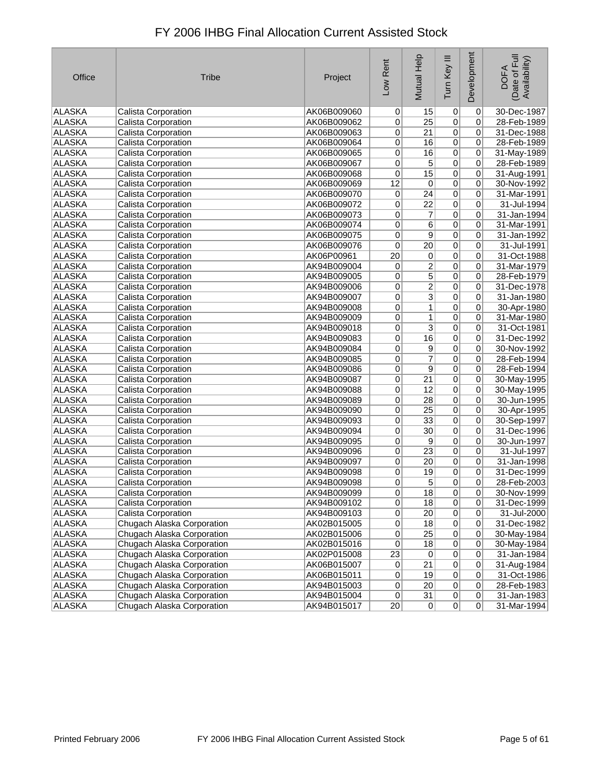| Office        | <b>Tribe</b>               | Project     | Low Rent        | <b>Mutual Help</b> | Tum Key III    | Development     | Date of Full<br>Availability)<br><b>DOFA</b> |
|---------------|----------------------------|-------------|-----------------|--------------------|----------------|-----------------|----------------------------------------------|
| ALASKA        | Calista Corporation        | AK06B009060 | $\Omega$        | 15                 | 0              | $\vert 0 \vert$ | 30-Dec-1987                                  |
| ALASKA        | Calista Corporation        | AK06B009062 | 0               | $\overline{25}$    | $\overline{0}$ | 0               | 28-Feb-1989                                  |
| <b>ALASKA</b> | Calista Corporation        | AK06B009063 | 0               | 21                 | 0              | 0               | 31-Dec-1988                                  |
| ALASKA        | Calista Corporation        | AK06B009064 | 0               | 16                 | 0              | 0               | 28-Feb-1989                                  |
| <b>ALASKA</b> | <b>Calista Corporation</b> | AK06B009065 | $\overline{0}$  | 16                 | 0              | 0               | 31-May-1989                                  |
| <b>ALASKA</b> | Calista Corporation        | AK06B009067 | 0               | $\overline{5}$     | $\overline{0}$ | 0               | 28-Feb-1989                                  |
| <b>ALASKA</b> | Calista Corporation        | AK06B009068 | 0               | 15                 | 0              | 0               | 31-Aug-1991                                  |
| <b>ALASKA</b> | Calista Corporation        | AK06B009069 | $\overline{12}$ | $\overline{0}$     | 0              | $\overline{0}$  | 30-Nov-1992                                  |
| <b>ALASKA</b> | Calista Corporation        | AK06B009070 | 0               | $\overline{24}$    | $\overline{0}$ | 0               | 31-Mar-1991                                  |
| <b>ALASKA</b> | Calista Corporation        | AK06B009072 | 0               | $\overline{22}$    | $\overline{0}$ | 0               | 31-Jul-1994                                  |
| <b>ALASKA</b> | Calista Corporation        | AK06B009073 | 0               | 7                  | $\overline{0}$ | 0               | 31-Jan-1994                                  |
| ALASKA        | Calista Corporation        | AK06B009074 | $\overline{0}$  | 6                  | $\overline{0}$ | $\overline{0}$  | 31-Mar-1991                                  |
| <b>ALASKA</b> | Calista Corporation        | AK06B009075 | 0               | $\overline{9}$     | $\overline{0}$ | 0               | 31-Jan-1992                                  |
| <b>ALASKA</b> | <b>Calista Corporation</b> | AK06B009076 | 0               | $\overline{20}$    | $\overline{0}$ | 0               | 31-Jul-1991                                  |
| ALASKA        | Calista Corporation        | AK06P00961  | 20              | $\pmb{0}$          | $\overline{0}$ | 0               | 31-Oct-1988                                  |
| ALASKA        | Calista Corporation        | AK94B009004 | 0               | $\overline{2}$     | $\overline{0}$ | $\overline{0}$  | 31-Mar-1979                                  |
| <b>ALASKA</b> | Calista Corporation        | AK94B009005 | 0               | $\overline{5}$     | $\overline{0}$ | 0               | 28-Feb-1979                                  |
| <b>ALASKA</b> | Calista Corporation        | AK94B009006 | 0               | $\overline{2}$     | $\overline{0}$ | 0               | 31-Dec-1978                                  |
| <b>ALASKA</b> | Calista Corporation        | AK94B009007 | 0               | $\overline{3}$     | $\overline{0}$ | 0               | 31-Jan-1980                                  |
| <b>ALASKA</b> | <b>Calista Corporation</b> | AK94B009008 | $\overline{0}$  | 1                  | $\overline{0}$ | $\overline{0}$  | 30-Apr-1980                                  |
| <b>ALASKA</b> | Calista Corporation        | AK94B009009 | 0               | 1                  | 0              | 0               | 31-Mar-1980                                  |
| <b>ALASKA</b> | Calista Corporation        | AK94B009018 | 0               | $\overline{3}$     | 0              | 0               | 31-Oct-1981                                  |
| <b>ALASKA</b> | Calista Corporation        | AK94B009083 | 0               | 16                 | $\overline{0}$ | 0               | 31-Dec-1992                                  |
| <b>ALASKA</b> | Calista Corporation        | AK94B009084 | 0               | $\overline{9}$     | 0              | 0               | 30-Nov-1992                                  |
| <b>ALASKA</b> | Calista Corporation        | AK94B009085 | 0               | $\overline{7}$     | $\overline{0}$ | 0               | 28-Feb-1994                                  |
| <b>ALASKA</b> | <b>Calista Corporation</b> | AK94B009086 | $\overline{0}$  | $\overline{9}$     | $\overline{0}$ | $\overline{0}$  | 28-Feb-1994                                  |
| ALASKA        | Calista Corporation        | AK94B009087 | 0               | $\overline{21}$    | 0              | 0               | 30-May-1995                                  |
| ALASKA        | Calista Corporation        | AK94B009088 | 0               | 12                 | 0              | 0               | 30-May-1995                                  |
| <b>ALASKA</b> | Calista Corporation        | AK94B009089 | 0               | 28                 | 0              | 0               | 30-Jun-1995                                  |
| <b>ALASKA</b> | Calista Corporation        | AK94B009090 | 0               | 25                 | 0              | 0               | 30-Apr-1995                                  |
| ALASKA        | Calista Corporation        | AK94B009093 | 0               | 33                 | 0              | 0               | 30-Sep-1997                                  |
| <b>ALASKA</b> | Calista Corporation        | AK94B009094 | $\overline{0}$  | 30                 | $\overline{0}$ | 0               | 31-Dec-1996                                  |
| <b>ALASKA</b> | <b>Calista Corporation</b> | AK94B009095 | $\overline{0}$  | $\overline{9}$     | $\overline{0}$ | $\overline{0}$  | 30-Jun-1997                                  |
| ALASKA        | Calista Corporation        | AK94B009096 | $\overline{0}$  | 23                 | $\overline{0}$ | $\overline{0}$  | 31-Jul-1997                                  |
| ALASKA        | Calista Corporation        | AK94B009097 | 0               | $\overline{20}$    | 0              | $\overline{0}$  | 31-Jan-1998                                  |
| <b>ALASKA</b> | Calista Corporation        | AK94B009098 | 0               | 19                 | 0              | 0               | 31-Dec-1999                                  |
| ALASKA        | Calista Corporation        | AK94B009098 | $\overline{0}$  | 5                  | 0              | 0               | 28-Feb-2003                                  |
| <b>ALASKA</b> | Calista Corporation        | AK94B009099 | 0               | 18                 | $\overline{0}$ | $\vert 0 \vert$ | 30-Nov-1999                                  |
| <b>ALASKA</b> | Calista Corporation        | AK94B009102 | $\overline{0}$  | 18                 | $\overline{0}$ | $\overline{0}$  | 31-Dec-1999                                  |
| ALASKA        | Calista Corporation        | AK94B009103 | $\overline{0}$  | 20                 | $\overline{0}$ | $\overline{0}$  | 31-Jul-2000                                  |
| ALASKA        | Chugach Alaska Corporation | AK02B015005 | $\overline{0}$  | 18                 | $\overline{0}$ | $\overline{0}$  | 31-Dec-1982                                  |
| ALASKA        | Chugach Alaska Corporation | AK02B015006 | $\overline{0}$  | 25                 | $\overline{0}$ | 0               | 30-May-1984                                  |
| ALASKA        | Chugach Alaska Corporation | AK02B015016 | $\overline{0}$  | 18                 | $\overline{0}$ | $\overline{0}$  | 30-May-1984                                  |
| ALASKA        | Chugach Alaska Corporation | AK02P015008 | $\overline{23}$ | 0                  | $\overline{0}$ | $\overline{0}$  | 31-Jan-1984                                  |
| <b>ALASKA</b> | Chugach Alaska Corporation | AK06B015007 | $\overline{0}$  | 21                 | $\overline{0}$ | $\overline{0}$  | 31-Aug-1984                                  |
| ALASKA        | Chugach Alaska Corporation | AK06B015011 | $\overline{0}$  | 19                 | $\overline{0}$ | $\overline{0}$  | 31-Oct-1986                                  |
| ALASKA        | Chugach Alaska Corporation | AK94B015003 | 0               | 20                 | $\overline{0}$ | $\overline{0}$  | 28-Feb-1983                                  |
| <b>ALASKA</b> | Chugach Alaska Corporation | AK94B015004 | 0               | 31                 | $\overline{0}$ | 0               | 31-Jan-1983                                  |
| ALASKA        | Chugach Alaska Corporation | AK94B015017 | 20              | 0                  | $\overline{0}$ | 0               | 31-Mar-1994                                  |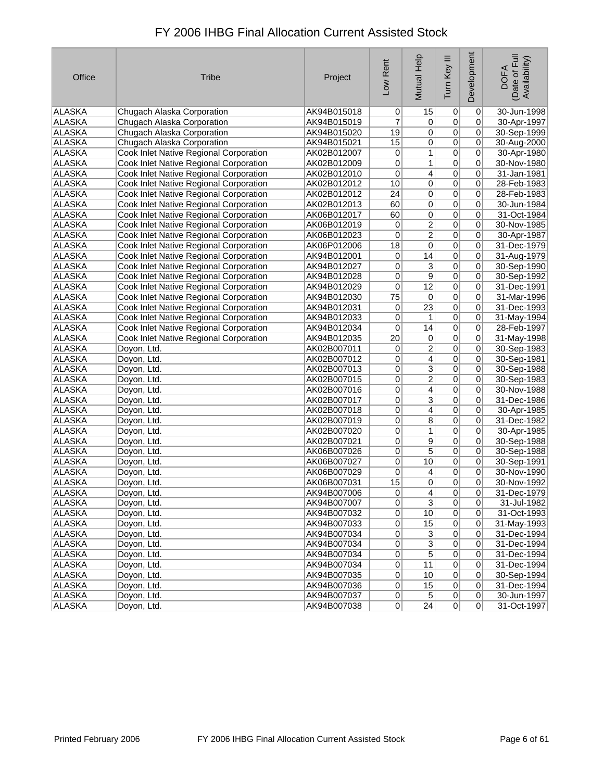| Office        | <b>Tribe</b>                                  | Project     | Low Rent        | Mutual Help     | Tum Key III    | Development    | (Date of Full<br>Availability)<br><b>DOFA</b> |
|---------------|-----------------------------------------------|-------------|-----------------|-----------------|----------------|----------------|-----------------------------------------------|
| ALASKA        | Chugach Alaska Corporation                    | AK94B015018 | $\overline{0}$  | 15              | 0              | 0              | 30-Jun-1998                                   |
| <b>ALASKA</b> | Chugach Alaska Corporation                    | AK94B015019 | 7               | 0               | $\overline{0}$ | 0              | 30-Apr-1997                                   |
| ALASKA        | Chugach Alaska Corporation                    | AK94B015020 | 19              | 0               | $\overline{0}$ | 0              | 30-Sep-1999                                   |
| ALASKA        | Chugach Alaska Corporation                    | AK94B015021 | 15              | $\overline{0}$  | $\overline{0}$ | 0              | 30-Aug-2000                                   |
| ALASKA        | Cook Inlet Native Regional Corporation        | AK02B012007 | 0               | 1               | $\overline{0}$ | 0              | 30-Apr-1980                                   |
| <b>ALASKA</b> | Cook Inlet Native Regional Corporation        | AK02B012009 | 0               | 1               | $\overline{0}$ | 0              | 30-Nov-1980                                   |
| <b>ALASKA</b> | Cook Inlet Native Regional Corporation        | AK02B012010 | 0               | $\overline{4}$  | $\overline{0}$ | 0              | 31-Jan-1981                                   |
| <b>ALASKA</b> | <b>Cook Inlet Native Regional Corporation</b> | AK02B012012 | 10              | $\overline{0}$  | $\overline{0}$ | 0              | 28-Feb-1983                                   |
| <b>ALASKA</b> | Cook Inlet Native Regional Corporation        | AK02B012012 | 24              | $\overline{0}$  | $\overline{0}$ | 0              | 28-Feb-1983                                   |
| <b>ALASKA</b> | Cook Inlet Native Regional Corporation        | AK02B012013 | 60              | 0               | $\overline{0}$ | 0              | 30-Jun-1984                                   |
| ALASKA        | Cook Inlet Native Regional Corporation        | AK06B012017 | 60              | $\overline{0}$  | $\overline{0}$ | 0              | 31-Oct-1984                                   |
| <b>ALASKA</b> | Cook Inlet Native Regional Corporation        | AK06B012019 | 0               | $\overline{2}$  | $\overline{0}$ | 0              | 30-Nov-1985                                   |
| <b>ALASKA</b> | Cook Inlet Native Regional Corporation        | AK06B012023 | 0               | $\overline{2}$  | $\overline{0}$ | 0              | 30-Apr-1987                                   |
| <b>ALASKA</b> | Cook Inlet Native Regional Corporation        | AK06P012006 | 18              | 0               | $\overline{0}$ | 0              | 31-Dec-1979                                   |
| <b>ALASKA</b> | Cook Inlet Native Regional Corporation        | AK94B012001 | 0               | 14              | $\overline{0}$ | 0              | 31-Aug-1979                                   |
| <b>ALASKA</b> | Cook Inlet Native Regional Corporation        | AK94B012027 | 0               | $\overline{3}$  | $\overline{0}$ | 0              | 30-Sep-1990                                   |
| <b>ALASKA</b> | Cook Inlet Native Regional Corporation        | AK94B012028 | 0               | $\overline{9}$  | $\overline{0}$ | 0              | 30-Sep-1992                                   |
| ALASKA        | Cook Inlet Native Regional Corporation        | AK94B012029 | 0               | $\overline{12}$ | $\overline{0}$ | 0              | 31-Dec-1991                                   |
| <b>ALASKA</b> | Cook Inlet Native Regional Corporation        | AK94B012030 | 75              | $\vert 0 \vert$ | $\overline{0}$ | $\overline{0}$ | 31-Mar-1996                                   |
| <b>ALASKA</b> | Cook Inlet Native Regional Corporation        | AK94B012031 | 0               | $\overline{23}$ | $\overline{0}$ | 0              | 31-Dec-1993                                   |
| <b>ALASKA</b> | Cook Inlet Native Regional Corporation        | AK94B012033 | 0               | 1               | $\overline{0}$ | 0              | 31-May-1994                                   |
| ALASKA        | Cook Inlet Native Regional Corporation        | AK94B012034 | 0               | 14              | $\pmb{0}$      | 0              | 28-Feb-1997                                   |
| <b>ALASKA</b> | Cook Inlet Native Regional Corporation        | AK94B012035 | 20              | $\vert 0 \vert$ | $\overline{0}$ | 0              | 31-May-1998                                   |
| <b>ALASKA</b> | Doyon, Ltd.                                   | AK02B007011 | 0               | $\overline{2}$  | $\overline{0}$ | 0              | 30-Sep-1983                                   |
| <b>ALASKA</b> | Doyon, Ltd.                                   | AK02B007012 | 0               | $\vert 4 \vert$ | $\overline{0}$ | 0              | 30-Sep-1981                                   |
| <b>ALASKA</b> | Doyon, Ltd.                                   | AK02B007013 | 0               | $\overline{3}$  | $\overline{0}$ | 0              | 30-Sep-1988                                   |
| ALASKA        | Doyon, Ltd.                                   | AK02B007015 | 0               | $\overline{2}$  | $\overline{0}$ | 0              | 30-Sep-1983                                   |
| ALASKA        | Doyon, Ltd.                                   | AK02B007016 | 0               | $\vert 4 \vert$ | $\mathbf 0$    | 0              | 30-Nov-1988                                   |
| ALASKA        | Doyon, Ltd.                                   | AK02B007017 | 0               | $\overline{3}$  | $\overline{0}$ | 0              | 31-Dec-1986                                   |
| ALASKA        | Doyon, Ltd.                                   | AK02B007018 | 0               | $\overline{4}$  | $\mathbf 0$    | 0              | 30-Apr-1985                                   |
| ALASKA        | Doyon, Ltd.                                   | AK02B007019 | $\overline{0}$  | $\overline{8}$  | $\overline{0}$ | 0              | 31-Dec-1982                                   |
| <b>ALASKA</b> | Doyon, Ltd.                                   | AK02B007020 | 0               | 1               | $\overline{0}$ | 0              | 30-Apr-1985                                   |
| <b>ALASKA</b> | Doyon, Ltd.                                   | AK02B007021 | 0               | $\overline{9}$  | $\overline{0}$ | 0              | 30-Sep-1988                                   |
| ALASKA        | Doyon, Ltd.                                   | AK06B007026 | 0               | $\overline{5}$  | $\overline{0}$ | 0              | 30-Sep-1988                                   |
| ALASKA        | Doyon, Ltd.                                   | AK06B007027 | $\overline{0}$  | 10              | $\overline{0}$ | 0              | 30-Sep-1991                                   |
| ALASKA        | Doyon, Ltd.                                   | AK06B007029 | 0               | $\vert 4 \vert$ | $\overline{0}$ | 0              | 30-Nov-1990                                   |
| ALASKA        | Doyon, Ltd.                                   | AK06B007031 | 15              | 0               | $\mathbf 0$    | 0              | 30-Nov-1992                                   |
| ALASKA        | Doyon, Ltd.                                   | AK94B007006 | $\vert 0 \vert$ | 4               | $\mathsf{U}$   | 0              | 31-Dec-1979                                   |
| ALASKA        | Doyon, Ltd.                                   | AK94B007007 | $\overline{0}$  | $\overline{3}$  | $\overline{0}$ | $\mathbf 0$    | 31-Jul-1982                                   |
| ALASKA        | Doyon, Ltd.                                   | AK94B007032 | $\overline{0}$  | 10              | $\overline{0}$ | $\mathbf 0$    | 31-Oct-1993                                   |
| ALASKA        | Doyon, Ltd.                                   | AK94B007033 | 0               | 15              | $\overline{0}$ | 0              | 31-May-1993                                   |
| ALASKA        | Doyon, Ltd.                                   | AK94B007034 | $\overline{0}$  | $\overline{3}$  | $\overline{0}$ | 0              | 31-Dec-1994                                   |
| <b>ALASKA</b> | Doyon, Ltd.                                   | AK94B007034 | $\overline{0}$  | $\overline{3}$  | $\overline{0}$ | 0              | 31-Dec-1994                                   |
| <b>ALASKA</b> | Doyon, Ltd.                                   | AK94B007034 | $\overline{0}$  | $\overline{5}$  | $\overline{0}$ | 0              | 31-Dec-1994                                   |
| ALASKA        | Doyon, Ltd.                                   | AK94B007034 | 0               | 11              | $\pmb{0}$      | 0              | 31-Dec-1994                                   |
| ALASKA        | Doyon, Ltd.                                   | AK94B007035 | 0               | 10              | $\pmb{0}$      | 0              | 30-Sep-1994                                   |
| ALASKA        | Doyon, Ltd.                                   | AK94B007036 | $\overline{0}$  | 15              | $\pmb{0}$      | $\mathbf 0$    | 31-Dec-1994                                   |
| ALASKA        | Doyon, Ltd.                                   | AK94B007037 | 0               | $\overline{5}$  | $\overline{0}$ | 0              | 30-Jun-1997                                   |
| ALASKA        | Doyon, Ltd.                                   | AK94B007038 | 0               | 24              | 0              | $\overline{0}$ | 31-Oct-1997                                   |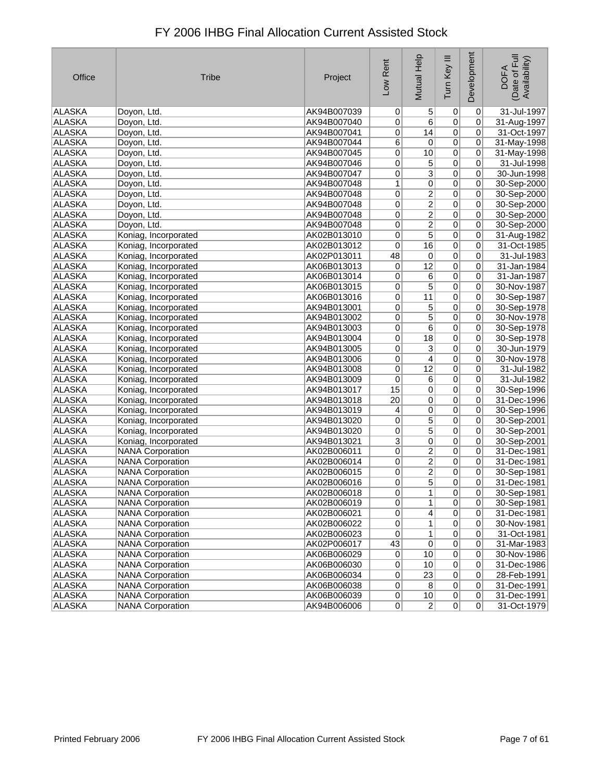| Office        | <b>Tribe</b>            | Project     | Low Rent       | <b>Mutual Help</b> | Tum Key III     | Development    | (Date of Full<br>Availability)<br><b>DOFA</b> |
|---------------|-------------------------|-------------|----------------|--------------------|-----------------|----------------|-----------------------------------------------|
| ALASKA        | Doyon, Ltd.             | AK94B007039 | 0              | 5                  | 0               | $\overline{0}$ | 31-Jul-1997                                   |
| ALASKA        | Doyon, Ltd.             | AK94B007040 | 0              | 6                  | $\mathbf 0$     | 0              | 31-Aug-1997                                   |
| ALASKA        | Doyon, Ltd.             | AK94B007041 | 0              | 14                 | $\overline{0}$  | 0              | 31-Oct-1997                                   |
| ALASKA        | Doyon, Ltd.             | AK94B007044 | 6              | 0                  | $\vert 0 \vert$ | 0              | 31-May-1998                                   |
| ALASKA        | Doyon, Ltd.             | AK94B007045 | 0              | 10                 | $\overline{0}$  | 0              | 31-May-1998                                   |
| ALASKA        | Doyon, Ltd.             | AK94B007046 | 0              | 5                  | $\vert 0 \vert$ | 0              | 31-Jul-1998                                   |
| <b>ALASKA</b> | Doyon, Ltd.             | AK94B007047 | 0              | $\overline{3}$     | $\overline{0}$  | 0              | 30-Jun-1998                                   |
| ALASKA        | Doyon, Ltd.             | AK94B007048 | 1              | 0                  | $\overline{0}$  | 0              | 30-Sep-2000                                   |
| <b>ALASKA</b> | Doyon, Ltd.             | AK94B007048 | 0              | 2                  | $\overline{0}$  | 0              | 30-Sep-2000                                   |
| ALASKA        | Doyon, Ltd.             | AK94B007048 | 0              | $\overline{2}$     | $\vert 0 \vert$ | 0              | 30-Sep-2000                                   |
| ALASKA        | Doyon, Ltd.             | AK94B007048 | 0              | $\overline{2}$     | $\overline{0}$  | 0              | 30-Sep-2000                                   |
| ALASKA        | Doyon, Ltd.             | AK94B007048 | 0              | $\overline{2}$     | $\overline{0}$  | 0              | 30-Sep-2000                                   |
| ALASKA        | Koniag, Incorporated    | AK02B013010 | 0              | $\overline{5}$     | $\overline{0}$  | 0              | 31-Aug-1982                                   |
| <b>ALASKA</b> | Koniag, Incorporated    | AK02B013012 | 0              | $\overline{16}$    | $\vert 0 \vert$ | 0              | 31-Oct-1985                                   |
| ALASKA        | Koniag, Incorporated    | AK02P013011 | 48             | $\pmb{0}$          | $\overline{0}$  | 0              | 31-Jul-1983                                   |
| ALASKA        | Koniag, Incorporated    | AK06B013013 | 0              | $\overline{12}$    | $\overline{0}$  | 0              | 31-Jan-1984                                   |
| ALASKA        | Koniag, Incorporated    | AK06B013014 | 0              | 6                  | $\overline{0}$  | $\overline{0}$ | 31-Jan-1987                                   |
| ALASKA        | Koniag, Incorporated    | AK06B013015 | 0              | $\overline{5}$     | $\overline{0}$  | 0              | 30-Nov-1987                                   |
| ALASKA        | Koniag, Incorporated    | AK06B013016 | 0              | 11                 | $\overline{0}$  | 0              | 30-Sep-1987                                   |
| <b>ALASKA</b> | Koniag, Incorporated    | AK94B013001 | 0              | $\overline{5}$     | $\overline{0}$  | 0              | 30-Sep-1978                                   |
| ALASKA        | Koniag, Incorporated    | AK94B013002 | 0              | $\overline{5}$     | $\vert 0 \vert$ | $\overline{0}$ | 30-Nov-1978                                   |
| ALASKA        | Koniag, Incorporated    | AK94B013003 | 0              | $\overline{6}$     | $\overline{0}$  | 0              | 30-Sep-1978                                   |
| ALASKA        | Koniag, Incorporated    | AK94B013004 | 0              | $\overline{18}$    | $\overline{0}$  | 0              | 30-Sep-1978                                   |
| <b>ALASKA</b> | Koniag, Incorporated    | AK94B013005 | 0              | $\overline{3}$     | $\overline{0}$  | 0              | 30-Jun-1979                                   |
| ALASKA        | Koniag, Incorporated    | AK94B013006 | 0              | 4                  | $\vert 0 \vert$ | 0              | 30-Nov-1978                                   |
| <b>ALASKA</b> | Koniag, Incorporated    | AK94B013008 | $\overline{0}$ | $\overline{12}$    | $\overline{0}$  | 0              | 31-Jul-1982                                   |
| ALASKA        | Koniag, Incorporated    | AK94B013009 | 0              | $\overline{6}$     | $\Omega$        | 0              | 31-Jul-1982                                   |
| <b>ALASKA</b> | Koniag, Incorporated    | AK94B013017 | 15             | 0                  | $\overline{0}$  | 0              | 30-Sep-1996                                   |
| ALASKA        | Koniag, Incorporated    | AK94B013018 | 20             | 0                  | $\mathbf 0$     | 0              | 31-Dec-1996                                   |
| ALASKA        | Koniag, Incorporated    | AK94B013019 | 4              | 0                  | $\overline{0}$  | 0              | 30-Sep-1996                                   |
| ALASKA        | Koniag, Incorporated    | AK94B013020 | 0              | $\overline{5}$     | $\overline{0}$  | 0              | 30-Sep-2001                                   |
| ALASKA        | Koniag, Incorporated    | AK94B013020 | 0              | $\overline{5}$     | $\vert 0 \vert$ | 0              | 30-Sep-2001                                   |
| <b>ALASKA</b> | Koniag, Incorporated    | AK94B013021 | $\overline{3}$ | $\overline{0}$     | $\vert 0 \vert$ | 0              | 30-Sep-2001                                   |
| ALASKA        | <b>NANA Corporation</b> | AK02B006011 | $\overline{0}$ | $\overline{2}$     | $\overline{0}$  | 0              | 31-Dec-1981                                   |
| ALASKA        | <b>NANA Corporation</b> | AK02B006014 | 0              | $\overline{2}$     | $\overline{0}$  | 0              | 31-Dec-1981                                   |
| ALASKA        | <b>NANA Corporation</b> | AK02B006015 | 0              | 2                  | $\overline{0}$  | 0              | 30-Sep-1981                                   |
| ALASKA        | <b>NANA Corporation</b> | AK02B006016 | 0              | 5                  | $\Omega$        | 0              | 31-Dec-1981                                   |
| <b>ALASKA</b> | <b>NANA Corporation</b> | AK02B006018 | $\overline{0}$ | $\overline{1}$     | $\overline{0}$  | $\overline{0}$ | 30-Sep-1981                                   |
| <b>ALASKA</b> | <b>NANA Corporation</b> | AK02B006019 | $\overline{0}$ | 1                  | $\overline{0}$  | 0              | 30-Sep-1981                                   |
| <b>ALASKA</b> | <b>NANA Corporation</b> | AK02B006021 | 0              | 4                  | $\overline{0}$  | $\overline{0}$ | 31-Dec-1981                                   |
| ALASKA        | <b>NANA Corporation</b> | AK02B006022 | 0              | $\overline{1}$     | $\pmb{0}$       | 0              | 30-Nov-1981                                   |
| ALASKA        | <b>NANA Corporation</b> | AK02B006023 | $\pmb{0}$      | $\overline{1}$     | $\vert 0 \vert$ | $\overline{0}$ | 31-Oct-1981                                   |
| ALASKA        | <b>NANA Corporation</b> | AK02P006017 | 43             | $\overline{0}$     | $\overline{0}$  | 0              | 31-Mar-1983                                   |
| ALASKA        | <b>NANA Corporation</b> | AK06B006029 | $\pmb{0}$      | $10$               | $\overline{0}$  | $\overline{0}$ | 30-Nov-1986                                   |
| <b>ALASKA</b> | <b>NANA Corporation</b> | AK06B006030 | $\overline{0}$ | 10                 | $\overline{0}$  | $\overline{0}$ | 31-Dec-1986                                   |
| ALASKA        | <b>NANA Corporation</b> | AK06B006034 | $\overline{0}$ | 23                 | $\vert 0 \vert$ | $\overline{0}$ | 28-Feb-1991                                   |
| ALASKA        | <b>NANA Corporation</b> | AK06B006038 | $\overline{0}$ | $\overline{8}$     | $\overline{0}$  | $\overline{0}$ | 31-Dec-1991                                   |
| ALASKA        | <b>NANA Corporation</b> | AK06B006039 | 0              | 10                 | 0               | $\overline{0}$ | 31-Dec-1991                                   |
| <b>ALASKA</b> | <b>NANA Corporation</b> | AK94B006006 | 0              | $\overline{2}$     | 0               | 0              | 31-Oct-1979                                   |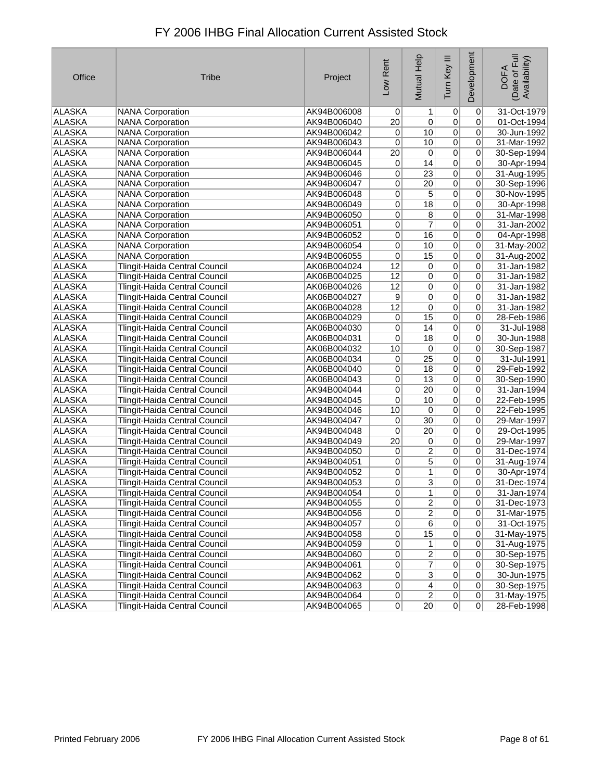| FY 2006 IHBG Final Allocation Current Assisted Stock |  |
|------------------------------------------------------|--|
|------------------------------------------------------|--|

| Office        | <b>Tribe</b>                         | Project     | Low Rent        | Mutual Help     | Tum Key III    | Development    | Date of Full<br>Availability)<br><b>DOFA</b> |
|---------------|--------------------------------------|-------------|-----------------|-----------------|----------------|----------------|----------------------------------------------|
| ALASKA        | <b>NANA Corporation</b>              | AK94B006008 | $\overline{0}$  | 1               | $\overline{0}$ | 0              | 31-Oct-1979                                  |
| ALASKA        | <b>NANA Corporation</b>              | AK94B006040 | $\overline{20}$ | $\overline{0}$  | $\overline{0}$ | 0              | 01-Oct-1994                                  |
| ALASKA        | <b>NANA Corporation</b>              | AK94B006042 | 0               | 10              | $\overline{0}$ | 0              | 30-Jun-1992                                  |
| ALASKA        | <b>NANA Corporation</b>              | AK94B006043 | 0               | 10              | $\overline{0}$ | 0              | 31-Mar-1992                                  |
| ALASKA        | <b>NANA Corporation</b>              | AK94B006044 | $\overline{20}$ | $\overline{0}$  | $\overline{0}$ | 0              | 30-Sep-1994                                  |
| <b>ALASKA</b> | <b>NANA Corporation</b>              | AK94B006045 | 0               | 14              | $\overline{0}$ | 0              | 30-Apr-1994                                  |
| <b>ALASKA</b> | <b>NANA Corporation</b>              | AK94B006046 | 0               | $\overline{23}$ | $\overline{0}$ | 0              | 31-Aug-1995                                  |
| <b>ALASKA</b> | <b>NANA Corporation</b>              | AK94B006047 | $\overline{0}$  | $\overline{20}$ | $\overline{0}$ | 0              | 30-Sep-1996                                  |
| <b>ALASKA</b> | <b>NANA Corporation</b>              | AK94B006048 | 0               | $\overline{5}$  | $\mathbf 0$    | 0              | 30-Nov-1995                                  |
| <b>ALASKA</b> | <b>NANA Corporation</b>              | AK94B006049 | 0               | 18              | $\overline{0}$ | 0              | 30-Apr-1998                                  |
| ALASKA        | <b>NANA Corporation</b>              | AK94B006050 | 0               | 8 <sup>1</sup>  | $\overline{0}$ | 0              | 31-Mar-1998                                  |
| <b>ALASKA</b> | <b>NANA Corporation</b>              | AK94B006051 | 0               | $\overline{7}$  | $\overline{0}$ | 0              | 31-Jan-2002                                  |
| ALASKA        | <b>NANA Corporation</b>              | AK94B006052 | 0               | 16              | $\overline{0}$ | 0              | 04-Apr-1998                                  |
| ALASKA        | <b>NANA Corporation</b>              | AK94B006054 | 0               | 10              | $\overline{0}$ | 0              | 31-May-2002                                  |
| ALASKA        | <b>NANA Corporation</b>              | AK94B006055 | 0               | 15              | $\overline{0}$ | 0              | 31-Aug-2002                                  |
| ALASKA        | Tlingit-Haida Central Council        | AK06B004024 | 12              | $\overline{0}$  | $\overline{0}$ | 0              | 31-Jan-1982                                  |
| <b>ALASKA</b> | Tlingit-Haida Central Council        | AK06B004025 | 12              | $\overline{0}$  | $\overline{0}$ | 0              | 31-Jan-1982                                  |
| <b>ALASKA</b> | Tlingit-Haida Central Council        | AK06B004026 | 12              | $\sigma$        | $\overline{0}$ | 0              | 31-Jan-1982                                  |
| ALASKA        | Tlingit-Haida Central Council        | AK06B004027 | 9               | $\overline{0}$  | $\overline{0}$ | 0              | 31-Jan-1982                                  |
| <b>ALASKA</b> | Tlingit-Haida Central Council        | AK06B004028 | $\overline{12}$ | $\overline{0}$  | $\overline{0}$ | 0              | 31-Jan-1982                                  |
| <b>ALASKA</b> | Tlingit-Haida Central Council        | AK06B004029 | 0               | $\overline{15}$ | $\overline{0}$ | 0              | 28-Feb-1986                                  |
| ALASKA        | Tlingit-Haida Central Council        | AK06B004030 | 0               | 14              | $\overline{0}$ | 0              | 31-Jul-1988                                  |
| ALASKA        | Tlingit-Haida Central Council        | AK06B004031 | 0               | 18              | $\overline{0}$ | 0              | 30-Jun-1988                                  |
| <b>ALASKA</b> | Tlingit-Haida Central Council        | AK06B004032 | 10              | $\overline{0}$  | $\overline{0}$ | 0              | 30-Sep-1987                                  |
| <b>ALASKA</b> | Tlingit-Haida Central Council        | AK06B004034 | $\overline{0}$  | $\overline{25}$ | $\overline{0}$ | 0              | 31-Jul-1991                                  |
| <b>ALASKA</b> | Tlingit-Haida Central Council        | AK06B004040 | 0               | 18              | $\overline{0}$ | 0              | 29-Feb-1992                                  |
| ALASKA        | Tlingit-Haida Central Council        | AK06B004043 | $\overline{0}$  | $\overline{13}$ | $\overline{0}$ | 0              | 30-Sep-1990                                  |
| ALASKA        | Tlingit-Haida Central Council        | AK94B004044 | 0               | $\overline{20}$ | $\overline{0}$ | 0              | 31-Jan-1994                                  |
| <b>ALASKA</b> | Tlingit-Haida Central Council        | AK94B004045 | 0               | 10              | $\overline{0}$ | 0              | 22-Feb-1995                                  |
| ALASKA        | Tlingit-Haida Central Council        | AK94B004046 | 10              | 0               | $\overline{0}$ | 0              | 22-Feb-1995                                  |
| ALASKA        | Tlingit-Haida Central Council        | AK94B004047 | 0               | $\overline{30}$ | $\overline{0}$ | 0              | 29-Mar-1997                                  |
| <b>ALASKA</b> | Tlingit-Haida Central Council        | AK94B004048 | 0               | $\overline{20}$ | $\overline{0}$ | 0              | 29-Oct-1995                                  |
| <b>ALASKA</b> | Tlingit-Haida Central Council        | AK94B004049 | $\overline{20}$ | $\overline{0}$  | $\overline{0}$ | 0              | 29-Mar-1997                                  |
| ALASKA        | Tlingit-Haida Central Council        | AK94B004050 | 0               | $\overline{2}$  | $\overline{0}$ | 0              | 31-Dec-1974                                  |
| ALASKA        | Tlingit-Haida Central Council        | AK94B004051 | 0               | $\overline{5}$  | $\overline{0}$ | 0              | 31-Aug-1974                                  |
| ALASKA        | Tlingit-Haida Central Council        | AK94B004052 | 0               | 1               | $\overline{0}$ | 0              | 30-Apr-1974                                  |
| ALASKA        | Tlingit-Haida Central Council        | AK94B004053 | 0               | $\mathbf{3}$    | 0              | 0              | 31-Dec-1974                                  |
| ALASKA        | Tlingit-Haida Central Council        | AK94B004054 | 0               | 1               | 0              | 0              | 31-Jan-1974                                  |
| <b>ALASKA</b> | <b>Tlingit-Haida Central Council</b> | AK94B004055 | $\overline{0}$  | $\overline{2}$  | $\overline{0}$ | 0              | 31-Dec-1973                                  |
| ALASKA        | <b>Tlingit-Haida Central Council</b> | AK94B004056 | $\overline{0}$  | $\overline{2}$  | $\mathbf 0$    | $\mathbf 0$    | 31-Mar-1975                                  |
| ALASKA        | Tlingit-Haida Central Council        | AK94B004057 | $\vert 0 \vert$ | 6               | $\pmb{0}$      | 0              | 31-Oct-1975                                  |
| ALASKA        | Tlingit-Haida Central Council        | AK94B004058 | $\vert 0 \vert$ | 15              | $\pmb{0}$      | 0              | 31-May-1975                                  |
| <b>ALASKA</b> | Tlingit-Haida Central Council        | AK94B004059 | $\overline{0}$  | 1               | $\pmb{0}$      | 0              | 31-Aug-1975                                  |
| ALASKA        | Tlingit-Haida Central Council        | AK94B004060 | $\overline{0}$  | $\overline{2}$  | $\overline{0}$ | $\overline{0}$ | 30-Sep-1975                                  |
| <b>ALASKA</b> | Tlingit-Haida Central Council        | AK94B004061 | $\overline{0}$  | 7               | $\overline{0}$ | 0              | 30-Sep-1975                                  |
| ALASKA        | <b>Tlingit-Haida Central Council</b> | AK94B004062 | $\mathsf{o}$    | $\overline{3}$  | $\pmb{0}$      | 0              | 30-Jun-1975                                  |
| ALASKA        | Tlingit-Haida Central Council        | AK94B004063 | 0               | $\overline{4}$  | $\overline{0}$ | 0              | 30-Sep-1975                                  |
| ALASKA        | Tlingit-Haida Central Council        | AK94B004064 | 0               | $\overline{2}$  | $\overline{0}$ | $\pmb{0}$      | 31-May-1975                                  |
| ALASKA        | Tlingit-Haida Central Council        | AK94B004065 | 0               | $\overline{20}$ | 0              | 0              | 28-Feb-1998                                  |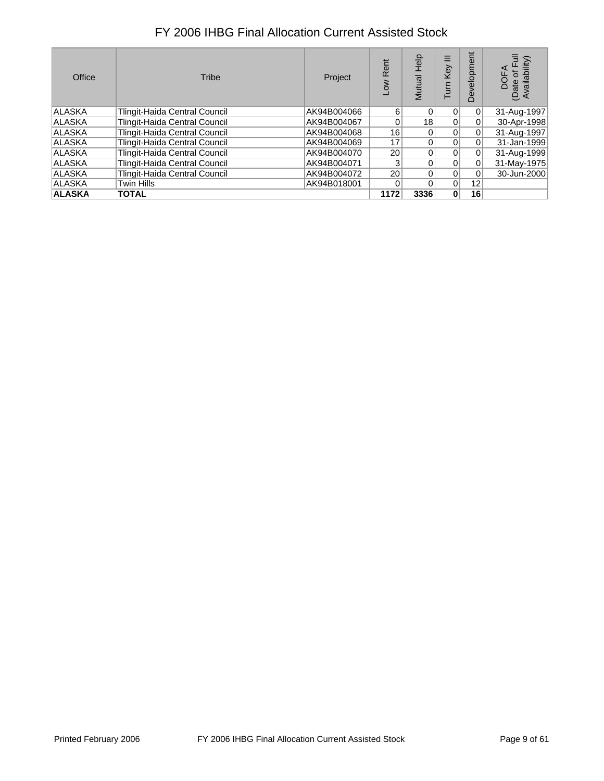| Office        | Tribe                         | Project     | Rent<br>ŠΟ      | elp<br>utual    | Ξ<br>Key<br>S | Ĕ<br>elor<br>$\omega$<br>≏ | vailability)<br>Date<br>Avai |
|---------------|-------------------------------|-------------|-----------------|-----------------|---------------|----------------------------|------------------------------|
| <b>ALASKA</b> | Tlingit-Haida Central Council | AK94B004066 | 6               | 0               | $\Omega$      | 0                          | 31-Aug-1997                  |
| <b>ALASKA</b> | Tlingit-Haida Central Council | AK94B004067 | $\Omega$        | 18 <sup>1</sup> | $\Omega$      | 0                          | 30-Apr-1998                  |
| <b>ALASKA</b> | Tlingit-Haida Central Council | AK94B004068 | 16 <sup>1</sup> | 0               | $\Omega$      | 0                          | 31-Aug-1997                  |
| <b>ALASKA</b> | Tlingit-Haida Central Council | AK94B004069 | 17              | 0               |               | $\Omega$                   | 31-Jan-1999                  |
| <b>ALASKA</b> | Tlingit-Haida Central Council | AK94B004070 | 20 <sub>1</sub> | 0               | $\Omega$      | $\Omega$                   | 31-Aug-1999                  |
| <b>ALASKA</b> | Tlingit-Haida Central Council | AK94B004071 | 3               | 0               |               | $\Omega$                   | 31-May-1975                  |
| <b>ALASKA</b> | Tlingit-Haida Central Council | AK94B004072 | 20 <sub>1</sub> | 0               |               | 0                          | 30-Jun-2000                  |
| <b>ALASKA</b> | Twin Hills                    | AK94B018001 | 0               | 0               | $\Omega$      | 12 <sub>1</sub>            |                              |
| <b>ALASKA</b> | <b>TOTAL</b>                  |             | 1172            | 3336            | $\mathbf{0}$  | 16                         |                              |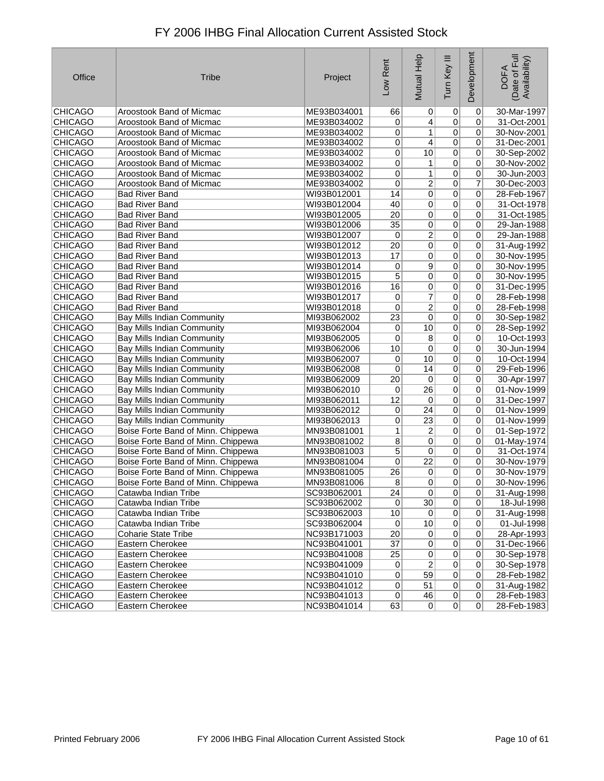| Office         | <b>Tribe</b>                       | Project     | -ow Rent        | Mutual Help     | $\equiv$<br>Tum Key | Development    | (Date of Full<br>Availability)<br><b>DOFA</b> |
|----------------|------------------------------------|-------------|-----------------|-----------------|---------------------|----------------|-----------------------------------------------|
| <b>CHICAGO</b> | Aroostook Band of Micmac           | ME93B034001 | 66              | 0               | $\overline{0}$      | 0              | 30-Mar-1997                                   |
| <b>CHICAGO</b> | Aroostook Band of Micmac           | ME93B034002 | 0               | $\overline{4}$  | $\overline{0}$      | 0              | 31-Oct-2001                                   |
| <b>CHICAGO</b> | Aroostook Band of Micmac           | ME93B034002 | 0               | 1               | $\vert 0 \vert$     | 0              | 30-Nov-2001                                   |
| <b>CHICAGO</b> | Aroostook Band of Micmac           | ME93B034002 | 0               | $\overline{4}$  | $\overline{0}$      | 0              | 31-Dec-2001                                   |
| <b>CHICAGO</b> | Aroostook Band of Micmac           | ME93B034002 | 0               | 10              | $\overline{0}$      | 0              | 30-Sep-2002                                   |
| <b>CHICAGO</b> | Aroostook Band of Micmac           | ME93B034002 | 0               | 1               | 0                   | 0              | 30-Nov-2002                                   |
| <b>CHICAGO</b> | Aroostook Band of Micmac           | ME93B034002 | 0               | 1               | $\mathbf 0$         | 0              | 30-Jun-2003                                   |
| <b>CHICAGO</b> | Aroostook Band of Micmac           | ME93B034002 | 0               | $\overline{2}$  | $\overline{0}$      | 7              | 30-Dec-2003                                   |
| <b>CHICAGO</b> | <b>Bad River Band</b>              | WI93B012001 | 14              | 0               | $\mathbf 0$         | 0              | 28-Feb-1967                                   |
| <b>CHICAGO</b> | <b>Bad River Band</b>              | WI93B012004 | 40              | 0               | $\overline{0}$      | 0              | 31-Oct-1978                                   |
| <b>CHICAGO</b> | <b>Bad River Band</b>              | WI93B012005 | 20              | 0               | $\mathbf 0$         | 0              | 31-Oct-1985                                   |
| <b>CHICAGO</b> | <b>Bad River Band</b>              | WI93B012006 | $\overline{35}$ | 0               | $\overline{0}$      | 0              | 29-Jan-1988                                   |
| <b>CHICAGO</b> | <b>Bad River Band</b>              | WI93B012007 | 0               | $\overline{2}$  | 0                   | 0              | 29-Jan-1988                                   |
| <b>CHICAGO</b> | <b>Bad River Band</b>              | WI93B012012 | 20              | 0               | 0                   | 0              | 31-Aug-1992                                   |
| <b>CHICAGO</b> | <b>Bad River Band</b>              | WI93B012013 | 17              | 0               | $\mathbf 0$         | 0              | 30-Nov-1995                                   |
| <b>CHICAGO</b> | <b>Bad River Band</b>              | WI93B012014 | 0               | $\overline{9}$  | $\overline{0}$      | 0              | 30-Nov-1995                                   |
| <b>CHICAGO</b> | <b>Bad River Band</b>              | WI93B012015 | 5               | 0               | 0                   | 0              | 30-Nov-1995                                   |
| <b>CHICAGO</b> | <b>Bad River Band</b>              | WI93B012016 | 16              | 0               | 0                   | 0              | 31-Dec-1995                                   |
| <b>CHICAGO</b> | <b>Bad River Band</b>              | WI93B012017 | 0               | $\overline{7}$  | $\overline{0}$      | 0              | 28-Feb-1998                                   |
| <b>CHICAGO</b> | <b>Bad River Band</b>              | WI93B012018 | 0               | $\overline{2}$  | $\overline{0}$      | 0              | 28-Feb-1998                                   |
| <b>CHICAGO</b> | Bay Mills Indian Community         | MI93B062002 | $\overline{23}$ | 0               | 0                   | 0              | 30-Sep-1982                                   |
| <b>CHICAGO</b> | Bay Mills Indian Community         | MI93B062004 | 0               | 10              | $\overline{0}$      | 0              | 28-Sep-1992                                   |
| <b>CHICAGO</b> | Bay Mills Indian Community         | MI93B062005 | 0               | 8               | $\overline{0}$      | 0              | 10-Oct-1993                                   |
| CHICAGO        | Bay Mills Indian Community         | MI93B062006 | 10              | 0               | $\overline{0}$      | 0              | 30-Jun-1994                                   |
| <b>CHICAGO</b> | Bay Mills Indian Community         | MI93B062007 | 0               | 10              | 0                   | 0              | 10-Oct-1994                                   |
| <b>CHICAGO</b> | Bay Mills Indian Community         | MI93B062008 | 0               | 14              | $\overline{0}$      | 0              | 29-Feb-1996                                   |
| <b>CHICAGO</b> | Bay Mills Indian Community         | MI93B062009 | $\overline{20}$ | $\pmb{0}$       | $\overline{0}$      | 0              | 30-Apr-1997                                   |
| <b>CHICAGO</b> | <b>Bay Mills Indian Community</b>  | MI93B062010 | 0               | $\overline{26}$ | $\overline{0}$      | 0              | 01-Nov-1999                                   |
| <b>CHICAGO</b> | <b>Bay Mills Indian Community</b>  | MI93B062011 | 12              | 0               | $\overline{0}$      | 0              | 31-Dec-1997                                   |
| <b>CHICAGO</b> | Bay Mills Indian Community         | MI93B062012 | 0               | 24              | $\overline{0}$      | 0              | 01-Nov-1999                                   |
| <b>CHICAGO</b> | Bay Mills Indian Community         | MI93B062013 | 0               | 23              | $\overline{0}$      | 0              | 01-Nov-1999                                   |
| <b>CHICAGO</b> | Boise Forte Band of Minn. Chippewa | MN93B081001 | 1               | $\overline{2}$  | $\overline{0}$      | 0              | 01-Sep-1972                                   |
| <b>CHICAGO</b> | Boise Forte Band of Minn. Chippewa | MN93B081002 | $\overline{8}$  | 0               | $\overline{0}$      | 0              | 01-May-1974                                   |
| <b>CHICAGO</b> | Boise Forte Band of Minn. Chippewa | MN93B081003 | 5               | 0               | $\overline{0}$      | 0              | 31-Oct-1974                                   |
| CHICAGO        | Boise Forte Band of Minn. Chippewa | MN93B081004 | 0               | $\overline{22}$ | $\overline{0}$      | 0              | 30-Nov-1979                                   |
| <b>CHICAGO</b> | Boise Forte Band of Minn. Chippewa | MN93B081005 | 26              | 0               | $\pmb{0}$           | 0              | 30-Nov-1979                                   |
| <b>CHICAGO</b> | Boise Forte Band of Minn. Chippewa | MN93B081006 | 8               | 0               | 0                   | 0              | 30-Nov-1996                                   |
| <b>CHICAGO</b> | Catawba Indian Tribe               | SC93B062001 | 24              | 0               | 0                   | 0              | 31-Aug-1998                                   |
| <b>CHICAGO</b> | Catawba Indian Tribe               | SC93B062002 | $\overline{0}$  | 30              | $\vert 0 \vert$     | $\overline{0}$ | 18-Jul-1998                                   |
| <b>CHICAGO</b> | Catawba Indian Tribe               | SC93B062003 | 10              | 0               | $\overline{0}$      | 0              | 31-Aug-1998                                   |
| <b>CHICAGO</b> | Catawba Indian Tribe               | SC93B062004 | $\pmb{0}$       | $10$            | $\vert 0 \vert$     | 0              | 01-Jul-1998                                   |
| <b>CHICAGO</b> | <b>Coharie State Tribe</b>         | NC93B171003 | 20              | 0               | $\pmb{0}$           | 0              | 28-Apr-1993                                   |
| <b>CHICAGO</b> | Eastern Cherokee                   | NC93B041001 | $\overline{37}$ | $\overline{0}$  | $\vert 0 \vert$     | $\overline{0}$ | 31-Dec-1966                                   |
| <b>CHICAGO</b> | Eastern Cherokee                   | NC93B041008 | $\overline{25}$ | $\overline{0}$  | $\overline{0}$      | 0              | 30-Sep-1978                                   |
| <b>CHICAGO</b> | Eastern Cherokee                   | NC93B041009 | 0               | $\overline{2}$  | $\overline{0}$      | 0              | 30-Sep-1978                                   |
| <b>CHICAGO</b> | Eastern Cherokee                   | NC93B041010 | $\overline{0}$  | 59              | $\vert 0 \vert$     | $\overline{0}$ | 28-Feb-1982                                   |
| <b>CHICAGO</b> | Eastern Cherokee                   | NC93B041012 | $\overline{0}$  | 51              | $\vert 0 \vert$     | 0              | 31-Aug-1982                                   |
| <b>CHICAGO</b> | Eastern Cherokee                   | NC93B041013 | $\overline{0}$  | 46              | 0                   | 0              | 28-Feb-1983                                   |
| <b>CHICAGO</b> | Eastern Cherokee                   | NC93B041014 | 63              | 0               | 0                   | 0              | 28-Feb-1983                                   |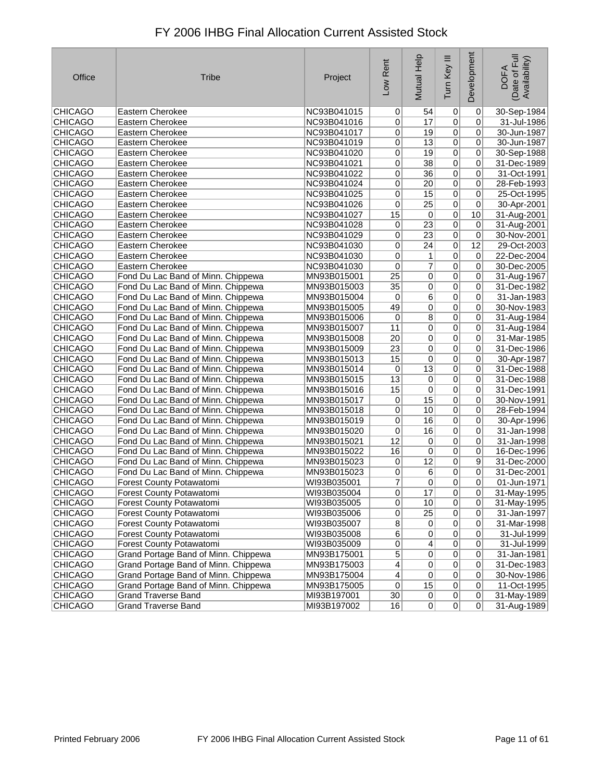| FY 2006 IHBG Final Allocation Current Assisted Stock |  |
|------------------------------------------------------|--|
|------------------------------------------------------|--|

| Office         | <b>Tribe</b>                         | Project     | Low Rent        | Mutual Help     | Ξ<br>Tum Key    | Development     | Date of Full<br>Availability)<br><b>DOFA</b> |
|----------------|--------------------------------------|-------------|-----------------|-----------------|-----------------|-----------------|----------------------------------------------|
| <b>CHICAGO</b> | <b>Eastern Cherokee</b>              | NC93B041015 | 0               | 54              | 0               | 0               | 30-Sep-1984                                  |
| <b>CHICAGO</b> | Eastern Cherokee                     | NC93B041016 | 0               | 17              | $\overline{0}$  | 0               | 31-Jul-1986                                  |
| <b>CHICAGO</b> | Eastern Cherokee                     | NC93B041017 | 0               | 19              | $\overline{0}$  | 0               | 30-Jun-1987                                  |
| <b>CHICAGO</b> | Eastern Cherokee                     | NC93B041019 | 0               | $\overline{13}$ | $\overline{0}$  | 0               | 30-Jun-1987                                  |
| <b>CHICAGO</b> | Eastern Cherokee                     | NC93B041020 | 0               | 19              | $\overline{0}$  | 0               | 30-Sep-1988                                  |
| <b>CHICAGO</b> | Eastern Cherokee                     | NC93B041021 | 0               | $\overline{38}$ | $\overline{0}$  | 0               | 31-Dec-1989                                  |
| <b>CHICAGO</b> | Eastern Cherokee                     | NC93B041022 | 0               | 36              | $\overline{0}$  | 0               | 31-Oct-1991                                  |
| <b>CHICAGO</b> | Eastern Cherokee                     | NC93B041024 | $\overline{0}$  | $\overline{20}$ | $\overline{0}$  | 0               | 28-Feb-1993                                  |
| <b>CHICAGO</b> | Eastern Cherokee                     | NC93B041025 | 0               | $\overline{15}$ | $\overline{0}$  | 0               | 25-Oct-1995                                  |
| <b>CHICAGO</b> | Eastern Cherokee                     | NC93B041026 | 0               | $\overline{25}$ | $\overline{0}$  | 0               | 30-Apr-2001                                  |
| <b>CHICAGO</b> | Eastern Cherokee                     | NC93B041027 | 15              | $\overline{0}$  | $\overline{0}$  | 10              | 31-Aug-2001                                  |
| <b>CHICAGO</b> | Eastern Cherokee                     | NC93B041028 | 0               | $\overline{23}$ | $\overline{0}$  | 0               | 31-Aug-2001                                  |
| <b>CHICAGO</b> | Eastern Cherokee                     | NC93B041029 | 0               | $\overline{23}$ | $\overline{0}$  | 0               | 30-Nov-2001                                  |
| <b>CHICAGO</b> | Eastern Cherokee                     | NC93B041030 | 0               | $\overline{24}$ | $\overline{0}$  | $\overline{12}$ | 29-Oct-2003                                  |
| <b>CHICAGO</b> | Eastern Cherokee                     | NC93B041030 | 0               | 1               | $\mathbf 0$     | 0               | 22-Dec-2004                                  |
| <b>CHICAGO</b> | Eastern Cherokee                     | NC93B041030 | 0               | 7               | $\overline{0}$  | 0               | 30-Dec-2005                                  |
| <b>CHICAGO</b> | Fond Du Lac Band of Minn. Chippewa   | MN93B015001 | $\overline{25}$ | $\overline{0}$  | $\mathbf 0$     | 0               | 31-Aug-1967                                  |
| <b>CHICAGO</b> | Fond Du Lac Band of Minn. Chippewa   | MN93B015003 | $\overline{35}$ | $\overline{0}$  | $\overline{0}$  | 0               | 31-Dec-1982                                  |
| <b>CHICAGO</b> | Fond Du Lac Band of Minn. Chippewa   | MN93B015004 | 0               | 6               | $\overline{0}$  | 0               | 31-Jan-1983                                  |
| <b>CHICAGO</b> | Fond Du Lac Band of Minn. Chippewa   | MN93B015005 | 49              | $\overline{0}$  | $\overline{0}$  | 0               | 30-Nov-1983                                  |
| <b>CHICAGO</b> | Fond Du Lac Band of Minn. Chippewa   | MN93B015006 | 0               | $\overline{8}$  | $\overline{0}$  | 0               | 31-Aug-1984                                  |
| <b>CHICAGO</b> | Fond Du Lac Band of Minn. Chippewa   | MN93B015007 | 11              | 0               | $\overline{0}$  | 0               | 31-Aug-1984                                  |
| <b>CHICAGO</b> | Fond Du Lac Band of Minn. Chippewa   | MN93B015008 | 20              | 0               | 0               | 0               | 31-Mar-1985                                  |
| CHICAGO        | Fond Du Lac Band of Minn. Chippewa   | MN93B015009 | 23              | $\overline{0}$  | $\overline{0}$  | 0               | 31-Dec-1986                                  |
| <b>CHICAGO</b> | Fond Du Lac Band of Minn. Chippewa   | MN93B015013 | 15              | 0               | $\overline{0}$  | 0               | 30-Apr-1987                                  |
| <b>CHICAGO</b> | Fond Du Lac Band of Minn. Chippewa   | MN93B015014 | 0               | $\overline{13}$ | $\overline{0}$  | 0               | 31-Dec-1988                                  |
| <b>CHICAGO</b> | Fond Du Lac Band of Minn. Chippewa   | MN93B015015 | 13              | 0               | $\overline{0}$  | 0               | 31-Dec-1988                                  |
| <b>CHICAGO</b> | Fond Du Lac Band of Minn. Chippewa   | MN93B015016 | 15              | 0               | $\overline{0}$  | 0               | 31-Dec-1991                                  |
| <b>CHICAGO</b> | Fond Du Lac Band of Minn. Chippewa   | MN93B015017 | 0               | $\overline{15}$ | $\overline{0}$  | 0               | 30-Nov-1991                                  |
| <b>CHICAGO</b> | Fond Du Lac Band of Minn. Chippewa   | MN93B015018 | 0               | 10              | $\overline{0}$  | 0               | 28-Feb-1994                                  |
| <b>CHICAGO</b> | Fond Du Lac Band of Minn. Chippewa   | MN93B015019 | 0               | $\overline{16}$ | $\overline{0}$  | 0               | 30-Apr-1996                                  |
| <b>CHICAGO</b> | Fond Du Lac Band of Minn. Chippewa   | MN93B015020 | 0               | 16              | $\overline{0}$  | 0               | 31-Jan-1998                                  |
| <b>CHICAGO</b> | Fond Du Lac Band of Minn. Chippewa   | MN93B015021 | $\overline{12}$ | $\overline{0}$  | $\overline{0}$  | 0               | 31-Jan-1998                                  |
| <b>CHICAGO</b> | Fond Du Lac Band of Minn. Chippewa   | MN93B015022 | 16              | 0               | $\overline{0}$  | 0               | 16-Dec-1996                                  |
| <b>CHICAGO</b> | Fond Du Lac Band of Minn. Chippewa   | MN93B015023 | 0               | $\overline{12}$ | $\overline{0}$  | 9               | 31-Dec-2000                                  |
| <b>CHICAGO</b> | Fond Du Lac Band of Minn. Chippewa   | MN93B015023 | 0               | 6               | $\overline{0}$  | 0               | 31-Dec-2001                                  |
| <b>CHICAGO</b> | Forest County Potawatomi             | WI93B035001 | 7               | 0               | 0               | 0               | 01-Jun-1971                                  |
| <b>CHICAGO</b> | Forest County Potawatomi             | WI93B035004 | 0               | 17              | $\vert 0 \vert$ | 0               | 31-May-1995                                  |
| CHICAGO        | Forest County Potawatomi             | WI93B035005 | $\overline{0}$  | 10              | $\overline{0}$  | 0               | 31-May-1995                                  |
| <b>CHICAGO</b> | Forest County Potawatomi             | WI93B035006 | $\overline{0}$  | $\overline{25}$ | $\mathbf 0$     | $\mathbf 0$     | 31-Jan-1997                                  |
| <b>CHICAGO</b> | Forest County Potawatomi             | WI93B035007 | $\overline{8}$  | 0               | $\pmb{0}$       | 0               | 31-Mar-1998                                  |
| <b>CHICAGO</b> | Forest County Potawatomi             | WI93B035008 | 6               | $\overline{0}$  | $\mathbf 0$     | 0               | 31-Jul-1999                                  |
| <b>CHICAGO</b> | Forest County Potawatomi             | WI93B035009 | 0               | $\overline{4}$  | $\pmb{0}$       | 0               | 31-Jul-1999                                  |
| <b>CHICAGO</b> | Grand Portage Band of Minn. Chippewa | MN93B175001 | $\overline{5}$  | $\overline{0}$  | $\mathbf 0$     | $\overline{0}$  | 31-Jan-1981                                  |
| <b>CHICAGO</b> | Grand Portage Band of Minn. Chippewa | MN93B175003 | $\overline{4}$  | $\overline{0}$  | $\pmb{0}$       | 0               | 31-Dec-1983                                  |
| <b>CHICAGO</b> | Grand Portage Band of Minn. Chippewa | MN93B175004 | $\overline{4}$  | $\overline{0}$  | $\mathbf 0$     | 0               | 30-Nov-1986                                  |
| <b>CHICAGO</b> | Grand Portage Band of Minn. Chippewa | MN93B175005 | 0               | 15              | $\pmb{0}$       | 0               | 11-Oct-1995                                  |
| <b>CHICAGO</b> | <b>Grand Traverse Band</b>           | MI93B197001 | 30 <sup>2</sup> | 0               | $\overline{0}$  | 0               | 31-May-1989                                  |
| <b>CHICAGO</b> | <b>Grand Traverse Band</b>           | MI93B197002 | 16              | 0               | 0               | 0               | 31-Aug-1989                                  |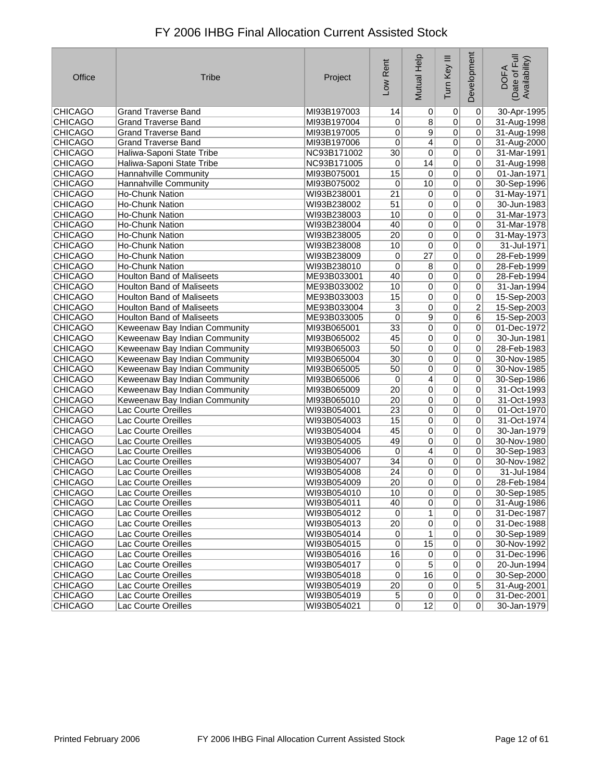| Office         | <b>Tribe</b>                     | Project     | Low Rent                | Mutual Help     | Tum Key III     | Development    | Date of Full<br>Availability)<br><b>DOFA</b> |
|----------------|----------------------------------|-------------|-------------------------|-----------------|-----------------|----------------|----------------------------------------------|
| <b>CHICAGO</b> | <b>Grand Traverse Band</b>       | MI93B197003 | 14                      | 0               | $\vert 0 \vert$ | $\overline{0}$ | 30-Apr-1995                                  |
| <b>CHICAGO</b> | <b>Grand Traverse Band</b>       | MI93B197004 | 0                       | 8               | $\overline{0}$  | 0              | 31-Aug-1998                                  |
| <b>CHICAGO</b> | <b>Grand Traverse Band</b>       | MI93B197005 | 0                       | 9               | $\overline{0}$  | 0              | 31-Aug-1998                                  |
| <b>CHICAGO</b> | <b>Grand Traverse Band</b>       | MI93B197006 | $\overline{0}$          | $\overline{4}$  | $\overline{0}$  | $\overline{0}$ | 31-Aug-2000                                  |
| <b>CHICAGO</b> | Haliwa-Saponi State Tribe        | NC93B171002 | 30                      | $\overline{0}$  | $\overline{0}$  | 0              | 31-Mar-1991                                  |
| <b>CHICAGO</b> | Haliwa-Saponi State Tribe        | NC93B171005 | 0                       | 14              | $\overline{0}$  | 0              | 31-Aug-1998                                  |
| <b>CHICAGO</b> | Hannahville Community            | MI93B075001 | 15                      | $\pmb{0}$       | $\overline{0}$  | 0              | 01-Jan-1971                                  |
| <b>CHICAGO</b> | Hannahville Community            | MI93B075002 | 0                       | 10              | $\overline{0}$  | $\overline{0}$ | 30-Sep-1996                                  |
| <b>CHICAGO</b> | <b>Ho-Chunk Nation</b>           | WI93B238001 | $\overline{21}$         | 0               | $\overline{0}$  | 0              | 31-May-1971                                  |
| <b>CHICAGO</b> | <b>Ho-Chunk Nation</b>           | WI93B238002 | 51                      | 0               | $\overline{0}$  | 0              | 30-Jun-1983                                  |
| <b>CHICAGO</b> | <b>Ho-Chunk Nation</b>           | WI93B238003 | 10                      | 0               | $\overline{0}$  | 0              | 31-Mar-1973                                  |
| <b>CHICAGO</b> | <b>Ho-Chunk Nation</b>           | WI93B238004 | 40                      | 0               | $\overline{0}$  | 0              | 31-Mar-1978                                  |
| <b>CHICAGO</b> | <b>Ho-Chunk Nation</b>           | WI93B238005 | $\overline{20}$         | 0               | $\overline{0}$  | 0              | 31-May-1973                                  |
| <b>CHICAGO</b> | <b>Ho-Chunk Nation</b>           | WI93B238008 | 10                      | 0               | $\overline{0}$  | 0              | 31-Jul-1971                                  |
| CHICAGO        | Ho-Chunk Nation                  | WI93B238009 | 0                       | $\overline{27}$ | $\overline{0}$  | $\overline{0}$ | 28-Feb-1999                                  |
| <b>CHICAGO</b> | Ho-Chunk Nation                  | WI93B238010 | 0                       | 8               | $\overline{0}$  | 0              | 28-Feb-1999                                  |
| <b>CHICAGO</b> | <b>Houlton Band of Maliseets</b> | ME93B033001 | 40                      | 0               | $\overline{0}$  | 0              | 28-Feb-1994                                  |
| <b>CHICAGO</b> | <b>Houlton Band of Maliseets</b> | ME93B033002 | 10                      | 0               | $\overline{0}$  | 0              | 31-Jan-1994                                  |
| <b>CHICAGO</b> | <b>Houlton Band of Maliseets</b> | ME93B033003 | 15                      | $\overline{0}$  | $\overline{0}$  | $\overline{0}$ | 15-Sep-2003                                  |
| <b>CHICAGO</b> | <b>Houlton Band of Maliseets</b> | ME93B033004 | $\overline{\mathbf{3}}$ | 0               | $\overline{0}$  | $\overline{2}$ | 15-Sep-2003                                  |
| <b>CHICAGO</b> | <b>Houlton Band of Maliseets</b> | ME93B033005 | 0                       | 9               | $\overline{0}$  | 6              | 15-Sep-2003                                  |
| <b>CHICAGO</b> | Keweenaw Bay Indian Community    | MI93B065001 | 33                      | 0               | $\overline{0}$  | 0              | 01-Dec-1972                                  |
| <b>CHICAGO</b> | Keweenaw Bay Indian Community    | MI93B065002 | 45                      | $\overline{0}$  | $\overline{0}$  | 0              | 30-Jun-1981                                  |
| <b>CHICAGO</b> | Keweenaw Bay Indian Community    | MI93B065003 | 50                      | 0               | $\overline{0}$  | 0              | 28-Feb-1983                                  |
| <b>CHICAGO</b> | Keweenaw Bay Indian Community    | MI93B065004 | 30                      | 0               | $\overline{0}$  | 0              | 30-Nov-1985                                  |
| <b>CHICAGO</b> | Keweenaw Bay Indian Community    | MI93B065005 | 50                      | 0               | $\overline{0}$  | 0              | 30-Nov-1985                                  |
| CHICAGO        | Keweenaw Bay Indian Community    | MI93B065006 | 0                       | 4               | $\overline{0}$  | 0              | 30-Sep-1986                                  |
| <b>CHICAGO</b> | Keweenaw Bay Indian Community    | MI93B065009 | 20                      | 0               | $\overline{0}$  | 0              | 31-Oct-1993                                  |
| <b>CHICAGO</b> | Keweenaw Bay Indian Community    | MI93B065010 | 20                      | 0               | $\overline{0}$  | 0              | 31-Oct-1993                                  |
| <b>CHICAGO</b> | Lac Courte Oreilles              | WI93B054001 | 23                      | 0               | $\overline{0}$  | $\overline{0}$ | 01-Oct-1970                                  |
| CHICAGO        | Lac Courte Oreilles              | WI93B054003 | 15                      | 0               | $\overline{0}$  | 0              | 31-Oct-1974                                  |
| <b>CHICAGO</b> | Lac Courte Oreilles              | WI93B054004 | 45                      | 0               | $\overline{0}$  | 0              | 30-Jan-1979                                  |
| <b>CHICAGO</b> | Lac Courte Oreilles              | WI93B054005 | 49                      | 0               | $\overline{0}$  | 0              | 30-Nov-1980                                  |
| CHICAGO        | Lac Courte Oreilles              | WI93B054006 | 0                       | 4               | $\overline{0}$  | 0              | 30-Sep-1983                                  |
| CHICAGO        | Lac Courte Oreilles              | WI93B054007 | 34                      | 0               | $\overline{0}$  | 0              | 30-Nov-1982                                  |
| <b>CHICAGO</b> | Lac Courte Oreilles              | WI93B054008 | 24                      | 0               | 0               | 0              | 31-Jul-1984                                  |
| <b>CHICAGO</b> | <b>Lac Courte Oreilles</b>       | WI93B054009 | 20                      | 0               | 0               | 0              | 28-Feb-1984                                  |
| <b>CHICAGO</b> | Lac Courte Oreilles              | WI93B054010 | 10                      | $\mathsf{U}$    | $\sigma$        | $\mathsf{U}$   | 30-Sep-1985                                  |
| CHICAGO        | Lac Courte Oreilles              | WI93B054011 | 40                      | 0               | 0               | 0              | 31-Aug-1986                                  |
| <b>CHICAGO</b> | Lac Courte Oreilles              | WI93B054012 | $\overline{0}$          | 1               | 0               | 0              | 31-Dec-1987                                  |
| <b>CHICAGO</b> | Lac Courte Oreilles              | WI93B054013 | 20                      | $\pmb{0}$       | $\overline{0}$  | $\overline{0}$ | 31-Dec-1988                                  |
| <b>CHICAGO</b> | Lac Courte Oreilles              | WI93B054014 | $\vert 0 \vert$         | $\mathbf{1}$    | 0               | 0              | 30-Sep-1989                                  |
| <b>CHICAGO</b> | Lac Courte Oreilles              | WI93B054015 | $\overline{0}$          | 15              | 0               | 0              | 30-Nov-1992                                  |
| <b>CHICAGO</b> | Lac Courte Oreilles              | WI93B054016 | 16                      | $\pmb{0}$       | 0               | 0              | 31-Dec-1996                                  |
| <b>CHICAGO</b> | Lac Courte Oreilles              | WI93B054017 | $\vert 0 \vert$         | $\overline{5}$  | $\overline{0}$  | $\overline{0}$ | 20-Jun-1994                                  |
| CHICAGO        | Lac Courte Oreilles              | WI93B054018 | $\overline{0}$          | 16              | 0               | $\overline{0}$ | 30-Sep-2000                                  |
| <b>CHICAGO</b> | Lac Courte Oreilles              | WI93B054019 | 20                      | $\pmb{0}$       | 0               | $\overline{5}$ | 31-Aug-2001                                  |
| <b>CHICAGO</b> | Lac Courte Oreilles              | WI93B054019 | $\sqrt{5}$              | $\pmb{0}$       | 0               | $\overline{0}$ | 31-Dec-2001                                  |
| <b>CHICAGO</b> | Lac Courte Oreilles              | WI93B054021 | 0                       | 12              | 0               | $\Omega$       | 30-Jan-1979                                  |
|                |                                  |             |                         |                 |                 |                |                                              |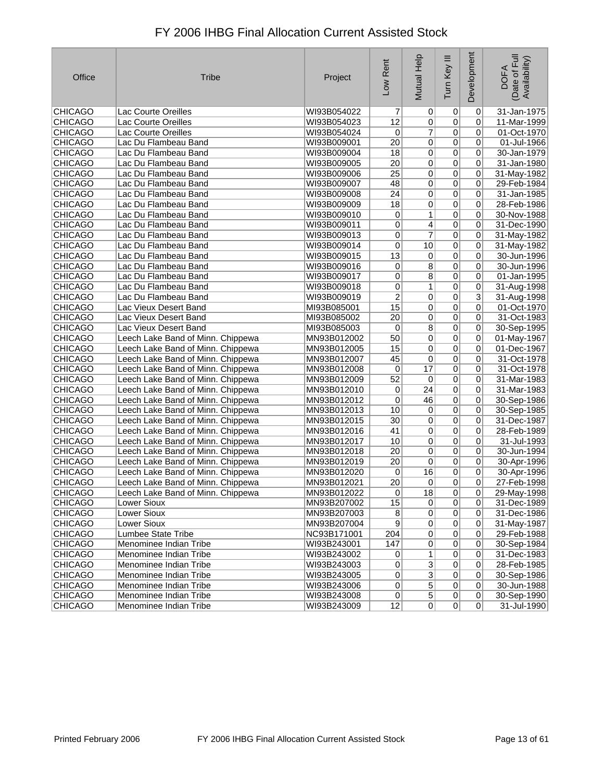| Office         | <b>Tribe</b>                      | Project     | Low Rent                | Mutual Help     | Tum Key III     | Development    | Date of Full<br>Availability)<br><b>DOFA</b> |
|----------------|-----------------------------------|-------------|-------------------------|-----------------|-----------------|----------------|----------------------------------------------|
| <b>CHICAGO</b> | Lac Courte Oreilles               | WI93B054022 | 7                       | 0               | $\overline{0}$  | $\overline{0}$ | 31-Jan-1975                                  |
| <b>CHICAGO</b> | Lac Courte Oreilles               | WI93B054023 | 12                      | $\pmb{0}$       | $\overline{0}$  | 0              | 11-Mar-1999                                  |
| <b>CHICAGO</b> | Lac Courte Oreilles               | WI93B054024 | 0                       | $\overline{7}$  | $\overline{0}$  | 0              | 01-Oct-1970                                  |
| <b>CHICAGO</b> | Lac Du Flambeau Band              | WI93B009001 | $\overline{20}$         | 0               | $\overline{0}$  | 0              | $01 -$ Jul-1966                              |
| <b>CHICAGO</b> | Lac Du Flambeau Band              | WI93B009004 | 18                      | 0               | $\overline{0}$  | 0              | 30-Jan-1979                                  |
| <b>CHICAGO</b> | Lac Du Flambeau Band              | WI93B009005 | 20                      | 0               | 0               | 0              | 31-Jan-1980                                  |
| <b>CHICAGO</b> | Lac Du Flambeau Band              | WI93B009006 | $\overline{25}$         | 0               | $\overline{0}$  | 0              | 31-May-1982                                  |
| <b>CHICAGO</b> | Lac Du Flambeau Band              | WI93B009007 | 48                      | 0               | $\overline{0}$  | 0              | 29-Feb-1984                                  |
| <b>CHICAGO</b> | Lac Du Flambeau Band              | WI93B009008 | $\overline{24}$         | 0               | $\overline{0}$  | 0              | 31-Jan-1985                                  |
| <b>CHICAGO</b> | Lac Du Flambeau Band              | WI93B009009 | 18                      | 0               | $\overline{0}$  | 0              | 28-Feb-1986                                  |
| <b>CHICAGO</b> | Lac Du Flambeau Band              | WI93B009010 | 0                       | 1               | $\overline{0}$  | $\overline{0}$ | 30-Nov-1988                                  |
| <b>CHICAGO</b> | Lac Du Flambeau Band              | WI93B009011 | 0                       | 4               | $\overline{0}$  | 0              | 31-Dec-1990                                  |
| <b>CHICAGO</b> | Lac Du Flambeau Band              | WI93B009013 | $\overline{0}$          | 7               | $\overline{0}$  | 0              | 31-May-1982                                  |
| <b>CHICAGO</b> | Lac Du Flambeau Band              | WI93B009014 | 0                       | 10              | $\overline{0}$  | 0              | 31-May-1982                                  |
| CHICAGO        | Lac Du Flambeau Band              | WI93B009015 | 13                      | $\pmb{0}$       | $\overline{0}$  | 0              | 30-Jun-1996                                  |
| <b>CHICAGO</b> | Lac Du Flambeau Band              | WI93B009016 | 0                       | 8               | $\overline{0}$  | 0              | 30-Jun-1996                                  |
| <b>CHICAGO</b> | Lac Du Flambeau Band              | WI93B009017 | 0                       | 8               | $\overline{0}$  | 0              | 01-Jan-1995                                  |
| <b>CHICAGO</b> | Lac Du Flambeau Band              | WI93B009018 | 0                       | 1               | $\overline{0}$  | 0              | 31-Aug-1998                                  |
| <b>CHICAGO</b> | Lac Du Flambeau Band              | WI93B009019 | $\overline{\mathbf{c}}$ | $\overline{0}$  | $\overline{0}$  | $\overline{3}$ | 31-Aug-1998                                  |
| <b>CHICAGO</b> | Lac Vieux Desert Band             | MI93B085001 | 15                      | 0               | $\overline{0}$  | 0              | 01-Oct-1970                                  |
| <b>CHICAGO</b> | Lac Vieux Desert Band             | MI93B085002 | 20                      | 0               | $\overline{0}$  | 0              | 31-Oct-1983                                  |
| <b>CHICAGO</b> | Lac Vieux Desert Band             | MI93B085003 | 0                       | 8               | $\overline{0}$  | $\overline{0}$ | 30-Sep-1995                                  |
| CHICAGO        | Leech Lake Band of Minn. Chippewa | MN93B012002 | 50                      | $\overline{0}$  | $\overline{0}$  | 0              | 01-May-1967                                  |
| <b>CHICAGO</b> | Leech Lake Band of Minn. Chippewa | MN93B012005 | 15                      | $\overline{0}$  | $\overline{0}$  | 0              | 01-Dec-1967                                  |
| <b>CHICAGO</b> | Leech Lake Band of Minn. Chippewa | MN93B012007 | 45                      | 0               | $\overline{0}$  | 0              | 31-Oct-1978                                  |
| <b>CHICAGO</b> | Leech Lake Band of Minn. Chippewa | MN93B012008 | 0                       | $\overline{17}$ | $\overline{0}$  | 0              | 31-Oct-1978                                  |
| CHICAGO        | Leech Lake Band of Minn. Chippewa | MN93B012009 | 52                      | $\overline{0}$  | $\overline{0}$  | 0              | 31-Mar-1983                                  |
| <b>CHICAGO</b> | Leech Lake Band of Minn. Chippewa | MN93B012010 | 0                       | $\overline{24}$ | $\overline{0}$  | 0              | 31-Mar-1983                                  |
| <b>CHICAGO</b> | Leech Lake Band of Minn. Chippewa | MN93B012012 | 0                       | 46              | 0               | 0              | 30-Sep-1986                                  |
| CHICAGO        | Leech Lake Band of Minn. Chippewa | MN93B012013 | 10                      | $\pmb{0}$       | $\overline{0}$  | 0              | 30-Sep-1985                                  |
| <b>CHICAGO</b> | Leech Lake Band of Minn. Chippewa | MN93B012015 | $\overline{30}$         | $\pmb{0}$       | $\overline{0}$  | 0              | 31-Dec-1987                                  |
| <b>CHICAGO</b> | Leech Lake Band of Minn. Chippewa | MN93B012016 | 41                      | 0               | $\overline{0}$  | 0              | 28-Feb-1989                                  |
| <b>CHICAGO</b> | Leech Lake Band of Minn. Chippewa | MN93B012017 | 10                      | 0               | $\overline{0}$  | 0              | 31-Jul-1993                                  |
| CHICAGO        | Leech Lake Band of Minn. Chippewa | MN93B012018 | 20                      | 0               | $\overline{0}$  | 0              | 30-Jun-1994                                  |
| <b>CHICAGO</b> | Leech Lake Band of Minn. Chippewa | MN93B012019 | 20                      | $\overline{0}$  | $\overline{0}$  | 0              | 30-Apr-1996                                  |
| <b>CHICAGO</b> | Leech Lake Band of Minn. Chippewa | MN93B012020 | 0                       | 16              | $\overline{0}$  | 0              | 30-Apr-1996                                  |
| <b>CHICAGO</b> | Leech Lake Band of Minn. Chippewa | MN93B012021 | 20                      | 0               | 0               | 0              | 27-Feb-1998                                  |
| <b>CHICAGO</b> | Leech Lake Band of Minn. Chippewa | MN93B012022 | 0                       | $\overline{18}$ | $\overline{0}$  | $\overline{0}$ | 29-May-1998                                  |
| <b>CHICAGO</b> | Lower Sioux                       | MN93B207002 | 15                      | $\mathbf 0$     | 0               | $\overline{0}$ | 31-Dec-1989                                  |
| <b>CHICAGO</b> | Lower Sioux                       | MN93B207003 | 8 <sup>2</sup>          | 0               | 0               | $\overline{0}$ | 31-Dec-1986                                  |
| <b>CHICAGO</b> | Lower Sioux                       | MN93B207004 | $\vert 9 \vert$         | $\mathbf 0$     | $\vert 0 \vert$ | 0              | 31-May-1987                                  |
| CHICAGO        | <b>Lumbee State Tribe</b>         | NC93B171001 | 204                     | $\overline{0}$  | 0               | 0              | 29-Feb-1988                                  |
| <b>CHICAGO</b> | Menominee Indian Tribe            | WI93B243001 | 147                     | $\overline{0}$  | 0               | 0              | 30-Sep-1984                                  |
| <b>CHICAGO</b> | Menominee Indian Tribe            | WI93B243002 | $\overline{0}$          | 1               | 0               | $\overline{0}$ | 31-Dec-1983                                  |
| <b>CHICAGO</b> | Menominee Indian Tribe            | WI93B243003 | $\overline{0}$          | $\overline{3}$  | $\overline{0}$  | $\overline{0}$ | 28-Feb-1985                                  |
| <b>CHICAGO</b> | Menominee Indian Tribe            | WI93B243005 | 0                       | $\overline{3}$  | 0               | 0              | 30-Sep-1986                                  |
| <b>CHICAGO</b> | Menominee Indian Tribe            | WI93B243006 | $\overline{0}$          | $\overline{5}$  | $\overline{0}$  | 0              | 30-Jun-1988                                  |
| <b>CHICAGO</b> | Menominee Indian Tribe            | WI93B243008 | 0                       | $\mathbf 5$     | 0               | $\overline{0}$ | 30-Sep-1990                                  |
| <b>CHICAGO</b> | Menominee Indian Tribe            | WI93B243009 | 12                      | $\mathbf 0$     | 0               | 0              | 31-Jul-1990                                  |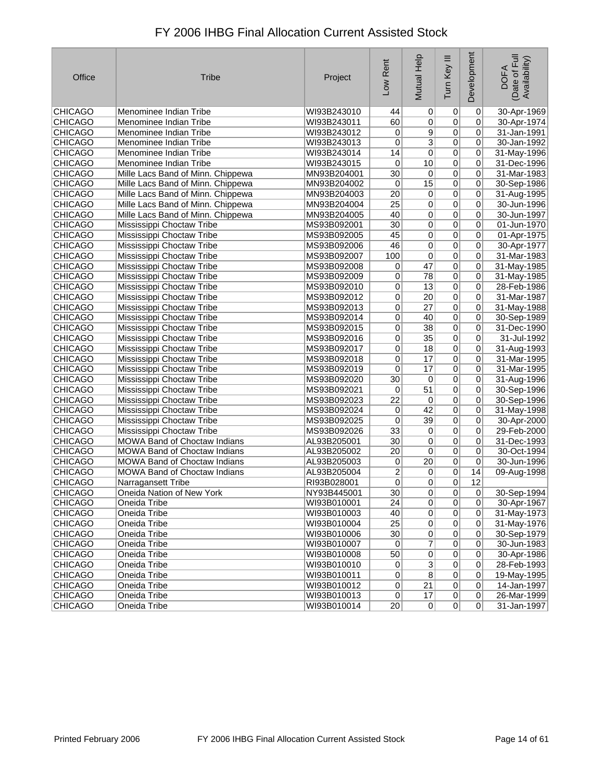| Office         | <b>Tribe</b>                      | Project     | Low Rent        | Mutual Help     | Ξ<br>Tum Key   | Development    | Date of Full<br>Availability)<br><b>DOFA</b> |
|----------------|-----------------------------------|-------------|-----------------|-----------------|----------------|----------------|----------------------------------------------|
| <b>CHICAGO</b> | Menominee Indian Tribe            | WI93B243010 | 44              | $\vert 0 \vert$ | 0              | 0              | 30-Apr-1969                                  |
| <b>CHICAGO</b> | Menominee Indian Tribe            | WI93B243011 | 60              | $\overline{0}$  | $\overline{0}$ | 0              | 30-Apr-1974                                  |
| <b>CHICAGO</b> | Menominee Indian Tribe            | WI93B243012 | 0               | 9               | $\overline{0}$ | 0              | 31-Jan-1991                                  |
| <b>CHICAGO</b> | Menominee Indian Tribe            | WI93B243013 | 0               | $\overline{3}$  | $\overline{0}$ | 0              | 30-Jan-1992                                  |
| <b>CHICAGO</b> | Menominee Indian Tribe            | WI93B243014 | 14              | $\overline{0}$  | $\overline{0}$ | 0              | 31-May-1996                                  |
| <b>CHICAGO</b> | Menominee Indian Tribe            | WI93B243015 | 0               | 10              | $\overline{0}$ | 0              | 31-Dec-1996                                  |
| <b>CHICAGO</b> | Mille Lacs Band of Minn. Chippewa | MN93B204001 | $\overline{30}$ | $\overline{0}$  | $\overline{0}$ | 0              | 31-Mar-1983                                  |
| <b>CHICAGO</b> | Mille Lacs Band of Minn. Chippewa | MN93B204002 | $\pmb{0}$       | $\overline{15}$ | $\overline{0}$ | 0              | 30-Sep-1986                                  |
| <b>CHICAGO</b> | Mille Lacs Band of Minn. Chippewa | MN93B204003 | $\overline{20}$ | $\overline{0}$  | $\overline{0}$ | 0              | 31-Aug-1995                                  |
| <b>CHICAGO</b> | Mille Lacs Band of Minn. Chippewa | MN93B204004 | $\overline{25}$ | $\overline{0}$  | $\overline{0}$ | 0              | 30-Jun-1996                                  |
| <b>CHICAGO</b> | Mille Lacs Band of Minn. Chippewa | MN93B204005 | 40              | $\overline{0}$  | $\overline{0}$ | 0              | 30-Jun-1997                                  |
| <b>CHICAGO</b> | Mississippi Choctaw Tribe         | MS93B092001 | $\overline{30}$ | $\overline{0}$  | $\overline{0}$ | 0              | 01-Jun-1970                                  |
| <b>CHICAGO</b> | Mississippi Choctaw Tribe         | MS93B092005 | 45              | $\overline{0}$  | $\overline{0}$ | 0              | 01-Apr-1975                                  |
| <b>CHICAGO</b> | Mississippi Choctaw Tribe         | MS93B092006 | 46              | 0               | $\overline{0}$ | 0              | 30-Apr-1977                                  |
| <b>CHICAGO</b> | Mississippi Choctaw Tribe         | MS93B092007 | 100             | 0               | $\pmb{0}$      | 0              | 31-Mar-1983                                  |
| <b>CHICAGO</b> | Mississippi Choctaw Tribe         | MS93B092008 | 0               | 47              | $\overline{0}$ | 0              | 31-May-1985                                  |
| <b>CHICAGO</b> | Mississippi Choctaw Tribe         | MS93B092009 | 0               | 78              | $\overline{0}$ | 0              | 31-May-1985                                  |
| <b>CHICAGO</b> | Mississippi Choctaw Tribe         | MS93B092010 | 0               | $\overline{13}$ | $\overline{0}$ | 0              | 28-Feb-1986                                  |
| <b>CHICAGO</b> | Mississippi Choctaw Tribe         | MS93B092012 | 0               | 20 <sup>2</sup> | $\overline{0}$ | 0              | 31-Mar-1987                                  |
| <b>CHICAGO</b> | Mississippi Choctaw Tribe         | MS93B092013 | 0               | $\overline{27}$ | $\overline{0}$ | 0              | 31-May-1988                                  |
| <b>CHICAGO</b> | Mississippi Choctaw Tribe         | MS93B092014 | 0               | 40              | $\mathbf 0$    | 0              | 30-Sep-1989                                  |
| <b>CHICAGO</b> | Mississippi Choctaw Tribe         | MS93B092015 | 0               | 38              | $\overline{0}$ | 0              | 31-Dec-1990                                  |
| <b>CHICAGO</b> | Mississippi Choctaw Tribe         | MS93B092016 | 0               | $\overline{35}$ | $\overline{0}$ | 0              | 31-Jul-1992                                  |
| CHICAGO        | Mississippi Choctaw Tribe         | MS93B092017 | 0               | 18              | $\overline{0}$ | 0              | 31-Aug-1993                                  |
| <b>CHICAGO</b> | Mississippi Choctaw Tribe         | MS93B092018 | 0               | 17              | $\overline{0}$ | 0              | 31-Mar-1995                                  |
| <b>CHICAGO</b> | Mississippi Choctaw Tribe         | MS93B092019 | 0               | 17              | 0              | 0              | 31-Mar-1995                                  |
| <b>CHICAGO</b> | Mississippi Choctaw Tribe         | MS93B092020 | $\overline{30}$ | 0               | $\overline{0}$ | 0              | 31-Aug-1996                                  |
| <b>CHICAGO</b> | Mississippi Choctaw Tribe         | MS93B092021 | 0               | $\overline{51}$ | $\overline{0}$ | 0              | 30-Sep-1996                                  |
| <b>CHICAGO</b> | Mississippi Choctaw Tribe         | MS93B092023 | $\overline{22}$ | 0               | $\overline{0}$ | 0              | 30-Sep-1996                                  |
| <b>CHICAGO</b> | Mississippi Choctaw Tribe         | MS93B092024 | 0               | 42              | $\overline{0}$ | 0              | 31-May-1998                                  |
| <b>CHICAGO</b> | Mississippi Choctaw Tribe         | MS93B092025 | 0               | 39              | $\overline{0}$ | 0              | 30-Apr-2000                                  |
| <b>CHICAGO</b> | Mississippi Choctaw Tribe         | MS93B092026 | $\overline{33}$ | $\vert 0 \vert$ | $\overline{0}$ | 0              | 29-Feb-2000                                  |
| <b>CHICAGO</b> | MOWA Band of Choctaw Indians      | AL93B205001 | 30              | $\overline{0}$  | $\overline{0}$ | 0              | 31-Dec-1993                                  |
| <b>CHICAGO</b> | MOWA Band of Choctaw Indians      | AL93B205002 | 20              | $\overline{0}$  | $\overline{0}$ | 0              | 30-Oct-1994                                  |
| <b>CHICAGO</b> | MOWA Band of Choctaw Indians      | AL93B205003 | 0               | $\overline{20}$ | $\overline{0}$ | $\overline{0}$ | 30-Jun-1996                                  |
| <b>CHICAGO</b> | MOWA Band of Choctaw Indians      | AL93B205004 | $\overline{2}$  | $\overline{0}$  | $\overline{0}$ | 14             | 09-Aug-1998                                  |
| <b>CHICAGO</b> | Narragansett Tribe                | RI93B028001 | 0               | $\overline{0}$  | 0              | 12             |                                              |
| <b>CHICAGO</b> | Oneida Nation of New York         | NY93B445001 | 30 <sup>2</sup> | 0               | 0              | 0              | 30-Sep-1994                                  |
| <b>CHICAGO</b> | Oneida Tribe                      | WI93B010001 | 24              | $\overline{0}$  | $\overline{0}$ | 0              | 30-Apr-1967                                  |
| <b>CHICAGO</b> | Oneida Tribe                      | WI93B010003 | 40              | $\overline{0}$  | $\pmb{0}$      | 0              | 31-May-1973                                  |
| <b>CHICAGO</b> | Oneida Tribe                      | WI93B010004 | 25              | 0               | $\pmb{0}$      | 0              | 31-May-1976                                  |
| <b>CHICAGO</b> | Oneida Tribe                      | WI93B010006 | 30              | $\overline{0}$  | 0              | 0              | 30-Sep-1979                                  |
| <b>CHICAGO</b> | Oneida Tribe                      | WI93B010007 | 0               | $\overline{7}$  | $\pmb{0}$      | 0              | 30-Jun-1983                                  |
| <b>CHICAGO</b> | Oneida Tribe                      | WI93B010008 | 50              | $\overline{0}$  | $\overline{0}$ | $\overline{0}$ | 30-Apr-1986                                  |
| <b>CHICAGO</b> | Oneida Tribe                      | WI93B010010 | 0               | $\overline{3}$  | $\overline{0}$ | 0              | 28-Feb-1993                                  |
| <b>CHICAGO</b> | Oneida Tribe                      | WI93B010011 | 0               | $\overline{8}$  | $\pmb{0}$      | 0              | 19-May-1995                                  |
| <b>CHICAGO</b> | Oneida Tribe                      | WI93B010012 | $\overline{0}$  | $\overline{21}$ | $\overline{0}$ | 0              | 14-Jan-1997                                  |
| <b>CHICAGO</b> | Oneida Tribe                      | WI93B010013 | 0               | 17              | $\overline{0}$ | 0              | 26-Mar-1999                                  |
| <b>CHICAGO</b> | Oneida Tribe                      | WI93B010014 | 20              | 0               | 0              | 0              | 31-Jan-1997                                  |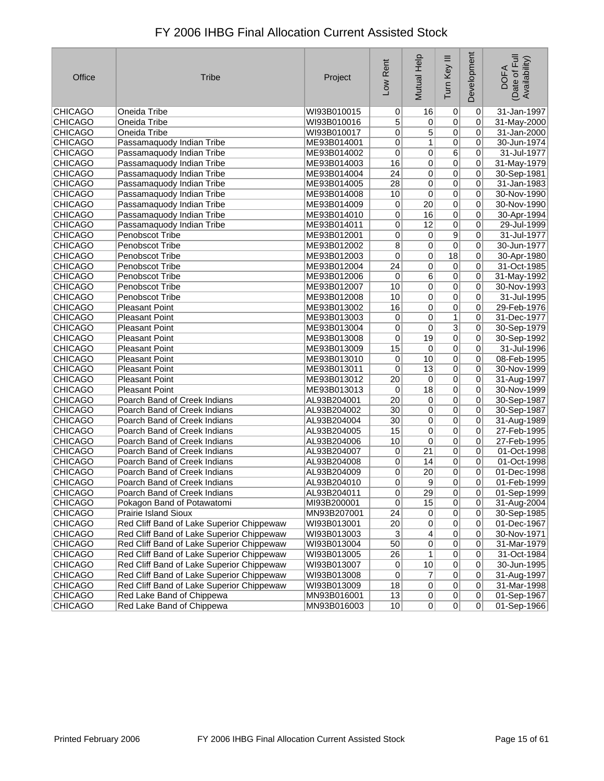| Office         | <b>Tribe</b>                              | Project     | Low Rent        | Mutual Help      | Ξ<br>Tum Key    | Development    | Date of Full<br>Availability)<br><b>DOFA</b> |
|----------------|-------------------------------------------|-------------|-----------------|------------------|-----------------|----------------|----------------------------------------------|
| <b>CHICAGO</b> | Oneida Tribe                              | WI93B010015 | $\overline{0}$  | 16               | 0               | $\overline{0}$ | 31-Jan-1997                                  |
| <b>CHICAGO</b> | Oneida Tribe                              | WI93B010016 | 5               | $\pmb{0}$        | $\overline{0}$  | 0              | 31-May-2000                                  |
| <b>CHICAGO</b> | Oneida Tribe                              | WI93B010017 | 0               | 5                | $\overline{0}$  | 0              | 31-Jan-2000                                  |
| <b>CHICAGO</b> | Passamaquody Indian Tribe                 | ME93B014001 | $\overline{0}$  | $\mathbf{1}$     | $\overline{0}$  | $\overline{0}$ | 30-Jun-1974                                  |
| <b>CHICAGO</b> | Passamaquody Indian Tribe                 | ME93B014002 | $\overline{0}$  | $\overline{0}$   | $\overline{6}$  | 0              | 31-Jul-1977                                  |
| <b>CHICAGO</b> | Passamaquody Indian Tribe                 | ME93B014003 | 16              | $\overline{0}$   | 0               | 0              | 31-May-1979                                  |
| <b>CHICAGO</b> | Passamaquody Indian Tribe                 | ME93B014004 | 24              | 0                | 0               | 0              | 30-Sep-1981                                  |
| <b>CHICAGO</b> | Passamaquody Indian Tribe                 | ME93B014005 | $\overline{28}$ | $\overline{0}$   | $\overline{0}$  | $\overline{0}$ | 31-Jan-1983                                  |
| <b>CHICAGO</b> | Passamaquody Indian Tribe                 | ME93B014008 | 10              | $\overline{0}$   | 0               | 0              | 30-Nov-1990                                  |
| <b>CHICAGO</b> | Passamaquody Indian Tribe                 | ME93B014009 | 0               | 20               | 0               | 0              | 30-Nov-1990                                  |
| <b>CHICAGO</b> | Passamaquody Indian Tribe                 | ME93B014010 | $\pmb{0}$       | 16               | 0               | 0              | 30-Apr-1994                                  |
| <b>CHICAGO</b> | Passamaquody Indian Tribe                 | ME93B014011 | $\pmb{0}$       | 12               | 0               | $\overline{0}$ | 29-Jul-1999                                  |
| <b>CHICAGO</b> | <b>Penobscot Tribe</b>                    | ME93B012001 | 0               | $\overline{0}$   | $\overline{9}$  | 0              | 31-Jul-1977                                  |
| <b>CHICAGO</b> | Penobscot Tribe                           | ME93B012002 | 8               | $\overline{0}$   | 0               | 0              | 30-Jun-1977                                  |
| <b>CHICAGO</b> | Penobscot Tribe                           | ME93B012003 | $\overline{0}$  | $\overline{0}$   | $\overline{18}$ | 0              | 30-Apr-1980                                  |
| <b>CHICAGO</b> | Penobscot Tribe                           | ME93B012004 | $\overline{24}$ | $\overline{0}$   | $\overline{0}$  | $\overline{0}$ | 31-Oct-1985                                  |
| <b>CHICAGO</b> | Penobscot Tribe                           | ME93B012006 | $\mathbf 0$     | $\overline{6}$   | 0               | 0              | 31-May-1992                                  |
| <b>CHICAGO</b> | Penobscot Tribe                           | ME93B012007 | 10              | $\overline{0}$   | 0               | 0              | 30-Nov-1993                                  |
| <b>CHICAGO</b> | Penobscot Tribe                           | ME93B012008 | 10              | $\overline{0}$   | 0               | 0              | 31-Jul-1995                                  |
| <b>CHICAGO</b> | <b>Pleasant Point</b>                     | ME93B013002 | 16              | $\overline{0}$   | $\overline{0}$  | $\overline{0}$ | 29-Feb-1976                                  |
| <b>CHICAGO</b> | <b>Pleasant Point</b>                     | ME93B013003 | $\overline{0}$  | $\overline{0}$   | $\mathbf{1}$    | 0              | 31-Dec-1977                                  |
| <b>CHICAGO</b> | <b>Pleasant Point</b>                     | ME93B013004 | 0               | $\pmb{0}$        | $\overline{3}$  | 0              | 30-Sep-1979                                  |
| <b>CHICAGO</b> | <b>Pleasant Point</b>                     | ME93B013008 | $\mathbf 0$     | $\overline{19}$  | $\overline{0}$  | 0              | 30-Sep-1992                                  |
| <b>CHICAGO</b> | <b>Pleasant Point</b>                     | ME93B013009 | 15              | $\pmb{0}$        | 0               | $\overline{0}$ | 31-Jul-1996                                  |
| <b>CHICAGO</b> | <b>Pleasant Point</b>                     | ME93B013010 | $\overline{0}$  | 10               | $\overline{0}$  | 0              | 08-Feb-1995                                  |
| <b>CHICAGO</b> | <b>Pleasant Point</b>                     | ME93B013011 | 0               | 13               | $\overline{0}$  | 0              | 30-Nov-1999                                  |
| <b>CHICAGO</b> | <b>Pleasant Point</b>                     | ME93B013012 | $\overline{20}$ | $\pmb{0}$        | $\overline{0}$  | 0              | 31-Aug-1997                                  |
| <b>CHICAGO</b> | <b>Pleasant Point</b>                     | ME93B013013 | $\pmb{0}$       | $\overline{18}$  | $\overline{0}$  | 0              | 30-Nov-1999                                  |
| <b>CHICAGO</b> | Poarch Band of Creek Indians              | AL93B204001 | $\overline{20}$ | $\overline{0}$   | 0               | 0              | 30-Sep-1987                                  |
| <b>CHICAGO</b> | Poarch Band of Creek Indians              | AL93B204002 | 30              | $\pmb{0}$        | $\overline{0}$  | 0              | 30-Sep-1987                                  |
| <b>CHICAGO</b> | Poarch Band of Creek Indians              | AL93B204004 | $\overline{30}$ | $\overline{0}$   | $\overline{0}$  | $\overline{0}$ | 31-Aug-1989                                  |
| <b>CHICAGO</b> | Poarch Band of Creek Indians              | AL93B204005 | $\overline{15}$ | $\overline{0}$   | $\overline{0}$  | 0              | 27-Feb-1995                                  |
| <b>CHICAGO</b> | Poarch Band of Creek Indians              | AL93B204006 | 10              | 0                | 0               | 0              | 27-Feb-1995                                  |
| <b>CHICAGO</b> | Poarch Band of Creek Indians              | AL93B204007 | 0               | 21               | 0               | 0              | 01-Oct-1998                                  |
| <b>CHICAGO</b> | Poarch Band of Creek Indians              | AL93B204008 | 0               | 14               | 0               | $\overline{0}$ | 01-Oct-1998                                  |
| <b>CHICAGO</b> | Poarch Band of Creek Indians              | AL93B204009 | 0               | 20               | 0               | 0              | 01-Dec-1998                                  |
| <b>CHICAGO</b> | Poarch Band of Creek Indians              | AL93B204010 | 0               | 9                | 0               | 0              | 01-Feb-1999                                  |
| CHICAGO        | Poarch Band of Creek Indians              | AL93B204011 | $\vert 0 \vert$ | 29               | 0               | 0              | 01-Sep-1999                                  |
| <b>CHICAGO</b> | Pokagon Band of Potawatomi                | MI93B200001 | 0               | 15               | $\pmb{0}$       | $\overline{0}$ | 31-Aug-2004                                  |
| <b>CHICAGO</b> | <b>Prairie Island Sioux</b>               | MN93B207001 | 24              | $\overline{0}$   | 0               | $\Omega$       | 30-Sep-1985                                  |
| CHICAGO        | Red Cliff Band of Lake Superior Chippewaw | WI93B013001 | 20              | $\pmb{0}$        | 0               | 0              | 01-Dec-1967                                  |
| <b>CHICAGO</b> | Red Cliff Band of Lake Superior Chippewaw | WI93B013003 | $\mathbf{3}$    | $\overline{4}$   | 0               | 0              | 30-Nov-1971                                  |
| <b>CHICAGO</b> | Red Cliff Band of Lake Superior Chippewaw | WI93B013004 | 50              | $\overline{0}$   | 0               | 0              | 31-Mar-1979                                  |
| <b>CHICAGO</b> | Red Cliff Band of Lake Superior Chippewaw | WI93B013005 | 26              | 1                | 0               | 0              | 31-Oct-1984                                  |
| <b>CHICAGO</b> | Red Cliff Band of Lake Superior Chippewaw | WI93B013007 | 0               | 10               | 0               | $\overline{0}$ | 30-Jun-1995                                  |
| <b>CHICAGO</b> | Red Cliff Band of Lake Superior Chippewaw | WI93B013008 | $\overline{0}$  | $\boldsymbol{7}$ | 0               | $\overline{0}$ | 31-Aug-1997                                  |
| <b>CHICAGO</b> | Red Cliff Band of Lake Superior Chippewaw | WI93B013009 | 18              | $\overline{0}$   | 0               | $\overline{0}$ | 31-Mar-1998                                  |
| <b>CHICAGO</b> | Red Lake Band of Chippewa                 | MN93B016001 | 13              | $\overline{0}$   | $\overline{0}$  | $\overline{0}$ | 01-Sep-1967                                  |
| <b>CHICAGO</b> | Red Lake Band of Chippewa                 | MN93B016003 | 10              | 0                | $\overline{0}$  | 0              | 01-Sep-1966                                  |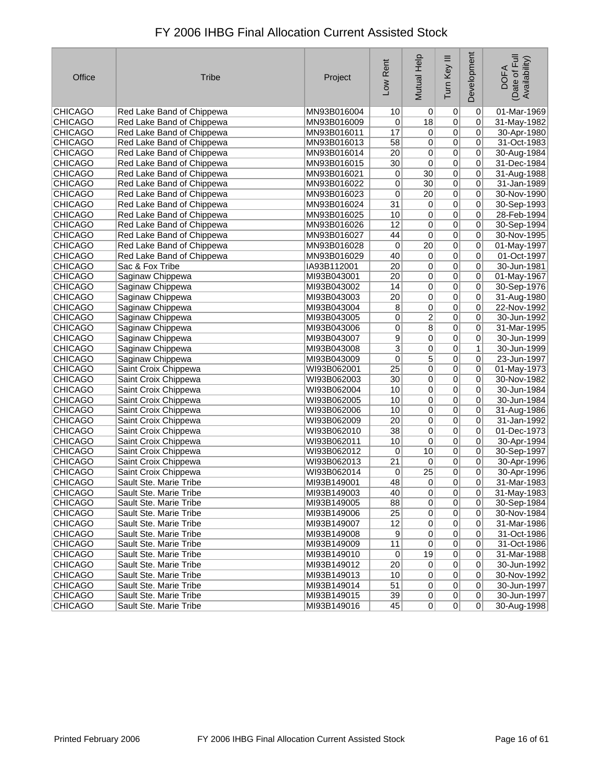| Office         | <b>Tribe</b>              | Project     | Low Rent        | <b>Mutual Help</b> | Ξ<br>Tum Key   | Development     | Date of Full<br>Availability)<br><b>DOFA</b> |
|----------------|---------------------------|-------------|-----------------|--------------------|----------------|-----------------|----------------------------------------------|
| <b>CHICAGO</b> | Red Lake Band of Chippewa | MN93B016004 | 10              | $\vert 0 \vert$    | $\overline{0}$ | 0               | 01-Mar-1969                                  |
| <b>CHICAGO</b> | Red Lake Band of Chippewa | MN93B016009 | 0               | $\overline{18}$    | $\overline{0}$ | 0               | 31-May-1982                                  |
| <b>CHICAGO</b> | Red Lake Band of Chippewa | MN93B016011 | 17              | $\overline{0}$     | $\overline{0}$ | 0               | 30-Apr-1980                                  |
| <b>CHICAGO</b> | Red Lake Band of Chippewa | MN93B016013 | $\overline{58}$ | 0                  | $\overline{0}$ | 0               | 31-Oct-1983                                  |
| <b>CHICAGO</b> | Red Lake Band of Chippewa | MN93B016014 | $\overline{20}$ | $\overline{0}$     | $\overline{0}$ | 0               | 30-Aug-1984                                  |
| <b>CHICAGO</b> | Red Lake Band of Chippewa | MN93B016015 | $\overline{30}$ | 0                  | $\mathbf 0$    | 0               | 31-Dec-1984                                  |
| <b>CHICAGO</b> | Red Lake Band of Chippewa | MN93B016021 | 0               | $\overline{30}$    | $\overline{0}$ | 0               | 31-Aug-1988                                  |
| <b>CHICAGO</b> | Red Lake Band of Chippewa | MN93B016022 | 0               | $30$               | $\overline{0}$ | 0               | 31-Jan-1989                                  |
| CHICAGO        | Red Lake Band of Chippewa | MN93B016023 | 0               | $\overline{20}$    | $\overline{0}$ | 0               | 30-Nov-1990                                  |
| <b>CHICAGO</b> | Red Lake Band of Chippewa | MN93B016024 | $\overline{31}$ | $\overline{0}$     | $\overline{0}$ | 0               | 30-Sep-1993                                  |
| <b>CHICAGO</b> | Red Lake Band of Chippewa | MN93B016025 | 10              | 0                  | $\overline{0}$ | 0               | 28-Feb-1994                                  |
| <b>CHICAGO</b> | Red Lake Band of Chippewa | MN93B016026 | 12              | 0                  | $\overline{0}$ | 0               | 30-Sep-1994                                  |
| <b>CHICAGO</b> | Red Lake Band of Chippewa | MN93B016027 | 44              | $\overline{0}$     | $\overline{0}$ | 0               | 30-Nov-1995                                  |
| <b>CHICAGO</b> | Red Lake Band of Chippewa | MN93B016028 | 0               | $\overline{20}$    | $\overline{0}$ | 0               | 01-May-1997                                  |
| <b>CHICAGO</b> | Red Lake Band of Chippewa | MN93B016029 | 40              | 0                  | $\overline{0}$ | 0               | 01-Oct-1997                                  |
| <b>CHICAGO</b> | Sac & Fox Tribe           | IA93B112001 | 20              | $\overline{0}$     | $\overline{0}$ | 0               | 30-Jun-1981                                  |
| <b>CHICAGO</b> | Saginaw Chippewa          | MI93B043001 | $\overline{20}$ | $\overline{0}$     | $\overline{0}$ | 0               | 01-May-1967                                  |
| <b>CHICAGO</b> | Saginaw Chippewa          | MI93B043002 | 14              | $\overline{0}$     | $\overline{0}$ | 0               | 30-Sep-1976                                  |
| <b>CHICAGO</b> | Saginaw Chippewa          | MI93B043003 | $\overline{20}$ | $\overline{0}$     | $\overline{0}$ | 0               | 31-Aug-1980                                  |
| <b>CHICAGO</b> | Saginaw Chippewa          | MI93B043004 | $\overline{8}$  | $\overline{0}$     | $\overline{0}$ | 0               | 22-Nov-1992                                  |
| <b>CHICAGO</b> | Saginaw Chippewa          | MI93B043005 | 0               | $\overline{2}$     | $\overline{0}$ | 0               | 30-Jun-1992                                  |
| <b>CHICAGO</b> | Saginaw Chippewa          | MI93B043006 | 0               | $\overline{8}$     | $\overline{0}$ | 0               | 31-Mar-1995                                  |
| <b>CHICAGO</b> | Saginaw Chippewa          | MI93B043007 | 9               | 0                  | $\overline{0}$ | 0               | 30-Jun-1999                                  |
| <b>CHICAGO</b> | Saginaw Chippewa          | MI93B043008 | $\overline{3}$  | $\overline{0}$     | $\overline{0}$ | $\mathbf{1}$    | 30-Jun-1999                                  |
| <b>CHICAGO</b> | Saginaw Chippewa          | MI93B043009 | $\overline{0}$  | $\overline{5}$     | $\overline{0}$ | 0               | 23-Jun-1997                                  |
| <b>CHICAGO</b> | Saint Croix Chippewa      | WI93B062001 | $\overline{25}$ | $\overline{0}$     | $\overline{0}$ | 0               | 01-May-1973                                  |
| <b>CHICAGO</b> | Saint Croix Chippewa      | WI93B062003 | 30              | 0                  | $\overline{0}$ | 0               | 30-Nov-1982                                  |
| <b>CHICAGO</b> | Saint Croix Chippewa      | WI93B062004 | 10              | $\overline{0}$     | $\overline{0}$ | 0               | 30-Jun-1984                                  |
| <b>CHICAGO</b> | Saint Croix Chippewa      | WI93B062005 | 10              | $\overline{0}$     | $\mathbf 0$    | 0               | 30-Jun-1984                                  |
| <b>CHICAGO</b> | Saint Croix Chippewa      | WI93B062006 | 10              | $\overline{0}$     | $\overline{0}$ | 0               | 31-Aug-1986                                  |
| <b>CHICAGO</b> | Saint Croix Chippewa      | WI93B062009 | 20              | 0                  | $\mathbf 0$    | 0               | 31-Jan-1992                                  |
| <b>CHICAGO</b> | Saint Croix Chippewa      | WI93B062010 | $\overline{38}$ | $\overline{0}$     | $\overline{0}$ | 0               | 01-Dec-1973                                  |
| <b>CHICAGO</b> | Saint Croix Chippewa      | WI93B062011 | 10              | $\overline{0}$     | $\overline{0}$ | 0               | 30-Apr-1994                                  |
| <b>CHICAGO</b> | Saint Croix Chippewa      | WI93B062012 | 0               | 10                 | $\overline{0}$ | 0               | 30-Sep-1997                                  |
| <b>CHICAGO</b> | Saint Croix Chippewa      | WI93B062013 | $\overline{21}$ | 0                  | $\overline{0}$ | 0               | 30-Apr-1996                                  |
| <b>CHICAGO</b> | Saint Croix Chippewa      | WI93B062014 | 0               | $\overline{25}$    | $\overline{0}$ | 0               | 30-Apr-1996                                  |
| <b>CHICAGO</b> | Sault Ste. Marie Tribe    | MI93B149001 | 48              | 0                  | 0              | 0               | 31-Mar-1983                                  |
| <b>CHICAGO</b> | Sault Ste. Marie Tribe    | MI93B149003 | 40              | 0                  | 0              | 0               | 31-May-1983                                  |
| <b>CHICAGO</b> | Sault Ste. Marie Tribe    | MI93B149005 | 88              | $\overline{0}$     | $\overline{0}$ | 0               | 30-Sep-1984                                  |
| <b>CHICAGO</b> | Sault Ste. Marie Tribe    | MI93B149006 | 25              | 0                  | $\pmb{0}$      | 0               | 30-Nov-1984                                  |
| <b>CHICAGO</b> | Sault Ste. Marie Tribe    | MI93B149007 | 12              | $\overline{0}$     | $\pmb{0}$      | 0               | 31-Mar-1986                                  |
| <b>CHICAGO</b> | Sault Ste. Marie Tribe    | MI93B149008 | 9               | $\Omega$           | 0              | 0               | 31-Oct-1986                                  |
| <b>CHICAGO</b> | Sault Ste. Marie Tribe    | MI93B149009 | 11              | $\overline{0}$     | $\pmb{0}$      | 0               | 31-Oct-1986                                  |
| <b>CHICAGO</b> | Sault Ste. Marie Tribe    | MI93B149010 | 0               | 19                 | $\overline{0}$ | 0               | 31-Mar-1988                                  |
| <b>CHICAGO</b> | Sault Ste. Marie Tribe    | MI93B149012 | $\overline{20}$ | 0                  | $\overline{0}$ | 0               | 30-Jun-1992                                  |
| <b>CHICAGO</b> | Sault Ste. Marie Tribe    | MI93B149013 | 10              | $\overline{0}$     | $\pmb{0}$      | 0               | 30-Nov-1992                                  |
| <b>CHICAGO</b> | Sault Ste. Marie Tribe    | MI93B149014 | 51              | 0                  | $\overline{0}$ | 0               | 30-Jun-1997                                  |
| <b>CHICAGO</b> | Sault Ste. Marie Tribe    | MI93B149015 | 39              | 0                  | 0              | $\vert 0 \vert$ | 30-Jun-1997                                  |
| <b>CHICAGO</b> | Sault Ste. Marie Tribe    | MI93B149016 | 45              | $\overline{0}$     | $\overline{0}$ | 0               | 30-Aug-1998                                  |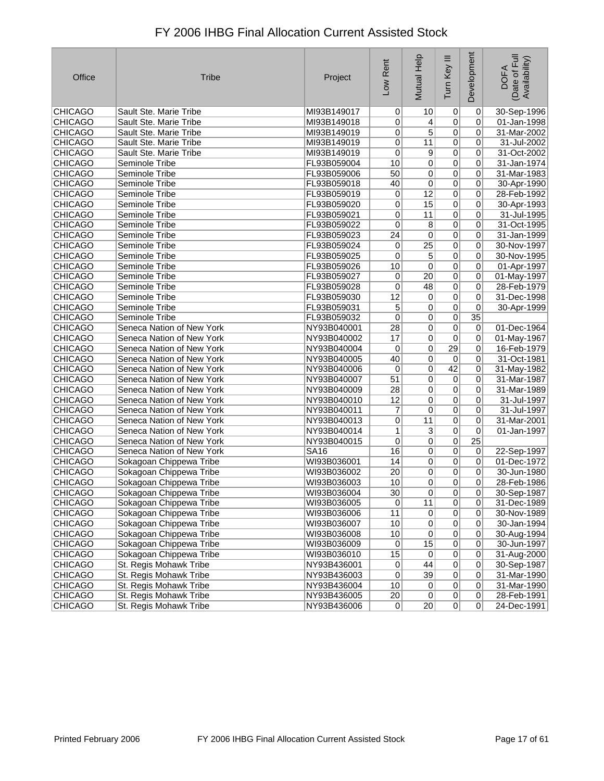| Office         | <b>Tribe</b>              | Project     | Low Rent         | Mutual Help     | Ξ<br>Tum Key    | Development     | Date of Full<br>Availability)<br><b>DOFA</b> |
|----------------|---------------------------|-------------|------------------|-----------------|-----------------|-----------------|----------------------------------------------|
| <b>CHICAGO</b> | Sault Ste. Marie Tribe    | MI93B149017 | 0                | 10              | 0               | $\mathbf 0$     | 30-Sep-1996                                  |
| <b>CHICAGO</b> | Sault Ste. Marie Tribe    | MI93B149018 | 0                | 4               | 0               | 0               | 01-Jan-1998                                  |
| <b>CHICAGO</b> | Sault Ste. Marie Tribe    | MI93B149019 | 0                | $\overline{5}$  | 0               | 0               | 31-Mar-2002                                  |
| <b>CHICAGO</b> | Sault Ste. Marie Tribe    | MI93B149019 | 0                | 11              | $\overline{0}$  | 0               | 31-Jul-2002                                  |
| <b>CHICAGO</b> | Sault Ste. Marie Tribe    | MI93B149019 | $\pmb{0}$        | 9               | 0               | 0               | 31-Oct-2002                                  |
| <b>CHICAGO</b> | Seminole Tribe            | FL93B059004 | 10               | 0               | 0               | 0               | 31-Jan-1974                                  |
| <b>CHICAGO</b> | Seminole Tribe            | FL93B059006 | 50               | 0               | 0               | 0               | 31-Mar-1983                                  |
| <b>CHICAGO</b> | Seminole Tribe            | FL93B059018 | 40               | $\overline{0}$  | $\overline{0}$  | 0               | 30-Apr-1990                                  |
| <b>CHICAGO</b> | Seminole Tribe            | FL93B059019 | 0                | 12              | 0               | 0               | 28-Feb-1992                                  |
| <b>CHICAGO</b> | Seminole Tribe            | FL93B059020 | 0                | 15              | 0               | 0               | 30-Apr-1993                                  |
| <b>CHICAGO</b> | Seminole Tribe            | FL93B059021 | 0                | 11              | 0               | 0               | 31-Jul-1995                                  |
| <b>CHICAGO</b> | Seminole Tribe            | FL93B059022 | $\pmb{0}$        | 8               | $\overline{0}$  | 0               | 31-Oct-1995                                  |
| <b>CHICAGO</b> | Seminole Tribe            | FL93B059023 | $\overline{24}$  | 0               | 0               | 0               | 31-Jan-1999                                  |
| <b>CHICAGO</b> | Seminole Tribe            | FL93B059024 | 0                | $\overline{25}$ | 0               | 0               | 30-Nov-1997                                  |
| <b>CHICAGO</b> | Seminole Tribe            | FL93B059025 | 0                | 5               | 0               | 0               | 30-Nov-1995                                  |
| <b>CHICAGO</b> | Seminole Tribe            | FL93B059026 | 10               | $\overline{0}$  | $\overline{0}$  | 0               | 01-Apr-1997                                  |
| <b>CHICAGO</b> | Seminole Tribe            | FL93B059027 | 0                | 20              | 0               | $\pmb{0}$       | 01-May-1997                                  |
| <b>CHICAGO</b> | Seminole Tribe            | FL93B059028 | 0                | 48              | 0               | 0               | 28-Feb-1979                                  |
| <b>CHICAGO</b> | Seminole Tribe            | FL93B059030 | 12               | 0               | $\overline{0}$  | 0               | 31-Dec-1998                                  |
| <b>CHICAGO</b> | Seminole Tribe            | FL93B059031 | $\overline{5}$   | 0               | $\overline{0}$  | $\pmb{0}$       | 30-Apr-1999                                  |
| <b>CHICAGO</b> | Seminole Tribe            | FL93B059032 | 0                | 0               | $\overline{0}$  | 35              |                                              |
| <b>CHICAGO</b> | Seneca Nation of New York | NY93B040001 | 28               | 0               | 0               | $\pmb{0}$       | 01-Dec-1964                                  |
| <b>CHICAGO</b> | Seneca Nation of New York | NY93B040002 | 17               | $\overline{0}$  | $\overline{0}$  | 0               | 01-May-1967                                  |
| <b>CHICAGO</b> | Seneca Nation of New York | NY93B040004 | 0                | 0               | $\overline{29}$ | 0               | 16-Feb-1979                                  |
| <b>CHICAGO</b> | Seneca Nation of New York | NY93B040005 | 40               | 0               | $\pmb{0}$       | 0               | 31-Oct-1981                                  |
| <b>CHICAGO</b> | Seneca Nation of New York | NY93B040006 | 0                | 0               | 42              | 0               | 31-May-1982                                  |
| <b>CHICAGO</b> | Seneca Nation of New York | NY93B040007 | 51               | 0               | $\pmb{0}$       | 0               | 31-Mar-1987                                  |
| <b>CHICAGO</b> | Seneca Nation of New York | NY93B040009 | 28               | 0               | 0               | 0               | 31-Mar-1989                                  |
| <b>CHICAGO</b> | Seneca Nation of New York | NY93B040010 | 12               | 0               | 0               | 0               | 31-Jul-1997                                  |
| <b>CHICAGO</b> | Seneca Nation of New York | NY93B040011 | 7                | 0               | 0               | 0               | 31-Jul-1997                                  |
| <b>CHICAGO</b> | Seneca Nation of New York | NY93B040013 | 0                | 11              | $\overline{0}$  | 0               | 31-Mar-2001                                  |
| <b>CHICAGO</b> | Seneca Nation of New York | NY93B040014 | 1                | 3               | 0               | $\mathbf 0$     | 01-Jan-1997                                  |
| <b>CHICAGO</b> | Seneca Nation of New York | NY93B040015 | 0                | 0               | $\overline{0}$  | $\overline{25}$ |                                              |
| <b>CHICAGO</b> | Seneca Nation of New York | <b>SA16</b> | 16               | 0               | 0               | 0               | 22-Sep-1997                                  |
| <b>CHICAGO</b> | Sokagoan Chippewa Tribe   | WI93B036001 | 14               | 0               | $\overline{0}$  | $\vert 0 \vert$ | 01-Dec-1972                                  |
| <b>CHICAGO</b> | Sokagoan Chippewa Tribe   | WI93B036002 | $\overline{20}$  | 0               | 0               | 0               | 30-Jun-1980                                  |
| <b>CHICAGO</b> | Sokagoan Chippewa Tribe   | WI93B036003 | 10               | 0               | 0               | 0               | 28-Feb-1986                                  |
| <b>CHICAGO</b> | Sokagoan Chippewa Tribe   | WI93B036004 | 30               | 0               | 0               | $\sigma$        | 30-Sep-1987                                  |
| <b>CHICAGO</b> | Sokagoan Chippewa Tribe   | WI93B036005 | $\overline{0}$   | 11              | $\overline{0}$  | $\overline{0}$  | 31-Dec-1989                                  |
| <b>CHICAGO</b> | Sokagoan Chippewa Tribe   | WI93B036006 | 11               | $\pmb{0}$       | 0               | 0               | 30-Nov-1989                                  |
| <b>CHICAGO</b> | Sokagoan Chippewa Tribe   | WI93B036007 | 10               | 0               | 0               | 0               | 30-Jan-1994                                  |
| <b>CHICAGO</b> | Sokagoan Chippewa Tribe   | WI93B036008 | 10               | $\overline{0}$  | 0               | 0               | 30-Aug-1994                                  |
| <b>CHICAGO</b> | Sokagoan Chippewa Tribe   | WI93B036009 | $\pmb{0}$        | 15              | $\overline{0}$  | 0               | 30-Jun-1997                                  |
| <b>CHICAGO</b> | Sokagoan Chippewa Tribe   | WI93B036010 | 15               | $\pmb{0}$       | $\overline{0}$  | $\pmb{0}$       | 31-Aug-2000                                  |
| <b>CHICAGO</b> | St. Regis Mohawk Tribe    | NY93B436001 | $\overline{0}$   | 44              | $\overline{0}$  | $\overline{0}$  | 30-Sep-1987                                  |
| <b>CHICAGO</b> | St. Regis Mohawk Tribe    | NY93B436003 | $\overline{0}$   | 39              | $\overline{0}$  | 0               | 31-Mar-1990                                  |
| <b>CHICAGO</b> | St. Regis Mohawk Tribe    | NY93B436004 | 10               | $\overline{0}$  | $\overline{0}$  | 0               | 31-Mar-1990                                  |
| <b>CHICAGO</b> | St. Regis Mohawk Tribe    | NY93B436005 | $20\overline{)}$ | $\overline{0}$  | $\overline{0}$  | 0               | 28-Feb-1991                                  |
| <b>CHICAGO</b> | St. Regis Mohawk Tribe    | NY93B436006 | 0                | 20              | 0               | 0               | 24-Dec-1991                                  |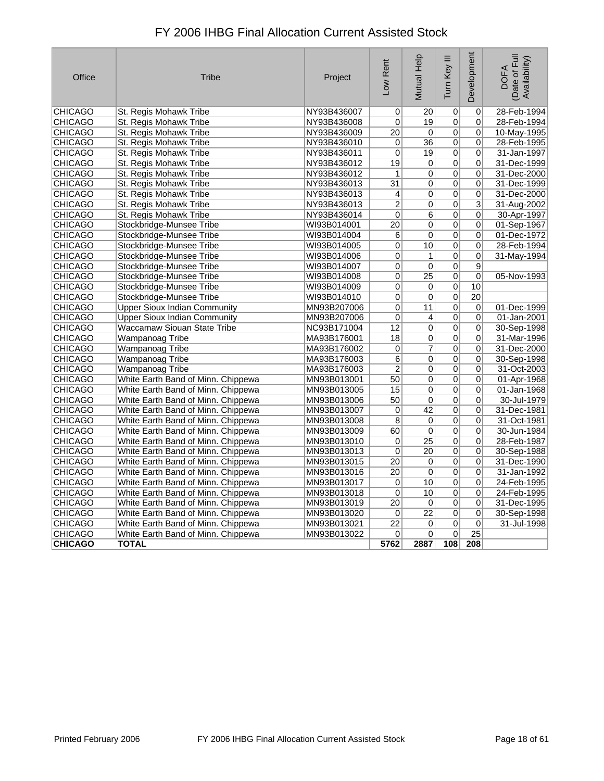| Office         | <b>Tribe</b>                        | Project     | Low Rent        | Mutual Help     | Tum Key III               | Development     | Date of Full<br>Availability)<br><b>DOFA</b> |
|----------------|-------------------------------------|-------------|-----------------|-----------------|---------------------------|-----------------|----------------------------------------------|
| CHICAGO        | St. Regis Mohawk Tribe              | NY93B436007 | 0               | 20              | $\overline{0}$            | 0               | 28-Feb-1994                                  |
| <b>CHICAGO</b> | St. Regis Mohawk Tribe              | NY93B436008 | 0               | 19              | $\overline{0}$            | 0               | 28-Feb-1994                                  |
| <b>CHICAGO</b> | St. Regis Mohawk Tribe              | NY93B436009 | 20              | $\mathbf 0$     | $\overline{0}$            | $\Omega$        | 10-May-1995                                  |
| <b>CHICAGO</b> | St. Regis Mohawk Tribe              | NY93B436010 | $\pmb{0}$       | $\overline{36}$ | $\overline{0}$            | 0               | 28-Feb-1995                                  |
| <b>CHICAGO</b> | St. Regis Mohawk Tribe              | NY93B436011 | 0               | 19              | $\overline{0}$            | 0               | 31-Jan-1997                                  |
| <b>CHICAGO</b> | St. Regis Mohawk Tribe              | NY93B436012 | 19              | 0               | $\overline{0}$            | 0               | 31-Dec-1999                                  |
| <b>CHICAGO</b> | St. Regis Mohawk Tribe              | NY93B436012 | 1               | 0               | $\overline{\mathfrak{o}}$ | 0               | 31-Dec-2000                                  |
| <b>CHICAGO</b> | St. Regis Mohawk Tribe              | NY93B436013 | $\overline{31}$ | $\overline{0}$  | $\overline{0}$            | 0               | 31-Dec-1999                                  |
| <b>CHICAGO</b> | St. Regis Mohawk Tribe              | NY93B436013 | 4               | 0               | $\overline{0}$            | 0               | 31-Dec-2000                                  |
| <b>CHICAGO</b> | St. Regis Mohawk Tribe              | NY93B436013 | $\overline{c}$  | $\overline{0}$  | $\overline{0}$            | $\overline{3}$  | 31-Aug-2002                                  |
| <b>CHICAGO</b> | St. Regis Mohawk Tribe              | NY93B436014 | $\pmb{0}$       | 6               | 0                         | 0               | 30-Apr-1997                                  |
| <b>CHICAGO</b> | Stockbridge-Munsee Tribe            | WI93B014001 | 20              | 0               | $\overline{0}$            | 0               | 01-Sep-1967                                  |
| <b>CHICAGO</b> | Stockbridge-Munsee Tribe            | WI93B014004 | 6               | 0               | $\overline{0}$            | $\mathbf 0$     | 01-Dec-1972                                  |
| <b>CHICAGO</b> | Stockbridge-Munsee Tribe            | WI93B014005 | 0               | 10              | $\overline{0}$            | 0               | 28-Feb-1994                                  |
| <b>CHICAGO</b> | Stockbridge-Munsee Tribe            | WI93B014006 | $\pmb{0}$       | 1               | $\overline{0}$            | 0               | 31-May-1994                                  |
| <b>CHICAGO</b> | Stockbridge-Munsee Tribe            | WI93B014007 | 0               | $\overline{0}$  | $\overline{0}$            | $\overline{9}$  |                                              |
| <b>CHICAGO</b> | Stockbridge-Munsee Tribe            | WI93B014008 | $\overline{0}$  | $\overline{25}$ | $\overline{0}$            | $\overline{0}$  | 05-Nov-1993                                  |
| <b>CHICAGO</b> | Stockbridge-Munsee Tribe            | WI93B014009 | 0               | 0               | $\overline{0}$            | 10              |                                              |
| <b>CHICAGO</b> | Stockbridge-Munsee Tribe            | WI93B014010 | 0               | 0               | $\overline{0}$            | $\overline{20}$ |                                              |
| <b>CHICAGO</b> | <b>Upper Sioux Indian Community</b> | MN93B207006 | 0               | 11              | $\overline{0}$            | $\overline{0}$  | 01-Dec-1999                                  |
| <b>CHICAGO</b> | <b>Upper Sioux Indian Community</b> | MN93B207006 | 0               | 4               | $\overline{0}$            | $\mathbf 0$     | 01-Jan-2001                                  |
| <b>CHICAGO</b> | Waccamaw Siouan State Tribe         | NC93B171004 | 12              | 0               | 0                         | 0               | 30-Sep-1998                                  |
| <b>CHICAGO</b> | Wampanoag Tribe                     | MA93B176001 | 18              | 0               | $\overline{0}$            | 0               | 31-Mar-1996                                  |
| <b>CHICAGO</b> | Wampanoag Tribe                     | MA93B176002 | $\mathbf 0$     | $\overline{7}$  | 0                         | $\Omega$        | 31-Dec-2000                                  |
| <b>CHICAGO</b> | <b>Wampanoag Tribe</b>              | MA93B176003 | 6               | 0               | $\overline{0}$            | 0               | 30-Sep-1998                                  |
| <b>CHICAGO</b> | <b>Wampanoag Tribe</b>              | MA93B176003 | $\overline{2}$  | 0               | $\overline{0}$            | 0               | 31-Oct-2003                                  |
| <b>CHICAGO</b> | White Earth Band of Minn. Chippewa  | MN93B013001 | 50              | 0               | $\overline{0}$            | 0               | 01-Apr-1968                                  |
| <b>CHICAGO</b> | White Earth Band of Minn. Chippewa  | MN93B013005 | 15              | $\overline{0}$  | $\overline{0}$            | 0               | 01-Jan-1968                                  |
| <b>CHICAGO</b> | White Earth Band of Minn. Chippewa  | MN93B013006 | 50              | 0               | $\overline{0}$            | 0               | 30-Jul-1979                                  |
| <b>CHICAGO</b> | White Earth Band of Minn. Chippewa  | MN93B013007 | 0               | 42              | $\overline{0}$            | $\mathbf 0$     | 31-Dec-1981                                  |
| CHICAGO        | White Earth Band of Minn. Chippewa  | MN93B013008 | 8               | 0               | $\overline{0}$            | 0               | 31-Oct-1981                                  |
| <b>CHICAGO</b> | White Earth Band of Minn. Chippewa  | MN93B013009 | 60              | 0               | $\overline{0}$            | 0               | 30-Jun-1984                                  |
| <b>CHICAGO</b> | White Earth Band of Minn. Chippewa  | MN93B013010 | $\pmb{0}$       | $\overline{25}$ | $\overline{0}$            | 0               | 28-Feb-1987                                  |
| <b>CHICAGO</b> | White Earth Band of Minn. Chippewa  | MN93B013013 | 0               | 20              | $\overline{0}$            | 0               | 30-Sep-1988                                  |
| <b>CHICAGO</b> | White Earth Band of Minn. Chippewa  | MN93B013015 | 20              | 0               | 0                         | $\Omega$        | 31-Dec-1990                                  |
| <b>CHICAGO</b> | White Earth Band of Minn. Chippewa  | MN93B013016 | $\overline{20}$ | 0               | 0                         | 0               | 31-Jan-1992                                  |
| <b>CHICAGO</b> | White Earth Band of Minn. Chippewa  | MN93B013017 | 0               | 10              | $\overline{0}$            | 0               | 24-Feb-1995                                  |
| <b>CHICAGO</b> | White Earth Band of Minn. Chippewa  | MN93B013018 | 0               | 10              | $\overline{0}$            | 0               | 24-Feb-1995                                  |
| <b>CHICAGO</b> | White Earth Band of Minn. Chippewa  | MN93B013019 | $\overline{20}$ | $\overline{0}$  | $\overline{0}$            | 0               | 31-Dec-1995                                  |
| <b>CHICAGO</b> | White Earth Band of Minn. Chippewa  | MN93B013020 | 0               | $\overline{22}$ | 0                         | 0               | 30-Sep-1998                                  |
| <b>CHICAGO</b> | White Earth Band of Minn. Chippewa  | MN93B013021 | 22              | 0               | $\overline{0}$            | $\overline{0}$  | 31-Jul-1998                                  |
| <b>CHICAGO</b> | White Earth Band of Minn. Chippewa  | MN93B013022 | 0               | 0               | 0                         | $\overline{25}$ |                                              |
| <b>CHICAGO</b> | <b>TOTAL</b>                        |             | 5762            | 2887            | 108                       | 208             |                                              |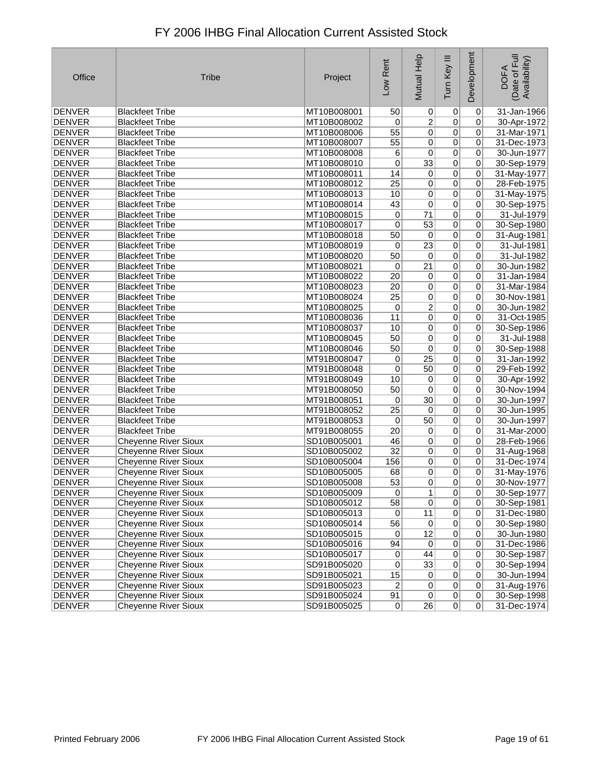| Office        | <b>Tribe</b>                | Project     | Low Rent        | Mutual Help     | Tum Key III    | Development    | Date of Full<br>Availability)<br><b>DOFA</b> |
|---------------|-----------------------------|-------------|-----------------|-----------------|----------------|----------------|----------------------------------------------|
| <b>DENVER</b> | <b>Blackfeet Tribe</b>      | MT10B008001 | 50              | $\vert 0 \vert$ | $\overline{0}$ | $\pmb{0}$      | 31-Jan-1966                                  |
| <b>DENVER</b> | <b>Blackfeet Tribe</b>      | MT10B008002 | 0               | 2               | 0              | 0              | 30-Apr-1972                                  |
| <b>DENVER</b> | <b>Blackfeet Tribe</b>      | MT10B008006 | 55              | $\overline{0}$  | $\overline{0}$ | 0              | 31-Mar-1971                                  |
| <b>DENVER</b> | <b>Blackfeet Tribe</b>      | MT10B008007 | 55              | $\sigma$        | $\overline{0}$ | 0              | 31-Dec-1973                                  |
| <b>DENVER</b> | <b>Blackfeet Tribe</b>      | MT10B008008 | 6               | 0               | $\overline{0}$ | 0              | 30-Jun-1977                                  |
| <b>DENVER</b> | <b>Blackfeet Tribe</b>      | MT10B008010 | 0               | $\overline{33}$ | 0              | 0              | 30-Sep-1979                                  |
| <b>DENVER</b> | <b>Blackfeet Tribe</b>      | MT10B008011 | 14              | $\overline{0}$  | $\overline{0}$ | 0              | 31-May-1977                                  |
| <b>DENVER</b> | <b>Blackfeet Tribe</b>      | MT10B008012 | $\overline{25}$ | 0               | $\overline{0}$ | 0              | 28-Feb-1975                                  |
| <b>DENVER</b> | <b>Blackfeet Tribe</b>      | MT10B008013 | 10              | 0               | $\overline{0}$ | 0              | 31-May-1975                                  |
| <b>DENVER</b> | <b>Blackfeet Tribe</b>      | MT10B008014 | 43              | 0               | 0              | 0              | 30-Sep-1975                                  |
| <b>DENVER</b> | <b>Blackfeet Tribe</b>      | MT10B008015 | 0               | $\overline{71}$ | $\overline{0}$ | $\overline{0}$ | 31-Jul-1979                                  |
| <b>DENVER</b> | <b>Blackfeet Tribe</b>      | MT10B008017 | 0               | 53              | $\overline{0}$ | 0              | 30-Sep-1980                                  |
| <b>DENVER</b> | <b>Blackfeet Tribe</b>      | MT10B008018 | 50              | $\overline{0}$  | $\overline{0}$ | $\overline{0}$ | 31-Aug-1981                                  |
| <b>DENVER</b> | <b>Blackfeet Tribe</b>      | MT10B008019 | 0               | $\overline{23}$ | 0              | $\mathbf 0$    | 31-Jul-1981                                  |
| <b>DENVER</b> | <b>Blackfeet Tribe</b>      | MT10B008020 | 50              | $\vert 0 \vert$ | $\overline{0}$ | $\overline{0}$ | 31-Jul-1982                                  |
| <b>DENVER</b> | <b>Blackfeet Tribe</b>      | MT10B008021 | 0               | $\overline{21}$ | $\overline{0}$ | 0              | 30-Jun-1982                                  |
| <b>DENVER</b> | <b>Blackfeet Tribe</b>      | MT10B008022 | $\overline{20}$ | $\overline{0}$  | 0              | 0              | 31-Jan-1984                                  |
| <b>DENVER</b> | <b>Blackfeet Tribe</b>      | MT10B008023 | 20              | $\overline{0}$  | 0              | 0              | 31-Mar-1984                                  |
| <b>DENVER</b> | <b>Blackfeet Tribe</b>      | MT10B008024 | $\overline{25}$ | $\overline{0}$  | $\overline{0}$ | 0              | 30-Nov-1981                                  |
| <b>DENVER</b> | <b>Blackfeet Tribe</b>      | MT10B008025 | 0               | $\overline{2}$  | $\overline{0}$ | 0              | 30-Jun-1982                                  |
| <b>DENVER</b> | <b>Blackfeet Tribe</b>      | MT10B008036 | 11              | $\overline{0}$  | 0              | $\mathbf 0$    | 31-Oct-1985                                  |
| DENVER        | <b>Blackfeet Tribe</b>      | MT10B008037 | 10              | 0               | 0              | 0              | 30-Sep-1986                                  |
| <b>DENVER</b> | <b>Blackfeet Tribe</b>      | MT10B008045 | 50              | $\overline{0}$  | 0              | 0              | 31-Jul-1988                                  |
| <b>DENVER</b> | <b>Blackfeet Tribe</b>      | MT10B008046 | 50              | 0               | 0              | 0              | 30-Sep-1988                                  |
| <b>DENVER</b> | <b>Blackfeet Tribe</b>      | MT91B008047 | 0               | 25              | 0              | 0              | 31-Jan-1992                                  |
| DENVER        | <b>Blackfeet Tribe</b>      | MT91B008048 | 0               | 50              | $\overline{0}$ | 0              | 29-Feb-1992                                  |
| <b>DENVER</b> | <b>Blackfeet Tribe</b>      | MT91B008049 | 10              | 0               | 0              | 0              | 30-Apr-1992                                  |
| <b>DENVER</b> | <b>Blackfeet Tribe</b>      | MT91B008050 | 50              | 0               | $\overline{0}$ | 0              | 30-Nov-1994                                  |
| <b>DENVER</b> | <b>Blackfeet Tribe</b>      | MT91B008051 | 0               | 30              | 0              | 0              | 30-Jun-1997                                  |
| <b>DENVER</b> | <b>Blackfeet Tribe</b>      | MT91B008052 | 25              | 0               | $\overline{0}$ | 0              | 30-Jun-1995                                  |
| <b>DENVER</b> | <b>Blackfeet Tribe</b>      | MT91B008053 | 0               | 50              | 0              | 0              | 30-Jun-1997                                  |
| <b>DENVER</b> | <b>Blackfeet Tribe</b>      | MT91B008055 | $\overline{20}$ | $\overline{0}$  | $\overline{0}$ | 0              | 31-Mar-2000                                  |
| <b>DENVER</b> | <b>Cheyenne River Sioux</b> | SD10B005001 | 46              | 0               | $\overline{0}$ | 0              | 28-Feb-1966                                  |
| DENVER        | <b>Cheyenne River Sioux</b> | SD10B005002 | $\overline{32}$ | $\overline{0}$  | $\overline{0}$ | 0              | 31-Aug-1968                                  |
| DENVER        | Cheyenne River Sioux        | SD10B005004 | 156             | 0               | 0              | 0              | 31-Dec-1974                                  |
| <b>DENVER</b> | <b>Cheyenne River Sioux</b> | SD10B005005 | 68              | 0               | 0              | 0              | 31-May-1976                                  |
| <b>DENVER</b> | <b>Cheyenne River Sioux</b> | SD10B005008 | 53              | 0               | 0              | 0              | 30-Nov-1977                                  |
| <b>DENVER</b> | Cheyenne River Sioux        | SD10B005009 | 0               | $1\vert$        | $\overline{0}$ | $\overline{0}$ | 30-Sep-1977                                  |
| <b>DENVER</b> | Cheyenne River Sioux        | SD10B005012 | 58              | $\overline{0}$  | $\overline{0}$ | 0              | 30-Sep-1981                                  |
| <b>DENVER</b> | Cheyenne River Sioux        | SD10B005013 | 0               | 11              | $\overline{0}$ | 0              | 31-Dec-1980                                  |
| DENVER        | <b>Cheyenne River Sioux</b> | SD10B005014 | 56              | $\vert 0 \vert$ | $\overline{0}$ | 0              | 30-Sep-1980                                  |
| <b>DENVER</b> | <b>Cheyenne River Sioux</b> | SD10B005015 | 0               | 12              | $\overline{0}$ | 0              | 30-Jun-1980                                  |
| DENVER        | <b>Cheyenne River Sioux</b> | SD10B005016 | 94              | $\vert 0 \vert$ | $\overline{0}$ | 0              | 31-Dec-1986                                  |
| <b>DENVER</b> | <b>Cheyenne River Sioux</b> | SD10B005017 | $\overline{0}$  | 44              | $\overline{0}$ | $\mathbf 0$    | 30-Sep-1987                                  |
| DENVER        | <b>Cheyenne River Sioux</b> | SD91B005020 | $\overline{0}$  | 33              | $\overline{0}$ | 0              | 30-Sep-1994                                  |
| DENVER        | <b>Cheyenne River Sioux</b> | SD91B005021 | 15              | 0               | $\overline{0}$ | 0              | 30-Jun-1994                                  |
| DENVER        | <b>Cheyenne River Sioux</b> | SD91B005023 | $\overline{2}$  | $\overline{0}$  | $\overline{0}$ | $\mathbf 0$    | 31-Aug-1976                                  |
| DENVER        | <b>Cheyenne River Sioux</b> | SD91B005024 | 91              | 0               | 0              | $\overline{0}$ | 30-Sep-1998                                  |
| DENVER        | <b>Cheyenne River Sioux</b> | SD91B005025 | 0               | 26              | 0              | $\overline{0}$ | 31-Dec-1974                                  |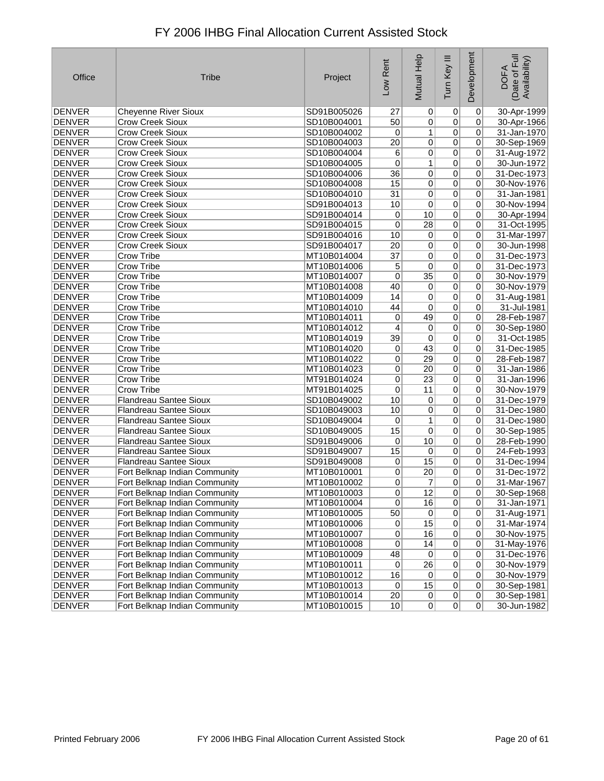| Office        | <b>Tribe</b>                  | Project     | Low Rent        | Mutual Help     | Ξ<br>Tum Key   | Development     | Date of Full<br>Availability)<br><b>DOFA</b> |
|---------------|-------------------------------|-------------|-----------------|-----------------|----------------|-----------------|----------------------------------------------|
| <b>DENVER</b> | <b>Cheyenne River Sioux</b>   | SD91B005026 | 27              | $\vert 0 \vert$ | 0              | $\overline{0}$  | 30-Apr-1999                                  |
| <b>DENVER</b> | <b>Crow Creek Sioux</b>       | SD10B004001 | 50              | $\overline{0}$  | $\overline{0}$ | 0               | 30-Apr-1966                                  |
| DENVER        | <b>Crow Creek Sioux</b>       | SD10B004002 | 0               | 1               | $\overline{0}$ | 0               | 31-Jan-1970                                  |
| <b>DENVER</b> | <b>Crow Creek Sioux</b>       | SD10B004003 | 20              | $\overline{0}$  | $\overline{0}$ | 0               | 30-Sep-1969                                  |
| <b>DENVER</b> | <b>Crow Creek Sioux</b>       | SD10B004004 | 6               | 0               | $\overline{0}$ | $\pmb{0}$       | 31-Aug-1972                                  |
| <b>DENVER</b> | <b>Crow Creek Sioux</b>       | SD10B004005 | 0               | 1               | $\overline{0}$ | 0               | 30-Jun-1972                                  |
| <b>DENVER</b> | <b>Crow Creek Sioux</b>       | SD10B004006 | 36              | 0               | $\overline{0}$ | 0               | 31-Dec-1973                                  |
| <b>DENVER</b> | <b>Crow Creek Sioux</b>       | SD10B004008 | 15              | 0               | $\overline{0}$ | $\pmb{0}$       | 30-Nov-1976                                  |
| <b>DENVER</b> | <b>Crow Creek Sioux</b>       | SD10B004010 | $\overline{31}$ | 0               | $\overline{0}$ | $\pmb{0}$       | 31-Jan-1981                                  |
| <b>DENVER</b> | <b>Crow Creek Sioux</b>       | SD91B004013 | 10              | 0               | $\overline{0}$ | 0               | 30-Nov-1994                                  |
| <b>DENVER</b> | <b>Crow Creek Sioux</b>       | SD91B004014 | 0               | 10              | $\overline{0}$ | 0               | 30-Apr-1994                                  |
| <b>DENVER</b> | <b>Crow Creek Sioux</b>       | SD91B004015 | 0               | 28              | $\overline{0}$ | $\pmb{0}$       | 31-Oct-1995                                  |
| <b>DENVER</b> | <b>Crow Creek Sioux</b>       | SD91B004016 | 10              | 0               | $\overline{0}$ | 0               | 31-Mar-1997                                  |
| <b>DENVER</b> | <b>Crow Creek Sioux</b>       | SD91B004017 | $\overline{20}$ | 0               | $\overline{0}$ | 0               | 30-Jun-1998                                  |
| <b>DENVER</b> | Crow Tribe                    | MT10B014004 | $\overline{37}$ | 0               | $\overline{0}$ | $\pmb{0}$       | 31-Dec-1973                                  |
| <b>DENVER</b> | Crow Tribe                    | MT10B014006 | 5               | 0               | $\overline{0}$ | $\pmb{0}$       | 31-Dec-1973                                  |
| <b>DENVER</b> | Crow Tribe                    | MT10B014007 | 0               | $\overline{35}$ | $\overline{0}$ | $\pmb{0}$       | 30-Nov-1979                                  |
| <b>DENVER</b> | Crow Tribe                    | MT10B014008 | 40              | $\Omega$        | $\overline{0}$ | 0               | 30-Nov-1979                                  |
| <b>DENVER</b> | Crow Tribe                    | MT10B014009 | 14              | 0               | $\overline{0}$ | $\pmb{0}$       | 31-Aug-1981                                  |
| <b>DENVER</b> | <b>Crow Tribe</b>             | MT10B014010 | 44              | 0               | $\overline{0}$ | $\pmb{0}$       | 31-Jul-1981                                  |
| <b>DENVER</b> | Crow Tribe                    | MT10B014011 | 0               | 49              | $\overline{0}$ | 0               | 28-Feb-1987                                  |
| <b>DENVER</b> | Crow Tribe                    | MT10B014012 | 4               | 0               | $\overline{0}$ | 0               | 30-Sep-1980                                  |
| <b>DENVER</b> | Crow Tribe                    | MT10B014019 | 39              | 0               | $\overline{0}$ | $\overline{0}$  | 31-Oct-1985                                  |
| <b>DENVER</b> | Crow Tribe                    | MT10B014020 | 0               | 43              | $\overline{0}$ | 0               | 31-Dec-1985                                  |
| <b>DENVER</b> | Crow Tribe                    | MT10B014022 | 0               | 29              | $\overline{0}$ | 0               | 28-Feb-1987                                  |
| DENVER        | Crow Tribe                    | MT10B014023 | 0               | 20              | $\overline{0}$ | 0               | 31-Jan-1986                                  |
| <b>DENVER</b> | Crow Tribe                    | MT91B014024 | 0               | 23              | $\overline{0}$ | $\pmb{0}$       | 31-Jan-1996                                  |
| <b>DENVER</b> | Crow Tribe                    | MT91B014025 | 0               | 11              | $\overline{0}$ | 0               | 30-Nov-1979                                  |
| <b>DENVER</b> | Flandreau Santee Sioux        | SD10B049002 | 10              | 0               | $\overline{0}$ | 0               | 31-Dec-1979                                  |
| <b>DENVER</b> | <b>Flandreau Santee Sioux</b> | SD10B049003 | 10              | 0               | $\overline{0}$ | 0               | 31-Dec-1980                                  |
| <b>DENVER</b> | <b>Flandreau Santee Sioux</b> | SD10B049004 | 0               | 1               | $\overline{0}$ | $\overline{0}$  | 31-Dec-1980                                  |
| <b>DENVER</b> | <b>Flandreau Santee Sioux</b> | SD10B049005 | 15              | 0               | $\overline{0}$ | $\pmb{0}$       | 30-Sep-1985                                  |
| <b>DENVER</b> | <b>Flandreau Santee Sioux</b> | SD91B049006 | 0               | 10              | $\overline{0}$ | 0               | 28-Feb-1990                                  |
| DENVER        | <b>Flandreau Santee Sioux</b> | SD91B049007 | 15              | 0               | $\overline{0}$ | 0               | 24-Feb-1993                                  |
| <b>DENVER</b> | Flandreau Santee Sioux        | SD91B049008 | 0               | 15              | $\overline{0}$ | $\pmb{0}$       | 31-Dec-1994                                  |
| <b>DENVER</b> | Fort Belknap Indian Community | MT10B010001 | 0               | 20              | $\overline{0}$ | 0               | 31-Dec-1972                                  |
| <b>DENVER</b> | Fort Belknap Indian Community | MT10B010002 | 0               | 7               | 0              | 0               | 31-Mar-1967                                  |
| DENVER        | Fort Belknap Indian Community | MT10B010003 | 0               | 12              | 0              | $\vert 0 \vert$ | 30-Sep-1968                                  |
| <b>DENVER</b> | Fort Belknap Indian Community | MT10B010004 | $\overline{0}$  | 16              | $\overline{0}$ | $\overline{0}$  | 31-Jan-1971                                  |
| DENVER        | Fort Belknap Indian Community | MT10B010005 | 50              | $\overline{0}$  | $\overline{0}$ | $\pmb{0}$       | 31-Aug-1971                                  |
| <b>DENVER</b> | Fort Belknap Indian Community | MT10B010006 | $\vert 0 \vert$ | 15              | 0              | 0               | 31-Mar-1974                                  |
| DENVER        | Fort Belknap Indian Community | MT10B010007 | 0               | 16              | $\overline{0}$ | $\pmb{0}$       | 30-Nov-1975                                  |
| DENVER        | Fort Belknap Indian Community | MT10B010008 | $\overline{0}$  | 14              | $\overline{0}$ | $\pmb{0}$       | 31-May-1976                                  |
| <b>DENVER</b> | Fort Belknap Indian Community | MT10B010009 | 48              | $\overline{0}$  | $\overline{0}$ | $\pmb{0}$       | 31-Dec-1976                                  |
| DENVER        | Fort Belknap Indian Community | MT10B010011 | $\overline{0}$  | $\overline{26}$ | $\overline{0}$ | 0               | 30-Nov-1979                                  |
| DENVER        | Fort Belknap Indian Community | MT10B010012 | 16              | $\sigma$        | $\overline{0}$ | $\pmb{0}$       | 30-Nov-1979                                  |
| DENVER        | Fort Belknap Indian Community | MT10B010013 | 0               | 15              | $\overline{0}$ | $\pmb{0}$       | 30-Sep-1981                                  |
| DENVER        | Fort Belknap Indian Community | MT10B010014 | 20              | 0               | $\overline{0}$ | $\overline{0}$  | 30-Sep-1981                                  |
| DENVER        | Fort Belknap Indian Community | MT10B010015 | 10              | 0               | 0              | 0               | 30-Jun-1982                                  |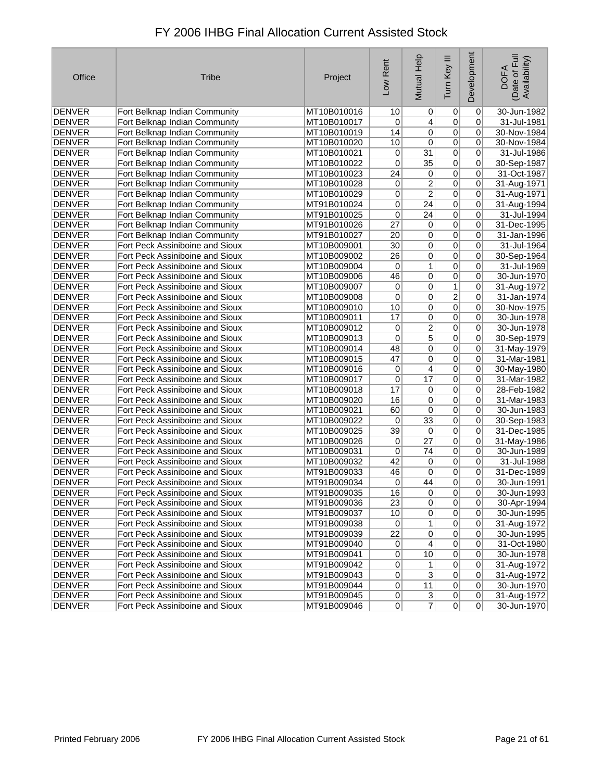| Office        | <b>Tribe</b>                    | Project     | Low Rent        | Mutual Help     | Ξ<br>Tum Key   | Development | Date of Full<br>Availability)<br><b>DOFA</b> |
|---------------|---------------------------------|-------------|-----------------|-----------------|----------------|-------------|----------------------------------------------|
| <b>DENVER</b> | Fort Belknap Indian Community   | MT10B010016 | 10              | $\vert 0 \vert$ | $\overline{0}$ | 0           | 30-Jun-1982                                  |
| <b>DENVER</b> | Fort Belknap Indian Community   | MT10B010017 | 0               | $\overline{4}$  | $\overline{0}$ | 0           | 31-Jul-1981                                  |
| <b>DENVER</b> | Fort Belknap Indian Community   | MT10B010019 | 14              | 0               | $\overline{0}$ | 0           | 30-Nov-1984                                  |
| <b>DENVER</b> | Fort Belknap Indian Community   | MT10B010020 | 10              | $\overline{0}$  | $\overline{0}$ | 0           | 30-Nov-1984                                  |
| <b>DENVER</b> | Fort Belknap Indian Community   | MT10B010021 | 0               | $\overline{31}$ | $\overline{0}$ | 0           | 31-Jul-1986                                  |
| <b>DENVER</b> | Fort Belknap Indian Community   | MT10B010022 | 0               | $\overline{35}$ | $\overline{0}$ | 0           | 30-Sep-1987                                  |
| <b>DENVER</b> | Fort Belknap Indian Community   | MT10B010023 | 24              | 0               | $\overline{0}$ | 0           | 31-Oct-1987                                  |
| <b>DENVER</b> | Fort Belknap Indian Community   | MT10B010028 | 0               | $\overline{2}$  | $\overline{0}$ | 0           | 31-Aug-1971                                  |
| <b>DENVER</b> | Fort Belknap Indian Community   | MT10B010029 | 0               | $\overline{2}$  | $\mathbf 0$    | 0           | 31-Aug-1971                                  |
| <b>DENVER</b> | Fort Belknap Indian Community   | MT91B010024 | 0               | $\overline{24}$ | $\overline{0}$ | 0           | 31-Aug-1994                                  |
| <b>DENVER</b> | Fort Belknap Indian Community   | MT91B010025 | 0               | 24              | $\mathbf 0$    | 0           | 31-Jul-1994                                  |
| <b>DENVER</b> | Fort Belknap Indian Community   | MT91B010026 | $\overline{27}$ | 0               | $\overline{0}$ | 0           | 31-Dec-1995                                  |
| <b>DENVER</b> | Fort Belknap Indian Community   | MT91B010027 | 20              | 0               | $\overline{0}$ | 0           | 31-Jan-1996                                  |
| <b>DENVER</b> | Fort Peck Assiniboine and Sioux | MT10B009001 | 30              | $\overline{0}$  | $\overline{0}$ | 0           | 31-Jul-1964                                  |
| <b>DENVER</b> | Fort Peck Assiniboine and Sioux | MT10B009002 | $\overline{26}$ | 0               | $\mathbf 0$    | 0           | 30-Sep-1964                                  |
| <b>DENVER</b> | Fort Peck Assiniboine and Sioux | MT10B009004 | 0               | 1               | $\overline{0}$ | 0           | 31-Jul-1969                                  |
| <b>DENVER</b> | Fort Peck Assiniboine and Sioux | MT10B009006 | 46              | $\overline{0}$  | $\mathbf 0$    | 0           | 30-Jun-1970                                  |
| <b>DENVER</b> | Fort Peck Assiniboine and Sioux | MT10B009007 | 0               | 0               | 1              | 0           | 31-Aug-1972                                  |
| <b>DENVER</b> | Fort Peck Assiniboine and Sioux | MT10B009008 | 0               | 0               | $\overline{2}$ | 0           | 31-Jan-1974                                  |
| <b>DENVER</b> | Fort Peck Assiniboine and Sioux | MT10B009010 | 10              | 0               | $\overline{0}$ | 0           | 30-Nov-1975                                  |
| <b>DENVER</b> | Fort Peck Assiniboine and Sioux | MT10B009011 | 17              | 0               | $\mathbf 0$    | 0           | 30-Jun-1978                                  |
| <b>DENVER</b> | Fort Peck Assiniboine and Sioux | MT10B009012 | 0               | $\overline{2}$  | $\pmb{0}$      | 0           | 30-Jun-1978                                  |
| <b>DENVER</b> | Fort Peck Assiniboine and Sioux | MT10B009013 | 0               | $\overline{5}$  | $\overline{0}$ | 0           | 30-Sep-1979                                  |
| <b>DENVER</b> | Fort Peck Assiniboine and Sioux | MT10B009014 | 48              | $\overline{0}$  | $\overline{0}$ | 0           | 31-May-1979                                  |
| <b>DENVER</b> | Fort Peck Assiniboine and Sioux | MT10B009015 | 47              | 0               | $\overline{0}$ | 0           | 31-Mar-1981                                  |
| <b>DENVER</b> | Fort Peck Assiniboine and Sioux | MT10B009016 | 0               | 4               | $\overline{0}$ | 0           | 30-May-1980                                  |
| <b>DENVER</b> | Fort Peck Assiniboine and Sioux | MT10B009017 | $\overline{0}$  | $\overline{17}$ | $\overline{0}$ | 0           | 31-Mar-1982                                  |
| <b>DENVER</b> | Fort Peck Assiniboine and Sioux | MT10B009018 | 17              | $\overline{0}$  | $\overline{0}$ | 0           | 28-Feb-1982                                  |
| <b>DENVER</b> | Fort Peck Assiniboine and Sioux | MT10B009020 | 16              | 0               | $\overline{0}$ | 0           | 31-Mar-1983                                  |
| <b>DENVER</b> | Fort Peck Assiniboine and Sioux | MT10B009021 | 60              | 0               | $\overline{0}$ | 0           | 30-Jun-1983                                  |
| <b>DENVER</b> | Fort Peck Assiniboine and Sioux | MT10B009022 | 0               | $\overline{33}$ | $\overline{0}$ | 0           | 30-Sep-1983                                  |
| <b>DENVER</b> | Fort Peck Assiniboine and Sioux | MT10B009025 | $\overline{39}$ | $\mathbf 0$     | $\overline{0}$ | 0           | 31-Dec-1985                                  |
| <b>DENVER</b> | Fort Peck Assiniboine and Sioux | MT10B009026 | 0               | $\overline{27}$ | $\overline{0}$ | 0           | 31-May-1986                                  |
| <b>DENVER</b> | Fort Peck Assiniboine and Sioux | MT10B009031 | 0               | 74              | $\mathbf 0$    | 0           | 30-Jun-1989                                  |
| <b>DENVER</b> | Fort Peck Assiniboine and Sioux | MT10B009032 | 42              | 0               | $\overline{0}$ | 0           | 31-Jul-1988                                  |
| <b>DENVER</b> | Fort Peck Assiniboine and Sioux | MT91B009033 | 46              | $\overline{0}$  | 0              | 0           | 31-Dec-1989                                  |
| <b>DENVER</b> | Fort Peck Assiniboine and Sioux | MT91B009034 | 0               | 44              | 0              | 0           | 30-Jun-1991                                  |
| <b>DENVER</b> | Fort Peck Assiniboine and Sioux | MT91B009035 | 16              | 0               | $\Omega$       | 0           | 30-Jun-1993                                  |
| DENVER        | Fort Peck Assiniboine and Sioux | MT91B009036 | $\overline{23}$ | $\overline{0}$  | $\overline{0}$ | 0           | 30-Apr-1994                                  |
| DENVER        | Fort Peck Assiniboine and Sioux | MT91B009037 | 10              | $\overline{0}$  | $\mathbf 0$    | 0           | 30-Jun-1995                                  |
| DENVER        | Fort Peck Assiniboine and Sioux | MT91B009038 | 0               | 1               | $\pmb{0}$      | 0           | 31-Aug-1972                                  |
| <b>DENVER</b> | Fort Peck Assiniboine and Sioux | MT91B009039 | $\overline{22}$ | $\sigma$        | $\pmb{0}$      | 0           | 30-Jun-1995                                  |
| <b>DENVER</b> | Fort Peck Assiniboine and Sioux | MT91B009040 | 0               | $\overline{4}$  | $\pmb{0}$      | 0           | 31-Oct-1980                                  |
| DENVER        | Fort Peck Assiniboine and Sioux | MT91B009041 | 0               | 10              | $\overline{0}$ | 0           | 30-Jun-1978                                  |
| <b>DENVER</b> | Fort Peck Assiniboine and Sioux | MT91B009042 | 0               | 1               | $\overline{0}$ | 0           | 31-Aug-1972                                  |
| <b>DENVER</b> | Fort Peck Assiniboine and Sioux | MT91B009043 | 0               | $\overline{3}$  | $\pmb{0}$      | 0           | 31-Aug-1972                                  |
| <b>DENVER</b> | Fort Peck Assiniboine and Sioux | MT91B009044 | $\overline{0}$  | 11              | $\overline{0}$ | 0           | 30-Jun-1970                                  |
| DENVER        | Fort Peck Assiniboine and Sioux | MT91B009045 | $\overline{0}$  | $\overline{3}$  | $\overline{0}$ | 0           | 31-Aug-1972                                  |
| <b>DENVER</b> | Fort Peck Assiniboine and Sioux | MT91B009046 | $\overline{0}$  | $\overline{7}$  | $\overline{0}$ | $\Omega$    | 30-Jun-1970                                  |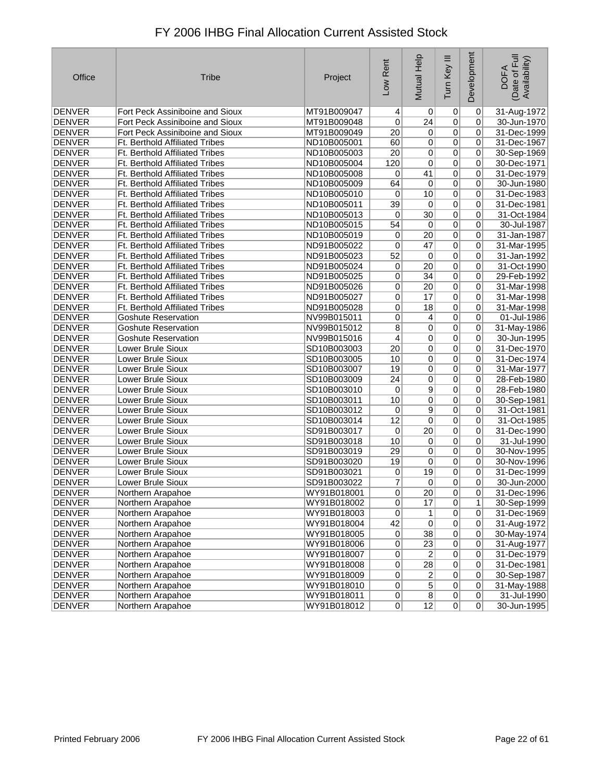| FY 2006 IHBG Final Allocation Current Assisted Stock |  |
|------------------------------------------------------|--|
|------------------------------------------------------|--|

| Office        | <b>Tribe</b>                          | Project     | Low Rent        | Mutual Help     | Ξ<br>Tum Key    | Development    | Date of Full<br>Availability)<br><b>DOFA</b> |
|---------------|---------------------------------------|-------------|-----------------|-----------------|-----------------|----------------|----------------------------------------------|
| <b>DENVER</b> | Fort Peck Assiniboine and Sioux       | MT91B009047 | 4               | 0               | 0               | 0              | 31-Aug-1972                                  |
| <b>DENVER</b> | Fort Peck Assiniboine and Sioux       | MT91B009048 | 0               | 24              | $\overline{0}$  | 0              | 30-Jun-1970                                  |
| <b>DENVER</b> | Fort Peck Assiniboine and Sioux       | MT91B009049 | 20              | $\sigma$        | $\overline{0}$  | 0              | 31-Dec-1999                                  |
| <b>DENVER</b> | Ft. Berthold Affiliated Tribes        | ND10B005001 | 60              | $\overline{0}$  | $\overline{0}$  | 0              | 31-Dec-1967                                  |
| <b>DENVER</b> | Ft. Berthold Affiliated Tribes        | ND10B005003 | $\overline{20}$ | $\overline{0}$  | $\overline{0}$  | 0              | 30-Sep-1969                                  |
| <b>DENVER</b> | Ft. Berthold Affiliated Tribes        | ND10B005004 | 120             | 0               | $\overline{0}$  | 0              | 30-Dec-1971                                  |
| <b>DENVER</b> | Ft. Berthold Affiliated Tribes        | ND10B005008 | 0               | 41              | $\overline{0}$  | 0              | 31-Dec-1979                                  |
| <b>DENVER</b> | <b>Ft. Berthold Affiliated Tribes</b> | ND10B005009 | 64              | $\overline{0}$  | $\overline{0}$  | 0              | 30-Jun-1980                                  |
| <b>DENVER</b> | Ft. Berthold Affiliated Tribes        | ND10B005010 | 0               | 10              | $\overline{0}$  | 0              | 31-Dec-1983                                  |
| <b>DENVER</b> | Ft. Berthold Affiliated Tribes        | ND10B005011 | $\overline{39}$ | 0               | $\overline{0}$  | 0              | 31-Dec-1981                                  |
| <b>DENVER</b> | Ft. Berthold Affiliated Tribes        | ND10B005013 | 0               | $\overline{30}$ | $\overline{0}$  | 0              | 31-Oct-1984                                  |
| <b>DENVER</b> | Ft. Berthold Affiliated Tribes        | ND10B005015 | 54              | $\overline{0}$  | $\overline{0}$  | 0              | 30-Jul-1987                                  |
| <b>DENVER</b> | Ft. Berthold Affiliated Tribes        | ND10B005019 | 0               | $\overline{20}$ | $\overline{0}$  | 0              | 31-Jan-1987                                  |
| <b>DENVER</b> | Ft. Berthold Affiliated Tribes        | ND91B005022 | 0               | 47              | $\overline{0}$  | 0              | 31-Mar-1995                                  |
| <b>DENVER</b> | Ft. Berthold Affiliated Tribes        | ND91B005023 | 52              | 0               | $\pmb{0}$       | 0              | 31-Jan-1992                                  |
| <b>DENVER</b> | Ft. Berthold Affiliated Tribes        | ND91B005024 | 0               | 20              | $\overline{0}$  | 0              | 31-Oct-1990                                  |
| <b>DENVER</b> | Ft. Berthold Affiliated Tribes        | ND91B005025 | 0               | $\overline{34}$ | $\overline{0}$  | 0              | 29-Feb-1992                                  |
| <b>DENVER</b> | Ft. Berthold Affiliated Tribes        | ND91B005026 | 0               | $\overline{20}$ | $\overline{0}$  | 0              | 31-Mar-1998                                  |
| <b>DENVER</b> | Ft. Berthold Affiliated Tribes        | ND91B005027 | 0               | 17              | $\mathbf 0$     | 0              | 31-Mar-1998                                  |
| <b>DENVER</b> | <b>Ft. Berthold Affiliated Tribes</b> | ND91B005028 | 0               | $\overline{18}$ | $\overline{0}$  | 0              | 31-Mar-1998                                  |
| <b>DENVER</b> | <b>Goshute Reservation</b>            | NV99B015011 | 0               | $\vert 4 \vert$ | $\overline{0}$  | 0              | 01-Jul-1986                                  |
| <b>DENVER</b> | <b>Goshute Reservation</b>            | NV99B015012 | 8               | 0               | $\overline{0}$  | 0              | 31-May-1986                                  |
| <b>DENVER</b> | <b>Goshute Reservation</b>            | NV99B015016 | $\overline{4}$  | 0               | 0               | 0              | 30-Jun-1995                                  |
| <b>DENVER</b> | Lower Brule Sioux                     | SD10B003003 | $\overline{20}$ | $\overline{0}$  | $\overline{0}$  | 0              | 31-Dec-1970                                  |
| <b>DENVER</b> | Lower Brule Sioux                     | SD10B003005 | 10              | 0               | $\overline{0}$  | 0              | 31-Dec-1974                                  |
| <b>DENVER</b> | Lower Brule Sioux                     | SD10B003007 | 19              | 0               | 0               | 0              | 31-Mar-1977                                  |
| <b>DENVER</b> | Lower Brule Sioux                     | SD10B003009 | $\overline{24}$ | $\overline{0}$  | $\overline{0}$  | 0              | 28-Feb-1980                                  |
| <b>DENVER</b> | Lower Brule Sioux                     | SD10B003010 | 0               | $\overline{9}$  | $\overline{0}$  | 0              | 28-Feb-1980                                  |
| <b>DENVER</b> | Lower Brule Sioux                     | SD10B003011 | 10              | 0               | $\overline{0}$  | 0              | 30-Sep-1981                                  |
| <b>DENVER</b> | Lower Brule Sioux                     | SD10B003012 | 0               | 9               | $\overline{0}$  | 0              | 31-Oct-1981                                  |
| <b>DENVER</b> | Lower Brule Sioux                     | SD10B003014 | 12              | 0               | $\overline{0}$  | 0              | 31-Oct-1985                                  |
| <b>DENVER</b> | Lower Brule Sioux                     | SD91B003017 | $\pmb{0}$       | $\overline{20}$ | $\overline{0}$  | 0              | 31-Dec-1990                                  |
| <b>DENVER</b> | Lower Brule Sioux                     | SD91B003018 | 10              | $\overline{0}$  | $\overline{0}$  | 0              | 31-Jul-1990                                  |
| <b>DENVER</b> | Lower Brule Sioux                     | SD91B003019 | 29              | 0               | $\overline{0}$  | 0              | 30-Nov-1995                                  |
| <b>DENVER</b> | Lower Brule Sioux                     | SD91B003020 | 19              | 0               | $\overline{0}$  | 0              | 30-Nov-1996                                  |
| <b>DENVER</b> | Lower Brule Sioux                     | SD91B003021 | 0               | 19              | 0               | 0              | 31-Dec-1999                                  |
| <b>DENVER</b> | Lower Brule Sioux                     | SD91B003022 | 7               | 0               | 0               | 0              | 30-Jun-2000                                  |
| <b>DENVER</b> | Northern Arapahoe                     | WY91B018001 | $\vert 0 \vert$ | 20              | $\vert 0 \vert$ | 0              | 31-Dec-1996                                  |
| <b>DENVER</b> | Northern Arapahoe                     | WY91B018002 | $\overline{0}$  | $\overline{17}$ | $\overline{0}$  | 1              | 30-Sep-1999                                  |
| <b>DENVER</b> | Northern Arapahoe                     | WY91B018003 | 0               | 1               | $\pmb{0}$       | $\overline{0}$ | 31-Dec-1969                                  |
| <b>DENVER</b> | Northern Arapahoe                     | WY91B018004 | 42              | $\overline{0}$  | $\overline{0}$  | 0              | 31-Aug-1972                                  |
| <b>DENVER</b> | Northern Arapahoe                     | WY91B018005 | 0               | 38              | $\pmb{0}$       | 0              | 30-May-1974                                  |
| <b>DENVER</b> | Northern Arapahoe                     | WY91B018006 | 0               | $\overline{23}$ | $\pmb{0}$       | 0              | 31-Aug-1977                                  |
| <b>DENVER</b> | Northern Arapahoe                     | WY91B018007 | 0               | $\overline{2}$  | $\overline{0}$  | $\overline{0}$ | 31-Dec-1979                                  |
| <b>DENVER</b> | Northern Arapahoe                     | WY91B018008 | $\overline{0}$  | 28              | $\overline{0}$  | 0              | 31-Dec-1981                                  |
| <b>DENVER</b> | Northern Arapahoe                     | WY91B018009 | 0               | $\overline{2}$  | $\pmb{0}$       | 0              | 30-Sep-1987                                  |
| <b>DENVER</b> | Northern Arapahoe                     | WY91B018010 | $\overline{0}$  | $\overline{5}$  | $\pmb{0}$       | 0              | 31-May-1988                                  |
| DENVER        | Northern Arapahoe                     | WY91B018011 | $\overline{0}$  | $\overline{8}$  | $\overline{0}$  | 0              | 31-Jul-1990                                  |
| DENVER        | Northern Arapahoe                     | WY91B018012 | 0               | 12              | 0               | 0              | 30-Jun-1995                                  |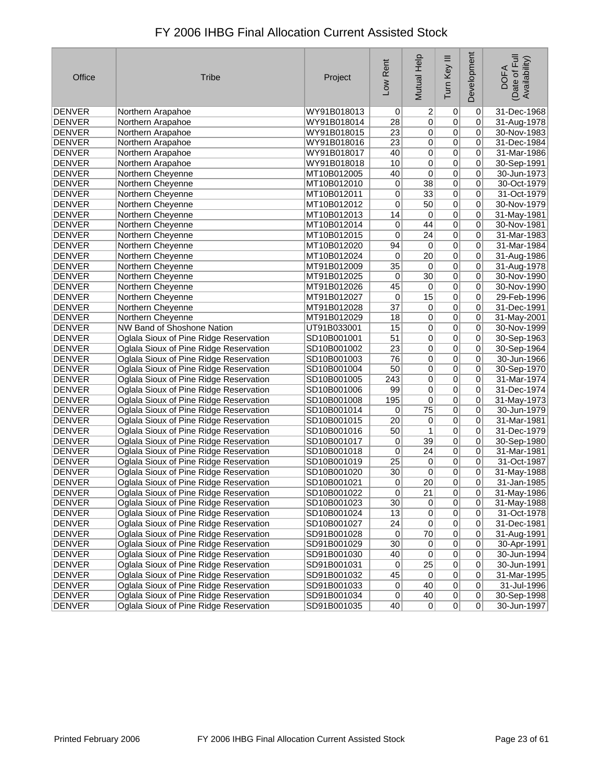| FY 2006 IHBG Final Allocation Current Assisted Stock |  |
|------------------------------------------------------|--|
|------------------------------------------------------|--|

| Office        | <b>Tribe</b>                           | Project     | Low Rent        | Mutual Help     | Ξ<br>Tum Key   | Development    | Date of Full<br>Availability)<br><b>DOFA</b> |
|---------------|----------------------------------------|-------------|-----------------|-----------------|----------------|----------------|----------------------------------------------|
| <b>DENVER</b> | Northern Arapahoe                      | WY91B018013 | $\overline{0}$  | $\overline{2}$  | 0              | 0              | 31-Dec-1968                                  |
| <b>DENVER</b> | Northern Arapahoe                      | WY91B018014 | 28              | $\overline{0}$  | $\overline{0}$ | 0              | 31-Aug-1978                                  |
| <b>DENVER</b> | Northern Arapahoe                      | WY91B018015 | 23              | $\overline{0}$  | $\overline{0}$ | 0              | 30-Nov-1983                                  |
| DENVER        | Northern Arapahoe                      | WY91B018016 | 23              | 0               | $\overline{0}$ | 0              | 31-Dec-1984                                  |
| <b>DENVER</b> | Northern Arapahoe                      | WY91B018017 | 40              | $\overline{0}$  | $\overline{0}$ | 0              | 31-Mar-1986                                  |
| <b>DENVER</b> | Northern Arapahoe                      | WY91B018018 | 10              | 0               | $\overline{0}$ | 0              | 30-Sep-1991                                  |
| <b>DENVER</b> | Northern Cheyenne                      | MT10B012005 | 40              | 0               | $\overline{0}$ | 0              | 30-Jun-1973                                  |
| <b>DENVER</b> | Northern Cheyenne                      | MT10B012010 | 0               | $\overline{38}$ | $\overline{0}$ | $\overline{0}$ | 30-Oct-1979                                  |
| <b>DENVER</b> | Northern Cheyenne                      | MT10B012011 | 0               | $\overline{33}$ | $\overline{0}$ | 0              | 31-Oct-1979                                  |
| <b>DENVER</b> | Northern Cheyenne                      | MT10B012012 | 0               | 50              | $\overline{0}$ | 0              | 30-Nov-1979                                  |
| <b>DENVER</b> | Northern Cheyenne                      | MT10B012013 | 14              | 0               | $\overline{0}$ | 0              | 31-May-1981                                  |
| <b>DENVER</b> | Northern Cheyenne                      | MT10B012014 | 0               | 44              | $\overline{0}$ | 0              | 30-Nov-1981                                  |
| <b>DENVER</b> | Northern Cheyenne                      | MT10B012015 | $\mathbf 0$     | $\overline{24}$ | $\overline{0}$ | 0              | 31-Mar-1983                                  |
| <b>DENVER</b> | Northern Cheyenne                      | MT10B012020 | 94              | $\vert 0 \vert$ | $\overline{0}$ | 0              | 31-Mar-1984                                  |
| DENVER        | Northern Cheyenne                      | MT10B012024 | 0               | 20              | $\overline{0}$ | 0              | 31-Aug-1986                                  |
| <b>DENVER</b> | Northern Cheyenne                      | MT91B012009 | $\overline{35}$ | $\vert 0 \vert$ | $\overline{0}$ | 0              | 31-Aug-1978                                  |
| <b>DENVER</b> | Northern Cheyenne                      | MT91B012025 | 0               | $\overline{30}$ | $\overline{0}$ | 0              | 30-Nov-1990                                  |
| <b>DENVER</b> | Northern Cheyenne                      | MT91B012026 | 45              | 0               | $\overline{0}$ | 0              | 30-Nov-1990                                  |
| <b>DENVER</b> | Northern Cheyenne                      | MT91B012027 | 0               | 15              | $\overline{0}$ | 0              | 29-Feb-1996                                  |
| <b>DENVER</b> | Northern Cheyenne                      | MT91B012028 | $\overline{37}$ | $\overline{0}$  | $\overline{0}$ | 0              | 31-Dec-1991                                  |
| <b>DENVER</b> | Northern Cheyenne                      | MT91B012029 | $\overline{18}$ | $\overline{0}$  | $\overline{0}$ | 0              | 31-May-2001                                  |
| <b>DENVER</b> | NW Band of Shoshone Nation             | UT91B033001 | 15              | 0               | $\overline{0}$ | 0              | 30-Nov-1999                                  |
| DENVER        | Oglala Sioux of Pine Ridge Reservation | SD10B001001 | $\overline{51}$ | 0               | 0              | 0              | 30-Sep-1963                                  |
| <b>DENVER</b> | Oglala Sioux of Pine Ridge Reservation | SD10B001002 | 23              | $\overline{0}$  | $\overline{0}$ | 0              | 30-Sep-1964                                  |
| <b>DENVER</b> | Oglala Sioux of Pine Ridge Reservation | SD10B001003 | $\overline{76}$ | $\overline{0}$  | $\overline{0}$ | 0              | 30-Jun-1966                                  |
| <b>DENVER</b> | Oglala Sioux of Pine Ridge Reservation | SD10B001004 | 50              | $\overline{0}$  | $\overline{0}$ | 0              | 30-Sep-1970                                  |
| DENVER        | Oglala Sioux of Pine Ridge Reservation | SD10B001005 | 243             | $\overline{0}$  | $\overline{0}$ | 0              | 31-Mar-1974                                  |
| <b>DENVER</b> | Oglala Sioux of Pine Ridge Reservation | SD10B001006 | 99              | 0               | $\overline{0}$ | 0              | 31-Dec-1974                                  |
| <b>DENVER</b> | Oglala Sioux of Pine Ridge Reservation | SD10B001008 | 195             | 0               | $\overline{0}$ | 0              | 31-May-1973                                  |
| <b>DENVER</b> | Oglala Sioux of Pine Ridge Reservation | SD10B001014 | 0               | 75              | $\overline{0}$ | 0              | 30-Jun-1979                                  |
| DENVER        | Oglala Sioux of Pine Ridge Reservation | SD10B001015 | 20              | 0               | $\overline{0}$ | 0              | 31-Mar-1981                                  |
| <b>DENVER</b> | Oglala Sioux of Pine Ridge Reservation | SD10B001016 | 50              | 1               | $\overline{0}$ | 0              | 31-Dec-1979                                  |
| <b>DENVER</b> | Oglala Sioux of Pine Ridge Reservation | SD10B001017 | 0               | $\overline{39}$ | $\overline{0}$ | 0              | 30-Sep-1980                                  |
| <b>DENVER</b> | Oglala Sioux of Pine Ridge Reservation | SD10B001018 | 0               | 24              | $\overline{0}$ | 0              | 31-Mar-1981                                  |
| <b>DENVER</b> | Oglala Sioux of Pine Ridge Reservation | SD10B001019 | $\overline{25}$ | $\pmb{0}$       | $\overline{0}$ | $\overline{0}$ | 31-Oct-1987                                  |
| <b>DENVER</b> | Oglala Sioux of Pine Ridge Reservation | SD10B001020 | $\overline{30}$ | 0               | $\overline{0}$ | 0              | 31-May-1988                                  |
| <b>DENVER</b> | Oglala Sioux of Pine Ridge Reservation | SD10B001021 | 0               | 20              | 0              | 0              | 31-Jan-1985                                  |
| <b>DENVER</b> | Oglala Sioux of Pine Ridge Reservation | SD10B001022 | 0               | 21              | 0              | 0              | 31-May-1986                                  |
| <b>DENVER</b> | Oglala Sioux of Pine Ridge Reservation | SD10B001023 | 30              | $\overline{0}$  | $\overline{0}$ | 0              | 31-May-1988                                  |
| DENVER        | Oglala Sioux of Pine Ridge Reservation | SD10B001024 | 13              | 0               | $\pmb{0}$      | 0              | 31-Oct-1978                                  |
| DENVER        | Oglala Sioux of Pine Ridge Reservation | SD10B001027 | 24              | 0               | $\pmb{0}$      | 0              | 31-Dec-1981                                  |
| <b>DENVER</b> | Oglala Sioux of Pine Ridge Reservation | SD91B001028 | $\overline{0}$  | 70              | 0              | 0              | 31-Aug-1991                                  |
| DENVER        | Oglala Sioux of Pine Ridge Reservation | SD91B001029 | 30 <sup>°</sup> | 0               | $\pmb{0}$      | 0              | 30-Apr-1991                                  |
| DENVER        | Oglala Sioux of Pine Ridge Reservation | SD91B001030 | 40              | $\vert 0 \vert$ | $\overline{0}$ | $\overline{0}$ | 30-Jun-1994                                  |
| DENVER        | Oglala Sioux of Pine Ridge Reservation | SD91B001031 | 0               | $\overline{25}$ | $\overline{0}$ | 0              | 30-Jun-1991                                  |
| DENVER        | Oglala Sioux of Pine Ridge Reservation | SD91B001032 | 45              | $\vert 0 \vert$ | $\pmb{0}$      | 0              | 31-Mar-1995                                  |
| DENVER        | Oglala Sioux of Pine Ridge Reservation | SD91B001033 | 0               | 40              | $\pmb{0}$      | 0              | 31-Jul-1996                                  |
| DENVER        | Oglala Sioux of Pine Ridge Reservation | SD91B001034 | 0               | 40              | $\overline{0}$ | $\pmb{0}$      | 30-Sep-1998                                  |
| <b>DENVER</b> | Oglala Sioux of Pine Ridge Reservation | SD91B001035 | 40              | 0               | 0              | $\overline{0}$ | 30-Jun-1997                                  |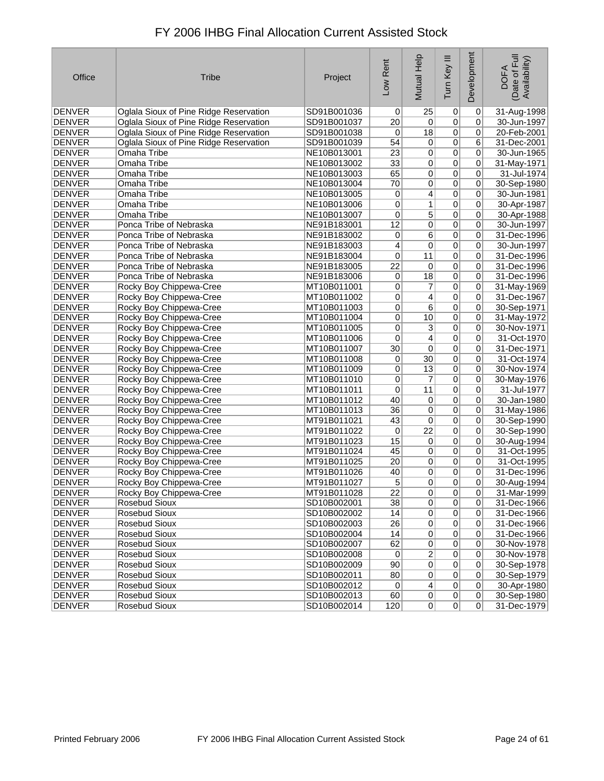| FY 2006 IHBG Final Allocation Current Assisted Stock |  |
|------------------------------------------------------|--|
|------------------------------------------------------|--|

| Office        | <b>Tribe</b>                           | Project     | Low Rent        | Mutual Help      | Ξ<br>Tum Key    | Development | Date of Full<br>Availability)<br><b>DOFA</b> |
|---------------|----------------------------------------|-------------|-----------------|------------------|-----------------|-------------|----------------------------------------------|
| <b>DENVER</b> | Oglala Sioux of Pine Ridge Reservation | SD91B001036 | 0               | 25               | 0               | 0           | 31-Aug-1998                                  |
| <b>DENVER</b> | Oglala Sioux of Pine Ridge Reservation | SD91B001037 | 20              | 0                | $\overline{0}$  | 0           | 30-Jun-1997                                  |
| <b>DENVER</b> | Oglala Sioux of Pine Ridge Reservation | SD91B001038 | 0               | 18               | $\overline{0}$  | 0           | 20-Feb-2001                                  |
| <b>DENVER</b> | Oglala Sioux of Pine Ridge Reservation | SD91B001039 | 54              | 0                | $\overline{0}$  | 6           | 31-Dec-2001                                  |
| <b>DENVER</b> | Omaha Tribe                            | NE10B013001 | 23              | $\overline{0}$   | $\overline{0}$  | 0           | 30-Jun-1965                                  |
| <b>DENVER</b> | Omaha Tribe                            | NE10B013002 | $\overline{33}$ | $\overline{0}$   | $\overline{0}$  | 0           | 31-May-1971                                  |
| <b>DENVER</b> | Omaha Tribe                            | NE10B013003 | 65              | $\overline{0}$   | $\pmb{0}$       | 0           | 31-Jul-1974                                  |
| <b>DENVER</b> | Omaha Tribe                            | NE10B013004 | $\overline{70}$ | $\overline{0}$   | $\overline{0}$  | 0           | 30-Sep-1980                                  |
| <b>DENVER</b> | Omaha Tribe                            | NE10B013005 | 0               | $\overline{4}$   | $\overline{0}$  | 0           | 30-Jun-1981                                  |
| <b>DENVER</b> | Omaha Tribe                            | NE10B013006 | 0               | $\overline{1}$   | $\overline{0}$  | 0           | 30-Apr-1987                                  |
| <b>DENVER</b> | Omaha Tribe                            | NE10B013007 | 0               | $\overline{5}$   | $\overline{0}$  | 0           | 30-Apr-1988                                  |
| <b>DENVER</b> | Ponca Tribe of Nebraska                | NE91B183001 | $\overline{12}$ | $\overline{0}$   | $\overline{0}$  | 0           | 30-Jun-1997                                  |
| <b>DENVER</b> | Ponca Tribe of Nebraska                | NE91B183002 | 0               | $\overline{6}$   | $\overline{0}$  | 0           | 31-Dec-1996                                  |
| <b>DENVER</b> | Ponca Tribe of Nebraska                | NE91B183003 | 4               | 0                | $\overline{0}$  | 0           | 30-Jun-1997                                  |
| <b>DENVER</b> | Ponca Tribe of Nebraska                | NE91B183004 | 0               | 11               | $\pmb{0}$       | 0           | 31-Dec-1996                                  |
| <b>DENVER</b> | Ponca Tribe of Nebraska                | NE91B183005 | $\overline{22}$ | 0                | $\overline{0}$  | 0           | 31-Dec-1996                                  |
| <b>DENVER</b> | Ponca Tribe of Nebraska                | NE91B183006 | 0               | $\overline{18}$  | $\overline{0}$  | 0           | 31-Dec-1996                                  |
| <b>DENVER</b> | Rocky Boy Chippewa-Cree                | MT10B011001 | 0               | $\boldsymbol{7}$ | $\overline{0}$  | 0           | 31-May-1969                                  |
| <b>DENVER</b> | Rocky Boy Chippewa-Cree                | MT10B011002 | 0               | $\vert 4 \vert$  | $\overline{0}$  | 0           | 31-Dec-1967                                  |
| <b>DENVER</b> | Rocky Boy Chippewa-Cree                | MT10B011003 | 0               | 6                | $\overline{0}$  | 0           | 30-Sep-1971                                  |
| <b>DENVER</b> | Rocky Boy Chippewa-Cree                | MT10B011004 | 0               | 10               | $\overline{0}$  | 0           | 31-May-1972                                  |
| <b>DENVER</b> | Rocky Boy Chippewa-Cree                | MT10B011005 | 0               | $\overline{3}$   | $\overline{0}$  | 0           | 30-Nov-1971                                  |
| <b>DENVER</b> | Rocky Boy Chippewa-Cree                | MT10B011006 | 0               | $\overline{4}$   | $\overline{0}$  | 0           | 31-Oct-1970                                  |
| <b>DENVER</b> | Rocky Boy Chippewa-Cree                | MT10B011007 | $\overline{30}$ | $\overline{0}$   | $\overline{0}$  | 0           | 31-Dec-1971                                  |
| <b>DENVER</b> | Rocky Boy Chippewa-Cree                | MT10B011008 | 0               | 30               | $\overline{0}$  | 0           | 31-Oct-1974                                  |
| <b>DENVER</b> | Rocky Boy Chippewa-Cree                | MT10B011009 | 0               | 13               | $\overline{0}$  | 0           | 30-Nov-1974                                  |
| <b>DENVER</b> | Rocky Boy Chippewa-Cree                | MT10B011010 | $\mathbf 0$     | 7                | $\overline{0}$  | 0           | 30-May-1976                                  |
| <b>DENVER</b> | Rocky Boy Chippewa-Cree                | MT10B011011 | 0               | 11               | $\overline{0}$  | 0           | 31-Jul-1977                                  |
| <b>DENVER</b> | Rocky Boy Chippewa-Cree                | MT10B011012 | 40              | $\overline{0}$   | $\overline{0}$  | 0           | 30-Jan-1980                                  |
| <b>DENVER</b> | Rocky Boy Chippewa-Cree                | MT10B011013 | 36              | 0                | $\overline{0}$  | 0           | 31-May-1986                                  |
| <b>DENVER</b> | Rocky Boy Chippewa-Cree                | MT91B011021 | 43              | 0                | $\overline{0}$  | 0           | 30-Sep-1990                                  |
| <b>DENVER</b> | Rocky Boy Chippewa-Cree                | MT91B011022 | 0               | $\overline{22}$  | $\overline{0}$  | 0           | 30-Sep-1990                                  |
| <b>DENVER</b> | Rocky Boy Chippewa-Cree                | MT91B011023 | 15              | $\overline{0}$   | $\overline{0}$  | 0           | 30-Aug-1994                                  |
| <b>DENVER</b> | Rocky Boy Chippewa-Cree                | MT91B011024 | 45              | 0                | $\overline{0}$  | 0           | 31-Oct-1995                                  |
| DENVER        | Rocky Boy Chippewa-Cree                | MT91B011025 | $\overline{20}$ | $\overline{0}$   | $\overline{0}$  | 0           | 31-Oct-1995                                  |
| <b>DENVER</b> | Rocky Boy Chippewa-Cree                | MT91B011026 | 40              | $\overline{0}$   | $\overline{0}$  | 0           | 31-Dec-1996                                  |
| <b>DENVER</b> | Rocky Boy Chippewa-Cree                | MT91B011027 | 5               | $\overline{0}$   | 0               | 0           | 30-Aug-1994                                  |
| <b>DENVER</b> | Rocky Boy Chippewa-Cree                | MT91B011028 | 22              | 0                | $\vert 0 \vert$ | $\Omega$    | 31-Mar-1999                                  |
| <b>DENVER</b> | <b>Rosebud Sioux</b>                   | SD10B002001 | $\overline{38}$ | $\overline{0}$   | $\overline{0}$  | 0           | 31-Dec-1966                                  |
| DENVER        | Rosebud Sioux                          | SD10B002002 | 14              | 0                | $\mathbf 0$     | $\mathbf 0$ | 31-Dec-1966                                  |
| <b>DENVER</b> | Rosebud Sioux                          | SD10B002003 | 26              | 0                | $\pmb{0}$       | 0           | 31-Dec-1966                                  |
| <b>DENVER</b> | Rosebud Sioux                          | SD10B002004 | 14              | $\sigma$         | 0               | 0           | 31-Dec-1966                                  |
| <b>DENVER</b> | Rosebud Sioux                          | SD10B002007 | 62              | 0                | $\pmb{0}$       | 0           | 30-Nov-1978                                  |
| <b>DENVER</b> | Rosebud Sioux                          | SD10B002008 | 0               | $\overline{2}$   | $\mathbf 0$     | $\mathbf 0$ | 30-Nov-1978                                  |
| <b>DENVER</b> | Rosebud Sioux                          | SD10B002009 | 90              | $\overline{0}$   | $\overline{0}$  | 0           | 30-Sep-1978                                  |
| <b>DENVER</b> | <b>Rosebud Sioux</b>                   | SD10B002011 | 80              | $\sigma$         | $\pmb{0}$       | 0           | 30-Sep-1979                                  |
| <b>DENVER</b> | Rosebud Sioux                          | SD10B002012 | $\overline{0}$  | $\overline{4}$   | $\overline{0}$  | 0           | 30-Apr-1980                                  |
| DENVER        | <b>Rosebud Sioux</b>                   | SD10B002013 | 60              | 0                | $\overline{0}$  | 0           | 30-Sep-1980                                  |
| DENVER        | Rosebud Sioux                          | SD10B002014 | 120             | 0                | 0               | 0           | 31-Dec-1979                                  |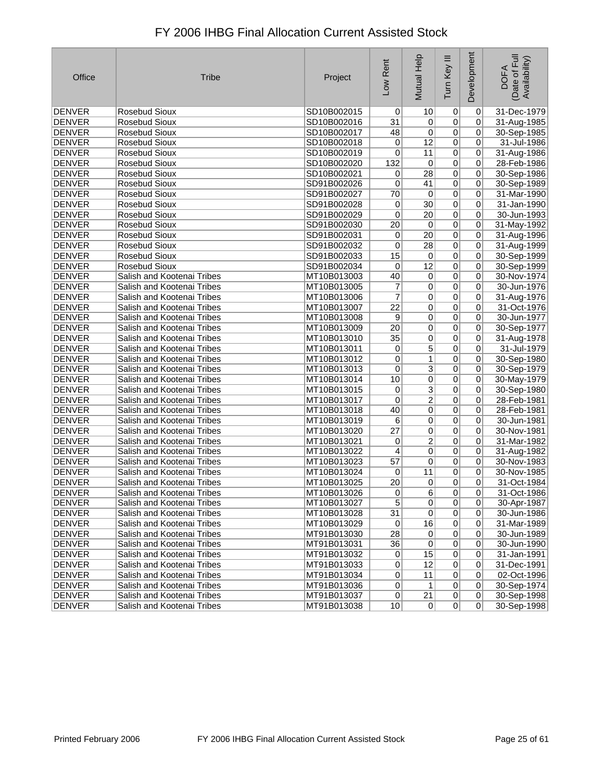| Office        | <b>Tribe</b>               | Project     | Low Rent        | Mutual Help     | Tum Key III    | Development     | Date of Full<br>Availability)<br><b>DOFA</b> |
|---------------|----------------------------|-------------|-----------------|-----------------|----------------|-----------------|----------------------------------------------|
| <b>DENVER</b> | <b>Rosebud Sioux</b>       | SD10B002015 | $\Omega$        | 10              | 0              | $\mathbf 0$     | 31-Dec-1979                                  |
| <b>DENVER</b> | <b>Rosebud Sioux</b>       | SD10B002016 | 31              | $\overline{0}$  | $\overline{0}$ | 0               | 31-Aug-1985                                  |
| <b>DENVER</b> | <b>Rosebud Sioux</b>       | SD10B002017 | 48              | 0               | $\overline{0}$ | 0               | 30-Sep-1985                                  |
| <b>DENVER</b> | <b>Rosebud Sioux</b>       | SD10B002018 | 0               | 12              | $\overline{0}$ | $\pmb{0}$       | 31-Jul-1986                                  |
| <b>DENVER</b> | Rosebud Sioux              | SD10B002019 | 0               | 11              | $\overline{0}$ | $\pmb{0}$       | 31-Aug-1986                                  |
| <b>DENVER</b> | Rosebud Sioux              | SD10B002020 | 132             | 0               | $\overline{0}$ | 0               | 28-Feb-1986                                  |
| <b>DENVER</b> | <b>Rosebud Sioux</b>       | SD10B002021 | 0               | 28              | $\overline{0}$ | 0               | 30-Sep-1986                                  |
| <b>DENVER</b> | <b>Rosebud Sioux</b>       | SD91B002026 | 0               | 41              | $\overline{0}$ | 0               | 30-Sep-1989                                  |
| <b>DENVER</b> | <b>Rosebud Sioux</b>       | SD91B002027 | 70              | 0               | $\overline{0}$ | $\pmb{0}$       | 31-Mar-1990                                  |
| <b>DENVER</b> | Rosebud Sioux              | SD91B002028 | 0               | 30              | $\overline{0}$ | 0               | 31-Jan-1990                                  |
| <b>DENVER</b> | <b>Rosebud Sioux</b>       | SD91B002029 | 0               | 20 <sup>2</sup> | $\overline{0}$ | $\overline{0}$  | 30-Jun-1993                                  |
| <b>DENVER</b> | Rosebud Sioux              | SD91B002030 | 20              | 0               | $\overline{0}$ | $\pmb{0}$       | 31-May-1992                                  |
| <b>DENVER</b> | <b>Rosebud Sioux</b>       | SD91B002031 | 0               | $\overline{20}$ | $\overline{0}$ | $\pmb{0}$       | 31-Aug-1996                                  |
| <b>DENVER</b> | Rosebud Sioux              | SD91B002032 | 0               | 28              | $\overline{0}$ | 0               | 31-Aug-1999                                  |
| <b>DENVER</b> | <b>Rosebud Sioux</b>       | SD91B002033 | 15              | 0               | $\overline{0}$ | $\pmb{0}$       | 30-Sep-1999                                  |
| <b>DENVER</b> | <b>Rosebud Sioux</b>       | SD91B002034 | 0               | $\overline{12}$ | $\overline{0}$ | 0               | 30-Sep-1999                                  |
| <b>DENVER</b> | Salish and Kootenai Tribes | MT10B013003 | 40              | $\overline{0}$  | $\overline{0}$ | 0               | 30-Nov-1974                                  |
| <b>DENVER</b> | Salish and Kootenai Tribes | MT10B013005 | 7               | 0               | $\overline{0}$ | 0               | 30-Jun-1976                                  |
| <b>DENVER</b> | Salish and Kootenai Tribes | MT10B013006 | 7               | $\overline{0}$  | $\overline{0}$ | $\overline{0}$  | 31-Aug-1976                                  |
| <b>DENVER</b> | Salish and Kootenai Tribes | MT10B013007 | $\overline{22}$ | 0               | $\overline{0}$ | $\pmb{0}$       | 31-Oct-1976                                  |
| <b>DENVER</b> | Salish and Kootenai Tribes | MT10B013008 | 9               | 0               | $\overline{0}$ | 0               | 30-Jun-1977                                  |
| <b>DENVER</b> | Salish and Kootenai Tribes | MT10B013009 | 20              | 0               | $\overline{0}$ | 0               | 30-Sep-1977                                  |
| <b>DENVER</b> | Salish and Kootenai Tribes | MT10B013010 | 35              | 0               | $\overline{0}$ | $\overline{0}$  | 31-Aug-1978                                  |
| <b>DENVER</b> | Salish and Kootenai Tribes | MT10B013011 | 0               | $\overline{5}$  | $\overline{0}$ | $\pmb{0}$       | 31-Jul-1979                                  |
| <b>DENVER</b> | Salish and Kootenai Tribes | MT10B013012 | 0               | 1               | $\overline{0}$ | 0               | 30-Sep-1980                                  |
| DENVER        | Salish and Kootenai Tribes | MT10B013013 | 0               | $\overline{3}$  | $\overline{0}$ | 0               | 30-Sep-1979                                  |
| <b>DENVER</b> | Salish and Kootenai Tribes | MT10B013014 | 10              | $\overline{0}$  | $\overline{0}$ | $\pmb{0}$       | 30-May-1979                                  |
| <b>DENVER</b> | Salish and Kootenai Tribes | MT10B013015 | 0               | $\overline{3}$  | $\overline{0}$ | $\pmb{0}$       | 30-Sep-1980                                  |
| <b>DENVER</b> | Salish and Kootenai Tribes | MT10B013017 | 0               | 2               | $\overline{0}$ | 0               | 28-Feb-1981                                  |
| <b>DENVER</b> | Salish and Kootenai Tribes | MT10B013018 | 40              | 0               | $\overline{0}$ | 0               | 28-Feb-1981                                  |
| <b>DENVER</b> | Salish and Kootenai Tribes | MT10B013019 | 6               | 0               | $\overline{0}$ | $\pmb{0}$       | 30-Jun-1981                                  |
| <b>DENVER</b> | Salish and Kootenai Tribes | MT10B013020 | $\overline{27}$ | 0               | $\overline{0}$ | $\pmb{0}$       | 30-Nov-1981                                  |
| <b>DENVER</b> | Salish and Kootenai Tribes | MT10B013021 | 0               | $\overline{2}$  | $\overline{0}$ | 0               | 31-Mar-1982                                  |
| DENVER        | Salish and Kootenai Tribes | MT10B013022 | $\overline{4}$  | 0               | $\overline{0}$ | $\pmb{0}$       | 31-Aug-1982                                  |
| <b>DENVER</b> | Salish and Kootenai Tribes | MT10B013023 | 57              | $\overline{0}$  | $\overline{0}$ | $\pmb{0}$       | 30-Nov-1983                                  |
| <b>DENVER</b> | Salish and Kootenai Tribes | MT10B013024 | 0               | 11              | $\overline{0}$ | 0               | 30-Nov-1985                                  |
| <b>DENVER</b> | Salish and Kootenai Tribes | MT10B013025 | 20              | 0               | 0              | 0               | 31-Oct-1984                                  |
| DENVER        | Salish and Kootenai Tribes | M110B013026 | $\mathsf{U}$    | 6               | $\mathsf{U}$   | $\mathsf{U}$    | 31-Oct-1986                                  |
| DENVER        | Salish and Kootenai Tribes | MT10B013027 | $\overline{5}$  | 0               | 0              | $\overline{0}$  | 30-Apr-1987                                  |
| DENVER        | Salish and Kootenai Tribes | MT10B013028 | 31              | $\overline{0}$  | 0              | $\vert 0 \vert$ | 30-Jun-1986                                  |
| DENVER        | Salish and Kootenai Tribes | MT10B013029 | $\overline{0}$  | 16              | 0              | 0               | 31-Mar-1989                                  |
| DENVER        | Salish and Kootenai Tribes | MT91B013030 | 28              | $\overline{0}$  | $\overline{0}$ | $\vert 0 \vert$ | 30-Jun-1989                                  |
| <b>DENVER</b> | Salish and Kootenai Tribes | MT91B013031 | 36              | $\overline{0}$  | $\overline{0}$ | $\pmb{0}$       | 30-Jun-1990                                  |
| DENVER        | Salish and Kootenai Tribes | MT91B013032 | $\overline{0}$  | 15              | $\overline{0}$ | $\vert 0 \vert$ | 31-Jan-1991                                  |
| DENVER        | Salish and Kootenai Tribes | MT91B013033 | $\overline{0}$  | 12              | 0              | 0               | 31-Dec-1991                                  |
| DENVER        | Salish and Kootenai Tribes | MT91B013034 | 0               | 11              | 0              | $\pmb{0}$       | 02-Oct-1996                                  |
| DENVER        | Salish and Kootenai Tribes | MT91B013036 | $\overline{0}$  | 1               | 0              | $\pmb{0}$       | 30-Sep-1974                                  |
| DENVER        | Salish and Kootenai Tribes | MT91B013037 | 0               | 21              | 0              | $\vert 0 \vert$ | 30-Sep-1998                                  |
| DENVER        | Salish and Kootenai Tribes | MT91B013038 | 10              | 0               | 0              | $\overline{0}$  | 30-Sep-1998                                  |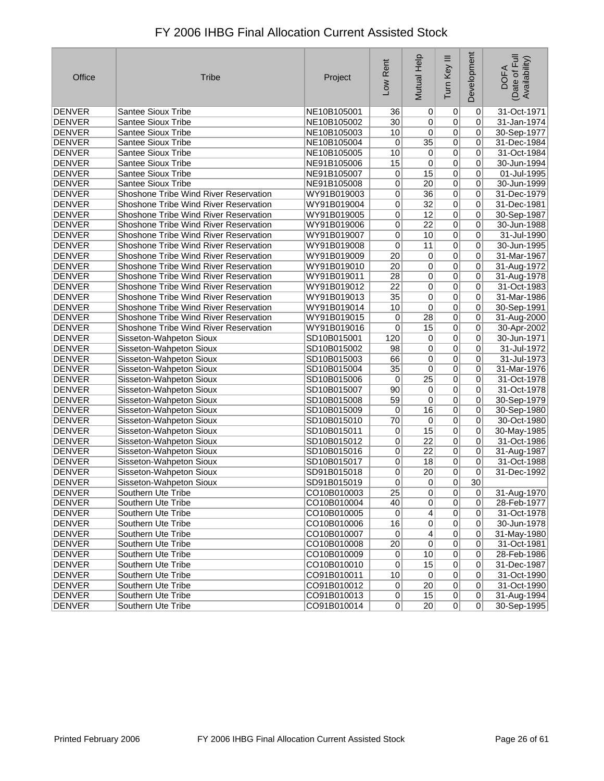| Office        | <b>Tribe</b>                          | Project     | Low Rent        | Mutual Help     | Tum Key III    | Development    | Date of Full<br>Availability)<br><b>DOFA</b> |
|---------------|---------------------------------------|-------------|-----------------|-----------------|----------------|----------------|----------------------------------------------|
| <b>DENVER</b> | Santee Sioux Tribe                    | NE10B105001 | 36              | 0               | 0              | 0              | 31-Oct-1971                                  |
| <b>DENVER</b> | Santee Sioux Tribe                    | NE10B105002 | 30              | 0               | $\overline{0}$ | 0              | 31-Jan-1974                                  |
| <b>DENVER</b> | Santee Sioux Tribe                    | NE10B105003 | 10              | $\overline{0}$  | 0              | 0              | 30-Sep-1977                                  |
| <b>DENVER</b> | <b>Santee Sioux Tribe</b>             | NE10B105004 | 0               | 35              | $\overline{0}$ | 0              | 31-Dec-1984                                  |
| <b>DENVER</b> | Santee Sioux Tribe                    | NE10B105005 | 10              | $\overline{0}$  | $\overline{0}$ | 0              | 31-Oct-1984                                  |
| <b>DENVER</b> | Santee Sioux Tribe                    | NE91B105006 | 15              | 0               | $\overline{0}$ | 0              | 30-Jun-1994                                  |
| <b>DENVER</b> | Santee Sioux Tribe                    | NE91B105007 | 0               | 15              | $\overline{0}$ | 0              | 01-Jul-1995                                  |
| <b>DENVER</b> | <b>Santee Sioux Tribe</b>             | NE91B105008 | 0               | $\overline{20}$ | $\overline{0}$ | 0              | 30-Jun-1999                                  |
| <b>DENVER</b> | Shoshone Tribe Wind River Reservation | WY91B019003 | 0               | 36              | $\overline{0}$ | 0              | 31-Dec-1979                                  |
| <b>DENVER</b> | Shoshone Tribe Wind River Reservation | WY91B019004 | $\mathbf 0$     | $\overline{32}$ | $\overline{0}$ | 0              | 31-Dec-1981                                  |
| <b>DENVER</b> | Shoshone Tribe Wind River Reservation | WY91B019005 | 0               | 12              | $\overline{0}$ | 0              | 30-Sep-1987                                  |
| <b>DENVER</b> | Shoshone Tribe Wind River Reservation | WY91B019006 | 0               | 22              | $\overline{0}$ | 0              | 30-Jun-1988                                  |
| <b>DENVER</b> | Shoshone Tribe Wind River Reservation | WY91B019007 | $\overline{0}$  | 10              | $\overline{0}$ | 0              | 31-Jul-1990                                  |
| <b>DENVER</b> | Shoshone Tribe Wind River Reservation | WY91B019008 | $\overline{0}$  | 11              | $\overline{0}$ | 0              | 30-Jun-1995                                  |
| <b>DENVER</b> | Shoshone Tribe Wind River Reservation | WY91B019009 | 20              | $\overline{0}$  | $\overline{0}$ | 0              | 31-Mar-1967                                  |
| <b>DENVER</b> | Shoshone Tribe Wind River Reservation | WY91B019010 | $\overline{20}$ | $\overline{0}$  | $\overline{0}$ | $\overline{0}$ | 31-Aug-1972                                  |
| <b>DENVER</b> | Shoshone Tribe Wind River Reservation | WY91B019011 | 28              | $\overline{0}$  | $\overline{0}$ | 0              | 31-Aug-1978                                  |
| <b>DENVER</b> | Shoshone Tribe Wind River Reservation | WY91B019012 | $\overline{22}$ | $\overline{0}$  | $\overline{0}$ | 0              | 31-Oct-1983                                  |
| <b>DENVER</b> | Shoshone Tribe Wind River Reservation | WY91B019013 | 35              | 0               | $\overline{0}$ | 0              | 31-Mar-1986                                  |
| <b>DENVER</b> | Shoshone Tribe Wind River Reservation | WY91B019014 | 10              | $\overline{0}$  | $\overline{0}$ | 0              | 30-Sep-1991                                  |
| <b>DENVER</b> | Shoshone Tribe Wind River Reservation | WY91B019015 | 0               | $\overline{28}$ | $\overline{0}$ | 0              | 31-Aug-2000                                  |
| <b>DENVER</b> | Shoshone Tribe Wind River Reservation | WY91B019016 | 0               | 15              | $\overline{0}$ | 0              | 30-Apr-2002                                  |
| <b>DENVER</b> | Sisseton-Wahpeton Sioux               | SD10B015001 | 120             | $\overline{0}$  | $\overline{0}$ | 0              | 30-Jun-1971                                  |
| <b>DENVER</b> | Sisseton-Wahpeton Sioux               | SD10B015002 | 98              | $\overline{0}$  | $\overline{0}$ | $\pmb{0}$      | 31-Jul-1972                                  |
| <b>DENVER</b> | Sisseton-Wahpeton Sioux               | SD10B015003 | 66              | 0               | $\overline{0}$ | $\pmb{0}$      | 31-Jul-1973                                  |
| <b>DENVER</b> | Sisseton-Wahpeton Sioux               | SD10B015004 | $\overline{35}$ | $\overline{0}$  | 0              | 0              | 31-Mar-1976                                  |
| <b>DENVER</b> | Sisseton-Wahpeton Sioux               | SD10B015006 | 0               | 25              | $\overline{0}$ | 0              | 31-Oct-1978                                  |
| <b>DENVER</b> | Sisseton-Wahpeton Sioux               | SD10B015007 | 90              | $\overline{0}$  | $\overline{0}$ | 0              | 31-Oct-1978                                  |
| <b>DENVER</b> | Sisseton-Wahpeton Sioux               | SD10B015008 | 59              | 0               | $\overline{0}$ | 0              | 30-Sep-1979                                  |
| <b>DENVER</b> | Sisseton-Wahpeton Sioux               | SD10B015009 | 0               | 16              | $\overline{0}$ | 0              | 30-Sep-1980                                  |
| <b>DENVER</b> | Sisseton-Wahpeton Sioux               | SD10B015010 | 70              | 0               | $\overline{0}$ | $\mathbf 0$    | 30-Oct-1980                                  |
| <b>DENVER</b> | Sisseton-Wahpeton Sioux               | SD10B015011 | 0               | 15              | $\overline{0}$ | $\overline{0}$ | 30-May-1985                                  |
| <b>DENVER</b> | Sisseton-Wahpeton Sioux               | SD10B015012 | $\overline{0}$  | $\overline{22}$ | $\overline{0}$ | $\pmb{0}$      | 31-Oct-1986                                  |
| <b>DENVER</b> | Sisseton-Wahpeton Sioux               | SD10B015016 | 0               | 22              | $\overline{0}$ | 0              | 31-Aug-1987                                  |
| <b>DENVER</b> | Sisseton-Wahpeton Sioux               | SD10B015017 | 0               | 18              | $\overline{0}$ | 0              | 31-Oct-1988                                  |
| <b>DENVER</b> | Sisseton-Wahpeton Sioux               | SD91B015018 | 0               | $\overline{20}$ | $\overline{0}$ | $\pmb{0}$      | 31-Dec-1992                                  |
| <b>DENVER</b> | Sisseton-Wahpeton Sioux               | SD91B015019 | 0               | $\overline{0}$  | $\overline{0}$ | 30             |                                              |
| <b>DENVER</b> | Southern Ute Tribe                    | CO10B010003 | $\overline{25}$ | 0               | 0              | 0              | 31-Aug-1970                                  |
| <b>DENVER</b> | Southern Ute Tribe                    | CO10B010004 | 40              | 0               | 0              | $\overline{0}$ | 28-Feb-1977                                  |
| <b>DENVER</b> | Southern Ute Tribe                    | CO10B010005 | $\overline{0}$  | $\overline{4}$  | $\overline{0}$ | 0              | 31-Oct-1978                                  |
| <b>DENVER</b> | Southern Ute Tribe                    | CO10B010006 | 16              | $\overline{0}$  | $\overline{0}$ | $\mathbf 0$    | 30-Jun-1978                                  |
| <b>DENVER</b> | Southern Ute Tribe                    | CO10B010007 | 0               | $\vert 4 \vert$ | 0              | 0              | 31-May-1980                                  |
| <b>DENVER</b> | Southern Ute Tribe                    | CO10B010008 | 20              | $\overline{0}$  | 0              | 0              | 31-Oct-1981                                  |
| <b>DENVER</b> | Southern Ute Tribe                    | CO10B010009 | $\overline{0}$  | 10              | $\overline{0}$ | 0              | 28-Feb-1986                                  |
| <b>DENVER</b> | Southern Ute Tribe                    | CO10B010010 | $\overline{0}$  | 15              | $\overline{0}$ | 0              | 31-Dec-1987                                  |
| DENVER        | Southern Ute Tribe                    | CO91B010011 | 10              | 0               | 0              | $\overline{0}$ | 31-Oct-1990                                  |

0 DENVER Southern Ute Tribe CO91B010012 0 20 0 31-Oct-1990<br>
DENVER Southern Ute Tribe CO91B010013 0 15 0 0 31-Aug-1994 0 15 0 0 31-Aug-1994<br>
DENVER Southern Ute Tribe CO91B010014 0 20 0 0 30-Sep-1995

DENVER Southern Ute Tribe CO91B010014 0 20 0 0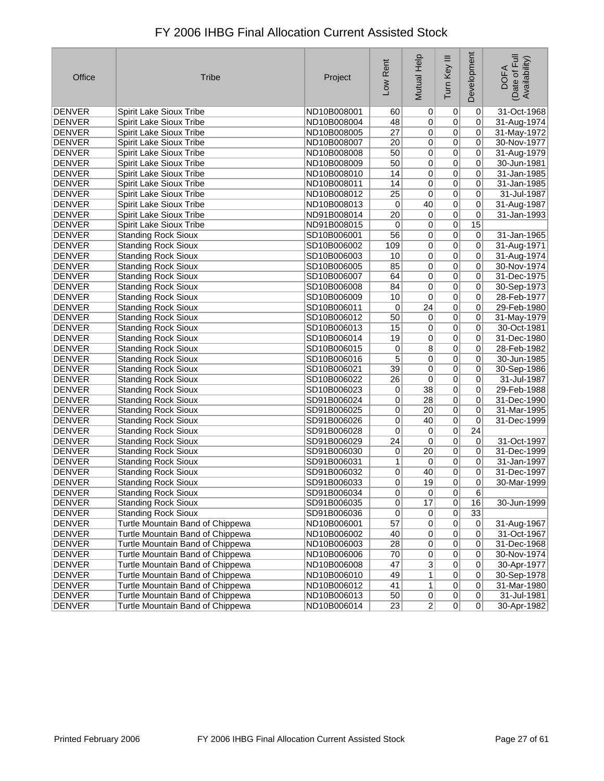| Office        | <b>Tribe</b>                     | Project     | Low Rent        | Mutual Help     | Ξ<br>Tum Key    | Development     | Date of Full<br>Availability)<br><b>DOFA</b> |
|---------------|----------------------------------|-------------|-----------------|-----------------|-----------------|-----------------|----------------------------------------------|
| <b>DENVER</b> | <b>Spirit Lake Sioux Tribe</b>   | ND10B008001 | 60              | 0               | 0               | $\mathbf 0$     | 31-Oct-1968                                  |
| <b>DENVER</b> | Spirit Lake Sioux Tribe          | ND10B008004 | 48              | 0               | $\overline{0}$  | 0               | 31-Aug-1974                                  |
| <b>DENVER</b> | Spirit Lake Sioux Tribe          | ND10B008005 | 27              | 0               | $\overline{0}$  | 0               | 31-May-1972                                  |
| DENVER        | Spirit Lake Sioux Tribe          | ND10B008007 | 20              | $\overline{0}$  | $\overline{0}$  | 0               | 30-Nov-1977                                  |
| <b>DENVER</b> | Spirit Lake Sioux Tribe          | ND10B008008 | 50              | 0               | $\overline{0}$  | 0               | 31-Aug-1979                                  |
| <b>DENVER</b> | Spirit Lake Sioux Tribe          | ND10B008009 | 50              | 0               | $\overline{0}$  | 0               | 30-Jun-1981                                  |
| <b>DENVER</b> | Spirit Lake Sioux Tribe          | ND10B008010 | 14              | 0               | $\overline{0}$  | 0               | 31-Jan-1985                                  |
| <b>DENVER</b> | Spirit Lake Sioux Tribe          | ND10B008011 | 14              | $\overline{0}$  | $\overline{0}$  | 0               | 31-Jan-1985                                  |
| <b>DENVER</b> | Spirit Lake Sioux Tribe          | ND10B008012 | $\overline{25}$ | 0               | $\overline{0}$  | 0               | 31-Jul-1987                                  |
| <b>DENVER</b> | Spirit Lake Sioux Tribe          | ND10B008013 | 0               | 40              | $\overline{0}$  | 0               | 31-Aug-1987                                  |
| <b>DENVER</b> | Spirit Lake Sioux Tribe          | ND91B008014 | 20              | 0               | $\overline{0}$  | 0               | 31-Jan-1993                                  |
| <b>DENVER</b> | Spirit Lake Sioux Tribe          | ND91B008015 | 0               | $\overline{0}$  | $\overline{0}$  | 15              |                                              |
| <b>DENVER</b> | <b>Standing Rock Sioux</b>       | SD10B006001 | $\overline{56}$ | 0               | $\overline{0}$  | 0               | 31-Jan-1965                                  |
| <b>DENVER</b> | <b>Standing Rock Sioux</b>       | SD10B006002 | 109             | $\overline{0}$  | $\overline{0}$  | 0               | 31-Aug-1971                                  |
| <b>DENVER</b> | <b>Standing Rock Sioux</b>       | SD10B006003 | 10              | $\overline{0}$  | $\overline{0}$  | 0               | 31-Aug-1974                                  |
| <b>DENVER</b> | <b>Standing Rock Sioux</b>       | SD10B006005 | 85              | $\overline{0}$  | $\overline{0}$  | 0               | 30-Nov-1974                                  |
| <b>DENVER</b> | <b>Standing Rock Sioux</b>       | SD10B006007 | 64              | 0               | $\overline{0}$  | 0               | 31-Dec-1975                                  |
| <b>DENVER</b> | <b>Standing Rock Sioux</b>       | SD10B006008 | 84              | $\pmb{0}$       | $\overline{0}$  | 0               | 30-Sep-1973                                  |
| <b>DENVER</b> | <b>Standing Rock Sioux</b>       | SD10B006009 | 10              | 0               | $\overline{0}$  | 0               | 28-Feb-1977                                  |
| <b>DENVER</b> | <b>Standing Rock Sioux</b>       | SD10B006011 | 0               | $\overline{24}$ | $\overline{0}$  | 0               | 29-Feb-1980                                  |
| <b>DENVER</b> | <b>Standing Rock Sioux</b>       | SD10B006012 | 50              | 0               | $\overline{0}$  | 0               | 31-May-1979                                  |
| <b>DENVER</b> | <b>Standing Rock Sioux</b>       | SD10B006013 | 15              | 0               | $\overline{0}$  | 0               | 30-Oct-1981                                  |
| DENVER        | <b>Standing Rock Sioux</b>       | SD10B006014 | 19              | $\overline{0}$  | $\overline{0}$  | $\overline{0}$  | 31-Dec-1980                                  |
| <b>DENVER</b> | <b>Standing Rock Sioux</b>       | SD10B006015 | $\mathbf 0$     | $\overline{8}$  | $\overline{0}$  | 0               | 28-Feb-1982                                  |
| <b>DENVER</b> | <b>Standing Rock Sioux</b>       | SD10B006016 | 5               | 0               | $\overline{0}$  | 0               | 30-Jun-1985                                  |
| DENVER        | <b>Standing Rock Sioux</b>       | SD10B006021 | 39              | 0               | $\overline{0}$  | 0               | 30-Sep-1986                                  |
| DENVER        | <b>Standing Rock Sioux</b>       | SD10B006022 | 26              | 0               | $\overline{0}$  | 0               | 31-Jul-1987                                  |
| <b>DENVER</b> | <b>Standing Rock Sioux</b>       | SD10B006023 | 0               | $\overline{38}$ | $\overline{0}$  | 0               | 29-Feb-1988                                  |
| <b>DENVER</b> | <b>Standing Rock Sioux</b>       | SD91B006024 | 0               | 28              | $\overline{0}$  | 0               | 31-Dec-1990                                  |
| <b>DENVER</b> | <b>Standing Rock Sioux</b>       | SD91B006025 | 0               | 20              | $\overline{0}$  | 0               | 31-Mar-1995                                  |
| <b>DENVER</b> | <b>Standing Rock Sioux</b>       | SD91B006026 | $\pmb{0}$       | 40              | $\overline{0}$  | 0               | 31-Dec-1999                                  |
| <b>DENVER</b> | <b>Standing Rock Sioux</b>       | SD91B006028 | 0               | 0               | $\overline{0}$  | $\overline{24}$ |                                              |
| <b>DENVER</b> | <b>Standing Rock Sioux</b>       | SD91B006029 | $\overline{24}$ | $\overline{0}$  | $\overline{0}$  | 0               | 31-Oct-1997                                  |
| <b>DENVER</b> | <b>Standing Rock Sioux</b>       | SD91B006030 | 0               | $\overline{20}$ | $\overline{0}$  | 0               | 31-Dec-1999                                  |
| <b>DENVER</b> | <b>Standing Rock Sioux</b>       | SD91B006031 | 1               | $\overline{0}$  | $\overline{0}$  | 0               | 31-Jan-1997                                  |
| <b>DENVER</b> | <b>Standing Rock Sioux</b>       | SD91B006032 | $\pmb{0}$       | 40              | $\overline{0}$  | 0               | 31-Dec-1997                                  |
| <b>DENVER</b> | <b>Standing Rock Sioux</b>       | SD91B006033 | 0               | 19              | $\overline{0}$  | 0               | 30-Mar-1999                                  |
| DENVER        | Standing Rock Sioux              | SD91B006034 | 0               | 0               | $\vert 0 \vert$ | 6               |                                              |
| <b>DENVER</b> | <b>Standing Rock Sioux</b>       | SD91B006035 | $\overline{0}$  | $\overline{17}$ | $\overline{0}$  | 16              | 30-Jun-1999                                  |
| DENVER        | <b>Standing Rock Sioux</b>       | SD91B006036 | 0               | $\pmb{0}$       | $\overline{0}$  | 33              |                                              |
| DENVER        | Turtle Mountain Band of Chippewa | ND10B006001 | 57              | $\pmb{0}$       | $\overline{0}$  | 0               | 31-Aug-1967                                  |
| DENVER        | Turtle Mountain Band of Chippewa | ND10B006002 | 40              | $\overline{0}$  | $\overline{0}$  | 0               | 31-Oct-1967                                  |
| DENVER        | Turtle Mountain Band of Chippewa | ND10B006003 | 28              | $\overline{0}$  | $\overline{0}$  | 0               | 31-Dec-1968                                  |
| DENVER        | Turtle Mountain Band of Chippewa | ND10B006006 | 70              | $\overline{0}$  | $\overline{0}$  | 0               | 30-Nov-1974                                  |
| <b>DENVER</b> | Turtle Mountain Band of Chippewa | ND10B006008 | 47              | $\overline{3}$  | $\overline{0}$  | 0               | 30-Apr-1977                                  |
| DENVER        | Turtle Mountain Band of Chippewa | ND10B006010 | 49              | $\overline{1}$  | $\overline{0}$  | 0               | 30-Sep-1978                                  |
| DENVER        | Turtle Mountain Band of Chippewa | ND10B006012 | 41              | $\overline{1}$  | $\overline{0}$  | 0               | 31-Mar-1980                                  |
| DENVER        | Turtle Mountain Band of Chippewa | ND10B006013 | 50              | $\overline{0}$  | $\overline{0}$  | $\overline{0}$  | 31-Jul-1981                                  |
| <b>DENVER</b> | Turtle Mountain Band of Chippewa | ND10B006014 | 23              | $\overline{2}$  | 0               | $\overline{0}$  | 30-Apr-1982                                  |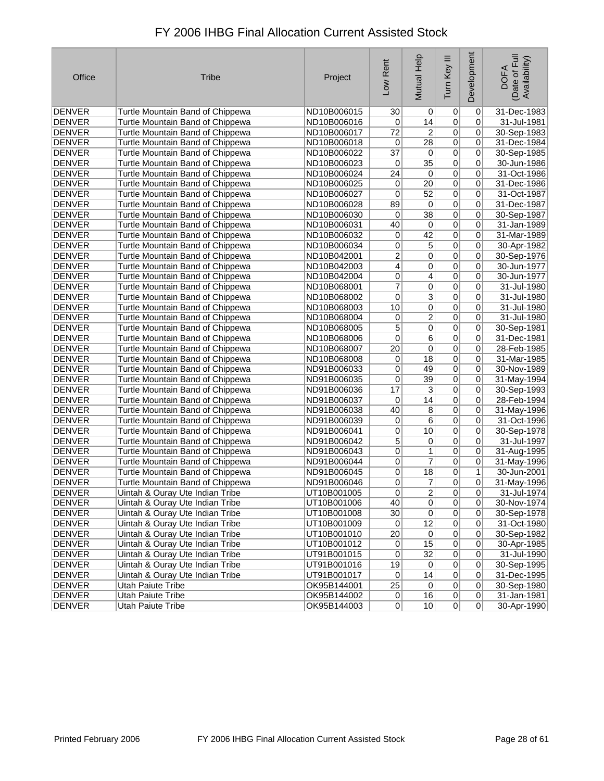| Office        | <b>Tribe</b>                     | Project     | Low Rent        | Mutual Help     | Tum Key III    | Development    | Date of Full<br>Availability)<br><b>DOFA</b> |
|---------------|----------------------------------|-------------|-----------------|-----------------|----------------|----------------|----------------------------------------------|
| <b>DENVER</b> | Turtle Mountain Band of Chippewa | ND10B006015 | 30              | 0               | 0              | 0              | 31-Dec-1983                                  |
| <b>DENVER</b> | Turtle Mountain Band of Chippewa | ND10B006016 | 0               | 14              | $\overline{0}$ | 0              | 31-Jul-1981                                  |
| <b>DENVER</b> | Turtle Mountain Band of Chippewa | ND10B006017 | 72              | 2               | $\pmb{0}$      | 0              | 30-Sep-1983                                  |
| <b>DENVER</b> | Turtle Mountain Band of Chippewa | ND10B006018 | 0               | $\overline{28}$ | $\overline{0}$ | 0              | 31-Dec-1984                                  |
| <b>DENVER</b> | Turtle Mountain Band of Chippewa | ND10B006022 | $\overline{37}$ | 0               | $\overline{0}$ | 0              | 30-Sep-1985                                  |
| <b>DENVER</b> | Turtle Mountain Band of Chippewa | ND10B006023 | 0               | $\overline{35}$ | $\overline{0}$ | 0              | 30-Jun-1986                                  |
| <b>DENVER</b> | Turtle Mountain Band of Chippewa | ND10B006024 | $\overline{24}$ | 0               | $\overline{0}$ | 0              | 31-Oct-1986                                  |
| <b>DENVER</b> | Turtle Mountain Band of Chippewa | ND10B006025 | 0               | $\overline{20}$ | $\overline{0}$ | $\overline{0}$ | 31-Dec-1986                                  |
| <b>DENVER</b> | Turtle Mountain Band of Chippewa | ND10B006027 | 0               | $\overline{52}$ | $\overline{0}$ | 0              | 31-Oct-1987                                  |
| <b>DENVER</b> | Turtle Mountain Band of Chippewa | ND10B006028 | 89              | $\overline{0}$  | $\overline{0}$ | 0              | 31-Dec-1987                                  |
| <b>DENVER</b> | Turtle Mountain Band of Chippewa | ND10B006030 | 0               | $\overline{38}$ | $\overline{0}$ | 0              | 30-Sep-1987                                  |
| <b>DENVER</b> | Turtle Mountain Band of Chippewa | ND10B006031 | 40              | $\overline{0}$  | $\overline{0}$ | 0              | 31-Jan-1989                                  |
| <b>DENVER</b> | Turtle Mountain Band of Chippewa | ND10B006032 | $\overline{0}$  | $\overline{42}$ | 0              | 0              | 31-Mar-1989                                  |
| <b>DENVER</b> | Turtle Mountain Band of Chippewa | ND10B006034 | 0               | 5               | 0              | 0              | 30-Apr-1982                                  |
| <b>DENVER</b> | Turtle Mountain Band of Chippewa | ND10B042001 | $\overline{2}$  | $\overline{0}$  | $\overline{0}$ | 0              | 30-Sep-1976                                  |
| <b>DENVER</b> | Turtle Mountain Band of Chippewa | ND10B042003 | $\overline{4}$  | 0               | $\overline{0}$ | 0              | 30-Jun-1977                                  |
| <b>DENVER</b> | Turtle Mountain Band of Chippewa | ND10B042004 | 0               | 4               | $\overline{0}$ | 0              | 30-Jun-1977                                  |
| <b>DENVER</b> | Turtle Mountain Band of Chippewa | ND10B068001 | 7               | 0               | $\overline{0}$ | 0              | 31-Jul-1980                                  |
| <b>DENVER</b> | Turtle Mountain Band of Chippewa | ND10B068002 | 0               | $\overline{3}$  | $\overline{0}$ | 0              | 31-Jul-1980                                  |
| <b>DENVER</b> | Turtle Mountain Band of Chippewa | ND10B068003 | 10              | $\overline{0}$  | $\overline{0}$ | 0              | 31-Jul-1980                                  |
| <b>DENVER</b> | Turtle Mountain Band of Chippewa | ND10B068004 | 0               | $\overline{2}$  | $\overline{0}$ | 0              | 31-Jul-1980                                  |
| <b>DENVER</b> | Turtle Mountain Band of Chippewa | ND10B068005 | 5               | 0               | $\overline{0}$ | 0              | 30-Sep-1981                                  |
| <b>DENVER</b> | Turtle Mountain Band of Chippewa | ND10B068006 | 0               | $\overline{6}$  | $\overline{0}$ | 0              | 31-Dec-1981                                  |
| <b>DENVER</b> | Turtle Mountain Band of Chippewa | ND10B068007 | $\overline{20}$ | $\overline{0}$  | $\overline{0}$ | 0              | 28-Feb-1985                                  |
| <b>DENVER</b> | Turtle Mountain Band of Chippewa | ND10B068008 | $\mathbf 0$     | $\overline{18}$ | $\overline{0}$ | 0              | 31-Mar-1985                                  |
| <b>DENVER</b> | Turtle Mountain Band of Chippewa | ND91B006033 | 0               | 49              | $\overline{0}$ | 0              | 30-Nov-1989                                  |
| <b>DENVER</b> | Turtle Mountain Band of Chippewa | ND91B006035 | 0               | $\overline{39}$ | $\overline{0}$ | 0              | 31-May-1994                                  |
| <b>DENVER</b> | Turtle Mountain Band of Chippewa | ND91B006036 | 17              | $\overline{3}$  | $\overline{0}$ | 0              | 30-Sep-1993                                  |
| <b>DENVER</b> | Turtle Mountain Band of Chippewa | ND91B006037 | 0               | 14              | $\overline{0}$ | 0              | 28-Feb-1994                                  |
| <b>DENVER</b> | Turtle Mountain Band of Chippewa | ND91B006038 | 40              | $\overline{8}$  | $\pmb{0}$      | 0              | 31-May-1996                                  |
| <b>DENVER</b> | Turtle Mountain Band of Chippewa | ND91B006039 | 0               | 6               | $\overline{0}$ | 0              | 31-Oct-1996                                  |
| <b>DENVER</b> | Turtle Mountain Band of Chippewa | ND91B006041 | $\overline{0}$  | 10              | $\overline{0}$ | 0              | 30-Sep-1978                                  |
| <b>DENVER</b> | Turtle Mountain Band of Chippewa | ND91B006042 | 5               | $\overline{0}$  | $\overline{0}$ | 0              | 31-Jul-1997                                  |
| <b>DENVER</b> | Turtle Mountain Band of Chippewa | ND91B006043 | 0               | 1               | 0              | 0              | 31-Aug-1995                                  |
| <b>DENVER</b> | Turtle Mountain Band of Chippewa | ND91B006044 | 0               | $\overline{7}$  | $\overline{0}$ | 0              | 31-May-1996                                  |
| <b>DENVER</b> | Turtle Mountain Band of Chippewa | ND91B006045 | 0               | $\overline{18}$ | 0              | $\mathbf{1}$   | 30-Jun-2001                                  |
| <b>DENVER</b> | Turtle Mountain Band of Chippewa | ND91B006046 | 0               | 7               | 0              | 0              | 31-May-1996                                  |
| DENVER        | Uintah & Ouray Ute Indian Tribe  | UT10B001005 | $\vert 0 \vert$ | $\mathbf{2}$    | 0              | 0              | 31-Jul-1974                                  |
| DENVER        | Uintah & Ouray Ute Indian Tribe  | UT10B001006 | 40              | $\overline{0}$  | $\overline{0}$ | 0              | 30-Nov-1974                                  |
| DENVER        | Uintah & Ouray Ute Indian Tribe  | UT10B001008 | 30              | $\overline{0}$  | $\pmb{0}$      | 0              | 30-Sep-1978                                  |
| DENVER        | Uintah & Ouray Ute Indian Tribe  | UT10B001009 | 0               | 12              | $\pmb{0}$      | 0              | 31-Oct-1980                                  |
| DENVER        | Uintah & Ouray Ute Indian Tribe  | UT10B001010 | 20              | $\vert 0 \vert$ | $\pmb{0}$      | 0              | 30-Sep-1982                                  |
| <b>DENVER</b> | Uintah & Ouray Ute Indian Tribe  | UT10B001012 | 0               | 15              | $\overline{0}$ | 0              | 30-Apr-1985                                  |
| <b>DENVER</b> | Uintah & Ouray Ute Indian Tribe  | UT91B001015 | 0               | 32              | $\overline{0}$ | 0              | 31-Jul-1990                                  |
| DENVER        | Uintah & Ouray Ute Indian Tribe  | UT91B001016 | 19              | 0               | $\overline{0}$ | 0              | 30-Sep-1995                                  |
| DENVER        | Uintah & Ouray Ute Indian Tribe  | UT91B001017 | 0               | 14              | $\overline{0}$ | 0              | 31-Dec-1995                                  |
| <b>DENVER</b> | <b>Utah Paiute Tribe</b>         | OK95B144001 | 25              | 0               | $\overline{0}$ | 0              | 30-Sep-1980                                  |
| DENVER        | Utah Paiute Tribe                | OK95B144002 | $\overline{0}$  | 16              | $\overline{0}$ | 0              | 31-Jan-1981                                  |
| DENVER        | Utah Paiute Tribe                | OK95B144003 | 0               | 10              | 0              | $\Omega$       | 30-Apr-1990                                  |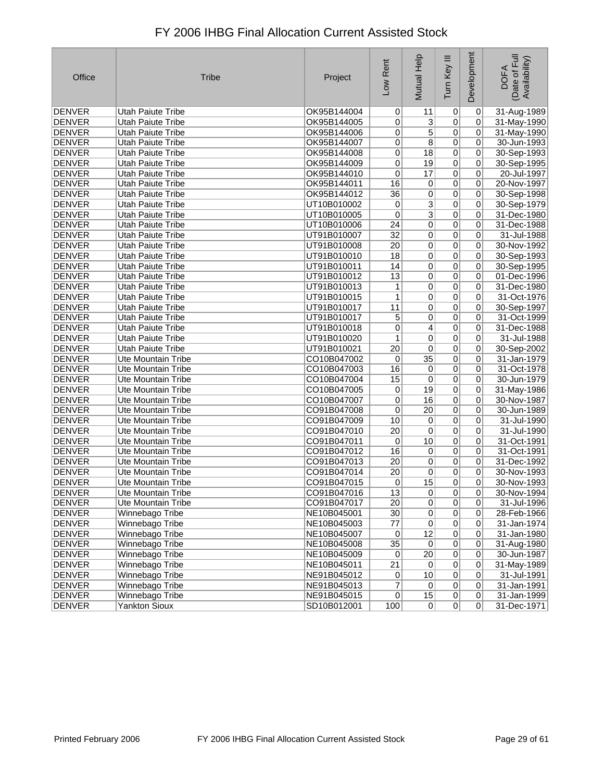| Office        | <b>Tribe</b>              | Project     | Low Rent         | Mutual Help     | Tum Key III    | Development    | Date of Full<br>Availability)<br><b>DOFA</b> |
|---------------|---------------------------|-------------|------------------|-----------------|----------------|----------------|----------------------------------------------|
| <b>DENVER</b> | <b>Utah Paiute Tribe</b>  | OK95B144004 | $\Omega$         | 11              | 0              | $\mathbf 0$    | 31-Aug-1989                                  |
| <b>DENVER</b> | <b>Utah Paiute Tribe</b>  | OK95B144005 | 0                | $\overline{3}$  | 0              | 0              | 31-May-1990                                  |
| DENVER        | <b>Utah Paiute Tribe</b>  | OK95B144006 | $\overline{0}$   | 5               | 0              | $\mathbf 0$    | 31-May-1990                                  |
| <b>DENVER</b> | Utah Paiute Tribe         | OK95B144007 | $\overline{0}$   | 8               | $\overline{0}$ | 0              | 30-Jun-1993                                  |
| <b>DENVER</b> | <b>Utah Paiute Tribe</b>  | OK95B144008 | 0                | 18              | $\overline{0}$ | 0              | 30-Sep-1993                                  |
| <b>DENVER</b> | <b>Utah Paiute Tribe</b>  | OK95B144009 | 0                | 19              | $\overline{0}$ | 0              | 30-Sep-1995                                  |
| <b>DENVER</b> | <b>Utah Paiute Tribe</b>  | OK95B144010 | 0                | 17              | $\overline{0}$ | 0              | 20-Jul-1997                                  |
| <b>DENVER</b> | <b>Utah Paiute Tribe</b>  | OK95B144011 | 16               | $\overline{0}$  | $\overline{0}$ | 0              | 20-Nov-1997                                  |
| <b>DENVER</b> | <b>Utah Paiute Tribe</b>  | OK95B144012 | 36               | $\overline{0}$  | $\overline{0}$ | 0              | 30-Sep-1998                                  |
| <b>DENVER</b> | Utah Paiute Tribe         | UT10B010002 | 0                | $\overline{3}$  | $\overline{0}$ | 0              | 30-Sep-1979                                  |
| <b>DENVER</b> | <b>Utah Paiute Tribe</b>  | UT10B010005 | 0                | $\overline{3}$  | $\overline{0}$ | 0              | 31-Dec-1980                                  |
| <b>DENVER</b> | <b>Utah Paiute Tribe</b>  | UT10B010006 | 24               | $\overline{0}$  | $\overline{0}$ | 0              | 31-Dec-1988                                  |
| <b>DENVER</b> | Utah Paiute Tribe         | UT91B010007 | $\overline{32}$  | 0               | $\overline{0}$ | 0              | 31-Jul-1988                                  |
| <b>DENVER</b> | Utah Paiute Tribe         | UT91B010008 | 20               | $\overline{0}$  | $\overline{0}$ | 0              | 30-Nov-1992                                  |
| <b>DENVER</b> | Utah Paiute Tribe         | UT91B010010 | 18               | $\overline{0}$  | $\overline{0}$ | 0              | 30-Sep-1993                                  |
| <b>DENVER</b> | <b>Utah Paiute Tribe</b>  | UT91B010011 | 14               | $\overline{0}$  | $\overline{0}$ | 0              | 30-Sep-1995                                  |
| <b>DENVER</b> | <b>Utah Paiute Tribe</b>  | UT91B010012 | 13               | $\overline{0}$  | $\overline{0}$ | 0              | 01-Dec-1996                                  |
| <b>DENVER</b> | Utah Paiute Tribe         | UT91B010013 | 1                | $\overline{0}$  | $\overline{0}$ | 0              | 31-Dec-1980                                  |
| <b>DENVER</b> | Utah Paiute Tribe         | UT91B010015 | 1                | $\overline{0}$  | $\overline{0}$ | 0              | 31-Oct-1976                                  |
| <b>DENVER</b> | <b>Utah Paiute Tribe</b>  | UT91B010017 | 11               | 0               | $\overline{0}$ | 0              | 30-Sep-1997                                  |
| <b>DENVER</b> | Utah Paiute Tribe         | UT91B010017 | 5                | $\overline{0}$  | 0              | $\mathbf 0$    | 31-Oct-1999                                  |
| <b>DENVER</b> | <b>Utah Paiute Tribe</b>  | UT91B010018 | 0                | 4               | 0              | 0              | 31-Dec-1988                                  |
| <b>DENVER</b> | Utah Paiute Tribe         | UT91B010020 | 1                | $\overline{0}$  | $\overline{0}$ | 0              | 31-Jul-1988                                  |
| <b>DENVER</b> | <b>Utah Paiute Tribe</b>  | UT91B010021 | $\overline{20}$  | 0               | $\overline{0}$ | 0              | 30-Sep-2002                                  |
| <b>DENVER</b> | <b>Ute Mountain Tribe</b> | CO10B047002 | 0                | $\overline{35}$ | 0              | 0              | 31-Jan-1979                                  |
| DENVER        | Ute Mountain Tribe        | CO10B047003 | 16               | 0               | 0              | 0              | 31-Oct-1978                                  |
| <b>DENVER</b> | Ute Mountain Tribe        | CO10B047004 | 15               | 0               | $\overline{0}$ | 0              | 30-Jun-1979                                  |
| <b>DENVER</b> | Ute Mountain Tribe        | CO10B047005 | 0                | 19              | $\overline{0}$ | 0              | 31-May-1986                                  |
| <b>DENVER</b> | <b>Ute Mountain Tribe</b> | CO10B047007 | 0                | 16              | $\overline{0}$ | 0              | 30-Nov-1987                                  |
| <b>DENVER</b> | Ute Mountain Tribe        | CO91B047008 | 0                | 20              | $\overline{0}$ | 0              | 30-Jun-1989                                  |
| <b>DENVER</b> | <b>Ute Mountain Tribe</b> | CO91B047009 | 10               | 0               | $\overline{0}$ | 0              | 31-Jul-1990                                  |
| <b>DENVER</b> | <b>Ute Mountain Tribe</b> | CO91B047010 | 20               | 0               | $\overline{0}$ | 0              | 31-Jul-1990                                  |
| <b>DENVER</b> | Ute Mountain Tribe        | CO91B047011 | 0                | 10              | $\overline{0}$ | 0              | 31-Oct-1991                                  |
| <b>DENVER</b> | <b>Ute Mountain Tribe</b> | CO91B047012 | 16               | 0               | $\overline{0}$ | 0              | 31-Oct-1991                                  |
| <b>DENVER</b> | Ute Mountain Tribe        | CO91B047013 | $\overline{20}$  | 0               | 0              | 0              | 31-Dec-1992                                  |
| <b>DENVER</b> | <b>Ute Mountain Tribe</b> | CO91B047014 | 20               | 0               | 0              | 0              | 30-Nov-1993                                  |
| <b>DENVER</b> | Ute Mountain Tribe        | CO91B047015 | 0                | 15              | 0              | 0              | 30-Nov-1993                                  |
| DENVER        | Ute Mountain Tribe        | CO91B047016 | 13               | $\mathsf{U}$    | 0              | 0              | 30-Nov-1994                                  |
| <b>DENVER</b> | Ute Mountain Tribe        | CO91B047017 | 20               | 0               | $\overline{0}$ | 0              | 31-Jul-1996                                  |
| <b>DENVER</b> | Winnebago Tribe           | NE10B045001 | 30 <sup>°</sup>  | $\overline{0}$  | $\overline{0}$ | 0              | 28-Feb-1966                                  |
| <b>DENVER</b> | Winnebago Tribe           | NE10B045003 | 77               | $\overline{0}$  | $\overline{0}$ | 0              | 31-Jan-1974                                  |
| <b>DENVER</b> | Winnebago Tribe           | NE10B045007 | $\overline{0}$   | 12              | $\overline{0}$ | 0              | 31-Jan-1980                                  |
| <b>DENVER</b> | Winnebago Tribe           | NE10B045008 | 35               | 0               | $\overline{0}$ | 0              | 31-Aug-1980                                  |
| DENVER        | Winnebago Tribe           | NE10B045009 | $\overline{0}$   | $\overline{20}$ | $\overline{0}$ | $\mathbf 0$    | 30-Jun-1987                                  |
| DENVER        | Winnebago Tribe           | NE10B045011 | 21               | $\vert 0 \vert$ | $\overline{0}$ | 0              | 31-May-1989                                  |
| DENVER        | Winnebago Tribe           | NE91B045012 | 0                | 10              | 0              | $\mathbf 0$    | 31-Jul-1991                                  |
| <b>DENVER</b> | Winnebago Tribe           | NE91B045013 | $\overline{7}$   | $\vert 0 \vert$ | $\overline{0}$ | 0              | 31-Jan-1991                                  |
| DENVER        | Winnebago Tribe           | NE91B045015 | 0                | 15              | $\overline{0}$ | 0              | 31-Jan-1999                                  |
| DENVER        | <b>Yankton Sioux</b>      | SD10B012001 | $\overline{100}$ | 0               | 0              | $\overline{0}$ | 31-Dec-1971                                  |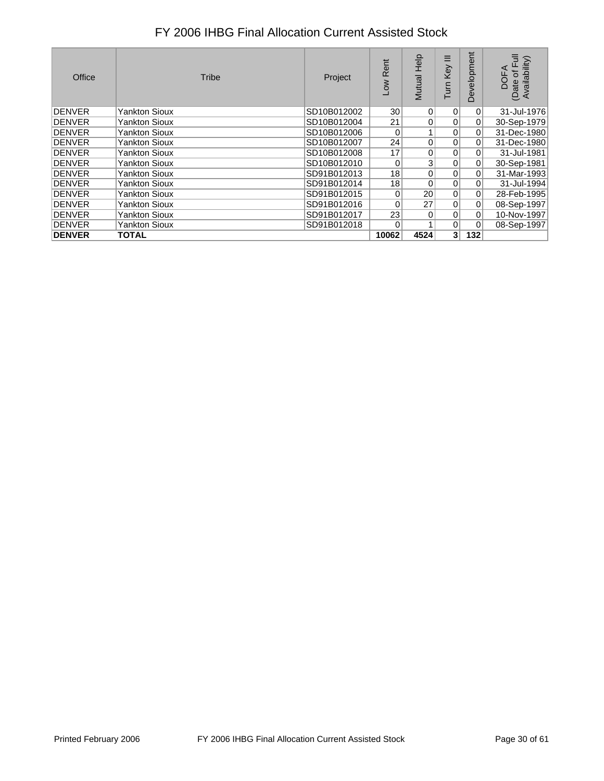| Office         | Tribe                | Project     | Rent<br><b>NOT</b> | Help<br>Mutual  | Ξ<br>Key<br><b>UIN</b> | evelopment<br>≏ | Ē<br>(Date of Full<br>Availability)<br>g |
|----------------|----------------------|-------------|--------------------|-----------------|------------------------|-----------------|------------------------------------------|
| <b>DENVER</b>  | <b>Yankton Sioux</b> | SD10B012002 | 30 <sup>1</sup>    | 0               | 0                      | 0               | 31-Jul-1976                              |
| <b>DENVER</b>  | <b>Yankton Sioux</b> | SD10B012004 | 21                 | 0               | 0                      | $\overline{0}$  | 30-Sep-1979                              |
| <b>DENVER</b>  | <b>Yankton Sioux</b> | SD10B012006 | 0                  |                 | $\Omega$               | 0               | 31-Dec-1980                              |
| <b>IDENVER</b> | <b>Yankton Sioux</b> | SD10B012007 | 24                 | 0               | 0                      | 0               | 31-Dec-1980                              |
| <b>IDENVER</b> | Yankton Sioux        | SD10B012008 | 17                 | 0               | 0                      | $\overline{0}$  | 31-Jul-1981                              |
| <b>DENVER</b>  | Yankton Sioux        | SD10B012010 | 0                  | 3               | $\Omega$               | 0               | 30-Sep-1981                              |
| <b>IDENVER</b> | Yankton Sioux        | SD91B012013 | 18                 | 0               | $\Omega$               | 0               | 31-Mar-1993                              |
| <b>DENVER</b>  | <b>Yankton Sioux</b> | SD91B012014 | 18                 | $\Omega$        | 0                      | $\overline{0}$  | 31-Jul-1994                              |
| <b>DENVER</b>  | Yankton Sioux        | SD91B012015 | $\overline{0}$     | 20 <sup>1</sup> | $\Omega$               | 0               | 28-Feb-1995                              |
| <b>DENVER</b>  | <b>Yankton Sioux</b> | SD91B012016 | $\overline{0}$     | 27              | $\Omega$               | 0               | 08-Sep-1997                              |
| <b>IDENVER</b> | <b>Yankton Sioux</b> | SD91B012017 | 23                 | $\Omega$        | $\Omega$               | 0               | 10-Nov-1997                              |
| <b>IDENVER</b> | <b>Yankton Sioux</b> | SD91B012018 | 0                  |                 | 0                      | 0               | 08-Sep-1997                              |
| <b>DENVER</b>  | TOTAL                |             | 10062              | 4524            | 3 <sup>1</sup>         | 132             |                                          |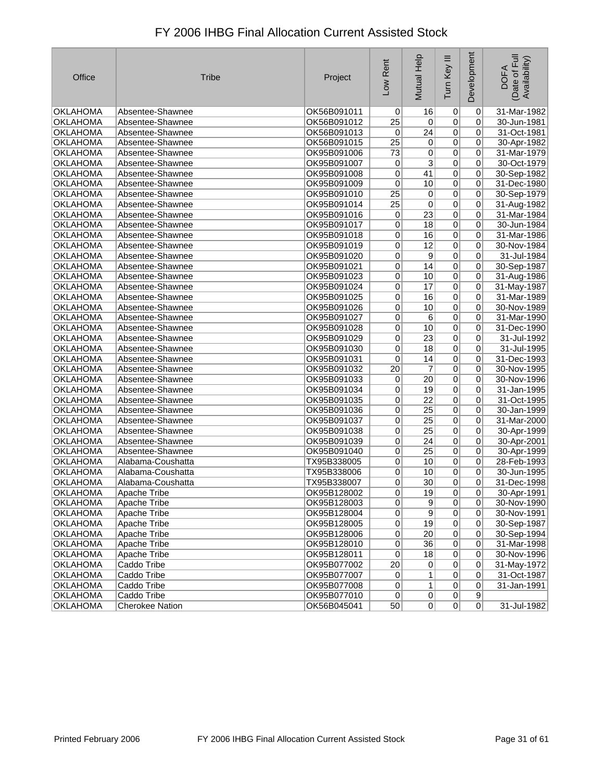| Office          | <b>Tribe</b>           | Project     | Low Rent        | Mutual Help     | Ξ<br>Tum Key    | Development    | Date of Full<br>Availability)<br><b>DOFA</b> |
|-----------------|------------------------|-------------|-----------------|-----------------|-----------------|----------------|----------------------------------------------|
| <b>OKLAHOMA</b> | Absentee-Shawnee       | OK56B091011 | 0               | 16              | 0               | $\pmb{0}$      | 31-Mar-1982                                  |
| <b>OKLAHOMA</b> | Absentee-Shawnee       | OK56B091012 | 25              | $\pmb{0}$       | $\overline{0}$  | 0              | 30-Jun-1981                                  |
| <b>OKLAHOMA</b> | Absentee-Shawnee       | OK56B091013 | 0               | 24              | $\overline{0}$  | 0              | 31-Oct-1981                                  |
| <b>OKLAHOMA</b> | Absentee-Shawnee       | OK56B091015 | $\overline{25}$ | $\overline{0}$  | $\overline{0}$  | 0              | 30-Apr-1982                                  |
| <b>OKLAHOMA</b> | Absentee-Shawnee       | OK95B091006 | 73              | 0               | $\overline{0}$  | 0              | 31-Mar-1979                                  |
| <b>OKLAHOMA</b> | Absentee-Shawnee       | OK95B091007 | $\overline{0}$  | 3               | $\overline{0}$  | 0              | 30-Oct-1979                                  |
| <b>OKLAHOMA</b> | Absentee-Shawnee       | OK95B091008 | 0               | 41              | $\overline{0}$  | 0              | 30-Sep-1982                                  |
| <b>OKLAHOMA</b> | Absentee-Shawnee       | OK95B091009 | 0               | 10              | $\overline{0}$  | $\overline{0}$ | 31-Dec-1980                                  |
| <b>OKLAHOMA</b> | Absentee-Shawnee       | OK95B091010 | $\overline{25}$ | 0               | $\overline{0}$  | 0              | 30-Sep-1979                                  |
| <b>OKLAHOMA</b> | Absentee-Shawnee       | OK95B091014 | 25              | 0               | $\overline{0}$  | 0              | 31-Aug-1982                                  |
| <b>OKLAHOMA</b> | Absentee-Shawnee       | OK95B091016 | 0               | 23              | $\overline{0}$  | 0              | 31-Mar-1984                                  |
| <b>OKLAHOMA</b> | Absentee-Shawnee       | OK95B091017 | $\pmb{0}$       | $\overline{18}$ | $\overline{0}$  | 0              | 30-Jun-1984                                  |
| <b>OKLAHOMA</b> | Absentee-Shawnee       | OK95B091018 | $\overline{0}$  | 16              | $\overline{0}$  | 0              | 31-Mar-1986                                  |
| <b>OKLAHOMA</b> | Absentee-Shawnee       | OK95B091019 | $\overline{0}$  | $\overline{12}$ | $\overline{0}$  | 0              | 30-Nov-1984                                  |
| <b>OKLAHOMA</b> | Absentee-Shawnee       | OK95B091020 | $\overline{0}$  | 9               | $\overline{0}$  | $\overline{0}$ | 31-Jul-1984                                  |
| <b>OKLAHOMA</b> | Absentee-Shawnee       | OK95B091021 | 0               | 14              | $\overline{0}$  | 0              | 30-Sep-1987                                  |
| <b>OKLAHOMA</b> | Absentee-Shawnee       | OK95B091023 | $\pmb{0}$       | 10              | $\overline{0}$  | 0              | 31-Aug-1986                                  |
| <b>OKLAHOMA</b> | Absentee-Shawnee       | OK95B091024 | $\overline{0}$  | 17              | $\overline{0}$  | 0              | 31-May-1987                                  |
| <b>OKLAHOMA</b> | Absentee-Shawnee       | OK95B091025 | $\pmb{0}$       | 16              | $\overline{0}$  | 0              | 31-Mar-1989                                  |
| <b>OKLAHOMA</b> | Absentee-Shawnee       | OK95B091026 | 0               | 10              | $\overline{0}$  | 0              | 30-Nov-1989                                  |
| <b>OKLAHOMA</b> | Absentee-Shawnee       | OK95B091027 | $\overline{0}$  | 6               | $\overline{0}$  | 0              | 31-Mar-1990                                  |
| <b>OKLAHOMA</b> | Absentee-Shawnee       | OK95B091028 | 0               | 10              | $\overline{0}$  | 0              | 31-Dec-1990                                  |
| <b>OKLAHOMA</b> | Absentee-Shawnee       | OK95B091029 | $\pmb{0}$       | $\overline{23}$ | $\overline{0}$  | 0              | 31-Jul-1992                                  |
| <b>OKLAHOMA</b> | Absentee-Shawnee       | OK95B091030 | 0               | 18              | $\overline{0}$  | 0              | 31-Jul-1995                                  |
| <b>OKLAHOMA</b> | Absentee-Shawnee       | OK95B091031 | 0               | 14              | $\overline{0}$  | 0              | 31-Dec-1993                                  |
| <b>OKLAHOMA</b> | Absentee-Shawnee       | OK95B091032 | $\overline{20}$ | 7               | $\overline{0}$  | 0              | 30-Nov-1995                                  |
| <b>OKLAHOMA</b> | Absentee-Shawnee       | OK95B091033 | 0               | $\overline{20}$ | $\overline{0}$  | 0              | 30-Nov-1996                                  |
| <b>OKLAHOMA</b> | Absentee-Shawnee       | OK95B091034 | 0               | 19              | $\overline{0}$  | 0              | 31-Jan-1995                                  |
| <b>OKLAHOMA</b> | Absentee-Shawnee       | OK95B091035 | $\overline{0}$  | $\overline{22}$ | 0               | 0              | 31-Oct-1995                                  |
| <b>OKLAHOMA</b> | Absentee-Shawnee       | OK95B091036 | 0               | 25              | $\overline{0}$  | 0              | 30-Jan-1999                                  |
| <b>OKLAHOMA</b> | Absentee-Shawnee       | OK95B091037 | $\overline{0}$  | $\overline{25}$ | $\overline{0}$  | $\overline{0}$ | 31-Mar-2000                                  |
| <b>OKLAHOMA</b> | Absentee-Shawnee       | OK95B091038 | 0               | $\overline{25}$ | $\overline{0}$  | 0              | 30-Apr-1999                                  |
| <b>OKLAHOMA</b> | Absentee-Shawnee       | OK95B091039 | $\vert 0 \vert$ | $\overline{24}$ | $\overline{0}$  | 0              | 30-Apr-2001                                  |
| OKLAHOMA        | Absentee-Shawnee       | OK95B091040 | 0               | 25              | $\overline{0}$  | 0              | 30-Apr-1999                                  |
| <b>OKLAHOMA</b> | Alabama-Coushatta      | TX95B338005 | $\overline{0}$  | 10              | $\overline{0}$  | 0              | 28-Feb-1993                                  |
| <b>OKLAHOMA</b> | Alabama-Coushatta      | TX95B338006 | 0               | 10              | $\overline{0}$  | 0              | 30-Jun-1995                                  |
| <b>OKLAHOMA</b> | Alabama-Coushatta      | TX95B338007 | 0               | 30              | 0               | 0              | 31-Dec-1998                                  |
| OKLAHOMA        | Apache Tribe           | OK95B128002 | 0               | 19              | $\sigma$        | 0              | 30-Apr-1991                                  |
| <b>OKLAHOMA</b> | Apache Tribe           | OK95B128003 | $\overline{0}$  | $\overline{9}$  | 0               | 0              | 30-Nov-1990                                  |
| <b>OKLAHOMA</b> | Apache Tribe           | OK95B128004 | $\overline{0}$  | $\overline{9}$  | 0               | 0              | 30-Nov-1991                                  |
| <b>OKLAHOMA</b> | Apache Tribe           | OK95B128005 | $\overline{0}$  | 19              | 0               | $\overline{0}$ | 30-Sep-1987                                  |
| OKLAHOMA        | Apache Tribe           | OK95B128006 | $\overline{0}$  | $\overline{20}$ | 0               | 0              | 30-Sep-1994                                  |
| <b>OKLAHOMA</b> | Apache Tribe           | OK95B128010 | 0               | $\overline{36}$ | $\overline{0}$  | 0              | 31-Mar-1998                                  |
| <b>OKLAHOMA</b> | Apache Tribe           | OK95B128011 | 0               | 18              | $\overline{0}$  | 0              | 30-Nov-1996                                  |
| <b>OKLAHOMA</b> | Caddo Tribe            | OK95B077002 | 20              | $\mathbf 0$     | $\vert 0 \vert$ | $\overline{0}$ | 31-May-1972                                  |
| OKLAHOMA        | Caddo Tribe            | OK95B077007 | $\vert 0 \vert$ | 1               | 0               | 0              | 31-Oct-1987                                  |
| <b>OKLAHOMA</b> | Caddo Tribe            | OK95B077008 | $\vert 0 \vert$ | $\mathbf{1}$    | 0               | 0              | 31-Jan-1991                                  |
| OKLAHOMA        | Caddo Tribe            | OK95B077010 | $\overline{0}$  | 0               | 0               | 9              |                                              |
| <b>OKLAHOMA</b> | <b>Cherokee Nation</b> | OK56B045041 | 50              | 0               | 0               | 0              | 31-Jul-1982                                  |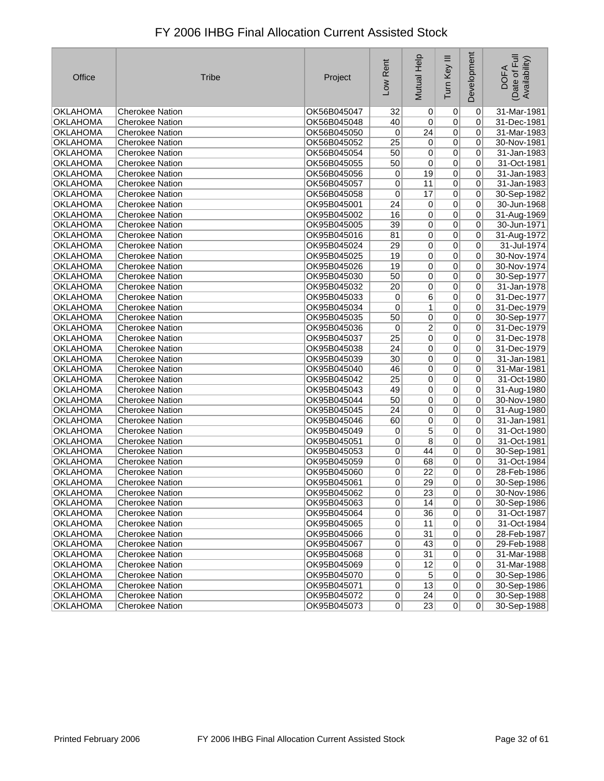| Office          | <b>Tribe</b>           | Project     | Low Rent        | Mutual Help     | Tum Key III    | Development     | Date of Full<br>Availability)<br><b>DOFA</b> |
|-----------------|------------------------|-------------|-----------------|-----------------|----------------|-----------------|----------------------------------------------|
| <b>OKLAHOMA</b> | <b>Cherokee Nation</b> | OK56B045047 | 32              | 0               | 0              | 0               | 31-Mar-1981                                  |
| <b>OKLAHOMA</b> | <b>Cherokee Nation</b> | OK56B045048 | 40              | $\pmb{0}$       | $\overline{0}$ | 0               | 31-Dec-1981                                  |
| <b>OKLAHOMA</b> | <b>Cherokee Nation</b> | OK56B045050 | 0               | 24              | $\overline{0}$ | 0               | 31-Mar-1983                                  |
| <b>OKLAHOMA</b> | <b>Cherokee Nation</b> | OK56B045052 | $\overline{25}$ | $\overline{0}$  | $\overline{0}$ | 0               | 30-Nov-1981                                  |
| <b>OKLAHOMA</b> | <b>Cherokee Nation</b> | OK56B045054 | 50              | 0               | $\overline{0}$ | 0               | 31-Jan-1983                                  |
| <b>OKLAHOMA</b> | <b>Cherokee Nation</b> | OK56B045055 | 50              | 0               | $\overline{0}$ | 0               | 31-Oct-1981                                  |
| <b>OKLAHOMA</b> | <b>Cherokee Nation</b> | OK56B045056 | 0               | 19              | $\overline{0}$ | 0               | 31-Jan-1983                                  |
| <b>OKLAHOMA</b> | <b>Cherokee Nation</b> | OK56B045057 | 0               | 11              | $\overline{0}$ | 0               | 31-Jan-1983                                  |
| <b>OKLAHOMA</b> | <b>Cherokee Nation</b> | OK56B045058 | $\mathbf 0$     | 17              | $\overline{0}$ | 0               | 30-Sep-1982                                  |
| <b>OKLAHOMA</b> | <b>Cherokee Nation</b> | OK95B045001 | 24              | 0               | $\overline{0}$ | 0               | 30-Jun-1968                                  |
| <b>OKLAHOMA</b> | <b>Cherokee Nation</b> | OK95B045002 | 16              | $\pmb{0}$       | $\overline{0}$ | 0               | 31-Aug-1969                                  |
| <b>OKLAHOMA</b> | <b>Cherokee Nation</b> | OK95B045005 | $\overline{39}$ | $\overline{0}$  | $\overline{0}$ | 0               | 30-Jun-1971                                  |
| <b>OKLAHOMA</b> | <b>Cherokee Nation</b> | OK95B045016 | 81              | $\pmb{0}$       | $\overline{0}$ | 0               | 31-Aug-1972                                  |
| <b>OKLAHOMA</b> | <b>Cherokee Nation</b> | OK95B045024 | 29              | $\pmb{0}$       | $\overline{0}$ | 0               | 31-Jul-1974                                  |
| <b>OKLAHOMA</b> | <b>Cherokee Nation</b> | OK95B045025 | 19              | $\overline{0}$  | $\overline{0}$ | 0               | 30-Nov-1974                                  |
| <b>OKLAHOMA</b> | <b>Cherokee Nation</b> | OK95B045026 | 19              | $\overline{0}$  | $\overline{0}$ | 0               | 30-Nov-1974                                  |
| <b>OKLAHOMA</b> | <b>Cherokee Nation</b> | OK95B045030 | 50              | $\pmb{0}$       | $\overline{0}$ | 0               | 30-Sep-1977                                  |
| <b>OKLAHOMA</b> | <b>Cherokee Nation</b> | OK95B045032 | 20              | $\pmb{0}$       | $\overline{0}$ | 0               | 31-Jan-1978                                  |
| <b>OKLAHOMA</b> | <b>Cherokee Nation</b> | OK95B045033 | 0               | $\overline{6}$  | $\overline{0}$ | 0               | 31-Dec-1977                                  |
| <b>OKLAHOMA</b> | <b>Cherokee Nation</b> | OK95B045034 | $\mathbf 0$     | 1               | $\overline{0}$ | 0               | 31-Dec-1979                                  |
| <b>OKLAHOMA</b> | <b>Cherokee Nation</b> | OK95B045035 | 50              | $\pmb{0}$       | $\overline{0}$ | 0               | 30-Sep-1977                                  |
| <b>OKLAHOMA</b> | <b>Cherokee Nation</b> | OK95B045036 | 0               | 2               | $\overline{0}$ | 0               | 31-Dec-1979                                  |
| <b>OKLAHOMA</b> | <b>Cherokee Nation</b> | OK95B045037 | 25              | $\overline{0}$  | $\overline{0}$ | 0               | 31-Dec-1978                                  |
| <b>OKLAHOMA</b> | <b>Cherokee Nation</b> | OK95B045038 | 24              | $\mathbf 0$     | $\overline{0}$ | 0               | 31-Dec-1979                                  |
| <b>OKLAHOMA</b> | <b>Cherokee Nation</b> | OK95B045039 | 30              | $\pmb{0}$       | $\overline{0}$ | 0               | 31-Jan-1981                                  |
| <b>OKLAHOMA</b> | <b>Cherokee Nation</b> | OK95B045040 | 46              | $\pmb{0}$       | $\overline{0}$ | 0               | 31-Mar-1981                                  |
| <b>OKLAHOMA</b> | <b>Cherokee Nation</b> | OK95B045042 | $\overline{25}$ | $\overline{0}$  | $\overline{0}$ | 0               | 31-Oct-1980                                  |
| <b>OKLAHOMA</b> | <b>Cherokee Nation</b> | OK95B045043 | 49              | $\overline{0}$  | $\overline{0}$ | 0               | 31-Aug-1980                                  |
| <b>OKLAHOMA</b> | <b>Cherokee Nation</b> | OK95B045044 | 50              | $\pmb{0}$       | $\overline{0}$ | 0               | 30-Nov-1980                                  |
| <b>OKLAHOMA</b> | <b>Cherokee Nation</b> | OK95B045045 | 24              | $\pmb{0}$       | $\overline{0}$ | 0               | 31-Aug-1980                                  |
| <b>OKLAHOMA</b> | <b>Cherokee Nation</b> | OK95B045046 | 60              | $\pmb{0}$       | $\overline{0}$ | 0               | 31-Jan-1981                                  |
| <b>OKLAHOMA</b> | <b>Cherokee Nation</b> | OK95B045049 | 0               | 5               | $\overline{0}$ | 0               | 31-Oct-1980                                  |
| <b>OKLAHOMA</b> | <b>Cherokee Nation</b> | OK95B045051 | $\overline{0}$  | 8               | $\overline{0}$ | 0               | 31-Oct-1981                                  |
| <b>OKLAHOMA</b> | <b>Cherokee Nation</b> | OK95B045053 | 0               | 44              | $\overline{0}$ | 0               | 30-Sep-1981                                  |
| <b>OKLAHOMA</b> | <b>Cherokee Nation</b> | OK95B045059 | $\pmb{0}$       | 68              | $\overline{0}$ | 0               | 31-Oct-1984                                  |
| <b>OKLAHOMA</b> | <b>Cherokee Nation</b> | OK95B045060 | 0               | 22              | 0              | 0               | 28-Feb-1986                                  |
| <b>OKLAHOMA</b> | <b>Cherokee Nation</b> | OK95B045061 | 0               | 29              | 0              | 0               | 30-Sep-1986                                  |
| <b>OKLAHOMA</b> | Cherokee Nation        | OK95B045062 | $\mathsf{U}$    | 23              | 0              | $\mathsf{O}$    | 30-Nov-1986                                  |
| OKLAHOMA        | <b>Cherokee Nation</b> | OK95B045063 | $\pmb{0}$       | 14              | 0              | 0               | 30-Sep-1986                                  |
| <b>OKLAHOMA</b> | <b>Cherokee Nation</b> | OK95B045064 | $\overline{0}$  | 36              | 0              | $\overline{0}$  | 31-Oct-1987                                  |
| <b>OKLAHOMA</b> | <b>Cherokee Nation</b> | OK95B045065 | 0               | 11              | 0              | $\overline{0}$  | 31-Oct-1984                                  |
| <b>OKLAHOMA</b> | <b>Cherokee Nation</b> | OK95B045066 | $\overline{0}$  | $\overline{31}$ | 0              | 0               | 28-Feb-1987                                  |
| <b>OKLAHOMA</b> | Cherokee Nation        | OK95B045067 | $\pmb{0}$       | 43              | $\overline{0}$ | 0               | 29-Feb-1988                                  |
| <b>OKLAHOMA</b> | <b>Cherokee Nation</b> | OK95B045068 | $\overline{0}$  | 31              | $\overline{0}$ | 0               | 31-Mar-1988                                  |
| OKLAHOMA        | <b>Cherokee Nation</b> | OK95B045069 | 0               | 12              | $\overline{0}$ | 0               | 31-Mar-1988                                  |
| OKLAHOMA        | <b>Cherokee Nation</b> | OK95B045070 | $\overline{0}$  | $\overline{5}$  | 0              | 0               | 30-Sep-1986                                  |
| OKLAHOMA        | <b>Cherokee Nation</b> | OK95B045071 | $\pmb{0}$       | 13              | 0              | 0               | 30-Sep-1986                                  |
| <b>OKLAHOMA</b> | <b>Cherokee Nation</b> | OK95B045072 | $\overline{0}$  | 24              | 0              | $\vert 0 \vert$ | 30-Sep-1988                                  |
| <b>OKLAHOMA</b> | <b>Cherokee Nation</b> | OK95B045073 | $\overline{0}$  | 23              | 0              | $\overline{0}$  | 30-Sep-1988                                  |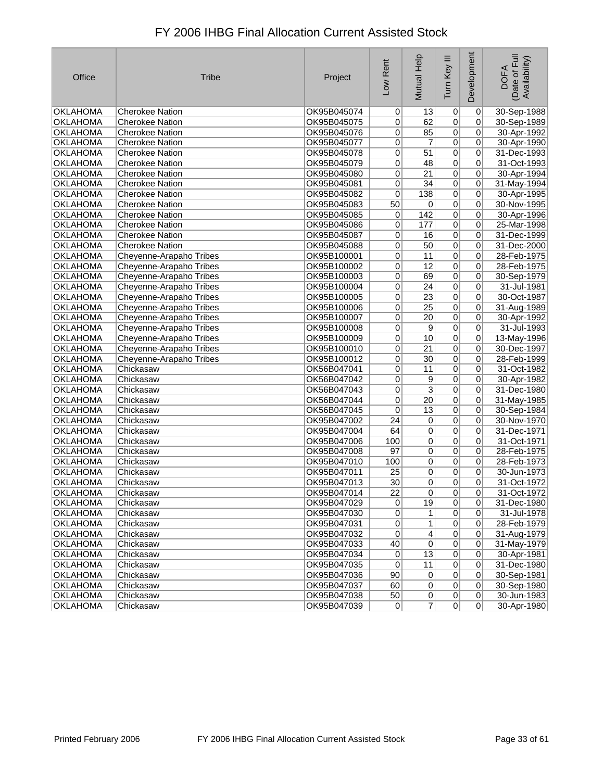| Office          | <b>Tribe</b>            | Project     | Low Rent        | <b>Mutual Help</b> | Tum Key III     | Development    | Date of Full<br>Availability)<br><b>DOFA</b> |
|-----------------|-------------------------|-------------|-----------------|--------------------|-----------------|----------------|----------------------------------------------|
| <b>OKLAHOMA</b> | Cherokee Nation         | OK95B045074 | 0               | 13                 | $\vert 0 \vert$ | $\pmb{0}$      | 30-Sep-1988                                  |
| <b>OKLAHOMA</b> | <b>Cherokee Nation</b>  | OK95B045075 | 0               | 62                 | $\overline{0}$  | 0              | 30-Sep-1989                                  |
| <b>OKLAHOMA</b> | Cherokee Nation         | OK95B045076 | 0               | 85                 | $\overline{0}$  | $\mathbf 0$    | 30-Apr-1992                                  |
| <b>OKLAHOMA</b> | <b>Cherokee Nation</b>  | OK95B045077 | 0               | $\overline{7}$     | $\overline{0}$  | 0              | 30-Apr-1990                                  |
| <b>OKLAHOMA</b> | Cherokee Nation         | OK95B045078 | 0               | 51                 | $\overline{0}$  | 0              | 31-Dec-1993                                  |
| <b>OKLAHOMA</b> | Cherokee Nation         | OK95B045079 | 0               | 48                 | $\overline{0}$  | 0              | 31-Oct-1993                                  |
| OKLAHOMA        | <b>Cherokee Nation</b>  | OK95B045080 | 0               | 21                 | $\overline{0}$  | 0              | 30-Apr-1994                                  |
| <b>OKLAHOMA</b> | <b>Cherokee Nation</b>  | OK95B045081 | $\overline{0}$  | $\overline{34}$    | $\overline{0}$  | 0              | 31-May-1994                                  |
| <b>OKLAHOMA</b> | <b>Cherokee Nation</b>  | OK95B045082 | 0               | 138                | $\overline{0}$  | 0              | 30-Apr-1995                                  |
| <b>OKLAHOMA</b> | <b>Cherokee Nation</b>  | OK95B045083 | 50              | 0                  | $\overline{0}$  | 0              | 30-Nov-1995                                  |
| OKLAHOMA        | <b>Cherokee Nation</b>  | OK95B045085 | 0               | 142                | $\overline{0}$  | 0              | 30-Apr-1996                                  |
| <b>OKLAHOMA</b> | <b>Cherokee Nation</b>  | OK95B045086 | 0               | 177                | $\overline{0}$  | 0              | 25-Mar-1998                                  |
| <b>OKLAHOMA</b> | <b>Cherokee Nation</b>  | OK95B045087 | 0               | 16                 | $\overline{0}$  | 0              | 31-Dec-1999                                  |
| <b>OKLAHOMA</b> | <b>Cherokee Nation</b>  | OK95B045088 | 0               | 50                 | $\overline{0}$  | 0              | 31-Dec-2000                                  |
| <b>OKLAHOMA</b> | Cheyenne-Arapaho Tribes | OK95B100001 | 0               | 11                 | $\overline{0}$  | 0              | 28-Feb-1975                                  |
| <b>OKLAHOMA</b> | Cheyenne-Arapaho Tribes | OK95B100002 | 0               | $\overline{12}$    | $\overline{0}$  | 0              | 28-Feb-1975                                  |
| <b>OKLAHOMA</b> | Cheyenne-Arapaho Tribes | OK95B100003 | 0               | 69                 | $\overline{0}$  | 0              | 30-Sep-1979                                  |
| <b>OKLAHOMA</b> | Cheyenne-Arapaho Tribes | OK95B100004 | 0               | 24                 | $\overline{0}$  | 0              | 31-Jul-1981                                  |
| <b>OKLAHOMA</b> | Cheyenne-Arapaho Tribes | OK95B100005 | 0               | 23                 | $\overline{0}$  | $\overline{0}$ | 30-Oct-1987                                  |
| <b>OKLAHOMA</b> | Cheyenne-Arapaho Tribes | OK95B100006 | 0               | $\overline{25}$    | $\overline{0}$  | 0              | 31-Aug-1989                                  |
| <b>OKLAHOMA</b> | Cheyenne-Arapaho Tribes | OK95B100007 | 0               | $\overline{20}$    | $\overline{0}$  | 0              | 30-Apr-1992                                  |
| <b>OKLAHOMA</b> | Cheyenne-Arapaho Tribes | OK95B100008 | 0               | 9                  | $\overline{0}$  | 0              | 31-Jul-1993                                  |
| <b>OKLAHOMA</b> | Cheyenne-Arapaho Tribes | OK95B100009 | 0               | 10                 | $\overline{0}$  | 0              | 13-May-1996                                  |
| <b>OKLAHOMA</b> | Cheyenne-Arapaho Tribes | OK95B100010 | 0               | $\overline{21}$    | $\overline{0}$  | 0              | 30-Dec-1997                                  |
| <b>OKLAHOMA</b> | Cheyenne-Arapaho Tribes | OK95B100012 | 0               | $\overline{30}$    | $\overline{0}$  | 0              | 28-Feb-1999                                  |
| <b>OKLAHOMA</b> | Chickasaw               | OK56B047041 | 0               | 11                 | $\overline{0}$  | 0              | 31-Oct-1982                                  |
| <b>OKLAHOMA</b> | Chickasaw               | OK56B047042 | 0               | 9                  | $\overline{0}$  | 0              | 30-Apr-1982                                  |
| <b>OKLAHOMA</b> | Chickasaw               | OK56B047043 | 0               | $\overline{3}$     | $\overline{0}$  | 0              | 31-Dec-1980                                  |
| <b>OKLAHOMA</b> | Chickasaw               | OK56B047044 | 0               | 20                 | $\overline{0}$  | 0              | 31-May-1985                                  |
| <b>OKLAHOMA</b> | Chickasaw               | OK56B047045 | 0               | 13                 | $\overline{0}$  | 0              | 30-Sep-1984                                  |
| <b>OKLAHOMA</b> | Chickasaw               | OK95B047002 | $\overline{24}$ | $\overline{0}$     | $\overline{0}$  | 0              | 30-Nov-1970                                  |
| <b>OKLAHOMA</b> | Chickasaw               | OK95B047004 | 64              | 0                  | $\overline{0}$  | 0              | 31-Dec-1971                                  |
| <b>OKLAHOMA</b> | Chickasaw               | OK95B047006 | 100             | 0                  | $\overline{0}$  | 0              | 31-Oct-1971                                  |
| <b>OKLAHOMA</b> | Chickasaw               | OK95B047008 | 97              | 0                  | $\overline{0}$  | 0              | 28-Feb-1975                                  |
| <b>OKLAHOMA</b> | Chickasaw               | OK95B047010 | 100             | 0                  | $\overline{0}$  | 0              | 28-Feb-1973                                  |
| <b>OKLAHOMA</b> | Chickasaw               | OK95B047011 | 25              | 0                  | $\overline{0}$  | 0              | 30-Jun-1973                                  |
| <b>OKLAHOMA</b> | Chickasaw               | OK95B047013 | 30              | 0                  | $\overline{0}$  | 0              | 31-Oct-1972                                  |
| <b>OKLAHOMA</b> | Chickasaw               | OK95B047014 | 22              | υl                 | $\mathsf{U}$    | $\mathsf{U}$   | $31 - Oct-19/2$                              |
| OKLAHOMA        | Chickasaw               | OK95B047029 | $\pmb{0}$       | 19                 | 0               | 0              | 31-Dec-1980                                  |
| <b>OKLAHOMA</b> | Chickasaw               | OK95B047030 | 0               | 1                  | 0               | 0              | 31-Jul-1978                                  |
| <b>OKLAHOMA</b> | Chickasaw               | OK95B047031 | 0               | 1                  | $\overline{0}$  | 0              | 28-Feb-1979                                  |
| <b>OKLAHOMA</b> | Chickasaw               | OK95B047032 | 0               | $\overline{4}$     | $\overline{0}$  | 0              | 31-Aug-1979                                  |
| <b>OKLAHOMA</b> | Chickasaw               | OK95B047033 | 40              | $\overline{0}$     | $\overline{0}$  | 0              | 31-May-1979                                  |
| <b>OKLAHOMA</b> | Chickasaw               | OK95B047034 | 0               | 13                 | $\overline{0}$  | 0              | 30-Apr-1981                                  |
| OKLAHOMA        | Chickasaw               | OK95B047035 | 0               | 11                 | 0               | 0              | 31-Dec-1980                                  |
| OKLAHOMA        | Chickasaw               | OK95B047036 | 90              | $\overline{0}$     | 0               | 0              | 30-Sep-1981                                  |
| <b>OKLAHOMA</b> | Chickasaw               | OK95B047037 | 60              | $\overline{0}$     | $\overline{0}$  | 0              | 30-Sep-1980                                  |
| <b>OKLAHOMA</b> | Chickasaw               | OK95B047038 | 50              | $\sigma$           | 0               | 0              | 30-Jun-1983                                  |
| <b>OKLAHOMA</b> | Chickasaw               | OK95B047039 | 0               | 7                  | 0               | $\overline{0}$ | 30-Apr-1980                                  |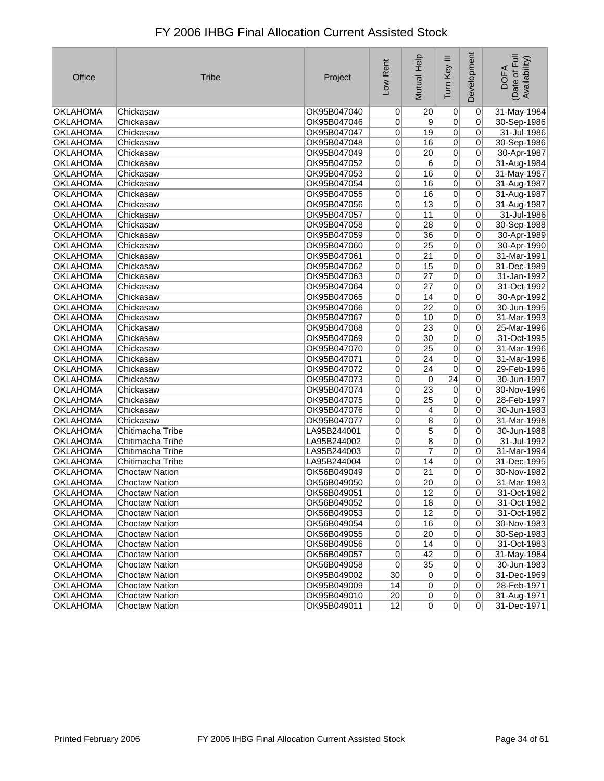| Office                      | <b>Tribe</b>                                   | Project                    | Low Rent                          | Help<br>Mutual        | Ξ<br>Tum Key                     | Development                | Date of Full<br>Availability)<br><b>DOFA</b> |
|-----------------------------|------------------------------------------------|----------------------------|-----------------------------------|-----------------------|----------------------------------|----------------------------|----------------------------------------------|
| <b>OKLAHOMA</b>             | Chickasaw                                      | OK95B047040                | $\overline{0}$                    | 20                    | 0                                | $\pmb{0}$                  | 31-May-1984                                  |
| <b>OKLAHOMA</b>             | Chickasaw                                      | OK95B047046                | 0                                 | 9                     | $\overline{0}$                   | 0                          | 30-Sep-1986                                  |
| <b>OKLAHOMA</b>             | Chickasaw                                      | OK95B047047                | 0                                 | 19                    | $\overline{0}$                   | 0                          | 31-Jul-1986                                  |
| <b>OKLAHOMA</b>             | Chickasaw                                      | OK95B047048                | 0                                 | 16                    | $\overline{0}$                   | 0                          | 30-Sep-1986                                  |
| <b>OKLAHOMA</b>             | Chickasaw                                      | OK95B047049                | 0                                 | 20                    | $\overline{0}$                   | $\overline{0}$             | 30-Apr-1987                                  |
| <b>OKLAHOMA</b>             | Chickasaw                                      | OK95B047052                | 0                                 | 6                     | 0                                | $\overline{0}$             | 31-Aug-1984                                  |
| <b>OKLAHOMA</b>             | Chickasaw                                      | OK95B047053                | $\overline{0}$                    | 16                    | $\overline{0}$                   | 0                          | 31-May-1987                                  |
| <b>OKLAHOMA</b>             | Chickasaw                                      | OK95B047054                | $\overline{0}$                    | 16                    | $\overline{0}$                   | 0                          | 31-Aug-1987                                  |
| <b>OKLAHOMA</b>             | Chickasaw                                      | OK95B047055                | 0                                 | 16                    | $\overline{0}$                   | 0                          | 31-Aug-1987                                  |
| <b>OKLAHOMA</b>             | Chickasaw                                      | OK95B047056                | 0                                 | $\overline{13}$       | 0                                | 0                          | 31-Aug-1987                                  |
| <b>OKLAHOMA</b>             | Chickasaw                                      | OK95B047057                | 0                                 | 11                    | $\overline{0}$                   | $\overline{0}$             | 31-Jul-1986                                  |
| <b>OKLAHOMA</b>             | Chickasaw                                      | OK95B047058                | 0                                 | $\overline{28}$       | 0                                | 0                          | 30-Sep-1988                                  |
| <b>OKLAHOMA</b>             | Chickasaw                                      | OK95B047059                | 0                                 | 36                    | 0                                | $\overline{0}$             | 30-Apr-1989                                  |
| <b>OKLAHOMA</b>             | Chickasaw                                      | OK95B047060                | 0                                 | $\overline{25}$       | 0                                | 0                          | 30-Apr-1990                                  |
| <b>OKLAHOMA</b>             | Chickasaw                                      | OK95B047061                | 0                                 | $\overline{21}$       | $\overline{0}$                   | 0                          | 31-Mar-1991                                  |
| <b>OKLAHOMA</b>             | Chickasaw                                      | OK95B047062                | 0                                 | 15                    | 0                                | 0                          | 31-Dec-1989                                  |
| <b>OKLAHOMA</b>             | Chickasaw                                      | OK95B047063                | 0                                 | 27                    | 0                                | 0                          | 31-Jan-1992                                  |
| <b>OKLAHOMA</b>             | Chickasaw                                      | OK95B047064                | 0                                 | 27                    | 0                                | 0                          | 31-Oct-1992                                  |
| <b>OKLAHOMA</b>             | Chickasaw                                      | OK95B047065                | 0                                 | 14                    | $\overline{0}$                   | 0                          | 30-Apr-1992                                  |
| <b>OKLAHOMA</b>             | Chickasaw                                      | OK95B047066                | 0                                 | $\overline{22}$       | $\overline{0}$                   | 0                          | 30-Jun-1995                                  |
| <b>OKLAHOMA</b>             | Chickasaw                                      | OK95B047067                | 0                                 | 10                    | 0                                | 0                          | 31-Mar-1993                                  |
| <b>OKLAHOMA</b>             | Chickasaw                                      | OK95B047068                | 0                                 | 23                    | 0                                | 0                          | 25-Mar-1996                                  |
| <b>OKLAHOMA</b>             | Chickasaw                                      | OK95B047069                | $\mathbf 0$                       | $\overline{30}$       | 0                                | 0                          | 31-Oct-1995                                  |
| <b>OKLAHOMA</b>             | Chickasaw                                      | OK95B047070                | $\mathbf 0$                       | $\overline{25}$       | 0                                | 0                          | 31-Mar-1996                                  |
| <b>OKLAHOMA</b>             | Chickasaw                                      | OK95B047071                | 0                                 | 24                    | 0                                | 0                          | 31-Mar-1996                                  |
| <b>OKLAHOMA</b>             | Chickasaw                                      | OK95B047072                | 0                                 | $\overline{24}$       | $\overline{0}$                   | 0                          | 29-Feb-1996                                  |
| <b>OKLAHOMA</b>             | Chickasaw                                      | OK95B047073                | 0                                 | 0                     | $\overline{24}$                  | 0                          | 30-Jun-1997                                  |
| <b>OKLAHOMA</b>             | Chickasaw                                      | OK95B047074                | 0                                 | 23                    | $\overline{0}$                   | 0                          | 30-Nov-1996                                  |
| <b>OKLAHOMA</b>             | Chickasaw                                      | OK95B047075                | 0                                 | 25                    | 0                                | 0                          | 28-Feb-1997                                  |
| <b>OKLAHOMA</b>             | Chickasaw                                      | OK95B047076                | 0                                 | 4                     | $\overline{0}$                   | 0                          | 30-Jun-1983                                  |
| <b>OKLAHOMA</b>             | Chickasaw                                      | OK95B047077                | 0                                 | 8                     | $\overline{0}$                   | 0                          | 31-Mar-1998                                  |
| <b>OKLAHOMA</b>             | Chitimacha Tribe                               | LA95B244001                | $\overline{0}$                    | $\overline{5}$        | $\overline{0}$                   | 0                          | 30-Jun-1988                                  |
| <b>OKLAHOMA</b>             | Chitimacha Tribe                               | LA95B244002                | 0                                 | $\overline{8}$        | 0                                | 0                          | 31-Jul-1992                                  |
| <b>OKLAHOMA</b>             | Chitimacha Tribe                               | LA95B244003                | 0                                 | 7                     | 0                                | 0                          | 31-Mar-1994                                  |
| <b>OKLAHOMA</b>             | Chitimacha Tribe                               | LA95B244004                | 0                                 | 14                    | 0                                | 0                          | 31-Dec-1995                                  |
| <b>OKLAHOMA</b>             | <b>Choctaw Nation</b>                          | OK56B049049                | 0                                 | 21                    | 0                                | 0                          | 30-Nov-1982                                  |
| <b>OKLAHOMA</b>             | <b>Choctaw Nation</b>                          | OK56B049050                | 0                                 | 20                    | 0                                | 0                          | 31-Mar-1983                                  |
| <b>OKLAHOMA</b>             | <b>Choctaw Nation</b>                          | OK56B049051                | 0                                 | 12                    | $\overline{0}$                   | $\overline{0}$             | 31-Oct-1982                                  |
| OKLAHOMA                    | <b>Choctaw Nation</b>                          | OK56B049052                | $\overline{0}$                    | 18                    | $\vert 0 \vert$                  | 0                          | 31-Oct-1982                                  |
| <b>OKLAHOMA</b>             | Choctaw Nation                                 | OK56B049053                | $\overline{0}$                    | 12                    | $\vert 0 \vert$                  | $\overline{0}$             | 31-Oct-1982                                  |
| OKLAHOMA                    | <b>Choctaw Nation</b>                          | OK56B049054                | $\overline{0}$                    | 16<br>$\overline{20}$ | 0                                | $\Omega$<br>$\overline{0}$ | 30-Nov-1983                                  |
| OKLAHOMA<br><b>OKLAHOMA</b> | Choctaw Nation                                 | OK56B049055                | $\overline{0}$                    |                       | $\overline{0}$<br>$\overline{0}$ | 0                          | 30-Sep-1983                                  |
|                             | Choctaw Nation                                 | OK56B049056                | 0                                 | 14                    |                                  |                            | 31-Oct-1983                                  |
| <b>OKLAHOMA</b>             | <b>Choctaw Nation</b><br><b>Choctaw Nation</b> | OK56B049057                | $\overline{0}$                    | 42<br>$\overline{35}$ | $\overline{0}$<br>$\overline{0}$ | $\Omega$<br> 0             | 31-May-1984                                  |
| OKLAHOMA<br><b>OKLAHOMA</b> | <b>Choctaw Nation</b>                          | OK56B049058<br>OK95B049002 | $\overline{0}$<br>30 <sup>°</sup> | $\vert 0 \vert$       | $\sigma$                         | $\overline{0}$             | 30-Jun-1983<br>31-Dec-1969                   |
| <b>OKLAHOMA</b>             | <b>Choctaw Nation</b>                          | OK95B049009                | 14                                | $\overline{0}$        | $\overline{0}$                   | 0                          | 28-Feb-1971                                  |
| <b>OKLAHOMA</b>             | Choctaw Nation                                 | OK95B049010                | 20                                | 0                     | 0                                | 0                          | 31-Aug-1971                                  |
| <b>OKLAHOMA</b>             | <b>Choctaw Nation</b>                          | OK95B049011                | 12                                | $\Omega$              | $\overline{0}$                   | 0                          | 31-Dec-1971                                  |
|                             |                                                |                            |                                   |                       |                                  |                            |                                              |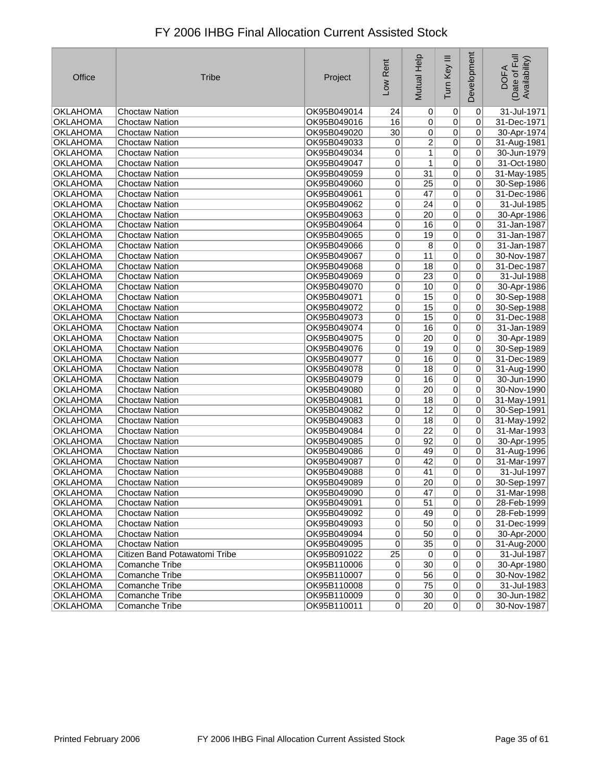| Office          | <b>Tribe</b>                  | Project     | Low Rent       | $\frac{1}{2}$<br>Mutual I | Tum Key III     | Development    | Date of Full<br>Availability)<br><b>DOFA</b> |
|-----------------|-------------------------------|-------------|----------------|---------------------------|-----------------|----------------|----------------------------------------------|
| <b>OKLAHOMA</b> | <b>Choctaw Nation</b>         | OK95B049014 | 24             | 0                         | $\vert 0 \vert$ | $\pmb{0}$      | 31-Jul-1971                                  |
| <b>OKLAHOMA</b> | <b>Choctaw Nation</b>         | OK95B049016 | 16             | 0                         | $\overline{0}$  | 0              | 31-Dec-1971                                  |
| <b>OKLAHOMA</b> | <b>Choctaw Nation</b>         | OK95B049020 | 30             | 0                         | $\overline{0}$  | $\overline{0}$ | 30-Apr-1974                                  |
| <b>OKLAHOMA</b> | <b>Choctaw Nation</b>         | OK95B049033 | 0              | $\overline{2}$            | $\overline{0}$  | 0              | 31-Aug-1981                                  |
| <b>OKLAHOMA</b> | <b>Choctaw Nation</b>         | OK95B049034 | 0              | 1                         | $\overline{0}$  | $\mathbf 0$    | 30-Jun-1979                                  |
| <b>OKLAHOMA</b> | <b>Choctaw Nation</b>         | OK95B049047 | 0              | $\mathbf{1}$              | $\overline{0}$  | 0              | 31-Oct-1980                                  |
| <b>OKLAHOMA</b> | <b>Choctaw Nation</b>         | OK95B049059 | $\overline{0}$ | $\overline{31}$           | $\overline{0}$  | 0              | 31-May-1985                                  |
| <b>OKLAHOMA</b> | <b>Choctaw Nation</b>         | OK95B049060 | 0              | $\overline{25}$           | $\overline{0}$  | 0              | 30-Sep-1986                                  |
| <b>OKLAHOMA</b> | <b>Choctaw Nation</b>         | OK95B049061 | $\mathbf 0$    | 47                        | $\overline{0}$  | 0              | 31-Dec-1986                                  |
| <b>OKLAHOMA</b> | <b>Choctaw Nation</b>         | OK95B049062 | 0              | 24                        | $\overline{0}$  | 0              | 31-Jul-1985                                  |
| <b>OKLAHOMA</b> | <b>Choctaw Nation</b>         | OK95B049063 | 0              | $\overline{20}$           | $\overline{0}$  | 0              | 30-Apr-1986                                  |
| <b>OKLAHOMA</b> | <b>Choctaw Nation</b>         | OK95B049064 | 0              | 16                        | $\overline{0}$  | 0              | 31-Jan-1987                                  |
| <b>OKLAHOMA</b> | <b>Choctaw Nation</b>         | OK95B049065 | 0              | 19                        | $\overline{0}$  | 0              | 31-Jan-1987                                  |
| <b>OKLAHOMA</b> | <b>Choctaw Nation</b>         | OK95B049066 | 0              | 8                         | $\overline{0}$  | 0              | 31-Jan-1987                                  |
| <b>OKLAHOMA</b> | <b>Choctaw Nation</b>         | OK95B049067 | 0              | 11                        | $\overline{0}$  | 0              | 30-Nov-1987                                  |
| <b>OKLAHOMA</b> | <b>Choctaw Nation</b>         | OK95B049068 | 0              | $\overline{18}$           | $\overline{0}$  | 0              | 31-Dec-1987                                  |
| <b>OKLAHOMA</b> | <b>Choctaw Nation</b>         | OK95B049069 | 0              | $\overline{23}$           | $\sigma$        | 0              | 31-Jul-1988                                  |
| <b>OKLAHOMA</b> | <b>Choctaw Nation</b>         | OK95B049070 | 0              | 10                        | $\overline{0}$  | 0              | 30-Apr-1986                                  |
| <b>OKLAHOMA</b> | <b>Choctaw Nation</b>         | OK95B049071 | 0              | 15                        | $\overline{0}$  | 0              | 30-Sep-1988                                  |
| <b>OKLAHOMA</b> | <b>Choctaw Nation</b>         | OK95B049072 | 0              | $\overline{15}$           | $\overline{0}$  | 0              | 30-Sep-1988                                  |
| <b>OKLAHOMA</b> | <b>Choctaw Nation</b>         | OK95B049073 | 0              | 15                        | $\overline{0}$  | 0              | 31-Dec-1988                                  |
| OKLAHOMA        | <b>Choctaw Nation</b>         | OK95B049074 | 0              | 16                        | $\overline{0}$  | 0              | 31-Jan-1989                                  |
| <b>OKLAHOMA</b> | <b>Choctaw Nation</b>         | OK95B049075 | $\mathbf 0$    | $\overline{20}$           | $\overline{0}$  | 0              | 30-Apr-1989                                  |
| <b>OKLAHOMA</b> | <b>Choctaw Nation</b>         | OK95B049076 | 0              | 19                        | $\overline{0}$  | 0              | 30-Sep-1989                                  |
| <b>OKLAHOMA</b> | <b>Choctaw Nation</b>         | OK95B049077 | 0              | 16                        | $\overline{0}$  | 0              | 31-Dec-1989                                  |
| OKLAHOMA        | <b>Choctaw Nation</b>         | OK95B049078 | 0              | $\overline{18}$           | $\overline{0}$  | 0              | 31-Aug-1990                                  |
| <b>OKLAHOMA</b> | <b>Choctaw Nation</b>         | OK95B049079 | 0              | 16                        | $\overline{0}$  | 0              | 30-Jun-1990                                  |
| <b>OKLAHOMA</b> | <b>Choctaw Nation</b>         | OK95B049080 | 0              | $\overline{20}$           | $\overline{0}$  | 0              | 30-Nov-1990                                  |
| <b>OKLAHOMA</b> | <b>Choctaw Nation</b>         | OK95B049081 | 0              | 18                        | $\overline{0}$  | 0              | 31-May-1991                                  |
| <b>OKLAHOMA</b> | <b>Choctaw Nation</b>         | OK95B049082 | 0              | $\overline{12}$           | $\overline{0}$  | 0              | 30-Sep-1991                                  |
| <b>OKLAHOMA</b> | <b>Choctaw Nation</b>         | OK95B049083 | 0              | $\overline{18}$           | $\overline{0}$  | 0              | 31-May-1992                                  |
| <b>OKLAHOMA</b> | <b>Choctaw Nation</b>         | OK95B049084 | $\overline{0}$ | $\overline{22}$           | $\overline{0}$  | $\overline{0}$ | 31-Mar-1993                                  |
| <b>OKLAHOMA</b> | <b>Choctaw Nation</b>         | OK95B049085 | 0              | 92                        | $\overline{0}$  | 0              | 30-Apr-1995                                  |
| <b>OKLAHOMA</b> | <b>Choctaw Nation</b>         | OK95B049086 | 0              | 49                        | $\overline{0}$  | $\overline{0}$ | 31-Aug-1996                                  |
| <b>OKLAHOMA</b> | <b>Choctaw Nation</b>         | OK95B049087 | 0              | 42                        | $\overline{0}$  | 0              | 31-Mar-1997                                  |
| <b>OKLAHOMA</b> | <b>Choctaw Nation</b>         | OK95B049088 | 0              | 41                        | $\overline{0}$  | 0              | 31-Jul-1997                                  |
| <b>OKLAHOMA</b> | <b>Choctaw Nation</b>         | OK95B049089 | 0              | 20                        | 0               | 0              | 30-Sep-1997                                  |
| <b>OKLAHOMA</b> | <b>Choctaw Nation</b>         | OK95B049090 | $\overline{0}$ | 47                        | $\overline{0}$  | $\overline{0}$ | 31-Mar-1998                                  |
| OKLAHOMA        | <b>Choctaw Nation</b>         | OK95B049091 | $\pmb{0}$      | 51                        | 0               | 0              | 28-Feb-1999                                  |
| <b>OKLAHOMA</b> | Choctaw Nation                | OK95B049092 | 0              | 49                        | 0               | 0              | 28-Feb-1999                                  |
| OKLAHOMA        | Choctaw Nation                | OK95B049093 | 0              | 50                        | 0               | 0              | 31-Dec-1999                                  |
| <b>OKLAHOMA</b> | <b>Choctaw Nation</b>         | OK95B049094 | 0              | 50                        | $\overline{0}$  | 0              | 30-Apr-2000                                  |
| <b>OKLAHOMA</b> | <b>Choctaw Nation</b>         | OK95B049095 | 0              | $\overline{35}$           | $\overline{0}$  | $\mathbf 0$    | 31-Aug-2000                                  |
| <b>OKLAHOMA</b> | Citizen Band Potawatomi Tribe | OK95B091022 | 25             | 0                         | 0               | 0              | 31-Jul-1987                                  |
| OKLAHOMA        | Comanche Tribe                | OK95B110006 | 0              | 30                        | $\overline{0}$  | 0              | 30-Apr-1980                                  |
| <b>OKLAHOMA</b> | Comanche Tribe                | OK95B110007 | 0              | 56                        | $\overline{0}$  | 0              | 30-Nov-1982                                  |
| OKLAHOMA        | Comanche Tribe                | OK95B110008 | 0              | 75                        | $\overline{0}$  | 0              | 31-Jul-1983                                  |
| OKLAHOMA        | Comanche Tribe                | OK95B110009 | 0              | 30                        | 0               | 0              | 30-Jun-1982                                  |
| <b>OKLAHOMA</b> | <b>Comanche Tribe</b>         | OK95B110011 | 0              | 20 <sub>2</sub>           | $\overline{0}$  | $\mathbf 0$    | 30-Nov-1987                                  |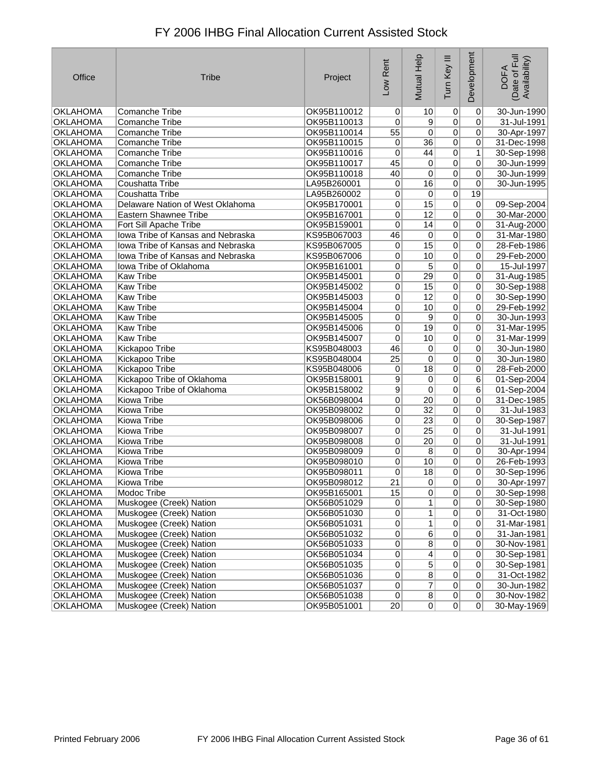| Office          | <b>Tribe</b>                      | Project     | Low Rent       | <b>Mutual Help</b>      | Tum Key III    | Development    | Date of Full<br>Availability)<br><b>DOFA</b> |
|-----------------|-----------------------------------|-------------|----------------|-------------------------|----------------|----------------|----------------------------------------------|
| <b>OKLAHOMA</b> | <b>Comanche Tribe</b>             | OK95B110012 | 0              | 10                      | 0              | $\overline{0}$ | 30-Jun-1990                                  |
| <b>OKLAHOMA</b> | Comanche Tribe                    | OK95B110013 | 0              | 9                       | 0              | 0              | 31-Jul-1991                                  |
| <b>OKLAHOMA</b> | <b>Comanche Tribe</b>             | OK95B110014 | 55             | 0                       | 0              | 0              | 30-Apr-1997                                  |
| <b>OKLAHOMA</b> | <b>Comanche Tribe</b>             | OK95B110015 | 0              | $\overline{36}$         | $\overline{0}$ | 0              | 31-Dec-1998                                  |
| <b>OKLAHOMA</b> | <b>Comanche Tribe</b>             | OK95B110016 | 0              | 44                      | $\overline{0}$ | 1              | 30-Sep-1998                                  |
| <b>OKLAHOMA</b> | <b>Comanche Tribe</b>             | OK95B110017 | 45             | 0                       | 0              | 0              | 30-Jun-1999                                  |
| <b>OKLAHOMA</b> | <b>Comanche Tribe</b>             | OK95B110018 | 40             | 0                       | $\overline{0}$ | 0              | 30-Jun-1999                                  |
| <b>OKLAHOMA</b> | Coushatta Tribe                   | LA95B260001 | 0              | 16                      | $\overline{0}$ | 0              | 30-Jun-1995                                  |
| <b>OKLAHOMA</b> | Coushatta Tribe                   | LA95B260002 | 0              | 0                       | $\overline{0}$ | 19             |                                              |
| <b>OKLAHOMA</b> | Delaware Nation of West Oklahoma  | OK95B170001 | 0              | 15                      | 0              | 0              | 09-Sep-2004                                  |
| <b>OKLAHOMA</b> | <b>Eastern Shawnee Tribe</b>      | OK95B167001 | 0              | $\overline{12}$         | 0              | $\overline{0}$ | 30-Mar-2000                                  |
| <b>OKLAHOMA</b> | Fort Sill Apache Tribe            | OK95B159001 | 0              | 14                      | 0              | 0              | 31-Aug-2000                                  |
| <b>OKLAHOMA</b> | Iowa Tribe of Kansas and Nebraska | KS95B067003 | 46             | 0                       | $\overline{0}$ | 0              | 31-Mar-1980                                  |
| <b>OKLAHOMA</b> | Iowa Tribe of Kansas and Nebraska | KS95B067005 | 0              | $\overline{15}$         | $\overline{0}$ | 0              | 28-Feb-1986                                  |
| <b>OKLAHOMA</b> | Iowa Tribe of Kansas and Nebraska | KS95B067006 | 0              | 10                      | $\overline{0}$ | 0              | 29-Feb-2000                                  |
| <b>OKLAHOMA</b> | Iowa Tribe of Oklahoma            | OK95B161001 | 0              | 5                       | $\overline{0}$ | 0              | 15-Jul-1997                                  |
| <b>OKLAHOMA</b> | <b>Kaw Tribe</b>                  | OK95B145001 | 0              | 29                      | $\overline{0}$ | 0              | 31-Aug-1985                                  |
| <b>OKLAHOMA</b> | <b>Kaw Tribe</b>                  | OK95B145002 | 0              | 15                      | $\overline{0}$ | 0              | 30-Sep-1988                                  |
| <b>OKLAHOMA</b> | <b>Kaw Tribe</b>                  | OK95B145003 | 0              | $\overline{12}$         | $\overline{0}$ | $\overline{0}$ | 30-Sep-1990                                  |
| <b>OKLAHOMA</b> | <b>Kaw Tribe</b>                  | OK95B145004 | 0              | 10                      | $\overline{0}$ | $\overline{0}$ | 29-Feb-1992                                  |
| <b>OKLAHOMA</b> | <b>Kaw Tribe</b>                  | OK95B145005 | 0              | 9                       | 0              | 0              | 30-Jun-1993                                  |
| <b>OKLAHOMA</b> | <b>Kaw Tribe</b>                  | OK95B145006 | 0              | 19                      | 0              | 0              | 31-Mar-1995                                  |
| <b>OKLAHOMA</b> | <b>Kaw Tribe</b>                  | OK95B145007 | 0              | 10                      | $\overline{0}$ | $\overline{0}$ | 31-Mar-1999                                  |
| <b>OKLAHOMA</b> | Kickapoo Tribe                    | KS95B048003 | 46             | 0                       | 0              | $\pmb{0}$      | 30-Jun-1980                                  |
| <b>OKLAHOMA</b> | Kickapoo Tribe                    | KS95B048004 | 25             | 0                       | 0              | 0              | 30-Jun-1980                                  |
| <b>OKLAHOMA</b> | Kickapoo Tribe                    | KS95B048006 | 0              | 18                      | $\overline{0}$ | 0              | 28-Feb-2000                                  |
| <b>OKLAHOMA</b> | Kickapoo Tribe of Oklahoma        | OK95B158001 | 9              | 0                       | $\overline{0}$ | 6              | 01-Sep-2004                                  |
| <b>OKLAHOMA</b> | Kickapoo Tribe of Oklahoma        | OK95B158002 | $\overline{9}$ | 0                       | $\overline{0}$ | 6              | 01-Sep-2004                                  |
| <b>OKLAHOMA</b> | Kiowa Tribe                       | OK56B098004 | 0              | 20                      | 0              | 0              | 31-Dec-1985                                  |
| <b>OKLAHOMA</b> | Kiowa Tribe                       | OK95B098002 | 0              | $\overline{32}$         | 0              | 0              | 31-Jul-1983                                  |
| <b>OKLAHOMA</b> | Kiowa Tribe                       | OK95B098006 | 0              | $\overline{23}$         | $\overline{0}$ | 0              | 30-Sep-1987                                  |
| <b>OKLAHOMA</b> | Kiowa Tribe                       | OK95B098007 | 0              | $\overline{25}$         | $\overline{0}$ | 0              | 31-Jul-1991                                  |
| <b>OKLAHOMA</b> | <b>Kiowa Tribe</b>                | OK95B098008 | 0              | $\overline{20}$         | $\overline{0}$ | 0              | 31-Jul-1991                                  |
| <b>OKLAHOMA</b> | Kiowa Tribe                       | OK95B098009 | 0              | 8                       | 0              | 0              | 30-Apr-1994                                  |
| <b>OKLAHOMA</b> | Kiowa Tribe                       | OK95B098010 | 0              | 10                      | 0              | $\overline{0}$ | 26-Feb-1993                                  |
| <b>OKLAHOMA</b> | Kiowa Tribe                       | OK95B098011 | 0              | 18                      | 0              | 0              | 30-Sep-1996                                  |
| <b>OKLAHOMA</b> | Kiowa Tribe                       | OK95B098012 | 21             | 0                       | 0              | 0              | 30-Apr-1997                                  |
| <b>OKLAHOMA</b> | Modoc Tribe                       | OK95B165001 | 15             | 0                       | $\sigma$       | $\mathsf{U}$   | 30-Sep-1998                                  |
| OKLAHOMA        | Muskogee (Creek) Nation           | OK56B051029 | $\overline{0}$ | 1                       | $\overline{0}$ | $\overline{0}$ | 30-Sep-1980                                  |
| <b>OKLAHOMA</b> | Muskogee (Creek) Nation           | OK56B051030 | $\overline{0}$ | $\mathbf{1}$            | $\overline{0}$ | 0              | 31-Oct-1980                                  |
| <b>OKLAHOMA</b> | Muskogee (Creek) Nation           | OK56B051031 | $\overline{0}$ | $\mathbf{1}$            | $\overline{0}$ | 0              | 31-Mar-1981                                  |
| OKLAHOMA        | Muskogee (Creek) Nation           | OK56B051032 | $\overline{0}$ | $\overline{6}$          | $\overline{0}$ | 0              | 31-Jan-1981                                  |
| <b>OKLAHOMA</b> | Muskogee (Creek) Nation           | OK56B051033 | $\overline{0}$ | $\overline{8}$          | $\overline{0}$ | 0              | 30-Nov-1981                                  |
| <b>OKLAHOMA</b> | Muskogee (Creek) Nation           | OK56B051034 | $\overline{0}$ | $\overline{4}$          | $\overline{0}$ | 0              | 30-Sep-1981                                  |
| <b>OKLAHOMA</b> | Muskogee (Creek) Nation           | OK56B051035 | $\overline{0}$ | $\overline{5}$          | $\overline{0}$ | 0              | 30-Sep-1981                                  |
| OKLAHOMA        | Muskogee (Creek) Nation           | OK56B051036 | $\overline{0}$ | $\overline{8}$          | $\overline{0}$ | $\overline{0}$ | 31-Oct-1982                                  |
| <b>OKLAHOMA</b> | Muskogee (Creek) Nation           | OK56B051037 | $\overline{0}$ | $\overline{\mathbf{7}}$ | $\overline{0}$ | 0              | 30-Jun-1982                                  |
| <b>OKLAHOMA</b> | Muskogee (Creek) Nation           | OK56B051038 | 0              | $\overline{8}$          | 0              | 0              | 30-Nov-1982                                  |
| <b>OKLAHOMA</b> | Muskogee (Creek) Nation           | OK95B051001 | 20             | 0                       | 0              | $\overline{0}$ | 30-May-1969                                  |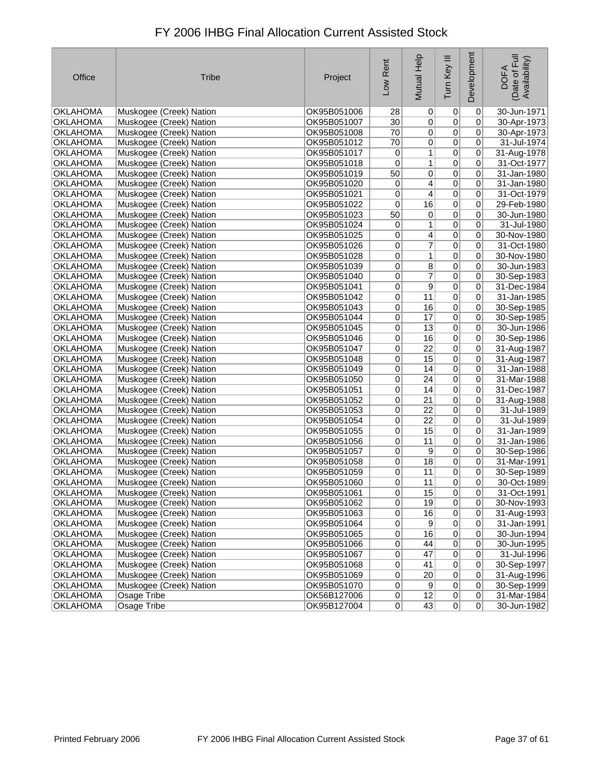| Office          | <b>Tribe</b>            | Project     | Low Rent        | Mutual Help             | Tum Key III    | Development    | Date of Full<br>Availability)<br><b>DOFA</b> |
|-----------------|-------------------------|-------------|-----------------|-------------------------|----------------|----------------|----------------------------------------------|
| <b>OKLAHOMA</b> | Muskogee (Creek) Nation | OK95B051006 | 28              | 0                       | $\overline{0}$ | 0              | 30-Jun-1971                                  |
| <b>OKLAHOMA</b> | Muskogee (Creek) Nation | OK95B051007 | $\overline{30}$ | $\overline{0}$          | $\overline{0}$ | 0              | 30-Apr-1973                                  |
| <b>OKLAHOMA</b> | Muskogee (Creek) Nation | OK95B051008 | 70              | 0                       | $\overline{0}$ | 0              | 30-Apr-1973                                  |
| <b>OKLAHOMA</b> | Muskogee (Creek) Nation | OK95B051012 | 70              | $\overline{0}$          | $\overline{0}$ | $\overline{0}$ | 31-Jul-1974                                  |
| <b>OKLAHOMA</b> | Muskogee (Creek) Nation | OK95B051017 | 0               | $1\vert$                | $\overline{0}$ | 0              | 31-Aug-1978                                  |
| <b>OKLAHOMA</b> | Muskogee (Creek) Nation | OK95B051018 | 0               | $\mathbf{1}$            | $\mathbf 0$    | 0              | 31-Oct-1977                                  |
| <b>OKLAHOMA</b> | Muskogee (Creek) Nation | OK95B051019 | 50              | $\vert 0 \vert$         | $\overline{0}$ | 0              | 31-Jan-1980                                  |
| OKLAHOMA        | Muskogee (Creek) Nation | OK95B051020 | 0               | $\overline{4}$          | $\overline{0}$ | 0              | 31-Jan-1980                                  |
| <b>OKLAHOMA</b> | Muskogee (Creek) Nation | OK95B051021 | $\mathbf 0$     | $\overline{4}$          | $\overline{0}$ | 0              | 31-Oct-1979                                  |
| <b>OKLAHOMA</b> | Muskogee (Creek) Nation | OK95B051022 | 0               | $\overline{16}$         | $\overline{0}$ | 0              | 29-Feb-1980                                  |
| <b>OKLAHOMA</b> | Muskogee (Creek) Nation | OK95B051023 | 50              | 0                       | $\overline{0}$ | 0              | 30-Jun-1980                                  |
| OKLAHOMA        | Muskogee (Creek) Nation | OK95B051024 | 0               | $1\vert$                | $\overline{0}$ | 0              | 31-Jul-1980                                  |
| OKLAHOMA        | Muskogee (Creek) Nation | OK95B051025 | 0               | $\overline{4}$          | $\overline{0}$ | 0              | 30-Nov-1980                                  |
| <b>OKLAHOMA</b> | Muskogee (Creek) Nation | OK95B051026 | 0               | $\overline{7}$          | $\overline{0}$ | 0              | 31-Oct-1980                                  |
| OKLAHOMA        | Muskogee (Creek) Nation | OK95B051028 | 0               | $1\vert$                | $\overline{0}$ | 0              | 30-Nov-1980                                  |
| <b>OKLAHOMA</b> | Muskogee (Creek) Nation | OK95B051039 | 0               | $\overline{8}$          | $\overline{0}$ | $\overline{0}$ | 30-Jun-1983                                  |
| <b>OKLAHOMA</b> | Muskogee (Creek) Nation | OK95B051040 | 0               | $\overline{\mathbf{z}}$ | $\overline{0}$ | 0              | 30-Sep-1983                                  |
| <b>OKLAHOMA</b> | Muskogee (Creek) Nation | OK95B051041 | 0               | $\overline{9}$          | $\overline{0}$ | 0              | 31-Dec-1984                                  |
| <b>OKLAHOMA</b> | Muskogee (Creek) Nation | OK95B051042 | 0               | 11                      | $\overline{0}$ | 0              | 31-Jan-1985                                  |
| <b>OKLAHOMA</b> | Muskogee (Creek) Nation | OK95B051043 | 0               | 16                      | $\overline{0}$ | $\overline{0}$ | 30-Sep-1985                                  |
| OKLAHOMA        | Muskogee (Creek) Nation | OK95B051044 | 0               | 17                      | $\overline{0}$ | $\overline{0}$ | 30-Sep-1985                                  |
| <b>OKLAHOMA</b> | Muskogee (Creek) Nation | OK95B051045 | 0               | $\overline{13}$         | $\overline{0}$ | 0              | 30-Jun-1986                                  |
| OKLAHOMA        | Muskogee (Creek) Nation | OK95B051046 | 0               | 16                      | $\overline{0}$ | 0              | 30-Sep-1986                                  |
| <b>OKLAHOMA</b> | Muskogee (Creek) Nation | OK95B051047 | 0               | $\overline{22}$         | $\overline{0}$ | 0              | 31-Aug-1987                                  |
| <b>OKLAHOMA</b> | Muskogee (Creek) Nation | OK95B051048 | 0               | 15                      | $\overline{0}$ | $\overline{0}$ | 31-Aug-1987                                  |
| <b>OKLAHOMA</b> | Muskogee (Creek) Nation | OK95B051049 | 0               | 14                      | $\overline{0}$ | 0              | 31-Jan-1988                                  |
| OKLAHOMA        | Muskogee (Creek) Nation | OK95B051050 | 0               | 24                      | $\overline{0}$ | 0              | 31-Mar-1988                                  |
| OKLAHOMA        | Muskogee (Creek) Nation | OK95B051051 | 0               | 14                      | $\overline{0}$ | 0              | 31-Dec-1987                                  |
| <b>OKLAHOMA</b> | Muskogee (Creek) Nation | OK95B051052 | 0               | $\overline{21}$         | $\overline{0}$ | 0              | 31-Aug-1988                                  |
| <b>OKLAHOMA</b> | Muskogee (Creek) Nation | OK95B051053 | 0               | 22                      | $\overline{0}$ | 0              | 31-Jul-1989                                  |
| <b>OKLAHOMA</b> | Muskogee (Creek) Nation | OK95B051054 | 0               | $\overline{22}$         | $\overline{0}$ | 0              | 31-Jul-1989                                  |
| <b>OKLAHOMA</b> | Muskogee (Creek) Nation | OK95B051055 | 0               | 15                      | $\overline{0}$ | 0              | 31-Jan-1989                                  |
| <b>OKLAHOMA</b> | Muskogee (Creek) Nation | OK95B051056 | $\overline{0}$  | 11                      | $\overline{0}$ | 0              | 31-Jan-1986                                  |
| <b>OKLAHOMA</b> | Muskogee (Creek) Nation | OK95B051057 | 0               | $\overline{9}$          | $\overline{0}$ | 0              | 30-Sep-1986                                  |
| <b>OKLAHOMA</b> | Muskogee (Creek) Nation | OK95B051058 | 0               | $\overline{18}$         | $\overline{0}$ | 0              | 31-Mar-1991                                  |
| OKLAHOMA        | Muskogee (Creek) Nation | OK95B051059 | 0               | 11                      | $\overline{0}$ | 0              | 30-Sep-1989                                  |
| <b>OKLAHOMA</b> | Muskogee (Creek) Nation | OK95B051060 | 0               | 11                      | 0              | 0              | 30-Oct-1989                                  |
| <b>OKLAHOMA</b> | Muskogee (Creek) Nation | OK95B051061 | $\vert 0 \vert$ | 15                      | $\overline{0}$ | $\overline{0}$ | 31-Oct-1991                                  |
| <b>OKLAHOMA</b> | Muskogee (Creek) Nation | OK95B051062 | $\overline{0}$  | 19                      | $\overline{0}$ | 0              | 30-Nov-1993                                  |
| <b>OKLAHOMA</b> | Muskogee (Creek) Nation | OK95B051063 | 0               | 16                      | $\overline{0}$ | 0              | 31-Aug-1993                                  |
| <b>OKLAHOMA</b> | Muskogee (Creek) Nation | OK95B051064 | 0               | 9                       | $\overline{0}$ | 0              | 31-Jan-1991                                  |
| <b>OKLAHOMA</b> | Muskogee (Creek) Nation | OK95B051065 | 0               | 16                      | $\overline{0}$ | 0              | 30-Jun-1994                                  |
| <b>OKLAHOMA</b> | Muskogee (Creek) Nation | OK95B051066 | 0               | 44                      | $\overline{0}$ | 0              | 30-Jun-1995                                  |
| <b>OKLAHOMA</b> | Muskogee (Creek) Nation | OK95B051067 | 0               | 47                      | $\overline{0}$ | 0              | 31-Jul-1996                                  |
| <b>OKLAHOMA</b> | Muskogee (Creek) Nation | OK95B051068 | $\overline{0}$  | 41                      | $\overline{0}$ | 0              | 30-Sep-1997                                  |
| OKLAHOMA        | Muskogee (Creek) Nation | OK95B051069 | 0               | 20                      | $\pmb{0}$      | 0              | 31-Aug-1996                                  |
| <b>OKLAHOMA</b> | Muskogee (Creek) Nation | OK95B051070 | $\overline{0}$  | 9                       | $\overline{0}$ | 0              | 30-Sep-1999                                  |
| <b>OKLAHOMA</b> | Osage Tribe             | OK56B127006 | $\overline{0}$  | 12                      | 0              | 0              | 31-Mar-1984                                  |
| <b>OKLAHOMA</b> | Osage Tribe             | OK95B127004 | $\overline{0}$  | 43                      | $\overline{0}$ | 0              | 30-Jun-1982                                  |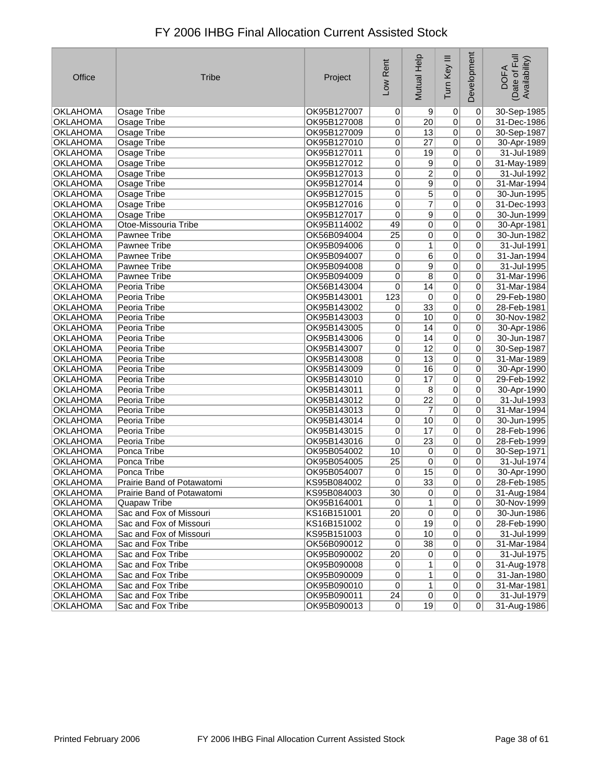| Office                             | <b>Tribe</b>                           | Project                    | Low Rent                         | Mutual Help         | Ξ<br>Tum Key                | Development                      | (Date of Full<br>Availability)<br><b>DOFA</b> |
|------------------------------------|----------------------------------------|----------------------------|----------------------------------|---------------------|-----------------------------|----------------------------------|-----------------------------------------------|
| OKLAHOMA                           | Osage Tribe                            | OK95B127007                | $\Omega$                         | 9                   | 0                           | $\Omega$                         | 30-Sep-1985                                   |
| OKLAHOMA                           | Osage Tribe                            | OK95B127008                | $\overline{0}$                   | 20 <sub>2</sub>     | $\overline{0}$              | 0                                | 31-Dec-1986                                   |
| <b>OKLAHOMA</b>                    | Osage Tribe                            | OK95B127009                | 0                                | 13                  | $\overline{0}$              | 0                                | 30-Sep-1987                                   |
| <b>OKLAHOMA</b>                    | Osage Tribe                            | OK95B127010                | 0                                | 27                  | $\overline{0}$              | $\overline{0}$                   | 30-Apr-1989                                   |
| <b>OKLAHOMA</b>                    | Osage Tribe                            | OK95B127011                | 0                                | 19                  | $\overline{0}$              | $\Omega$                         | 31-Jul-1989                                   |
| <b>OKLAHOMA</b>                    | Osage Tribe                            | OK95B127012                | 0                                | $\overline{9}$      | $\overline{0}$              | $\Omega$                         | 31-May-1989                                   |
| <b>OKLAHOMA</b>                    | <b>Osage Tribe</b>                     | OK95B127013                | $\overline{0}$                   | $\overline{2}$      | $\pmb{0}$                   | 0                                | 31-Jul-1992                                   |
| <b>OKLAHOMA</b>                    | Osage Tribe                            | OK95B127014                | $\overline{0}$                   | $\overline{9}$      | $\overline{0}$              | $\overline{0}$                   | 31-Mar-1994                                   |
| <b>OKLAHOMA</b>                    | Osage Tribe                            | OK95B127015                | 0                                | 5                   | $\pmb{0}$                   | 0                                | 30-Jun-1995                                   |
| OKLAHOMA                           | Osage Tribe                            | OK95B127016                | $\overline{0}$                   | $\overline{7}$      | $\overline{0}$              | 0                                | 31-Dec-1993                                   |
| <b>OKLAHOMA</b>                    | Osage Tribe                            | OK95B127017                | 0                                | 9                   | $\overline{0}$              | 0                                | 30-Jun-1999                                   |
| <b>OKLAHOMA</b>                    | Otoe-Missouria Tribe                   | OK95B114002                | 49                               | 0                   | $\overline{0}$              | $\overline{0}$                   | 30-Apr-1981                                   |
| <b>OKLAHOMA</b>                    | Pawnee Tribe                           | OK56B094004                | $\overline{25}$                  | 0                   | 0                           | $\overline{0}$                   | 30-Jun-1982                                   |
| <b>OKLAHOMA</b>                    | Pawnee Tribe                           | OK95B094006                | 0                                | 1                   | $\overline{0}$              | 0                                | 31-Jul-1991                                   |
| <b>OKLAHOMA</b>                    | Pawnee Tribe                           | OK95B094007                | 0                                | 6                   | $\pmb{0}$                   | $\mathbf 0$                      | 31-Jan-1994                                   |
| <b>OKLAHOMA</b>                    | Pawnee Tribe                           | OK95B094008                | 0                                | 9                   | $\pmb{0}$                   | $\Omega$                         | 31-Jul-1995                                   |
| <b>OKLAHOMA</b>                    | Pawnee Tribe                           | OK95B094009                | 0                                | $\overline{8}$      | $\pmb{0}$                   | 0                                | 31-Mar-1996                                   |
| <b>OKLAHOMA</b>                    | Peoria Tribe                           | OK56B143004                | $\vert 0 \vert$                  | 14                  | $\overline{0}$              | $\Omega$                         | 31-Mar-1984                                   |
| <b>OKLAHOMA</b>                    | Peoria Tribe                           | OK95B143001                | 123                              | $\pmb{0}$           | $\pmb{0}$                   | $\mathbf 0$                      | 29-Feb-1980                                   |
| <b>OKLAHOMA</b>                    | Peoria Tribe                           | OK95B143002                | 0                                | 33                  | 0                           | 0                                | 28-Feb-1981                                   |
| <b>OKLAHOMA</b>                    | Peoria Tribe                           | OK95B143003                | 0                                | 10                  | $\pmb{0}$                   | 0                                | 30-Nov-1982                                   |
| <b>OKLAHOMA</b>                    | Peoria Tribe                           | OK95B143005                | $\overline{0}$                   | 14                  | $\pmb{0}$                   | $\overline{0}$                   | 30-Apr-1986                                   |
| <b>OKLAHOMA</b>                    | Peoria Tribe                           | OK95B143006                | 0                                | 14                  | $\overline{0}$              | $\mathbf 0$                      | 30-Jun-1987                                   |
| <b>OKLAHOMA</b>                    | Peoria Tribe                           | OK95B143007                | 0                                | 12                  | $\pmb{0}$                   | $\Omega$                         | 30-Sep-1987                                   |
| <b>OKLAHOMA</b>                    | Peoria Tribe                           | OK95B143008                | 0                                | 13                  | $\pmb{0}$                   | $\mathbf 0$                      | 31-Mar-1989                                   |
| <b>OKLAHOMA</b>                    | Peoria Tribe                           | OK95B143009                | $\overline{0}$                   | 16                  | $\overline{0}$              | 0                                | 30-Apr-1990                                   |
| <b>OKLAHOMA</b>                    | Peoria Tribe                           | OK95B143010                | 0                                | 17                  | $\overline{0}$              | $\overline{0}$                   | 29-Feb-1992                                   |
| <b>OKLAHOMA</b>                    | Peoria Tribe                           | OK95B143011                | 0                                | $\,8\,$             | $\overline{0}$              | $\overline{0}$                   | 30-Apr-1990                                   |
| <b>OKLAHOMA</b>                    | Peoria Tribe                           | OK95B143012                | 0                                | $\overline{22}$     | $\pmb{0}$                   | $\overline{0}$                   | 31-Jul-1993                                   |
| <b>OKLAHOMA</b>                    | Peoria Tribe                           | OK95B143013                | 0                                | $\overline{7}$      | $\pmb{0}$                   | 0                                | 31-Mar-1994                                   |
| <b>OKLAHOMA</b>                    | Peoria Tribe                           | OK95B143014                | 0                                | 10                  | $\overline{0}$              | $\mathbf 0$                      | 30-Jun-1995                                   |
| <b>OKLAHOMA</b>                    | Peoria Tribe                           | OK95B143015                | 0                                | 17                  | $\overline{0}$              | $\overline{0}$                   | 28-Feb-1996                                   |
| OKLAHOMA                           | Peoria Tribe                           | OK95B143016                | 0                                | $\overline{23}$     | $\overline{0}$              | $\overline{0}$                   | 28-Feb-1999                                   |
| <b>OKLAHOMA</b>                    | Ponca Tribe                            | OK95B054002                | 10                               | $\pmb{0}$           | $\overline{0}$              | 0                                | 30-Sep-1971                                   |
| <b>OKLAHOMA</b>                    | Ponca Tribe                            | OK95B054005                | 25                               | $\pmb{0}$           | $\pmb{0}$                   | $\overline{0}$                   | 31-Jul-1974                                   |
| <b>OKLAHOMA</b>                    | Ponca Tribe                            | OK95B054007                | 0                                | 15                  | $\overline{0}$              | $\Omega$                         | 30-Apr-1990                                   |
| <b>OKLAHOMA</b>                    | Prairie Band of Potawatomi             | KS95B084002                | $\mathbf 0$                      | 33                  | $\overline{0}$              | $\overline{0}$                   | 28-Feb-1985                                   |
| <b>OKLAHOMA</b>                    | Prairie Band of Potawatomi             | KS95B084003                | $\overline{30}$                  | $\overline{0}$      | $\overline{0}$              | $\overline{0}$                   | 31-Aug-1984                                   |
| <b>OKLAHOMA</b>                    | Quapaw Tribe                           | OK95B164001                | $\overline{0}$                   | 1 <sup>1</sup>      | $\overline{0}$              | 0                                | 30-Nov-1999                                   |
| OKLAHOMA                           | Sac and Fox of Missouri                | KS16B151001                | 20                               | 0                   | $\overline{0}$              | 0                                | 30-Jun-1986                                   |
| OKLAHOMA                           | Sac and Fox of Missouri                | KS16B151002                | $\overline{0}$                   | 19                  | $\overline{0}$              | $\Omega$                         | 28-Feb-1990                                   |
| OKLAHOMA                           | Sac and Fox of Missouri                | KS95B151003                | 0                                | 10                  | $\pmb{0}$                   | $\overline{0}$                   | 31-Jul-1999                                   |
| <b>OKLAHOMA</b>                    | Sac and Fox Tribe                      | OK56B090012                | 0                                | $\overline{38}$     | $\pmb{0}$                   | $\overline{0}$                   | 31-Mar-1984                                   |
| OKLAHOMA                           | Sac and Fox Tribe                      | OK95B090002                | 20                               | $\overline{0}$      | 0                           | $\Omega$                         | 31-Jul-1975                                   |
| <b>OKLAHOMA</b>                    | Sac and Fox Tribe                      | OK95B090008                | 0                                | 1<br>$\overline{1}$ | $\overline{0}$              | $\overline{0}$<br>$\overline{0}$ | 31-Aug-1978                                   |
| <b>OKLAHOMA</b>                    | Sac and Fox Tribe                      | OK95B090009                | $\overline{0}$<br>$\overline{0}$ | 1                   | $\pmb{0}$<br>$\overline{0}$ | $\Omega$                         | 31-Jan-1980                                   |
| <b>OKLAHOMA</b><br><b>OKLAHOMA</b> | Sac and Fox Tribe<br>Sac and Fox Tribe | OK95B090010<br>OK95B090011 | 24                               | 0                   | 0                           | $\overline{0}$                   | 31-Mar-1981<br>31-Jul-1979                    |
| <b>OKLAHOMA</b>                    | Sac and Fox Tribe                      | OK95B090013                | 0                                | 19                  | 0                           | 0                                | 31-Aug-1986                                   |
|                                    |                                        |                            |                                  |                     |                             |                                  |                                               |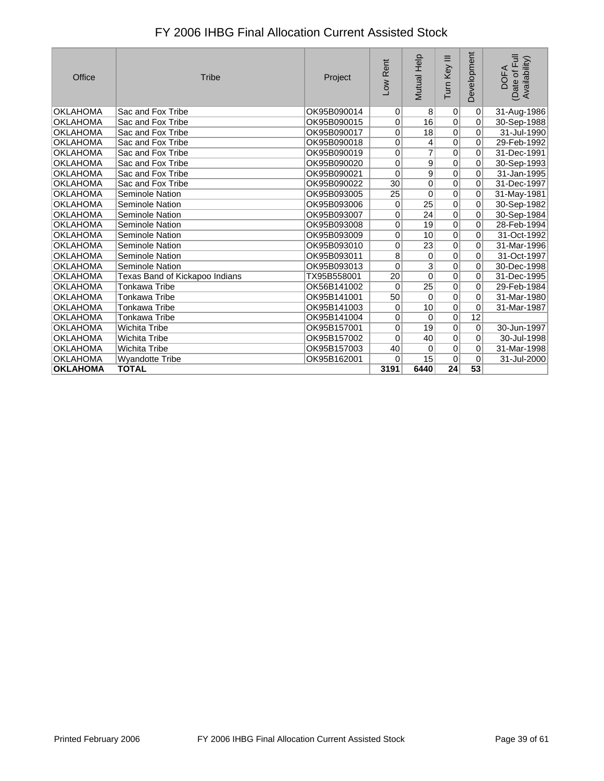| Office          | <b>Tribe</b>                   | Project     | Low Rent       | <b>Mutual Help</b> | Ξ<br>Tum Key    | Development     | of Full<br>Availability)<br><b>DOFA</b><br>(Date o |
|-----------------|--------------------------------|-------------|----------------|--------------------|-----------------|-----------------|----------------------------------------------------|
| <b>OKLAHOMA</b> | Sac and Fox Tribe              | OK95B090014 | $\overline{0}$ | 8                  | 0               | 0               | 31-Aug-1986                                        |
| <b>OKLAHOMA</b> | Sac and Fox Tribe              | OK95B090015 | 0              | 16                 | $\Omega$        | 0               | 30-Sep-1988                                        |
| <b>OKLAHOMA</b> | Sac and Fox Tribe              | OK95B090017 | 0              | 18                 | $\overline{0}$  | $\overline{0}$  | 31-Jul-1990                                        |
| <b>OKLAHOMA</b> | Sac and Fox Tribe              | OK95B090018 | 0              | 4                  | $\overline{0}$  | 0               | 29-Feb-1992                                        |
| <b>OKLAHOMA</b> | Sac and Fox Tribe              | OK95B090019 | 0              | $\overline{7}$     | $\mathbf 0$     | 0               | 31-Dec-1991                                        |
| <b>OKLAHOMA</b> | Sac and Fox Tribe              | OK95B090020 | 0              | 9                  | $\overline{0}$  | 0               | 30-Sep-1993                                        |
| <b>OKLAHOMA</b> | Sac and Fox Tribe              | OK95B090021 | 0              | $\overline{9}$     | $\overline{0}$  | $\overline{0}$  | 31-Jan-1995                                        |
| <b>OKLAHOMA</b> | Sac and Fox Tribe              | OK95B090022 | 30             | $\overline{0}$     | $\overline{0}$  | $\overline{0}$  | 31-Dec-1997                                        |
| <b>OKLAHOMA</b> | <b>Seminole Nation</b>         | OK95B093005 | 25             | $\overline{0}$     | $\Omega$        | $\Omega$        | 31-May-1981                                        |
| <b>OKLAHOMA</b> | Seminole Nation                | OK95B093006 | 0              | $\overline{25}$    | $\overline{0}$  | $\overline{0}$  | 30-Sep-1982                                        |
| <b>OKLAHOMA</b> | Seminole Nation                | OK95B093007 | 0              | 24                 | $\Omega$        | 0               | 30-Sep-1984                                        |
| <b>OKLAHOMA</b> | Seminole Nation                | OK95B093008 | 0              | 19                 | $\overline{0}$  | 0               | 28-Feb-1994                                        |
| <b>OKLAHOMA</b> | Seminole Nation                | OK95B093009 | $\overline{0}$ | 10                 | $\overline{0}$  | $\overline{0}$  | 31-Oct-1992                                        |
| <b>OKLAHOMA</b> | Seminole Nation                | OK95B093010 | 0              | $\overline{23}$    | $\overline{0}$  | $\overline{0}$  | 31-Mar-1996                                        |
| <b>OKLAHOMA</b> | <b>Seminole Nation</b>         | OK95B093011 | 8              | $\Omega$           | $\mathbf 0$     | $\overline{0}$  | 31-Oct-1997                                        |
| <b>OKLAHOMA</b> | Seminole Nation                | OK95B093013 | 0              | 3                  | $\mathbf 0$     | $\Omega$        | 30-Dec-1998                                        |
| <b>OKLAHOMA</b> | Texas Band of Kickapoo Indians | TX95B558001 | 20             | $\overline{0}$     | $\overline{0}$  | 0               | 31-Dec-1995                                        |
| <b>OKLAHOMA</b> | <b>Tonkawa Tribe</b>           | OK56B141002 | 0              | 25                 | $\overline{0}$  | 0               | 29-Feb-1984                                        |
| <b>OKLAHOMA</b> | Tonkawa Tribe                  | OK95B141001 | 50             | $\Omega$           | $\mathbf 0$     | 0               | 31-Mar-1980                                        |
| <b>OKLAHOMA</b> | Tonkawa Tribe                  | OK95B141003 | 0              | 10                 | $\overline{0}$  | 0               | 31-Mar-1987                                        |
| <b>OKLAHOMA</b> | <b>Tonkawa Tribe</b>           | OK95B141004 | 0              | 0                  | $\Omega$        | $\overline{12}$ |                                                    |
| <b>OKLAHOMA</b> | <b>Wichita Tribe</b>           | OK95B157001 | 0              | 19                 | $\mathbf 0$     | $\overline{0}$  | 30-Jun-1997                                        |
| <b>OKLAHOMA</b> | <b>Wichita Tribe</b>           | OK95B157002 | 0              | 40                 | $\overline{0}$  | $\Omega$        | 30-Jul-1998                                        |
| <b>OKLAHOMA</b> | <b>Wichita Tribe</b>           | OK95B157003 | 40             | $\Omega$           | $\overline{0}$  | 0               | 31-Mar-1998                                        |
| <b>OKLAHOMA</b> | <b>Wyandotte Tribe</b>         | OK95B162001 | 0              | 15                 | $\Omega$        | 0               | 31-Jul-2000                                        |
| <b>OKLAHOMA</b> | <b>TOTAL</b>                   |             | 3191           | 6440               | $\overline{24}$ | 53              |                                                    |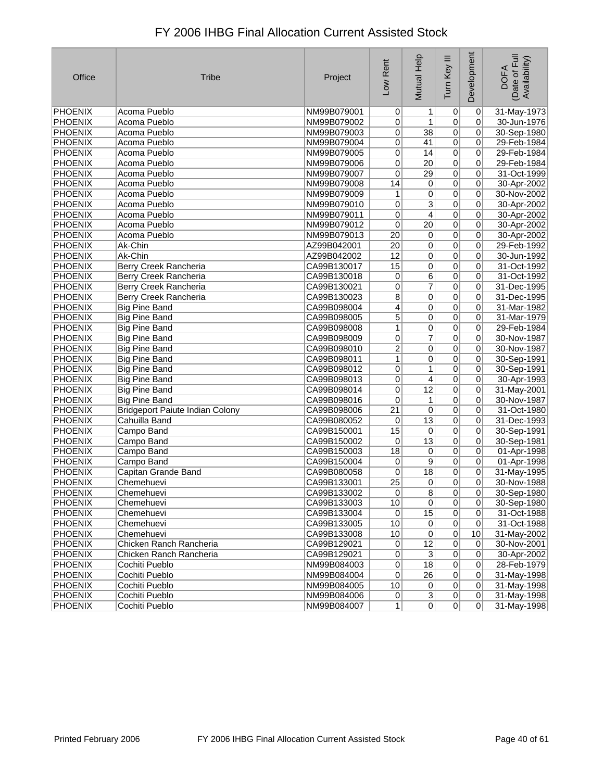| Office         | <b>Tribe</b>                           | Project     | Low Rent        | Mutual Help     | Tum Key III    | Development     | Date of Full<br>Availability)<br><b>DOFA</b> |
|----------------|----------------------------------------|-------------|-----------------|-----------------|----------------|-----------------|----------------------------------------------|
| PHOENIX        | Acoma Pueblo                           | NM99B079001 | $\overline{0}$  | $\mathbf{1}$    | $\overline{0}$ | $\pmb{0}$       | 31-May-1973                                  |
| PHOENIX        | Acoma Pueblo                           | NM99B079002 | 0               | 1               | 0              | 0               | 30-Jun-1976                                  |
| <b>PHOENIX</b> | Acoma Pueblo                           | NM99B079003 | 0               | $\overline{38}$ | $\overline{0}$ | 0               | 30-Sep-1980                                  |
| <b>PHOENIX</b> | Acoma Pueblo                           | NM99B079004 | $\mathbf 0$     | 41              | 0              | 0               | 29-Feb-1984                                  |
| PHOENIX        | Acoma Pueblo                           | NM99B079005 | 0               | 14              | $\overline{0}$ | 0               | 29-Feb-1984                                  |
| PHOENIX        | Acoma Pueblo                           | NM99B079006 | 0               | 20              | 0              | 0               | 29-Feb-1984                                  |
| <b>PHOENIX</b> | Acoma Pueblo                           | NM99B079007 | 0               | $\overline{29}$ | $\overline{0}$ | 0               | 31-Oct-1999                                  |
| <b>PHOENIX</b> | Acoma Pueblo                           | NM99B079008 | 14              | 0               | $\overline{0}$ | 0               | 30-Apr-2002                                  |
| <b>PHOENIX</b> | Acoma Pueblo                           | NM99B079009 | 1               | 0               | $\overline{0}$ | 0               | 30-Nov-2002                                  |
| PHOENIX        | Acoma Pueblo                           | NM99B079010 | 0               | $\overline{3}$  | 0              | 0               | 30-Apr-2002                                  |
| PHOENIX        | Acoma Pueblo                           | NM99B079011 | 0               | $\overline{4}$  | $\overline{0}$ | $\overline{0}$  | 30-Apr-2002                                  |
| PHOENIX        | Acoma Pueblo                           | NM99B079012 | 0               | $\overline{20}$ | $\overline{0}$ | $\mathbf 0$     | 30-Apr-2002                                  |
| <b>PHOENIX</b> | Acoma Pueblo                           | NM99B079013 | $\overline{20}$ | 0               | 0              | $\mathbf 0$     | 30-Apr-2002                                  |
| PHOENIX        | Ak-Chin                                | AZ99B042001 | 20              | 0               | 0              | 0               | 29-Feb-1992                                  |
| PHOENIX        | Ak-Chin                                | AZ99B042002 | 12              | 0               | $\overline{0}$ | 0               | 30-Jun-1992                                  |
| PHOENIX        | Berry Creek Rancheria                  | CA99B130017 | 15              | 0               | 0              | 0               | 31-Oct-1992                                  |
| <b>PHOENIX</b> | Berry Creek Rancheria                  | CA99B130018 | 0               | 6               | 0              | 0               | 31-Oct-1992                                  |
| <b>PHOENIX</b> | Berry Creek Rancheria                  | CA99B130021 | 0               | 7               | 0              | 0               | 31-Dec-1995                                  |
| <b>PHOENIX</b> | Berry Creek Rancheria                  | CA99B130023 | 8               | 0               | $\overline{0}$ | 0               | 31-Dec-1995                                  |
| PHOENIX        | <b>Big Pine Band</b>                   | CA99B098004 | 4               | 0               | 0              | 0               | 31-Mar-1982                                  |
| PHOENIX        | <b>Big Pine Band</b>                   | CA99B098005 | 5               | 0               | 0              | 0               | 31-Mar-1979                                  |
| <b>PHOENIX</b> | <b>Big Pine Band</b>                   | CA99B098008 | $\mathbf{1}$    | 0               | 0              | 0               | 29-Feb-1984                                  |
| <b>PHOENIX</b> | <b>Big Pine Band</b>                   | CA99B098009 | 0               | 7               | 0              | 0               | 30-Nov-1987                                  |
| PHOENIX        | <b>Big Pine Band</b>                   | CA99B098010 | $\overline{2}$  | 0               | 0              | 0               | 30-Nov-1987                                  |
| PHOENIX        | <b>Big Pine Band</b>                   | CA99B098011 | $\mathbf{1}$    | 0               | 0              | 0               | 30-Sep-1991                                  |
| <b>PHOENIX</b> | <b>Big Pine Band</b>                   | CA99B098012 | 0               | 1               | $\overline{0}$ | 0               | 30-Sep-1991                                  |
| <b>PHOENIX</b> | <b>Big Pine Band</b>                   | CA99B098013 | 0               | 4               | 0              | 0               | 30-Apr-1993                                  |
| PHOENIX        | <b>Big Pine Band</b>                   | CA99B098014 | 0               | $\overline{12}$ | $\overline{0}$ | 0               | 31-May-2001                                  |
| <b>PHOENIX</b> | <b>Big Pine Band</b>                   | CA99B098016 | 0               | 1               | 0              | 0               | 30-Nov-1987                                  |
| <b>PHOENIX</b> | <b>Bridgeport Paiute Indian Colony</b> | CA99B098006 | 21              | 0               | $\overline{0}$ | 0               | 31-Oct-1980                                  |
| <b>PHOENIX</b> | Cahuilla Band                          | CA99B080052 | 0               | $\overline{13}$ | 0              | 0               | 31-Dec-1993                                  |
| <b>PHOENIX</b> | Campo Band                             | CA99B150001 | 15              | 0               | $\overline{0}$ | 0               | 30-Sep-1991                                  |
| <b>PHOENIX</b> | Campo Band                             | CA99B150002 | 0               | $\overline{13}$ | 0              | $\mathbf 0$     | 30-Sep-1981                                  |
| PHOENIX        | Campo Band                             | CA99B150003 | 18              | 0               | $\overline{0}$ | 0               | 01-Apr-1998                                  |
| PHOENIX        | Campo Band                             | CA99B150004 | 0               | 9               | $\overline{0}$ | $\mathbf 0$     | 01-Apr-1998                                  |
| PHOENIX        | Capitan Grande Band                    | CA99B080058 | 0               | 18              | 0              | 0               | 31-May-1995                                  |
| <b>PHOENIX</b> | Chemehuevi                             | CA99B133001 | $\overline{25}$ | 0               | 0              | 0               | 30-Nov-1988                                  |
| PHOENIX        | Chemenuevi                             | CA99B133002 | 0               | $\overline{8}$  | $\overline{0}$ | $\overline{0}$  | 30-Sep-1980                                  |
| PHOENIX        | Chemehuevi                             | CA99B133003 | 10              | $\overline{0}$  | $\pmb{0}$      | 0               | 30-Sep-1980                                  |
| PHOENIX        | Chemehuevi                             | CA99B133004 | 0               | 15              | $\pmb{0}$      | 0               | 31-Oct-1988                                  |
| PHOENIX        | Chemehuevi                             | CA99B133005 | 10              | $\overline{0}$  | $\mathbf 0$    | 0               | 31-Oct-1988                                  |
| PHOENIX        | Chemehuevi                             | CA99B133008 | $10$            | $\overline{0}$  | $\overline{0}$ | 10              | 31-May-2002                                  |
| PHOENIX        | Chicken Ranch Rancheria                | CA99B129021 | 0               | $\overline{12}$ | $\pmb{0}$      | $\mathbf 0$     | 30-Nov-2001                                  |
| PHOENIX        | Chicken Ranch Rancheria                | CA99B129021 | 0               | $\overline{3}$  | $\overline{0}$ | $\mathbf 0$     | 30-Apr-2002                                  |
| PHOENIX        | Cochiti Pueblo                         | NM99B084003 | 0               | 18              | $\overline{0}$ | 0               | 28-Feb-1979                                  |
| PHOENIX        | Cochiti Pueblo                         | NM99B084004 | $\overline{0}$  | $\overline{26}$ | 0              | $\vert 0 \vert$ | 31-May-1998                                  |
| PHOENIX        | Cochiti Pueblo                         | NM99B084005 | 10              | $\pmb{0}$       | $\overline{0}$ | $\mathbf 0$     | 31-May-1998                                  |
| <b>PHOENIX</b> | Cochiti Pueblo                         | NM99B084006 | $\vert 0 \vert$ | $\overline{3}$  | 0              | $\vert 0 \vert$ | 31-May-1998                                  |
| PHOENIX        | Cochiti Pueblo                         | NM99B084007 | 1               | $\overline{0}$  | 0              | $\overline{0}$  | 31-May-1998                                  |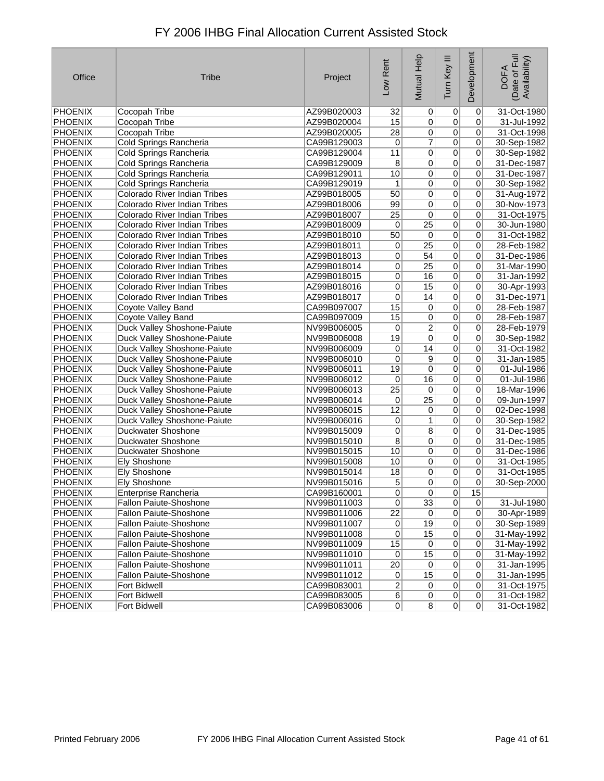| Office         | <b>Tribe</b>                 | Project     | Low Rent        | Mutual Help     | Tum Key III    | Development     | Ful<br>Availability)<br><b>DOFA</b><br>Date of |
|----------------|------------------------------|-------------|-----------------|-----------------|----------------|-----------------|------------------------------------------------|
| PHOENIX        | Cocopah Tribe                | AZ99B020003 | 32              | 0               | 0              | $\overline{0}$  | 31-Oct-1980                                    |
| PHOENIX        | Cocopah Tribe                | AZ99B020004 | 15              | $\overline{0}$  | $\overline{0}$ | $\mathbf 0$     | 31-Jul-1992                                    |
| PHOENIX        | Cocopah Tribe                | AZ99B020005 | 28              | 0               | $\pmb{0}$      | $\Omega$        | 31-Oct-1998                                    |
| PHOENIX        | Cold Springs Rancheria       | CA99B129003 | 0               | $\overline{7}$  | $\overline{0}$ | $\mathbf 0$     | 30-Sep-1982                                    |
| PHOENIX        | Cold Springs Rancheria       | CA99B129004 | 11              | 0               | $\overline{0}$ | $\vert 0 \vert$ | 30-Sep-1982                                    |
| PHOENIX        | Cold Springs Rancheria       | CA99B129009 | $\overline{8}$  | 0               | $\overline{0}$ | $\mathbf 0$     | 31-Dec-1987                                    |
| <b>PHOENIX</b> | Cold Springs Rancheria       | CA99B129011 | 10              | 0               | $\overline{0}$ | $\overline{0}$  | 31-Dec-1987                                    |
| <b>PHOENIX</b> | Cold Springs Rancheria       | CA99B129019 | 1               | $\overline{0}$  | $\overline{0}$ | 0               | 30-Sep-1982                                    |
| PHOENIX        | Colorado River Indian Tribes | AZ99B018005 | 50              | 0               | $\overline{0}$ | $\vert 0 \vert$ | 31-Aug-1972                                    |
| PHOENIX        | Colorado River Indian Tribes | AZ99B018006 | 99              | 0               | $\overline{0}$ | $\mathbf 0$     | 30-Nov-1973                                    |
| PHOENIX        | Colorado River Indian Tribes | AZ99B018007 | 25              | 0               | $\overline{0}$ | $\overline{0}$  | 31-Oct-1975                                    |
| PHOENIX        | Colorado River Indian Tribes | AZ99B018009 | 0               | $\overline{25}$ | $\overline{0}$ | 0               | 30-Jun-1980                                    |
| <b>PHOENIX</b> | Colorado River Indian Tribes | AZ99B018010 | 50              | $\overline{0}$  | $\overline{0}$ | $\pmb{0}$       | 31-Oct-1982                                    |
| <b>PHOENIX</b> | Colorado River Indian Tribes | AZ99B018011 | 0               | $\overline{25}$ | $\overline{0}$ | $\pmb{0}$       | 28-Feb-1982                                    |
| PHOENIX        | Colorado River Indian Tribes | AZ99B018013 | 0               | 54              | $\overline{0}$ | 0               | 31-Dec-1986                                    |
| <b>PHOENIX</b> | Colorado River Indian Tribes | AZ99B018014 | 0               | $\overline{25}$ | $\overline{0}$ | $\vert 0 \vert$ | 31-Mar-1990                                    |
| PHOENIX        | Colorado River Indian Tribes | AZ99B018015 | 0               | 16              | $\overline{0}$ | $\vert 0 \vert$ | 31-Jan-1992                                    |
| PHOENIX        | Colorado River Indian Tribes | AZ99B018016 | 0               | 15              | $\overline{0}$ | $\overline{0}$  | 30-Apr-1993                                    |
| PHOENIX        | Colorado River Indian Tribes | AZ99B018017 | 0               | 14              | $\overline{0}$ | 0               | 31-Dec-1971                                    |
| <b>PHOENIX</b> | Coyote Valley Band           | CA99B097007 | 15              | $\overline{0}$  | $\overline{0}$ | $\vert 0 \vert$ | 28-Feb-1987                                    |
| PHOENIX        | Coyote Valley Band           | CA99B097009 | 15              | 0               | $\overline{0}$ | $\pmb{0}$       | 28-Feb-1987                                    |
| PHOENIX        | Duck Valley Shoshone-Paiute  | NV99B006005 | 0               | 2               | $\overline{0}$ | $\pmb{0}$       | 28-Feb-1979                                    |
| PHOENIX        | Duck Valley Shoshone-Paiute  | NV99B006008 | 19              | 0               | $\pmb{0}$      | 0               | 30-Sep-1982                                    |
| PHOENIX        | Duck Valley Shoshone-Paiute  | NV99B006009 | 0               | 14              | $\overline{0}$ | $\vert 0 \vert$ | 31-Oct-1982                                    |
| PHOENIX        | Duck Valley Shoshone-Paiute  | NV99B006010 | $\pmb{0}$       | $\overline{9}$  | $\overline{0}$ | $\mathbf 0$     | 31-Jan-1985                                    |
| <b>PHOENIX</b> | Duck Valley Shoshone-Paiute  | NV99B006011 | 19              | 0               | 0              | $\overline{0}$  | 01-Jul-1986                                    |
| PHOENIX        | Duck Valley Shoshone-Paiute  | NV99B006012 | 0               | 16              | $\pmb{0}$      | 0               | 01-Jul-1986                                    |
| PHOENIX        | Duck Valley Shoshone-Paiute  | NV99B006013 | $\overline{25}$ | $\overline{0}$  | $\overline{0}$ | $\vert 0 \vert$ | 18-Mar-1996                                    |
| PHOENIX        | Duck Valley Shoshone-Paiute  | NV99B006014 | 0               | $\overline{25}$ | $\overline{0}$ | $\mathbf 0$     | 09-Jun-1997                                    |
| PHOENIX        | Duck Valley Shoshone-Paiute  | NV99B006015 | 12              | 0               | $\overline{0}$ | $\overline{0}$  | 02-Dec-1998                                    |
| PHOENIX        | Duck Valley Shoshone-Paiute  | NV99B006016 | 0               | 1               | $\overline{0}$ | 0               | 30-Sep-1982                                    |
| PHOENIX        | Duckwater Shoshone           | NV99B015009 | $\overline{0}$  | $\overline{8}$  | $\overline{0}$ | $\overline{0}$  | 31-Dec-1985                                    |
| <b>PHOENIX</b> | Duckwater Shoshone           | NV99B015010 | $\overline{8}$  | 0               | $\overline{0}$ | $\mathbf 0$     | 31-Dec-1985                                    |
| PHOENIX        | Duckwater Shoshone           | NV99B015015 | 10              | 0               | $\overline{0}$ | 0               | 31-Dec-1986                                    |
| <b>PHOENIX</b> | <b>Ely Shoshone</b>          | NV99B015008 | 10              | $\overline{0}$  | $\overline{0}$ | 0               | 31-Oct-1985                                    |
| PHOENIX        | <b>Ely Shoshone</b>          | NV99B015014 | 18              | $\overline{0}$  | $\overline{0}$ | $\vert 0 \vert$ | 31-Oct-1985                                    |
| PHOENIX        | <b>Ely Shoshone</b>          | NV99B015016 | 5               | 0               | $\overline{0}$ | $\mathbf 0$     | 30-Sep-2000                                    |
| PHOENIX        | Enterprise Rancheria         | CA99B160001 | $\overline{0}$  | 0               | $\overline{0}$ | 15              |                                                |
| <b>PHOENIX</b> | Fallon Paiute-Shoshone       | NV99B011003 | $\overline{0}$  | 33              | $\overline{0}$ | $\overline{0}$  | 31-Jul-1980                                    |
| <b>PHOENIX</b> | Fallon Paiute-Shoshone       | NV99B011006 | $\overline{22}$ | 0               | $\overline{0}$ | $\vert 0 \vert$ | 30-Apr-1989                                    |
| <b>PHOENIX</b> | Fallon Paiute-Shoshone       | NV99B011007 | 0               | 19              | $\overline{0}$ | $\overline{0}$  | 30-Sep-1989                                    |
| PHOENIX        | Fallon Paiute-Shoshone       | NV99B011008 | 0               | 15              | $\overline{0}$ | $\overline{0}$  | 31-May-1992                                    |
| PHOENIX        | Fallon Paiute-Shoshone       | NV99B011009 | 15              | $\overline{0}$  | $\overline{0}$ | $\overline{0}$  | 31-May-1992                                    |
| PHOENIX        | Fallon Paiute-Shoshone       | NV99B011010 | $\overline{0}$  | 15              | $\overline{0}$ | $\vert 0 \vert$ | 31-May-1992                                    |
| <b>PHOENIX</b> | Fallon Paiute-Shoshone       | NV99B011011 | $\overline{20}$ | 0               | $\overline{0}$ | $\overline{0}$  | 31-Jan-1995                                    |
| PHOENIX        | Fallon Paiute-Shoshone       | NV99B011012 | 0               | 15              | $\overline{0}$ | $\overline{0}$  | 31-Jan-1995                                    |
| PHOENIX        | Fort Bidwell                 | CA99B083001 | $\overline{2}$  | 0               | 0              | $\vert 0 \vert$ | 31-Oct-1975                                    |
| PHOENIX        | Fort Bidwell                 | CA99B083005 | $6\vert$        | 0               | 0              | $\overline{0}$  | 31-Oct-1982                                    |

PHOENIX Fort Bidwell CA99B083005 6 0 0 0 31-Oct-1982

CA99B083006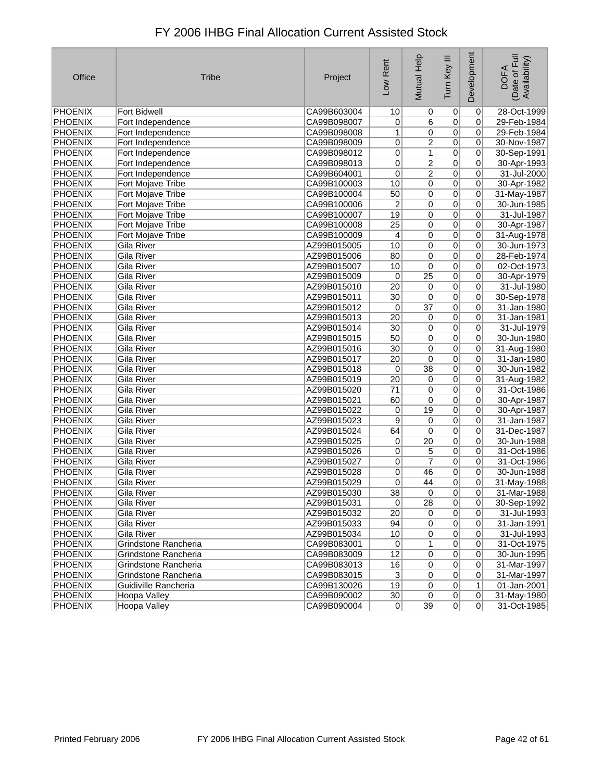| Office         | <b>Tribe</b>         | Project     | Low Rent        | Mutual Help     | Tum Key III    | Development     | Date of Full<br>Availability)<br><b>DOFA</b> |
|----------------|----------------------|-------------|-----------------|-----------------|----------------|-----------------|----------------------------------------------|
| <b>PHOENIX</b> | <b>Fort Bidwell</b>  | CA99B603004 | 10              | 0               | 0              | 0               | 28-Oct-1999                                  |
| <b>PHOENIX</b> | Fort Independence    | CA99B098007 | 0               | 6               | 0              | 0               | 29-Feb-1984                                  |
| <b>PHOENIX</b> | Fort Independence    | CA99B098008 | 1               | 0               | 0              | 0               | 29-Feb-1984                                  |
| <b>PHOENIX</b> | Fort Independence    | CA99B098009 | 0               | $\overline{2}$  | 0              | 0               | 30-Nov-1987                                  |
| <b>PHOENIX</b> | Fort Independence    | CA99B098012 | 0               | $\mathbf{1}$    | 0              | 0               | 30-Sep-1991                                  |
| PHOENIX        | Fort Independence    | CA99B098013 | 0               | $\overline{2}$  | 0              | 0               | 30-Apr-1993                                  |
| <b>PHOENIX</b> | Fort Independence    | CA99B604001 | 0               | $\overline{2}$  | 0              | 0               | 31-Jul-2000                                  |
| <b>PHOENIX</b> | Fort Mojave Tribe    | CA99B100003 | 10              | 0               | $\overline{0}$ | 0               | 30-Apr-1982                                  |
| <b>PHOENIX</b> | Fort Mojave Tribe    | CA99B100004 | 50              | 0               | 0              | 0               | 31-May-1987                                  |
| PHOENIX        | Fort Mojave Tribe    | CA99B100006 | $\overline{c}$  | 0               | 0              | $\pmb{0}$       | 30-Jun-1985                                  |
| <b>PHOENIX</b> | Fort Mojave Tribe    | CA99B100007 | 19              | 0               | 0              | 0               | 31-Jul-1987                                  |
| <b>PHOENIX</b> | Fort Mojave Tribe    | CA99B100008 | $\overline{25}$ | 0               | 0              | 0               | 30-Apr-1987                                  |
| <b>PHOENIX</b> | Fort Mojave Tribe    | CA99B100009 | 4               | 0               | $\overline{0}$ | 0               | 31-Aug-1978                                  |
| <b>PHOENIX</b> | <b>Gila River</b>    | AZ99B015005 | 10              | 0               | $\overline{0}$ | $\overline{0}$  | 30-Jun-1973                                  |
| <b>PHOENIX</b> | Gila River           | AZ99B015006 | 80              | 0               | 0              | 0               | 28-Feb-1974                                  |
| <b>PHOENIX</b> | Gila River           | AZ99B015007 | 10              | $\pmb{0}$       | $\overline{0}$ | 0               | 02-Oct-1973                                  |
| <b>PHOENIX</b> | <b>Gila River</b>    | AZ99B015009 | 0               | $\overline{25}$ | $\overline{0}$ | 0               | 30-Apr-1979                                  |
| PHOENIX        | Gila River           | AZ99B015010 | $\overline{20}$ | $\pmb{0}$       | 0              | 0               | 31-Jul-1980                                  |
| <b>PHOENIX</b> | Gila River           | AZ99B015011 | 30              | 0               | 0              | 0               | 30-Sep-1978                                  |
| <b>PHOENIX</b> | Gila River           | AZ99B015012 | $\pmb{0}$       | $\overline{37}$ | $\overline{0}$ | $\overline{0}$  | 31-Jan-1980                                  |
| <b>PHOENIX</b> | Gila River           | AZ99B015013 | $\overline{20}$ | $\pmb{0}$       | 0              | 0               | 31-Jan-1981                                  |
| <b>PHOENIX</b> | Gila River           | AZ99B015014 | 30              | 0               | 0              | 0               | 31-Jul-1979                                  |
| <b>PHOENIX</b> | Gila River           | AZ99B015015 | 50              | 0               | 0              | 0               | 30-Jun-1980                                  |
| <b>PHOENIX</b> | Gila River           | AZ99B015016 | $\overline{30}$ | 0               | 0              | 0               | 31-Aug-1980                                  |
| <b>PHOENIX</b> | Gila River           | AZ99B015017 | 20              | 0               | 0              | 0               | 31-Jan-1980                                  |
| <b>PHOENIX</b> | Gila River           | AZ99B015018 | 0               | $\overline{38}$ | 0              | 0               | 30-Jun-1982                                  |
| <b>PHOENIX</b> | Gila River           | AZ99B015019 | 20              | 0               | 0              | 0               | 31-Aug-1982                                  |
| <b>PHOENIX</b> | Gila River           | AZ99B015020 | $\overline{71}$ | $\pmb{0}$       | $\overline{0}$ | 0               | 31-Oct-1986                                  |
| PHOENIX        | Gila River           | AZ99B015021 | 60              | 0               | 0              | 0               | 30-Apr-1987                                  |
| <b>PHOENIX</b> | Gila River           | AZ99B015022 | 0               | 19              | 0              | 0               | 30-Apr-1987                                  |
| <b>PHOENIX</b> | Gila River           | AZ99B015023 | 9               | 0               | 0              | 0               | 31-Jan-1987                                  |
| <b>PHOENIX</b> | Gila River           | AZ99B015024 | 64              | $\pmb{0}$       | 0              | 0               | 31-Dec-1987                                  |
| <b>PHOENIX</b> | Gila River           | AZ99B015025 | 0               | $\overline{20}$ | $\overline{0}$ | 0               | 30-Jun-1988                                  |
| PHOENIX        | <b>Gila River</b>    | AZ99B015026 | 0               | 5               | 0              | 0               | 31-Oct-1986                                  |
| PHOENIX        | Gila River           | AZ99B015027 | 0               | $\overline{7}$  | 0              | 0               | 31-Oct-1986                                  |
| <b>PHOENIX</b> | Gila River           | AZ99B015028 | 0               | 46              | 0              | 0               | 30-Jun-1988                                  |
| PHOENIX        | Gila River           | AZ99B015029 | 0               | 44              | 0              | 0               | 31-May-1988                                  |
| PHOENIX        | Gila River           | AZ99B015030 | 38              | $\overline{0}$  | $\overline{0}$ | 0               | 31-Mar-1988                                  |
| <b>PHOENIX</b> | <b>Gila River</b>    | AZ99B015031 | $\overline{0}$  | $\overline{28}$ | $\overline{0}$ | $\vert 0 \vert$ | 30-Sep-1992                                  |
| <b>PHOENIX</b> | Gila River           | AZ99B015032 | 20              | $\overline{0}$  | $\overline{0}$ | $\overline{0}$  | 31-Jul-1993                                  |
| PHOENIX        | Gila River           | AZ99B015033 | 94              | $\overline{0}$  | $\overline{0}$ | $\pmb{0}$       | 31-Jan-1991                                  |
| <b>PHOENIX</b> | Gila River           | AZ99B015034 | 10              | $\vert 0 \vert$ | 0              | 0               | 31-Jul-1993                                  |
| PHOENIX        | Grindstone Rancheria | CA99B083001 | 0               | $\mathbf{1}$    | $\overline{0}$ | $\overline{0}$  | 31-Oct-1975                                  |
| <b>PHOENIX</b> | Grindstone Rancheria | CA99B083009 | 12              | $\overline{0}$  | $\overline{0}$ | 0               | 30-Jun-1995                                  |
| <b>PHOENIX</b> | Grindstone Rancheria | CA99B083013 | 16              | $\overline{0}$  | $\overline{0}$ | 0               | 31-Mar-1997                                  |
| <b>PHOENIX</b> | Grindstone Rancheria | CA99B083015 | 3               | 0               | 0              | 0               | 31-Mar-1997                                  |
| PHOENIX        | Guidiville Rancheria | CA99B130026 | 19              | $\overline{0}$  | $\overline{0}$ | 1               | 01-Jan-2001                                  |
| <b>PHOENIX</b> | Hoopa Valley         | CA99B090002 | 30 <sup>°</sup> | $\overline{0}$  | $\sigma$       | 0               | 31-May-1980                                  |
| <b>PHOENIX</b> | <b>Hoopa Valley</b>  | CA99B090004 | 0               | 39              | 0              | $\Omega$        | 31-Oct-1985                                  |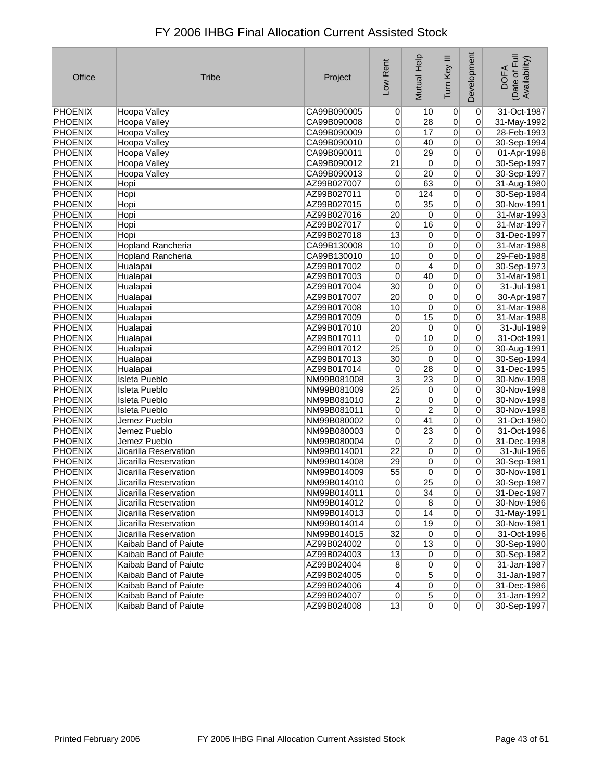| Office             | <b>Tribe</b>             | Project                    | Low Rent        | Mutual Help                      | Tum Key III      | Development    | Date of Full<br>Availability)<br><b>DOFA</b> |
|--------------------|--------------------------|----------------------------|-----------------|----------------------------------|------------------|----------------|----------------------------------------------|
| PHOENIX            | Hoopa Valley             | CA99B090005                | $\Omega$        | 10                               | $\boldsymbol{0}$ | 0              | 31-Oct-1987                                  |
| PHOENIX            | Hoopa Valley             | CA99B090008                | 0               | 28                               | $\overline{0}$   | 0              | 31-May-1992                                  |
| <b>PHOENIX</b>     | Hoopa Valley             | CA99B090009                | 0               | 17                               | $\overline{0}$   | $\mathbf 0$    | 28-Feb-1993                                  |
| <b>PHOENIX</b>     | Hoopa Valley             | CA99B090010                | 0               | 40                               | $\overline{0}$   | 0              | 30-Sep-1994                                  |
| <b>PHOENIX</b>     | <b>Hoopa Valley</b>      | CA99B090011                | 0               | 29                               | $\overline{0}$   | 0              | 01-Apr-1998                                  |
| <b>PHOENIX</b>     | Hoopa Valley             | CA99B090012                | 21              | 0                                | $\overline{0}$   | $\mathbf 0$    | 30-Sep-1997                                  |
| <b>PHOENIX</b>     | Hoopa Valley             | CA99B090013                | 0               | $\overline{20}$                  | $\overline{0}$   | 0              | 30-Sep-1997                                  |
| <b>PHOENIX</b>     | Hopi                     | AZ99B027007                | 0               | 63                               | $\overline{0}$   | 0              | 31-Aug-1980                                  |
| PHOENIX            | Hopi                     | AZ99B027011                | 0               | 124                              | $\overline{0}$   | 0              | 30-Sep-1984                                  |
| PHOENIX            | Hopi                     | AZ99B027015                | 0               | $\overline{35}$                  | $\overline{0}$   | 0              | 30-Nov-1991                                  |
| <b>PHOENIX</b>     | Hopi                     | AZ99B027016                | $\overline{20}$ | $\pmb{0}$                        | $\overline{0}$   | 0              | 31-Mar-1993                                  |
| PHOENIX            | Hopi                     | AZ99B027017                | 0               | 16                               | $\overline{0}$   | 0              | 31-Mar-1997                                  |
| <b>PHOENIX</b>     | Hopi                     | AZ99B027018                | 13              | 0                                | 0                | 0              | 31-Dec-1997                                  |
| <b>PHOENIX</b>     | <b>Hopland Rancheria</b> | CA99B130008                | 10              | $\overline{0}$                   | $\overline{0}$   | 0              | 31-Mar-1988                                  |
| <b>PHOENIX</b>     | Hopland Rancheria        | CA99B130010                | 10              | 0                                | $\overline{0}$   | 0              | 29-Feb-1988                                  |
| PHOENIX            | Hualapai                 | AZ99B017002                | $\mathbf 0$     | $\overline{4}$                   | $\overline{0}$   | $\mathbf 0$    | 30-Sep-1973                                  |
| <b>PHOENIX</b>     | Hualapai                 | AZ99B017003                | 0               | 40                               | $\overline{0}$   | $\mathbf 0$    | 31-Mar-1981                                  |
| PHOENIX            | Hualapai                 | AZ99B017004                | 30              | 0                                | $\overline{0}$   | 0              | 31-Jul-1981                                  |
| <b>PHOENIX</b>     | Hualapai                 | AZ99B017007                | $\overline{20}$ | 0                                | $\overline{0}$   | 0              | 30-Apr-1987                                  |
| <b>PHOENIX</b>     | Hualapai                 | AZ99B017008                | 10              | 0                                | $\overline{0}$   | $\mathbf 0$    | 31-Mar-1988                                  |
| <b>PHOENIX</b>     | Hualapai                 | AZ99B017009                | 0               | 15                               | $\overline{0}$   | 0              | 31-Mar-1988                                  |
| PHOENIX            | Hualapai                 | AZ99B017010                | 20              | 0                                | $\overline{0}$   | 0              | 31-Jul-1989                                  |
| <b>PHOENIX</b>     | Hualapai                 | AZ99B017011                | 0               | 10                               | $\overline{0}$   | 0              | 31-Oct-1991                                  |
| <b>PHOENIX</b>     | Hualapai                 | AZ99B017012                | $\overline{25}$ | 0                                | $\overline{0}$   | $\mathbf 0$    | 30-Aug-1991                                  |
| <b>PHOENIX</b>     | Hualapai                 | AZ99B017013                | 30              | 0                                | $\overline{0}$   | $\mathbf 0$    | 30-Sep-1994                                  |
| <b>PHOENIX</b>     | Hualapai                 | AZ99B017014                | 0               | $\overline{28}$                  | $\overline{0}$   | 0              | 31-Dec-1995                                  |
| <b>PHOENIX</b>     | <b>Isleta Pueblo</b>     | NM99B081008                | 3               | 23                               | $\overline{0}$   | 0              | 30-Nov-1998                                  |
| <b>PHOENIX</b>     | <b>Isleta Pueblo</b>     | NM99B081009                | $\overline{25}$ | 0                                | 0                | 0              | 30-Nov-1998                                  |
| <b>PHOENIX</b>     | <b>Isleta Pueblo</b>     | NM99B081010                | 2               | 0                                | 0                | 0              | 30-Nov-1998                                  |
| PHOENIX            | <b>Isleta Pueblo</b>     | NM99B081011                | 0               | $\overline{2}$                   | $\overline{0}$   | 0              | 30-Nov-1998                                  |
| <b>PHOENIX</b>     | Jemez Pueblo             | NM99B080002                | 0               | 41                               | $\overline{0}$   | 0              | 31-Oct-1980                                  |
| <b>PHOENIX</b>     | Jemez Pueblo             | NM99B080003                | 0               | 23                               | 0                | 0              | 31-Oct-1996                                  |
| <b>PHOENIX</b>     | Jemez Pueblo             | NM99B080004                | $\overline{0}$  | $\overline{2}$                   | $\overline{0}$   | $\mathbf 0$    | 31-Dec-1998                                  |
| PHOENIX            | Jicarilla Reservation    | NM99B014001                | $\overline{22}$ | 0                                | $\overline{0}$   | 0              | 31-Jul-1966                                  |
| PHOENIX            | Jicarilla Reservation    | NM99B014008                | 29              | 0                                | $\overline{0}$   | 0              | 30-Sep-1981                                  |
| PHOENIX            | Jicarilla Reservation    | NM99B014009                | 55              | 0                                | $\overline{0}$   | $\Omega$       | 30-Nov-1981                                  |
| PHOENIX            | Jicarilla Reservation    | NM99B014010                | 0               | $\overline{25}$                  | $\overline{0}$   | 0              | 30-Sep-1987                                  |
| <b>PHOENIX</b>     | Jicarilla Reservation    | NM99B014011                | $\overline{0}$  | $\overline{34}$                  | $\overline{0}$   | 0              | 31-Dec-1987                                  |
| PHOENIX            | Jicarilla Reservation    | NM99B014012                | $\overline{0}$  | 8                                | 0                | 0              | 30-Nov-1986                                  |
| <b>PHOENIX</b>     | Jicarilla Reservation    | NM99B014013                | $\Omega$        | 14                               | 0                | $\overline{0}$ | 31-May-1991                                  |
| PHOENIX            | Jicarilla Reservation    | NM99B014014                | 0               | 19                               | 0                | $\mathbf 0$    | 30-Nov-1981                                  |
| PHOENIX            | Jicarilla Reservation    | NM99B014015                | $\overline{32}$ | $\overline{0}$                   | 0                | 0              | 31-Oct-1996                                  |
| <b>PHOENIX</b>     | Kaibab Band of Paiute    | AZ99B024002                | $\Omega$        | 13                               | 0                | 0              | 30-Sep-1980                                  |
| PHOENIX            | Kaibab Band of Paiute    | AZ99B024003                | 13              | $\vert 0 \vert$                  | 0                | $\Omega$       | 30-Sep-1982                                  |
| PHOENIX            | Kaibab Band of Paiute    | AZ99B024004                | 8               | $\overline{0}$                   | 0                | 0              | 31-Jan-1987                                  |
| PHOENIX            | Kaibab Band of Paiute    | AZ99B024005                | $\overline{0}$  | 5                                | $\overline{0}$   | 0              | 31-Jan-1987                                  |
| <b>PHOENIX</b>     | Kaibab Band of Paiute    | AZ99B024006                | 4               | $\overline{0}$<br>$\overline{5}$ | $\overline{0}$   | 0<br>0         | 31-Dec-1986                                  |
| PHOENIX<br>PHOENIX | Kaibab Band of Paiute    | AZ99B024007<br>AZ99B024008 | 0 <br>13        | 0                                | 0 <br> 0         | 0              | 31-Jan-1992<br>30-Sep-1997                   |
|                    | Kaibab Band of Paiute    |                            |                 |                                  |                  |                |                                              |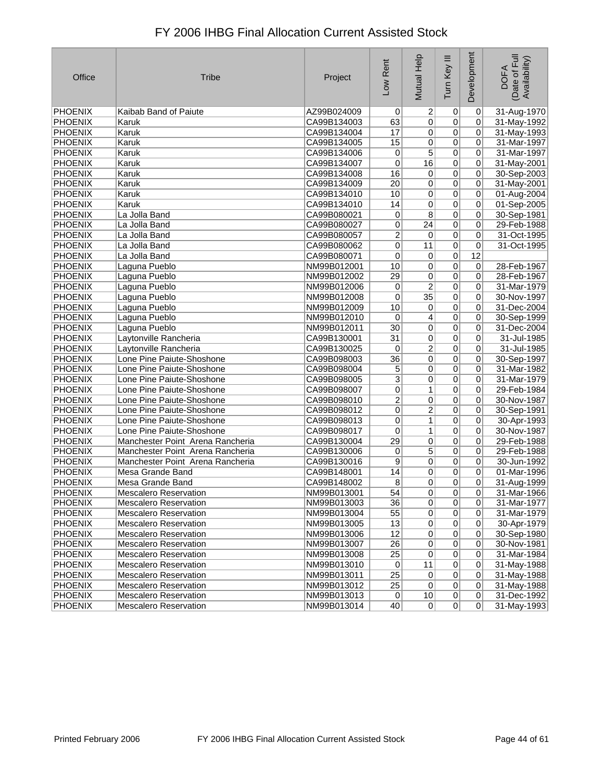| Office         | <b>Tribe</b>                     | Project     | Low Rent        | Mutual Help     | Tum Key III    | Development    | (Date of Full<br>Availability)<br><b>DOFA</b> |
|----------------|----------------------------------|-------------|-----------------|-----------------|----------------|----------------|-----------------------------------------------|
| PHOENIX        | Kaibab Band of Paiute            | AZ99B024009 | 0               | $\overline{c}$  | 0              | $\overline{0}$ | 31-Aug-1970                                   |
| <b>PHOENIX</b> | Karuk                            | CA99B134003 | 63              | $\overline{0}$  | $\overline{0}$ | $\overline{0}$ | 31-May-1992                                   |
| PHOENIX        | Karuk                            | CA99B134004 | 17              | $\overline{0}$  | 0              | 0              | 31-May-1993                                   |
| PHOENIX        | Karuk                            | CA99B134005 | 15              | 0               | 0              | $\overline{0}$ | 31-Mar-1997                                   |
| PHOENIX        | Karuk                            | CA99B134006 | 0               | 5               | 0              | $\overline{0}$ | 31-Mar-1997                                   |
| <b>PHOENIX</b> | Karuk                            | CA99B134007 | 0               | 16              | $\overline{0}$ | 0              | 31-May-2001                                   |
| PHOENIX        | Karuk                            | CA99B134008 | 16              | $\pmb{0}$       | 0              | $\overline{0}$ | 30-Sep-2003                                   |
| PHOENIX        | Karuk                            | CA99B134009 | $\overline{20}$ | 0               | 0              | $\overline{0}$ | 31-May-2001                                   |
| PHOENIX        | Karuk                            | CA99B134010 | 10              | 0               | 0              | $\overline{0}$ | 01-Aug-2004                                   |
| PHOENIX        | Karuk                            | CA99B134010 | 14              | $\overline{0}$  | $\overline{0}$ | $\Omega$       | 01-Sep-2005                                   |
| <b>PHOENIX</b> | La Jolla Band                    | CA99B080021 | 0               | $\overline{8}$  | $\pmb{0}$      | $\mathbf 0$    | 30-Sep-1981                                   |
| PHOENIX        | La Jolla Band                    | CA99B080027 | 0               | 24              | 0              | 0              | 29-Feb-1988                                   |
| PHOENIX        | La Jolla Band                    | CA99B080057 | 2               | 0               | 0              | 0              | 31-Oct-1995                                   |
| <b>PHOENIX</b> | La Jolla Band                    | CA99B080062 | $\overline{0}$  | 11              | $\overline{0}$ | 0              | 31-Oct-1995                                   |
| PHOENIX        | La Jolla Band                    | CA99B080071 | 0               | $\overline{0}$  | 0              | 12             |                                               |
| <b>PHOENIX</b> | Laguna Pueblo                    | NM99B012001 | 10              | 0               | 0              | 0              | 28-Feb-1967                                   |
| PHOENIX        | Laguna Pueblo                    | NM99B012002 | 29              | 0               | 0              | $\mathbf 0$    | 28-Feb-1967                                   |
| PHOENIX        | Laguna Pueblo                    | NM99B012006 | 0               | $\overline{2}$  | $\overline{0}$ | 0              | 31-Mar-1979                                   |
| <b>PHOENIX</b> | Laguna Pueblo                    | NM99B012008 | 0               | $\overline{35}$ | 0              | 0              | 30-Nov-1997                                   |
| <b>PHOENIX</b> | Laguna Pueblo                    | NM99B012009 | 10              | 0               | 0              | 0              | 31-Dec-2004                                   |
| PHOENIX        | Laguna Pueblo                    | NM99B012010 | $\mathbf 0$     | $\overline{4}$  | $\pmb{0}$      | 0              | 30-Sep-1999                                   |
| PHOENIX        | Laguna Pueblo                    | NM99B012011 | 30              | 0               | $\pmb{0}$      | 0              | 31-Dec-2004                                   |
| PHOENIX        | Laytonville Rancheria            | CA99B130001 | 31              | 0               | $\overline{0}$ | $\mathbf 0$    | 31-Jul-1985                                   |
| <b>PHOENIX</b> | Laytonville Rancheria            | CA99B130025 | 0               | 2               | 0              | 0              | 31-Jul-1985                                   |
| PHOENIX        | Lone Pine Paiute-Shoshone        | CA99B098003 | $\overline{36}$ | 0               | $\overline{0}$ | 0              | 30-Sep-1997                                   |
| <b>PHOENIX</b> | Lone Pine Paiute-Shoshone        | CA99B098004 | 5               | 0               | $\pmb{0}$      | $\mathbf 0$    | 31-Mar-1982                                   |
| PHOENIX        | Lone Pine Paiute-Shoshone        | CA99B098005 | $\mathbf{3}$    | 0               | 0              | $\mathbf 0$    | 31-Mar-1979                                   |
| <b>PHOENIX</b> | Lone Pine Paiute-Shoshone        | CA99B098007 | 0               | 1               | 0              | 0              | 29-Feb-1984                                   |
| PHOENIX        | Lone Pine Paiute-Shoshone        | CA99B098010 | $\overline{2}$  | $\overline{0}$  | $\overline{0}$ | $\overline{0}$ | 30-Nov-1987                                   |
| <b>PHOENIX</b> | Lone Pine Paiute-Shoshone        | CA99B098012 | $\overline{0}$  | $\overline{2}$  | $\overline{0}$ | 0              | 30-Sep-1991                                   |
| <b>PHOENIX</b> | Lone Pine Paiute-Shoshone        | CA99B098013 | 0               | 1               | $\overline{0}$ | $\overline{0}$ | 30-Apr-1993                                   |
| PHOENIX        | Lone Pine Paiute-Shoshone        | CA99B098017 | 0               | 1               | 0              | 0              | 30-Nov-1987                                   |
| PHOENIX        | Manchester Point Arena Rancheria | CA99B130004 | $\overline{29}$ | $\overline{0}$  | $\overline{0}$ | $\overline{0}$ | 29-Feb-1988                                   |
| <b>PHOENIX</b> | Manchester Point Arena Rancheria | CA99B130006 | 0               | $\overline{5}$  | $\pmb{0}$      | $\mathbf 0$    | 29-Feb-1988                                   |
| PHOENIX        | Manchester Point Arena Rancheria | CA99B130016 | 9               | 0               | 0              | 0              | 30-Jun-1992                                   |
| <b>PHOENIX</b> | Mesa Grande Band                 | CA99B148001 | 14              | 0               | 0              | $\Omega$       | 01-Mar-1996                                   |
| PHOENIX        | Mesa Grande Band                 | CA99B148002 | 8               | $\overline{0}$  | $\pmb{0}$      | 0              | 31-Aug-1999                                   |
| <b>PHOENIX</b> | Mescalero Reservation            | NM99B013001 | 54              | $\overline{0}$  | $\overline{0}$ | $\overline{0}$ | 31-Mar-1966                                   |
| <b>PHOENIX</b> | <b>Mescalero Reservation</b>     | NM99B013003 | 36              | 0               | 0              | $\overline{0}$ | 31-Mar-1977                                   |
| PHOENIX        | <b>Mescalero Reservation</b>     | NM99B013004 | 55              | $\vert 0 \vert$ | 0              | $\overline{0}$ | 31-Mar-1979                                   |
| PHOENIX        | <b>Mescalero Reservation</b>     | NM99B013005 | 13              | $\overline{0}$  | $\pmb{0}$      | $\Omega$       | 30-Apr-1979                                   |
| PHOENIX        | Mescalero Reservation            | NM99B013006 | 12              | $\overline{0}$  | $\pmb{0}$      | $\Omega$       | 30-Sep-1980                                   |
| PHOENIX        | <b>Mescalero Reservation</b>     | NM99B013007 | 26              | $\vert 0 \vert$ | $\pmb{0}$      | $\Omega$       | 30-Nov-1981                                   |
| PHOENIX        | <b>Mescalero Reservation</b>     | NM99B013008 | $\overline{25}$ | $\overline{0}$  | 0              | $\Omega$       | 31-Mar-1984                                   |
| PHOENIX        | Mescalero Reservation            | NM99B013010 | $\vert 0 \vert$ | 11              | $\overline{0}$ | $\overline{0}$ | 31-May-1988                                   |
| PHOENIX        | <b>Mescalero Reservation</b>     | NM99B013011 | 25              | $\vert 0 \vert$ | $\pmb{0}$      | $\Omega$       | 31-May-1988                                   |
| PHOENIX        | <b>Mescalero Reservation</b>     | NM99B013012 | 25              | $\vert 0 \vert$ | $\overline{0}$ | $\overline{0}$ | 31-May-1988                                   |
| PHOENIX        | <b>Mescalero Reservation</b>     | NM99B013013 | 0               | 10              | $\overline{0}$ | $\overline{0}$ | 31-Dec-1992                                   |
| <b>PHOENIX</b> | <b>Mescalero Reservation</b>     | NM99B013014 | 40              | $\overline{0}$  | $\overline{0}$ | 0              | 31-May-1993                                   |
|                |                                  |             |                 |                 |                |                |                                               |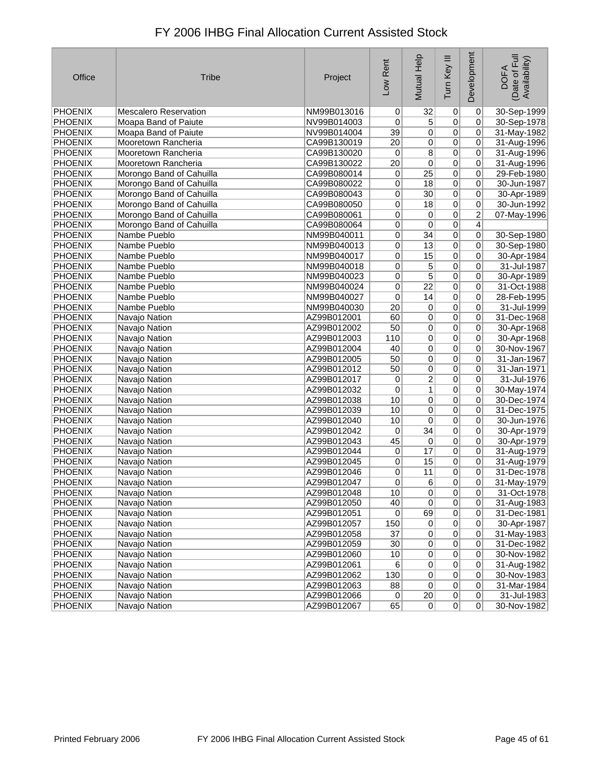| Office         | <b>Tribe</b>                 | Project     | Low Rent        | Mutual Help     | Ξ<br>Tum Key    | Development    | Date of Full<br>Availability)<br><b>DOFA</b> |
|----------------|------------------------------|-------------|-----------------|-----------------|-----------------|----------------|----------------------------------------------|
| PHOENIX        | <b>Mescalero Reservation</b> | NM99B013016 | $\vert 0 \vert$ | 32              | 0               | 0              | 30-Sep-1999                                  |
| PHOENIX        | Moapa Band of Paiute         | NV99B014003 | 0               | $\overline{5}$  | $\overline{0}$  | 0              | 30-Sep-1978                                  |
| PHOENIX        | Moapa Band of Paiute         | NV99B014004 | 39              | $\overline{0}$  | $\overline{0}$  | 0              | 31-May-1982                                  |
| <b>PHOENIX</b> | Mooretown Rancheria          | CA99B130019 | 20              | 0               | $\overline{0}$  | 0              | 31-Aug-1996                                  |
| <b>PHOENIX</b> | Mooretown Rancheria          | CA99B130020 | 0               | $\overline{8}$  | $\overline{0}$  | 0              | 31-Aug-1996                                  |
| PHOENIX        | Mooretown Rancheria          | CA99B130022 | $\overline{20}$ | 0               | $\overline{0}$  | 0              | 31-Aug-1996                                  |
| <b>PHOENIX</b> | Morongo Band of Cahuilla     | CA99B080014 | 0               | $\overline{25}$ | $\overline{0}$  | 0              | 29-Feb-1980                                  |
| <b>PHOENIX</b> | Morongo Band of Cahuilla     | CA99B080022 | 0               | $\overline{18}$ | $\overline{0}$  | $\overline{0}$ | 30-Jun-1987                                  |
| <b>PHOENIX</b> | Morongo Band of Cahuilla     | CA99B080043 | 0               | 30              | $\overline{0}$  | 0              | 30-Apr-1989                                  |
| <b>PHOENIX</b> | Morongo Band of Cahuilla     | CA99B080050 | 0               | $\overline{18}$ | $\overline{0}$  | 0              | 30-Jun-1992                                  |
| <b>PHOENIX</b> | Morongo Band of Cahuilla     | CA99B080061 | 0               | 0               | $\overline{0}$  | $\overline{2}$ | 07-May-1996                                  |
| <b>PHOENIX</b> | Morongo Band of Cahuilla     | CA99B080064 | $\overline{0}$  | $\overline{0}$  | $\overline{0}$  | $\overline{4}$ |                                              |
| <b>PHOENIX</b> | Nambe Pueblo                 | NM99B040011 | 0               | $\overline{34}$ | $\overline{0}$  | 0              | 30-Sep-1980                                  |
| <b>PHOENIX</b> | Nambe Pueblo                 | NM99B040013 | 0               | $\overline{13}$ | $\overline{0}$  | 0              | 30-Sep-1980                                  |
| <b>PHOENIX</b> | Nambe Pueblo                 | NM99B040017 | 0               | 15              | $\overline{0}$  | 0              | 30-Apr-1984                                  |
| PHOENIX        | Nambe Pueblo                 | NM99B040018 | $\overline{0}$  | 5               | $\overline{0}$  | $\overline{0}$ | 31-Jul-1987                                  |
| <b>PHOENIX</b> | Nambe Pueblo                 | NM99B040023 | 0               | $\overline{5}$  | $\overline{0}$  | 0              | 30-Apr-1989                                  |
| PHOENIX        | Nambe Pueblo                 | NM99B040024 | 0               | $\overline{22}$ | $\overline{0}$  | 0              | 31-Oct-1988                                  |
| <b>PHOENIX</b> | Nambe Pueblo                 | NM99B040027 | 0               | 14              | $\overline{0}$  | 0              | 28-Feb-1995                                  |
| <b>PHOENIX</b> | Nambe Pueblo                 | NM99B040030 | $\overline{20}$ | $\overline{0}$  | $\overline{0}$  | 0              | 31-Jul-1999                                  |
| <b>PHOENIX</b> | Navajo Nation                | AZ99B012001 | 60              | $\overline{0}$  | $\overline{0}$  | 0              | 31-Dec-1968                                  |
| <b>PHOENIX</b> | Navajo Nation                | AZ99B012002 | 50              | $\overline{0}$  | $\overline{0}$  | 0              | 30-Apr-1968                                  |
| <b>PHOENIX</b> | Navajo Nation                | AZ99B012003 | 110             | $\overline{0}$  | 0               | 0              | 30-Apr-1968                                  |
| <b>PHOENIX</b> | Navajo Nation                | AZ99B012004 | 40              | $\overline{0}$  | $\overline{0}$  | 0              | 30-Nov-1967                                  |
| <b>PHOENIX</b> | Navajo Nation                | AZ99B012005 | 50              | $\overline{0}$  | $\overline{0}$  | 0              | 31-Jan-1967                                  |
| <b>PHOENIX</b> | Navajo Nation                | AZ99B012012 | 50              | 0               | $\overline{0}$  | 0              | 31-Jan-1971                                  |
| <b>PHOENIX</b> | Navajo Nation                | AZ99B012017 | 0               | $\overline{2}$  | 0               | 0              | 31-Jul-1976                                  |
| <b>PHOENIX</b> | Navajo Nation                | AZ99B012032 | 0               | 1               | $\overline{0}$  | 0              | 30-May-1974                                  |
| PHOENIX        | Navajo Nation                | AZ99B012038 | 10              | $\overline{0}$  | $\overline{0}$  | 0              | 30-Dec-1974                                  |
| PHOENIX        | Navajo Nation                | AZ99B012039 | 10              | 0               | $\overline{0}$  | 0              | 31-Dec-1975                                  |
| PHOENIX        | Navajo Nation                | AZ99B012040 | 10              | $\overline{0}$  | $\overline{0}$  | 0              | 30-Jun-1976                                  |
| <b>PHOENIX</b> | Navajo Nation                | AZ99B012042 | 0               | $\overline{34}$ | $\overline{0}$  | 0              | 30-Apr-1979                                  |
| <b>PHOENIX</b> | Navajo Nation                | AZ99B012043 | 45              | $\overline{0}$  | $\overline{0}$  | 0              | 30-Apr-1979                                  |
| PHOENIX        | Navajo Nation                | AZ99B012044 | 0               | 17              | $\overline{0}$  | 0              | 31-Aug-1979                                  |
| PHOENIX        | Navajo Nation                | AZ99B012045 | 0               | 15              | $\overline{0}$  | 0              | 31-Aug-1979                                  |
| <b>PHOENIX</b> | Navajo Nation                | AZ99B012046 | $\overline{0}$  | 11              | $\overline{0}$  | 0              | 31-Dec-1978                                  |
| PHOENIX        | Navajo Nation                | AZ99B012047 | 0               | 6               | 0               | 0              | 31-May-1979                                  |
| <b>PHOENIX</b> | Navajo Nation                | AZ99B012048 | 10 <sup>1</sup> | 0               | $\vert 0 \vert$ | $\Omega$       | 31-Oct-1978                                  |
| PHOENIX        | Navajo Nation                | AZ99B012050 | 40              | 0               | $\overline{0}$  | 0              | 31-Aug-1983                                  |
| <b>PHOENIX</b> | Navajo Nation                | AZ99B012051 | $\overline{0}$  | 69              | $\pmb{0}$       | $\mathbf 0$    | 31-Dec-1981                                  |
| PHOENIX        | Navajo Nation                | AZ99B012057 | 150             | 0               | $\pmb{0}$       | 0              | 30-Apr-1987                                  |
| <b>PHOENIX</b> | Navajo Nation                | AZ99B012058 | 37              | $\overline{0}$  | $\pmb{0}$       | 0              | 31-May-1983                                  |
| PHOENIX        | Navajo Nation                | AZ99B012059 | 30 <sup>°</sup> | 0               | $\pmb{0}$       | 0              | 31-Dec-1982                                  |
| <b>PHOENIX</b> | Navajo Nation                | AZ99B012060 | 10              | $\overline{0}$  | $\overline{0}$  | 0              | 30-Nov-1982                                  |
| <b>PHOENIX</b> | Navajo Nation                | AZ99B012061 | 6               | $\overline{0}$  | $\overline{0}$  | 0              | 31-Aug-1982                                  |
| PHOENIX        | Navajo Nation                | AZ99B012062 | 130             | 0               | $\pmb{0}$       | 0              | 30-Nov-1983                                  |
| <b>PHOENIX</b> | Navajo Nation                | AZ99B012063 | 88              | 0               | $\pmb{0}$       | 0              | 31-Mar-1984                                  |
| PHOENIX        | Navajo Nation                | AZ99B012066 | 0               | 20              | $\overline{0}$  | 0              | 31-Jul-1983                                  |
| PHOENIX        | Navajo Nation                | AZ99B012067 | 65              | 0               | 0               | 0              | 30-Nov-1982                                  |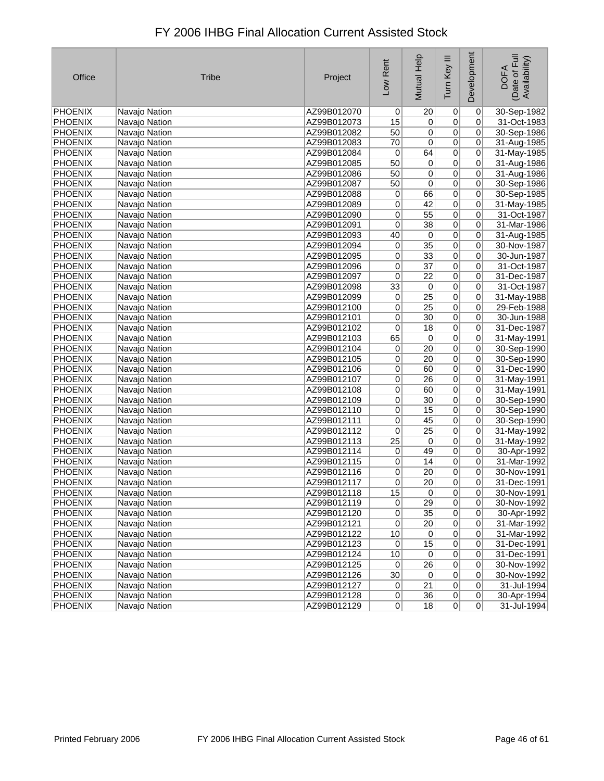| Office         | <b>Tribe</b>  | Project     | Low Rent        | Mutual Help     | Tum Key III    | Development    | Date of Full<br>Availability)<br><b>DOFA</b> |
|----------------|---------------|-------------|-----------------|-----------------|----------------|----------------|----------------------------------------------|
| PHOENIX        | Navajo Nation | AZ99B012070 | 0               | 20              | 0              | $\overline{0}$ | 30-Sep-1982                                  |
| PHOENIX        | Navajo Nation | AZ99B012073 | 15              | 0               | $\overline{0}$ | 0              | 31-Oct-1983                                  |
| PHOENIX        | Navajo Nation | AZ99B012082 | 50              | 0               | $\overline{0}$ | 0              | 30-Sep-1986                                  |
| PHOENIX        | Navajo Nation | AZ99B012083 | 70              | $\mathbf 0$     | $\overline{0}$ | 0              | 31-Aug-1985                                  |
| PHOENIX        | Navajo Nation | AZ99B012084 | 0               | 64              | $\overline{0}$ | 0              | 31-May-1985                                  |
| PHOENIX        | Navajo Nation | AZ99B012085 | 50              | 0               | $\overline{0}$ | 0              | 31-Aug-1986                                  |
| <b>PHOENIX</b> | Navajo Nation | AZ99B012086 | 50              | 0               | $\overline{0}$ | 0              | 31-Aug-1986                                  |
| <b>PHOENIX</b> | Navajo Nation | AZ99B012087 | 50              | 0               | $\overline{0}$ | 0              | 30-Sep-1986                                  |
| PHOENIX        | Navajo Nation | AZ99B012088 | $\mathbf 0$     | 66              | $\overline{0}$ | 0              | 30-Sep-1985                                  |
| PHOENIX        | Navajo Nation | AZ99B012089 | 0               | 42              | $\overline{0}$ | 0              | 31-May-1985                                  |
| PHOENIX        | Navajo Nation | AZ99B012090 | $\mathbf 0$     | $\overline{55}$ | $\overline{0}$ | 0              | 31-Oct-1987                                  |
| PHOENIX        | Navajo Nation | AZ99B012091 | 0               | $\overline{38}$ | $\overline{0}$ | 0              | 31-Mar-1986                                  |
| <b>PHOENIX</b> | Navajo Nation | AZ99B012093 | 40              | 0               | $\overline{0}$ | 0              | 31-Aug-1985                                  |
| PHOENIX        | Navajo Nation | AZ99B012094 | 0               | $\overline{35}$ | $\overline{0}$ | 0              | 30-Nov-1987                                  |
| PHOENIX        | Navajo Nation | AZ99B012095 | 0               | $\overline{33}$ | $\overline{0}$ | 0              | 30-Jun-1987                                  |
| PHOENIX        | Navajo Nation | AZ99B012096 | 0               | $\overline{37}$ | $\overline{0}$ | 0              | 31-Oct-1987                                  |
| PHOENIX        | Navajo Nation | AZ99B012097 | 0               | $\overline{22}$ | $\overline{0}$ | 0              | 31-Dec-1987                                  |
| PHOENIX        | Navajo Nation | AZ99B012098 | $\overline{33}$ | 0               | $\overline{0}$ | 0              | 31-Oct-1987                                  |
| PHOENIX        | Navajo Nation | AZ99B012099 | 0               | $\overline{25}$ | $\overline{0}$ | 0              | 31-May-1988                                  |
| <b>PHOENIX</b> | Navajo Nation | AZ99B012100 | 0               | $\overline{25}$ | $\overline{0}$ | 0              | 29-Feb-1988                                  |
| PHOENIX        | Navajo Nation | AZ99B012101 | 0               | 30              | $\overline{0}$ | 0              | 30-Jun-1988                                  |
| PHOENIX        | Navajo Nation | AZ99B012102 | 0               | 18              | $\overline{0}$ | 0              | 31-Dec-1987                                  |
| PHOENIX        | Navajo Nation | AZ99B012103 | 65              | 0               | $\overline{0}$ | 0              | 31-May-1991                                  |
| PHOENIX        | Navajo Nation | AZ99B012104 | 0               | $\overline{20}$ | $\overline{0}$ | 0              | 30-Sep-1990                                  |
| PHOENIX        | Navajo Nation | AZ99B012105 | 0               | 20              | $\overline{0}$ | 0              | 30-Sep-1990                                  |
| PHOENIX        | Navajo Nation | AZ99B012106 | 0               | 60              | $\overline{0}$ | 0              | 31-Dec-1990                                  |
| PHOENIX        | Navajo Nation | AZ99B012107 | $\mathbf 0$     | 26              | $\overline{0}$ | 0              | 31-May-1991                                  |
| PHOENIX        | Navajo Nation | AZ99B012108 | 0               | 60              | $\overline{0}$ | 0              | 31-May-1991                                  |
| PHOENIX        | Navajo Nation | AZ99B012109 | 0               | 30              | $\overline{0}$ | 0              | 30-Sep-1990                                  |
| PHOENIX        | Navajo Nation | AZ99B012110 | 0               | 15              | $\overline{0}$ | 0              | 30-Sep-1990                                  |
| PHOENIX        | Navajo Nation | AZ99B012111 | $\mathbf 0$     | 45              | $\overline{0}$ | 0              | 30-Sep-1990                                  |
| <b>PHOENIX</b> | Navajo Nation | AZ99B012112 | $\overline{0}$  | $\overline{25}$ | $\overline{0}$ | 0              | 31-May-1992                                  |
| <b>PHOENIX</b> | Navajo Nation | AZ99B012113 | $\overline{25}$ | 0               | $\overline{0}$ | 0              | 31-May-1992                                  |
| PHOENIX        | Navajo Nation | AZ99B012114 | 0               | 49              | $\overline{0}$ | 0              | 30-Apr-1992                                  |
| PHOENIX        | Navajo Nation | AZ99B012115 | 0               | 14              | $\overline{0}$ | 0              | 31-Mar-1992                                  |
| PHOENIX        | Navajo Nation | AZ99B012116 | 0               | $\overline{20}$ | $\overline{0}$ | 0              | 30-Nov-1991                                  |
| PHOENIX        | Navajo Nation | AZ99B012117 | 0               | $\overline{20}$ | 0              | 0              | 31-Dec-1991                                  |
| PHOENIX        | Navajo Nation | AZ99B012118 | $\overline{15}$ | 0               | $\overline{0}$ | $\overline{0}$ | 30-Nov-1991                                  |
| PHOENIX        | Navajo Nation | AZ99B012119 | $\pmb{0}$       | 29              | $\overline{0}$ | 0              | 30-Nov-1992                                  |
| <b>PHOENIX</b> | Navajo Nation | AZ99B012120 | 0               | 35              | 0              | 0              | 30-Apr-1992                                  |
| PHOENIX        | Navajo Nation | AZ99B012121 | 0               | 20              | 0              | 0              | 31-Mar-1992                                  |
| PHOENIX        | Navajo Nation | AZ99B012122 | 10              | $\pmb{0}$       | $\overline{0}$ | 0              | 31-Mar-1992                                  |
| <b>PHOENIX</b> | Navajo Nation | AZ99B012123 | $\pmb{0}$       | 15              | $\overline{0}$ | $\pmb{0}$      | 31-Dec-1991                                  |
| <b>PHOENIX</b> | Navajo Nation | AZ99B012124 | $10$            | 0               | $\overline{0}$ | 0              | 31-Dec-1991                                  |
| PHOENIX        | Navajo Nation | AZ99B012125 | 0               | 26              | $\overline{0}$ | 0              | 30-Nov-1992                                  |
| <b>PHOENIX</b> | Navajo Nation | AZ99B012126 | $30\,$          | $\overline{0}$  | $\overline{0}$ | 0              | 30-Nov-1992                                  |
| <b>PHOENIX</b> | Navajo Nation | AZ99B012127 | 0               | 21              | $\overline{0}$ | 0              | 31-Jul-1994                                  |
| <b>PHOENIX</b> | Navajo Nation | AZ99B012128 | 0               | 36              | 0              | 0              | 30-Apr-1994                                  |
| <b>PHOENIX</b> | Navajo Nation | AZ99B012129 | 0               | 18              | $\overline{0}$ | $\pmb{0}$      | 31-Jul-1994                                  |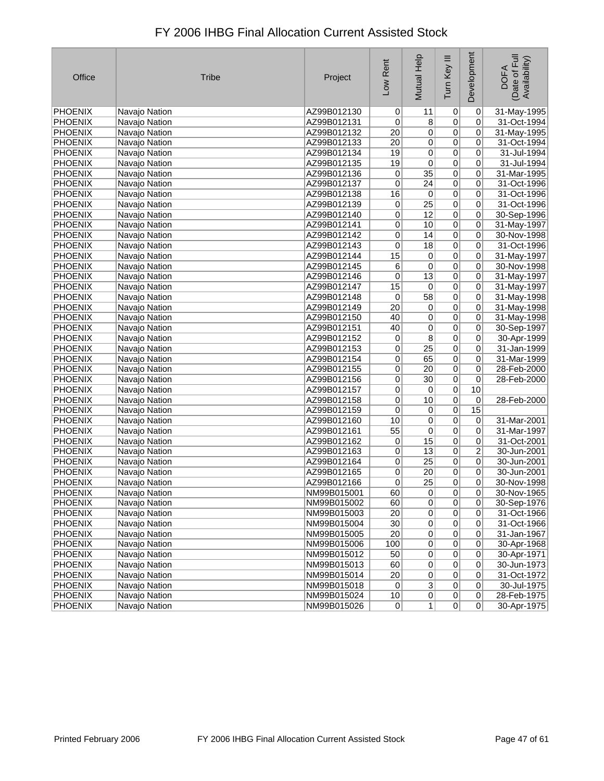| Office         | <b>Tribe</b>  | Project     | Low Rent        | Mutual Help     | Tum Key III    | Development | Date of Full<br>Availability)<br><b>DOFA</b> |
|----------------|---------------|-------------|-----------------|-----------------|----------------|-------------|----------------------------------------------|
| PHOENIX        | Navajo Nation | AZ99B012130 | $\overline{0}$  | 11              | $\pmb{0}$      | 0           | 31-May-1995                                  |
| PHOENIX        | Navajo Nation | AZ99B012131 | 0               | $\overline{8}$  | $\overline{0}$ | 0           | 31-Oct-1994                                  |
| <b>PHOENIX</b> | Navajo Nation | AZ99B012132 | $\overline{20}$ | $\overline{0}$  | $\overline{0}$ | 0           | 31-May-1995                                  |
| PHOENIX        | Navajo Nation | AZ99B012133 | $\overline{20}$ | $\overline{0}$  | $\overline{0}$ | 0           | 31-Oct-1994                                  |
| PHOENIX        | Navajo Nation | AZ99B012134 | 19              | 0               | $\overline{0}$ | 0           | 31-Jul-1994                                  |
| PHOENIX        | Navajo Nation | AZ99B012135 | 19              | 0               | 0              | 0           | 31-Jul-1994                                  |
| <b>PHOENIX</b> | Navajo Nation | AZ99B012136 | $\overline{0}$  | $\overline{35}$ | $\overline{0}$ | 0           | 31-Mar-1995                                  |
| <b>PHOENIX</b> | Navajo Nation | AZ99B012137 | 0               | $\overline{24}$ | $\overline{0}$ | 0           | 31-Oct-1996                                  |
| <b>PHOENIX</b> | Navajo Nation | AZ99B012138 | 16              | $\overline{0}$  | 0              | 0           | 31-Oct-1996                                  |
| PHOENIX        | Navajo Nation | AZ99B012139 | 0               | $\overline{25}$ | $\overline{0}$ | 0           | 31-Oct-1996                                  |
| PHOENIX        | Navajo Nation | AZ99B012140 | 0               | 12              | $\overline{0}$ | 0           | 30-Sep-1996                                  |
| <b>PHOENIX</b> | Navajo Nation | AZ99B012141 | 0               | 10              | $\overline{0}$ | 0           | 31-May-1997                                  |
| <b>PHOENIX</b> | Navajo Nation | AZ99B012142 | 0               | 14              | $\overline{0}$ | 0           | 30-Nov-1998                                  |
| <b>PHOENIX</b> | Navajo Nation | AZ99B012143 | 0               | 18              | $\overline{0}$ | 0           | 31-Oct-1996                                  |
| <b>PHOENIX</b> | Navajo Nation | AZ99B012144 | 15              | $\overline{0}$  | $\overline{0}$ | 0           | 31-May-1997                                  |
| PHOENIX        | Navajo Nation | AZ99B012145 | 6               | 0               | $\overline{0}$ | 0           | 30-Nov-1998                                  |
| PHOENIX        | Navajo Nation | AZ99B012146 | 0               | 13              | 0              | 0           | 31-May-1997                                  |
| <b>PHOENIX</b> | Navajo Nation | AZ99B012147 | 15              | 0               | $\overline{0}$ | 0           | 31-May-1997                                  |
| <b>PHOENIX</b> | Navajo Nation | AZ99B012148 | 0               | 58              | $\overline{0}$ | 0           | 31-May-1998                                  |
| <b>PHOENIX</b> | Navajo Nation | AZ99B012149 | $\overline{20}$ | $\overline{0}$  | $\overline{0}$ | 0           | 31-May-1998                                  |
| PHOENIX        | Navajo Nation | AZ99B012150 | 40              | $\overline{0}$  | $\overline{0}$ | 0           | 31-May-1998                                  |
| PHOENIX        | Navajo Nation | AZ99B012151 | 40              | 0               | $\overline{0}$ | 0           | 30-Sep-1997                                  |
| PHOENIX        | Navajo Nation | AZ99B012152 | $\overline{0}$  | $\overline{8}$  | $\overline{0}$ | 0           | 30-Apr-1999                                  |
| PHOENIX        | Navajo Nation | AZ99B012153 | 0               | $\overline{25}$ | $\overline{0}$ | 0           | 31-Jan-1999                                  |
| PHOENIX        | Navajo Nation | AZ99B012154 | 0               | 65              | $\overline{0}$ | 0           | 31-Mar-1999                                  |
| <b>PHOENIX</b> | Navajo Nation | AZ99B012155 | $\overline{0}$  | $\overline{20}$ | $\overline{0}$ | 0           | 28-Feb-2000                                  |
| PHOENIX        | Navajo Nation | AZ99B012156 | 0               | $\overline{30}$ | $\overline{0}$ | 0           | 28-Feb-2000                                  |
| PHOENIX        | Navajo Nation | AZ99B012157 | 0               | $\overline{0}$  | $\overline{0}$ | 10          |                                              |
| PHOENIX        | Navajo Nation | AZ99B012158 | 0               | $10$            | $\overline{0}$ | 0           | 28-Feb-2000                                  |
| PHOENIX        | Navajo Nation | AZ99B012159 | 0               | $\overline{0}$  | $\overline{0}$ | 15          |                                              |
| <b>PHOENIX</b> | Navajo Nation | AZ99B012160 | 10              | 0               | $\overline{0}$ | 0           | 31-Mar-2001                                  |
| <b>PHOENIX</b> | Navajo Nation | AZ99B012161 | $\overline{55}$ | $\overline{0}$  | $\overline{0}$ | 0           | 31-Mar-1997                                  |
| PHOENIX        | Navajo Nation | AZ99B012162 | 0               | 15              | $\overline{0}$ | 0           | 31-Oct-2001                                  |
| <b>PHOENIX</b> | Navajo Nation | AZ99B012163 | $\overline{0}$  | 13              | $\overline{0}$ | 2           | 30-Jun-2001                                  |
| PHOENIX        | Navajo Nation | AZ99B012164 | 0               | $\overline{25}$ | 0              | 0           | 30-Jun-2001                                  |
| PHOENIX        | Navajo Nation | AZ99B012165 | 0               | 20              | 0              | 0           | 30-Jun-2001                                  |
| <b>PHOENIX</b> | Navajo Nation | AZ99B012166 | 0               | 25              | 0              | 0           | 30-Nov-1998                                  |
| <b>PHOENIX</b> | Navajo Nation | NM99B015001 | 60              | $\overline{0}$  | $\overline{0}$ | 0           | 30-Nov-1965                                  |
| <b>PHOENIX</b> | Navajo Nation | NM99B015002 | 60              | $\overline{0}$  | $\overline{0}$ | 0           | 30-Sep-1976                                  |
| <b>PHOENIX</b> | Navajo Nation | NM99B015003 | 20              | 0               | 0              | 0           | 31-Oct-1966                                  |
| PHOENIX        | Navajo Nation | NM99B015004 | 30 <sup>°</sup> | $\overline{0}$  | $\sigma$       | 0           | 31-Oct-1966                                  |
| <b>PHOENIX</b> | Navajo Nation | NM99B015005 | $\overline{20}$ | 0               | $\overline{0}$ | 0           | 31-Jan-1967                                  |
| <b>PHOENIX</b> | Navajo Nation | NM99B015006 | 100             | $\overline{0}$  | $\overline{0}$ | $\mathbf 0$ | 30-Apr-1968                                  |
| <b>PHOENIX</b> | Navajo Nation | NM99B015012 | 50              | $\sigma$        | 0              | 0           | 30-Apr-1971                                  |
| <b>PHOENIX</b> | Navajo Nation | NM99B015013 | 60              | $\overline{0}$  | $\overline{0}$ | 0           | 30-Jun-1973                                  |
| <b>PHOENIX</b> | Navajo Nation | NM99B015014 | 20              | 0               | $\overline{0}$ | 0           | 31-Oct-1972                                  |
| <b>PHOENIX</b> | Navajo Nation | NM99B015018 | $\overline{0}$  | $\overline{3}$  | $\overline{0}$ | 0           | 30-Jul-1975                                  |
| <b>PHOENIX</b> | Navajo Nation | NM99B015024 | 10              | 0               | 0              | 0           | 28-Feb-1975                                  |
| PHOENIX        | Navajo Nation | NM99B015026 | 0               | 1               | $\overline{0}$ | 0           | 30-Apr-1975                                  |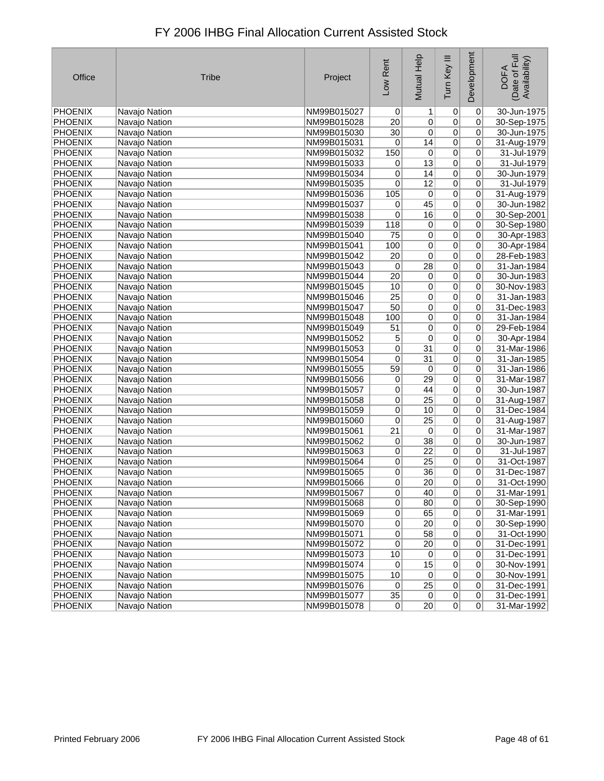| Office                    | <b>Tribe</b>                   | Project                    | Low Rent               | Mutual Help     | Tum Key III          | Development         | Date of Full<br>Availability)<br><b>DOFA</b> |
|---------------------------|--------------------------------|----------------------------|------------------------|-----------------|----------------------|---------------------|----------------------------------------------|
| <b>PHOENIX</b>            | Navajo Nation                  | NM99B015027                | $\overline{0}$         | 1               | 0                    | 0                   | 30-Jun-1975                                  |
| PHOENIX                   | Navajo Nation                  | NM99B015028                | 20                     | $\overline{0}$  | $\overline{0}$       | 0                   | 30-Sep-1975                                  |
| <b>PHOENIX</b>            | Navajo Nation                  | NM99B015030                | 30 <sup>2</sup>        | $\overline{0}$  | $\overline{0}$       | 0                   | 30-Jun-1975                                  |
| <b>PHOENIX</b>            | Navajo Nation                  | NM99B015031                | 0                      | 14              | $\overline{0}$       | $\overline{0}$      | 31-Aug-1979                                  |
| PHOENIX                   | Navajo Nation                  | NM99B015032                | 150                    | 0               | $\overline{0}$       | 0                   | 31-Jul-1979                                  |
| PHOENIX                   | Navajo Nation                  | NM99B015033                | 0                      | 13              | $\overline{0}$       | 0                   | 31-Jul-1979                                  |
| <b>PHOENIX</b>            | Navajo Nation                  | NM99B015034                | 0                      | 14              | $\overline{0}$       | 0                   | 30-Jun-1979                                  |
| <b>PHOENIX</b>            | Navajo Nation                  | NM99B015035                | 0                      | $\overline{12}$ | $\overline{0}$       | 0                   | 31-Jul-1979                                  |
| PHOENIX                   | Navajo Nation                  | NM99B015036                | 105                    | $\overline{0}$  | 0                    | 0                   | 31-Aug-1979                                  |
| PHOENIX                   | Navajo Nation                  | NM99B015037                | 0                      | 45              | $\overline{0}$       | 0                   | 30-Jun-1982                                  |
| PHOENIX                   | Navajo Nation                  | NM99B015038                | 0                      | 16              | $\overline{0}$       | 0                   | 30-Sep-2001                                  |
| <b>PHOENIX</b>            | Navajo Nation                  | NM99B015039                | 118                    | 0               | 0                    | 0                   | 30-Sep-1980                                  |
| <b>PHOENIX</b>            | Navajo Nation                  | NM99B015040                | 75                     | 0               | $\overline{0}$       | 0                   | 30-Apr-1983                                  |
| <b>PHOENIX</b>            | Navajo Nation                  | NM99B015041                | 100                    | 0               | $\overline{0}$       | 0                   | 30-Apr-1984                                  |
| <b>PHOENIX</b>            | Navajo Nation                  | NM99B015042                | $\overline{20}$        | $\overline{0}$  | $\overline{0}$       | 0                   | 28-Feb-1983                                  |
| <b>PHOENIX</b>            | Navajo Nation                  | NM99B015043                | 0                      | $\overline{28}$ | $\overline{0}$       | 0                   | 31-Jan-1984                                  |
| PHOENIX                   | Navajo Nation                  | NM99B015044                | 20                     | $\overline{0}$  | 0                    | 0                   | 30-Jun-1983                                  |
| <b>PHOENIX</b>            | Navajo Nation                  | NM99B015045                | 10                     | 0               | 0                    | 0                   | 30-Nov-1983                                  |
| <b>PHOENIX</b>            | Navajo Nation                  | NM99B015046                | $\overline{25}$        | $\overline{0}$  | $\overline{0}$       | 0                   | 31-Jan-1983                                  |
| <b>PHOENIX</b>            | Navajo Nation                  | NM99B015047                | 50                     | 0               | $\overline{0}$       | 0                   | 31-Dec-1983                                  |
| PHOENIX                   | Navajo Nation                  | NM99B015048                | 100                    | $\overline{0}$  | $\overline{0}$       | 0                   | 31-Jan-1984                                  |
| PHOENIX                   | Navajo Nation                  | NM99B015049                | 51                     | 0               | $\overline{0}$       | 0                   | 29-Feb-1984                                  |
| PHOENIX                   | Navajo Nation                  | NM99B015052                | 5                      | $\overline{0}$  | $\overline{0}$       | 0                   | 30-Apr-1984                                  |
| PHOENIX                   | Navajo Nation                  | NM99B015053                | 0                      | $\overline{31}$ | $\overline{0}$       | 0                   | 31-Mar-1986                                  |
| PHOENIX                   | Navajo Nation                  | NM99B015054                | 0                      | 31              | $\overline{0}$       | 0                   | 31-Jan-1985                                  |
| <b>PHOENIX</b>            | Navajo Nation                  | NM99B015055                | 59                     | 0               | $\overline{0}$       | 0                   | 31-Jan-1986                                  |
| PHOENIX                   | Navajo Nation                  | NM99B015056                | 0                      | 29              | $\overline{0}$       | 0                   | 31-Mar-1987                                  |
| PHOENIX                   | Navajo Nation                  | NM99B015057                | 0                      | 44              | $\overline{0}$       | 0                   | 30-Jun-1987                                  |
| PHOENIX                   | Navajo Nation                  | NM99B015058                | 0                      | $\overline{25}$ | $\overline{0}$       | 0                   | 31-Aug-1987                                  |
| <b>PHOENIX</b>            | Navajo Nation                  | NM99B015059                | 0                      | 10              | $\overline{0}$       | 0                   | 31-Dec-1984                                  |
| <b>PHOENIX</b>            | Navajo Nation                  | NM99B015060                | 0                      | $\overline{25}$ | $\overline{0}$       | 0                   | 31-Aug-1987                                  |
| <b>PHOENIX</b>            | Navajo Nation                  | NM99B015061                | $\overline{21}$        | 0               | $\overline{0}$       | $\overline{0}$      | 31-Mar-1987                                  |
| PHOENIX                   | Navajo Nation                  | NM99B015062                | 0                      | $\overline{38}$ | $\overline{0}$       | 0                   | 30-Jun-1987                                  |
| PHOENIX                   | Navajo Nation                  | NM99B015063                | $\overline{0}$         | $\overline{22}$ | $\overline{0}$       | 0                   | 31-Jul-1987                                  |
| <b>PHOENIX</b>            | Navajo Nation                  | NM99B015064                | $\overline{0}$         | $\overline{25}$ | $\overline{0}$       | 0                   | 31-Oct-1987                                  |
| <b>PHOENIX</b>            | Navajo Nation                  | NM99B015065                | 0                      | 36              | $\overline{0}$       | 0                   | 31-Dec-1987                                  |
| <b>PHOENIX</b>            | Navajo Nation                  | NM99B015066                | 0                      | 20              | 0                    | 0                   | 31-Oct-1990                                  |
| <b>PHOENIX</b>            | Navajo Nation                  | NM99B015067                | $\overline{0}$         | 40              | $\overline{0}$       | $\overline{0}$      | 31-Mar-1991                                  |
| <b>PHOENIX</b>            | Navajo Nation                  | NM99B015068                | $\overline{0}$         | 80              | $\overline{0}$       | 0                   | 30-Sep-1990                                  |
| <b>PHOENIX</b>            | Navajo Nation                  | NM99B015069                | 0                      | 65              | $\overline{0}$       | 0                   | 31-Mar-1991                                  |
| PHOENIX                   | Navajo Nation                  | NM99B015070                | $\overline{0}$         | 20 <sup>2</sup> | $\overline{0}$       | $\mathbf 0$         | 30-Sep-1990                                  |
| <b>PHOENIX</b>            | Navajo Nation                  | NM99B015071                | 0                      | 58              | 0                    | 0                   | 31-Oct-1990                                  |
| <b>PHOENIX</b>            | Navajo Nation                  | NM99B015072                | $\overline{0}$         | 20 <sup>2</sup> | $\overline{0}$       | 0                   | 31-Dec-1991                                  |
| <b>PHOENIX</b>            | Navajo Nation                  | NM99B015073                | 10                     | $\sigma$        | $\sigma$             | 0                   | 31-Dec-1991                                  |
| <b>PHOENIX</b>            | Navajo Nation                  | NM99B015074                | $\overline{0}$         | 15              | $\overline{0}$       | 0                   | 30-Nov-1991                                  |
| <b>PHOENIX</b>            | Navajo Nation                  | NM99B015075                | 10                     | 0               | $\overline{0}$       | 0                   | 30-Nov-1991                                  |
| PHOENIX<br><b>PHOENIX</b> | Navajo Nation                  | NM99B015076                | $\overline{0}$         | $\overline{25}$ | $\overline{0}$       | 0<br>$\overline{0}$ | 31-Dec-1991                                  |
| PHOENIX                   | Navajo Nation<br>Navajo Nation | NM99B015077<br>NM99B015078 | $35\phantom{.0}$<br> 0 | 0 <br> 20       | 0 <br>$\overline{0}$ | 0                   | 31-Dec-1991<br>31-Mar-1992                   |
|                           |                                |                            |                        |                 |                      |                     |                                              |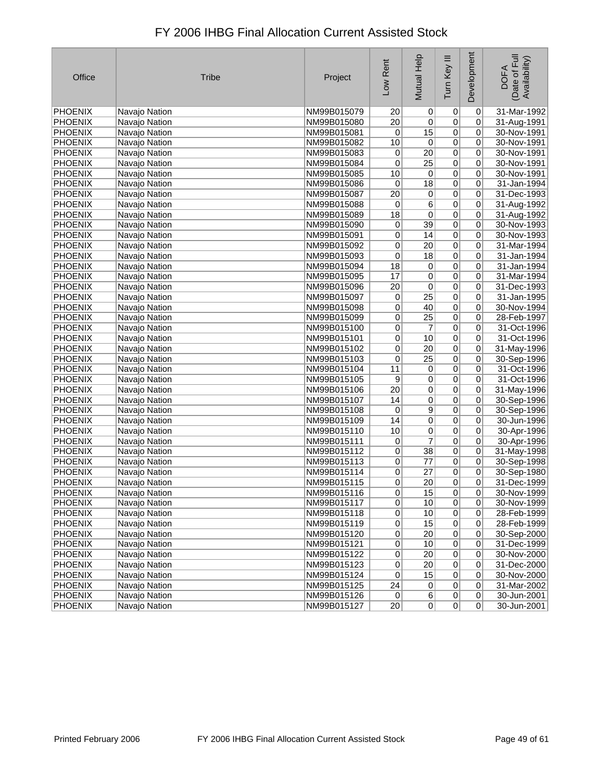| Office         | <b>Tribe</b>  | Project     | Low Rent        | Mutual Help     | Tum Key III    | Development    | Date of Full<br>Availability)<br><b>DOFA</b> |
|----------------|---------------|-------------|-----------------|-----------------|----------------|----------------|----------------------------------------------|
| PHOENIX        | Navajo Nation | NM99B015079 | 20              | $\vert 0 \vert$ | $\overline{0}$ | 0              | 31-Mar-1992                                  |
| PHOENIX        | Navajo Nation | NM99B015080 | 20              | 0               | 0              | 0              | 31-Aug-1991                                  |
| <b>PHOENIX</b> | Navajo Nation | NM99B015081 | 0               | 15              | $\overline{0}$ | 0              | 30-Nov-1991                                  |
| <b>PHOENIX</b> | Navajo Nation | NM99B015082 | 10              | 0               | $\overline{0}$ | 0              | 30-Nov-1991                                  |
| PHOENIX        | Navajo Nation | NM99B015083 | 0               | $\overline{20}$ | $\overline{0}$ | 0              | 30-Nov-1991                                  |
| PHOENIX        | Navajo Nation | NM99B015084 | 0               | $\overline{25}$ | $\overline{0}$ | 0              | 30-Nov-1991                                  |
| <b>PHOENIX</b> | Navajo Nation | NM99B015085 | 10              | $\overline{0}$  | $\overline{0}$ | 0              | 30-Nov-1991                                  |
| <b>PHOENIX</b> | Navajo Nation | NM99B015086 | 0               | $\overline{18}$ | $\overline{0}$ | 0              | 31-Jan-1994                                  |
| PHOENIX        | Navajo Nation | NM99B015087 | $\overline{20}$ | $\overline{0}$  | $\overline{0}$ | 0              | 31-Dec-1993                                  |
| PHOENIX        | Navajo Nation | NM99B015088 | 0               | 6               | $\overline{0}$ | 0              | 31-Aug-1992                                  |
| <b>PHOENIX</b> | Navajo Nation | NM99B015089 | 18              | $\overline{0}$  | $\overline{0}$ | 0              | 31-Aug-1992                                  |
| <b>PHOENIX</b> | Navajo Nation | NM99B015090 | 0               | $\overline{39}$ | $\overline{0}$ | 0              | 30-Nov-1993                                  |
| <b>PHOENIX</b> | Navajo Nation | NM99B015091 | $\overline{0}$  | 14              | $\overline{0}$ | 0              | 30-Nov-1993                                  |
| PHOENIX        | Navajo Nation | NM99B015092 | 0               | 20              | $\overline{0}$ | 0              | 31-Mar-1994                                  |
| <b>PHOENIX</b> | Navajo Nation | NM99B015093 | 0               | 18              | $\overline{0}$ | 0              | 31-Jan-1994                                  |
| <b>PHOENIX</b> | Navajo Nation | NM99B015094 | 18              | 0               | 0              | 0              | 31-Jan-1994                                  |
| PHOENIX        | Navajo Nation | NM99B015095 | 17              | 0               | 0              | 0              | 31-Mar-1994                                  |
| <b>PHOENIX</b> | Navajo Nation | NM99B015096 | 20              | 0               | 0              | 0              | 31-Dec-1993                                  |
| <b>PHOENIX</b> | Navajo Nation | NM99B015097 | 0               | $\overline{25}$ | $\overline{0}$ | 0              | 31-Jan-1995                                  |
| <b>PHOENIX</b> | Navajo Nation | NM99B015098 | 0               | 40              | $\overline{0}$ | 0              | 30-Nov-1994                                  |
| <b>PHOENIX</b> | Navajo Nation | NM99B015099 | 0               | 25              | $\overline{0}$ | 0              | 28-Feb-1997                                  |
| <b>PHOENIX</b> | Navajo Nation | NM99B015100 | 0               | 7               | $\overline{0}$ | 0              | 31-Oct-1996                                  |
| <b>PHOENIX</b> | Navajo Nation | NM99B015101 | $\overline{0}$  | 10              | $\overline{0}$ | 0              | 31-Oct-1996                                  |
| <b>PHOENIX</b> | Navajo Nation | NM99B015102 | 0               | $\overline{20}$ | $\overline{0}$ | 0              | 31-May-1996                                  |
| <b>PHOENIX</b> | Navajo Nation | NM99B015103 | 0               | $\overline{25}$ | $\overline{0}$ | 0              | 30-Sep-1996                                  |
| <b>PHOENIX</b> | Navajo Nation | NM99B015104 | 11              | 0               | $\overline{0}$ | 0              | 31-Oct-1996                                  |
| <b>PHOENIX</b> | Navajo Nation | NM99B015105 | 9               | $\overline{0}$  | $\overline{0}$ | 0              | 31-Oct-1996                                  |
| PHOENIX        | Navajo Nation | NM99B015106 | $\overline{20}$ | 0               | $\overline{0}$ | 0              | 31-May-1996                                  |
| PHOENIX        | Navajo Nation | NM99B015107 | 14              | 0               | 0              | 0              | 30-Sep-1996                                  |
| PHOENIX        | Navajo Nation | NM99B015108 | 0               | $\overline{9}$  | $\overline{0}$ | 0              | 30-Sep-1996                                  |
| PHOENIX        | Navajo Nation | NM99B015109 | 14              | $\overline{0}$  | $\overline{0}$ | 0              | 30-Jun-1996                                  |
| <b>PHOENIX</b> | Navajo Nation | NM99B015110 | 10              | $\overline{0}$  | $\overline{0}$ | 0              | 30-Apr-1996                                  |
| <b>PHOENIX</b> | Navajo Nation | NM99B015111 | $\overline{0}$  | 7               | $\overline{0}$ | 0              | 30-Apr-1996                                  |
| <b>PHOENIX</b> | Navajo Nation | NM99B015112 | $\overline{0}$  | $\overline{38}$ | $\overline{0}$ | 0              | 31-May-1998                                  |
| <b>PHOENIX</b> | Navajo Nation | NM99B015113 | 0               | $\overline{77}$ | $\overline{0}$ | 0              | 30-Sep-1998                                  |
| PHOENIX        | Navajo Nation | NM99B015114 | 0               | $\overline{27}$ | $\overline{0}$ | 0              | 30-Sep-1980                                  |
| <b>PHOENIX</b> | Navajo Nation | NM99B015115 | 0               | 20              | 0              | 0              | 31-Dec-1999                                  |
| <b>PHOENIX</b> | Navajo Nation | NM99B015116 | $\overline{0}$  | 15              | $\overline{0}$ | $\overline{0}$ | 30-Nov-1999                                  |
| PHOENIX        | Navajo Nation | NM99B015117 | $\overline{0}$  | 10              | $\overline{0}$ | 0              | 30-Nov-1999                                  |
| PHOENIX        | Navajo Nation | NM99B015118 | 0               | 10              | $\overline{0}$ | 0              | 28-Feb-1999                                  |
| PHOENIX        | Navajo Nation | NM99B015119 | 0               | 15              | $\overline{0}$ | 0              | 28-Feb-1999                                  |
| PHOENIX        | Navajo Nation | NM99B015120 | 0               | 20              | 0              | 0              | 30-Sep-2000                                  |
| PHOENIX        | Navajo Nation | NM99B015121 | $\overline{0}$  | 10              | $\overline{0}$ | 0              | 31-Dec-1999                                  |
| <b>PHOENIX</b> | Navajo Nation | NM99B015122 | 0               | 20 <sub>2</sub> | $\overline{0}$ | $\mathbf 0$    | 30-Nov-2000                                  |
| PHOENIX        | Navajo Nation | NM99B015123 | 0               | 20              | $\overline{0}$ | 0              | 31-Dec-2000                                  |
| PHOENIX        | Navajo Nation | NM99B015124 | 0               | 15              | 0              | 0              | 30-Nov-2000                                  |
| PHOENIX        | Navajo Nation | NM99B015125 | 24              | 0               | $\overline{0}$ | 0              | 31-Mar-2002                                  |
| <b>PHOENIX</b> | Navajo Nation | NM99B015126 | 0               | $6\vert$        | 0              | $\overline{0}$ | 30-Jun-2001                                  |
| PHOENIX        | Navajo Nation | NM99B015127 | 20              | $\overline{0}$  | $\overline{0}$ | $\overline{0}$ | 30-Jun-2001                                  |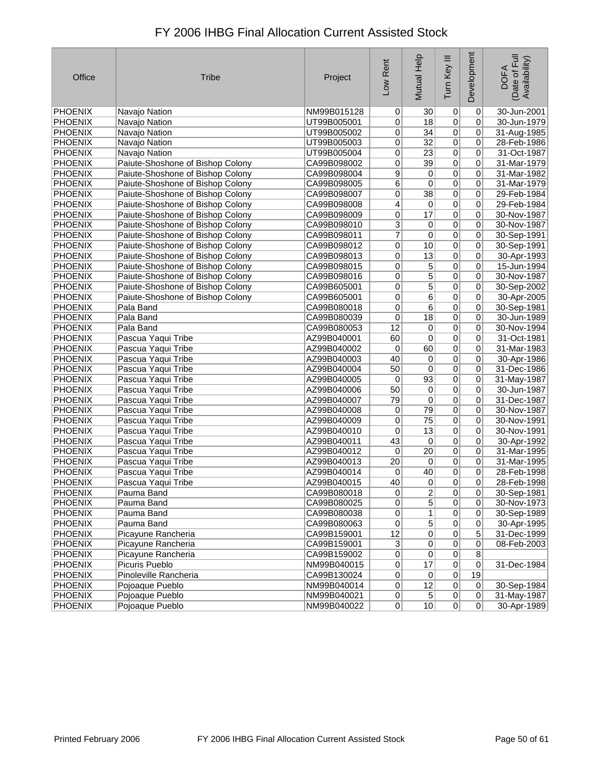| FY 2006 IHBG Final Allocation Current Assisted Stock |
|------------------------------------------------------|
|                                                      |

| Office         | <b>Tribe</b>                     | Project     | Low Rent       | Mutual Help     | Tum Key III    | Development    | Date of Full<br>Availability)<br><b>DOFA</b> |
|----------------|----------------------------------|-------------|----------------|-----------------|----------------|----------------|----------------------------------------------|
| <b>PHOENIX</b> | Navajo Nation                    | NM99B015128 | 0              | 30              | $\overline{0}$ | 0              | 30-Jun-2001                                  |
| PHOENIX        | Navajo Nation                    | UT99B005001 | 0              | 18              | $\overline{0}$ | 0              | 30-Jun-1979                                  |
| PHOENIX        | Navajo Nation                    | UT99B005002 | 0              | 34              | 0              | 0              | 31-Aug-1985                                  |
| PHOENIX        | Navajo Nation                    | UT99B005003 | $\overline{0}$ | $\overline{32}$ | $\overline{0}$ | 0              | 28-Feb-1986                                  |
| <b>PHOENIX</b> | Navajo Nation                    | UT99B005004 | $\overline{0}$ | 23              | $\overline{0}$ | 0              | 31-Oct-1987                                  |
| PHOENIX        | Paiute-Shoshone of Bishop Colony | CA99B098002 | 0              | 39              | $\overline{0}$ | 0              | 31-Mar-1979                                  |
| PHOENIX        | Paiute-Shoshone of Bishop Colony | CA99B098004 | $\overline{9}$ | 0               | 0              | 0              | 31-Mar-1982                                  |
| <b>PHOENIX</b> | Paiute-Shoshone of Bishop Colony | CA99B098005 | $\overline{6}$ | 0               | $\overline{0}$ | 0              | 31-Mar-1979                                  |
| PHOENIX        | Paiute-Shoshone of Bishop Colony | CA99B098007 | $\overline{0}$ | $\overline{38}$ | 0              | 0              | 29-Feb-1984                                  |
| PHOENIX        | Paiute-Shoshone of Bishop Colony | CA99B098008 | 4              | 0               | 0              | 0              | 29-Feb-1984                                  |
| PHOENIX        | Paiute-Shoshone of Bishop Colony | CA99B098009 | $\overline{0}$ | 17              | 0              | 0              | 30-Nov-1987                                  |
| PHOENIX        | Paiute-Shoshone of Bishop Colony | CA99B098010 | $\mathbf{3}$   | 0               | $\overline{0}$ | 0              | 30-Nov-1987                                  |
| PHOENIX        | Paiute-Shoshone of Bishop Colony | CA99B098011 | $\overline{7}$ | $\overline{0}$  | 0              | 0              | 30-Sep-1991                                  |
| <b>PHOENIX</b> | Paiute-Shoshone of Bishop Colony | CA99B098012 | $\overline{0}$ | 10              | 0              | 0              | 30-Sep-1991                                  |
| PHOENIX        | Paiute-Shoshone of Bishop Colony | CA99B098013 | 0              | 13              | 0              | 0              | 30-Apr-1993                                  |
| PHOENIX        | Paiute-Shoshone of Bishop Colony | CA99B098015 | $\overline{0}$ | 5               | 0              | 0              | 15-Jun-1994                                  |
| PHOENIX        | Paiute-Shoshone of Bishop Colony | CA99B098016 | $\overline{0}$ | $\overline{5}$  | $\overline{0}$ | 0              | 30-Nov-1987                                  |
| PHOENIX        | Paiute-Shoshone of Bishop Colony | CA99B605001 | $\overline{0}$ | 5               | 0              | 0              | 30-Sep-2002                                  |
| PHOENIX        | Paiute-Shoshone of Bishop Colony | CA99B605001 | $\overline{0}$ | $\overline{6}$  | 0              | 0              | 30-Apr-2005                                  |
| <b>PHOENIX</b> | Pala Band                        | CA99B080018 | $\overline{0}$ | $\overline{6}$  | $\overline{0}$ | 0              | 30-Sep-1981                                  |
| PHOENIX        | Pala Band                        | CA99B080039 | 0              | 18              | 0              | 0              | 30-Jun-1989                                  |
| PHOENIX        | Pala Band                        | CA99B080053 | 12             | 0               | 0              | 0              | 30-Nov-1994                                  |
| PHOENIX        | Pascua Yaqui Tribe               | AZ99B040001 | 60             | 0               | $\overline{0}$ | 0              | 31-Oct-1981                                  |
| PHOENIX        | Pascua Yaqui Tribe               | AZ99B040002 | 0              | 60              | 0              | 0              | 31-Mar-1983                                  |
| PHOENIX        | Pascua Yaqui Tribe               | AZ99B040003 | 40             | $\overline{0}$  | $\overline{0}$ | 0              | 30-Apr-1986                                  |
| PHOENIX        | Pascua Yaqui Tribe               | AZ99B040004 | 50             | $\overline{0}$  | 0              | 0              | 31-Dec-1986                                  |
| PHOENIX        | Pascua Yaqui Tribe               | AZ99B040005 | $\overline{0}$ | 93              | $\overline{0}$ | 0              | 31-May-1987                                  |
| <b>PHOENIX</b> | Pascua Yaqui Tribe               | AZ99B040006 | 50             | $\overline{0}$  | $\overline{0}$ | 0              | 30-Jun-1987                                  |
| PHOENIX        | Pascua Yaqui Tribe               | AZ99B040007 | 79             | $\overline{0}$  | $\overline{0}$ | 0              | 31-Dec-1987                                  |
| PHOENIX        | Pascua Yaqui Tribe               | AZ99B040008 | 0              | 79              | 0              | 0              | 30-Nov-1987                                  |
| PHOENIX        | Pascua Yaqui Tribe               | AZ99B040009 | $\mathbf 0$    | 75              | $\overline{0}$ | 0              | 30-Nov-1991                                  |
| PHOENIX        | Pascua Yaqui Tribe               | AZ99B040010 | $\pmb{0}$      | $\overline{13}$ | $\overline{0}$ | 0              | 30-Nov-1991                                  |
| <b>PHOENIX</b> | Pascua Yaqui Tribe               | AZ99B040011 | 43             | $\overline{0}$  | $\overline{0}$ | 0              | 30-Apr-1992                                  |
| PHOENIX        | Pascua Yaqui Tribe               | AZ99B040012 | 0              | $\overline{20}$ | 0              | 0              | 31-Mar-1995                                  |
| PHOENIX        | Pascua Yaqui Tribe               | AZ99B040013 | 20             | $\overline{0}$  | 0              | 0              | 31-Mar-1995                                  |
| PHOENIX        | Pascua Yaqui Tribe               | AZ99B040014 | 0              | 40              | 0              | 0              | 28-Feb-1998                                  |
| PHOENIX        | Pascua Yaqui Tribe               | AZ99B040015 | 40             | $\mathbf 0$     | 0              | 0              | 28-Feb-1998                                  |
| PHOENIX        | Pauma Band                       | CA99B080018 | 0              | 2               | 0              | 0              | 30-Sep-1981                                  |
| PHOENIX        | Pauma Band                       | CA99B080025 | 0              | $\overline{5}$  | $\overline{0}$ | $\overline{0}$ | 30-Nov-1973                                  |
| <b>PHOENIX</b> | Pauma Band                       | CA99B080038 | $\overline{0}$ | $\overline{1}$  | 0              | 0              | 30-Sep-1989                                  |
| <b>PHOENIX</b> | Pauma Band                       | CA99B080063 | $\overline{0}$ | $\overline{5}$  | 0              | 0              | 30-Apr-1995                                  |
| <b>PHOENIX</b> | Picayune Rancheria               | CA99B159001 | 12             | $\overline{0}$  | $\pmb{0}$      | 5              | 31-Dec-1999                                  |
| <b>PHOENIX</b> | Picayune Rancheria               | CA99B159001 | $\overline{3}$ | $\overline{0}$  | $\pmb{0}$      | 0              | 08-Feb-2003                                  |
| <b>PHOENIX</b> | Picayune Rancheria               | CA99B159002 | $\overline{0}$ | $\overline{0}$  | 0              | $\overline{8}$ |                                              |
| <b>PHOENIX</b> | Picuris Pueblo                   | NM99B040015 | $\overline{0}$ | 17              | 0              | $\overline{0}$ | 31-Dec-1984                                  |
| PHOENIX        | Pinoleville Rancheria            | CA99B130024 | 0              | $\overline{0}$  | $\pmb{0}$      | 19             |                                              |
| <b>PHOENIX</b> | Pojoaque Pueblo                  | NM99B040014 | 0              | 12              | $\overline{0}$ | $\overline{0}$ | 30-Sep-1984                                  |
| PHOENIX        | Pojoaque Pueblo                  | NM99B040021 | $\overline{0}$ | $\overline{5}$  | $\overline{0}$ | $\overline{0}$ | 31-May-1987                                  |
| PHOENIX        | Pojoaque Pueblo                  | NM99B040022 | 0              | 10              | 0              | 0              | 30-Apr-1989                                  |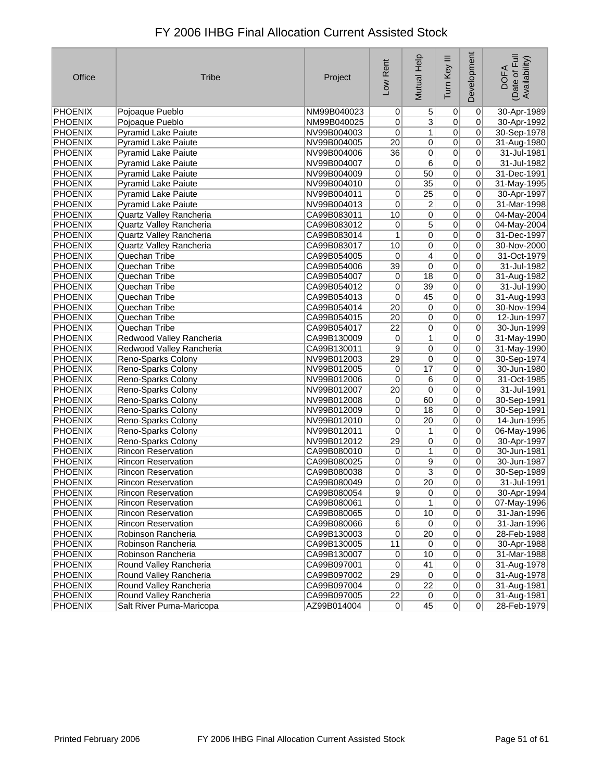| Office         | <b>Tribe</b>               | Project     | Low Rent        | Mutual Help     | Tum Key III     | Development    | Date of Full<br>Availability)<br><b>DOFA</b> |
|----------------|----------------------------|-------------|-----------------|-----------------|-----------------|----------------|----------------------------------------------|
| PHOENIX        | Pojoaque Pueblo            | NM99B040023 | $\overline{0}$  | 5               | $\vert 0 \vert$ | $\overline{0}$ | 30-Apr-1989                                  |
| PHOENIX        | Pojoaque Pueblo            | NM99B040025 | 0               | $\overline{3}$  | $\overline{0}$  | 0              | 30-Apr-1992                                  |
| <b>PHOENIX</b> | <b>Pyramid Lake Paiute</b> | NV99B004003 | 0               | $\mathbf{1}$    | $\overline{0}$  | 0              | 30-Sep-1978                                  |
| <b>PHOENIX</b> | Pyramid Lake Paiute        | NV99B004005 | $\overline{20}$ | 0               | $\overline{0}$  | 0              | 31-Aug-1980                                  |
| PHOENIX        | <b>Pyramid Lake Paiute</b> | NV99B004006 | 36              | 0               | $\overline{0}$  | 0              | 31-Jul-1981                                  |
| PHOENIX        | Pyramid Lake Paiute        | NV99B004007 | 0               | 6               | $\overline{0}$  | 0              | 31-Jul-1982                                  |
| <b>PHOENIX</b> | Pyramid Lake Paiute        | NV99B004009 | 0               | 50              | $\overline{0}$  | 0              | 31-Dec-1991                                  |
| <b>PHOENIX</b> | <b>Pyramid Lake Paiute</b> | NV99B004010 | $\overline{0}$  | $\overline{35}$ | $\overline{0}$  | 0              | 31-May-1995                                  |
| PHOENIX        | <b>Pyramid Lake Paiute</b> | NV99B004011 | 0               | $\overline{25}$ | $\overline{0}$  | 0              | 30-Apr-1997                                  |
| <b>PHOENIX</b> | <b>Pyramid Lake Paiute</b> | NV99B004013 | 0               | 2               | $\overline{0}$  | 0              | 31-Mar-1998                                  |
| <b>PHOENIX</b> | Quartz Valley Rancheria    | CA99B083011 | 10              | 0               | $\overline{0}$  | $\overline{0}$ | 04-May-2004                                  |
| <b>PHOENIX</b> | Quartz Valley Rancheria    | CA99B083012 | 0               | $\overline{5}$  | $\overline{0}$  | 0              | 04-May-2004                                  |
| PHOENIX        | Quartz Valley Rancheria    | CA99B083014 | $\mathbf{1}$    | 0               | $\overline{0}$  | 0              | 31-Dec-1997                                  |
| PHOENIX        | Quartz Valley Rancheria    | CA99B083017 | 10              | 0               | $\overline{0}$  | 0              | 30-Nov-2000                                  |
| PHOENIX        | Quechan Tribe              | CA99B054005 | 0               | $\overline{4}$  | $\overline{0}$  | 0              | 31-Oct-1979                                  |
| PHOENIX        | Quechan Tribe              | CA99B054006 | 39              | 0               | $\overline{0}$  | 0              | 31-Jul-1982                                  |
| <b>PHOENIX</b> | Quechan Tribe              | CA99B054007 | 0               | $\overline{18}$ | $\overline{0}$  | 0              | 31-Aug-1982                                  |
| PHOENIX        | Quechan Tribe              | CA99B054012 | 0               | 39              | $\overline{0}$  | 0              | 31-Jul-1990                                  |
| PHOENIX        | Quechan Tribe              | CA99B054013 | 0               | 45              | $\overline{0}$  | $\overline{0}$ | 31-Aug-1993                                  |
| PHOENIX        | Quechan Tribe              | CA99B054014 | $\overline{20}$ | 0               | $\overline{0}$  | 0              | 30-Nov-1994                                  |
| <b>PHOENIX</b> | Quechan Tribe              | CA99B054015 | $\overline{20}$ | 0               | $\overline{0}$  | 0              | 12-Jun-1997                                  |
| <b>PHOENIX</b> | Quechan Tribe              | CA99B054017 | $\overline{22}$ | 0               | $\overline{0}$  | 0              | 30-Jun-1999                                  |
| <b>PHOENIX</b> | Redwood Valley Rancheria   | CA99B130009 | 0               | 1               | $\overline{0}$  | 0              | 31-May-1990                                  |
| PHOENIX        | Redwood Valley Rancheria   | CA99B130011 | 9               | $\overline{0}$  | $\overline{0}$  | 0              | 31-May-1990                                  |
| PHOENIX        | Reno-Sparks Colony         | NV99B012003 | 29              | 0               | $\overline{0}$  | 0              | 30-Sep-1974                                  |
| <b>PHOENIX</b> | Reno-Sparks Colony         | NV99B012005 | 0               | $\overline{17}$ | $\overline{0}$  | 0              | 30-Jun-1980                                  |
| <b>PHOENIX</b> | Reno-Sparks Colony         | NV99B012006 | $\overline{0}$  | 6               | $\overline{0}$  | 0              | 31-Oct-1985                                  |
| PHOENIX        | Reno-Sparks Colony         | NV99B012007 | $\overline{20}$ | 0               | $\overline{0}$  | 0              | 31-Jul-1991                                  |
| PHOENIX        | Reno-Sparks Colony         | NV99B012008 | 0               | 60              | $\overline{0}$  | 0              | 30-Sep-1991                                  |
| <b>PHOENIX</b> | Reno-Sparks Colony         | NV99B012009 | 0               | 18              | $\overline{0}$  | 0              | 30-Sep-1991                                  |
| <b>PHOENIX</b> | Reno-Sparks Colony         | NV99B012010 | 0               | $\overline{20}$ | $\overline{0}$  | 0              | 14-Jun-1995                                  |
| <b>PHOENIX</b> | Reno-Sparks Colony         | NV99B012011 | 0               | 1               | $\overline{0}$  | 0              | 06-May-1996                                  |
| <b>PHOENIX</b> | Reno-Sparks Colony         | NV99B012012 | 29              | 0               | $\overline{0}$  | 0              | 30-Apr-1997                                  |
| <b>PHOENIX</b> | <b>Rincon Reservation</b>  | CA99B080010 | 0               | $\mathbf{1}$    | $\overline{0}$  | 0              | 30-Jun-1981                                  |
| <b>PHOENIX</b> | <b>Rincon Reservation</b>  | CA99B080025 | $\overline{0}$  | $\overline{9}$  | $\overline{0}$  | 0              | 30-Jun-1987                                  |
| PHOENIX        | <b>Rincon Reservation</b>  | CA99B080038 | 0               | $\overline{3}$  | $\overline{0}$  | 0              | 30-Sep-1989                                  |
| <b>PHOENIX</b> | <b>Rincon Reservation</b>  | CA99B080049 | 0               | $\overline{20}$ | 0               | 0              | 31-Jul-1991                                  |
| PHOENIX        | Rincon Reservation         | CA99B080054 | 9               | 0               | 0               | $\mathsf{U}$   | 30-Apr-1994                                  |
| <b>PHOENIX</b> | Rincon Reservation         | CA99B080061 | $\overline{0}$  | $\mathbf{1}$    | $\overline{0}$  | $\pmb{0}$      | 07-May-1996                                  |
| PHOENIX        | Rincon Reservation         | CA99B080065 | $\overline{0}$  | 10              | $\overline{0}$  | 0              | 31-Jan-1996                                  |
| <b>PHOENIX</b> | Rincon Reservation         | CA99B080066 | 6               | 0               | $\overline{0}$  | 0              | 31-Jan-1996                                  |
| PHOENIX        | Robinson Rancheria         | CA99B130003 | $\overline{0}$  | $\overline{20}$ | $\overline{0}$  | $\overline{0}$ | 28-Feb-1988                                  |
| <b>PHOENIX</b> | Robinson Rancheria         | CA99B130005 | 11              | $\pmb{0}$       | $\overline{0}$  | $\pmb{0}$      | 30-Apr-1988                                  |
| PHOENIX        | Robinson Rancheria         | CA99B130007 | $\overline{0}$  | 10              | $\overline{0}$  | 0              | 31-Mar-1988                                  |
| <b>PHOENIX</b> | Round Valley Rancheria     | CA99B097001 | $\overline{0}$  | 41              | $\overline{0}$  | 0              | 31-Aug-1978                                  |
| PHOENIX        | Round Valley Rancheria     | CA99B097002 | 29              | 0               | $\overline{0}$  | $\overline{0}$ | 31-Aug-1978                                  |
| PHOENIX        | Round Valley Rancheria     | CA99B097004 | 0               | $\overline{22}$ | $\overline{0}$  | $\pmb{0}$      | 31-Aug-1981                                  |
| <b>PHOENIX</b> | Round Valley Rancheria     | CA99B097005 | 22              | 0               | $\overline{0}$  | 0              | 31-Aug-1981                                  |
| PHOENIX        | Salt River Puma-Maricopa   | AZ99B014004 | 0               | 45              | 0               | $\mathbf 0$    | 28-Feb-1979                                  |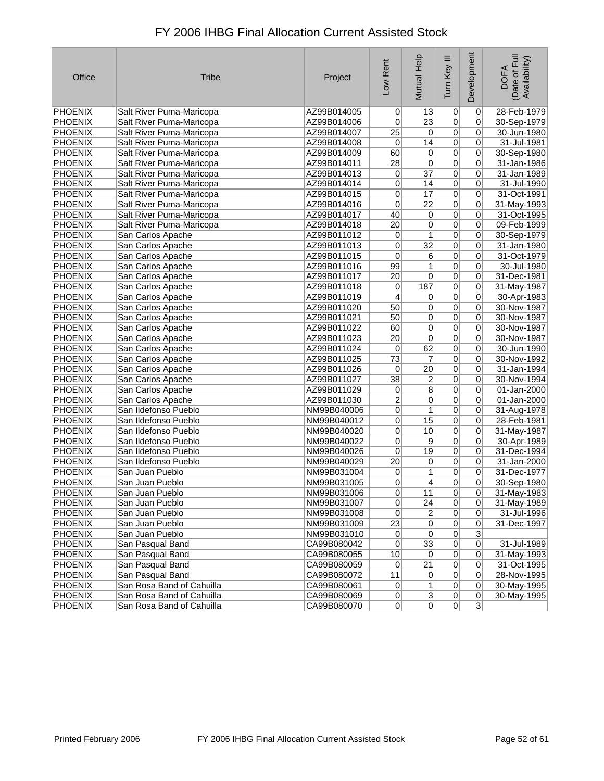| Office         | <b>Tribe</b>              | Project     | Low Rent        | Mutual Help     | Tum Key III    | Development    | Date of Full<br>Availability)<br><b>DOFA</b> |
|----------------|---------------------------|-------------|-----------------|-----------------|----------------|----------------|----------------------------------------------|
| <b>PHOENIX</b> | Salt River Puma-Maricopa  | AZ99B014005 | 0               | 13              | $\overline{0}$ | $\overline{0}$ | 28-Feb-1979                                  |
| <b>PHOENIX</b> | Salt River Puma-Maricopa  | AZ99B014006 | 0               | 23              | $\overline{0}$ | $\overline{0}$ | 30-Sep-1979                                  |
| <b>PHOENIX</b> | Salt River Puma-Maricopa  | AZ99B014007 | $\overline{25}$ | $\overline{0}$  | 0              | 0              | 30-Jun-1980                                  |
| <b>PHOENIX</b> | Salt River Puma-Maricopa  | AZ99B014008 | 0               | 14              | $\overline{0}$ | $\overline{0}$ | 31-Jul-1981                                  |
| <b>PHOENIX</b> | Salt River Puma-Maricopa  | AZ99B014009 | 60              | $\overline{0}$  | $\overline{0}$ | $\overline{0}$ | 30-Sep-1980                                  |
| <b>PHOENIX</b> | Salt River Puma-Maricopa  | AZ99B014011 | 28              | $\overline{0}$  | $\overline{0}$ | 0              | 31-Jan-1986                                  |
| <b>PHOENIX</b> | Salt River Puma-Maricopa  | AZ99B014013 | 0               | $\overline{37}$ | $\overline{0}$ | 0              | 31-Jan-1989                                  |
| <b>PHOENIX</b> | Salt River Puma-Maricopa  | AZ99B014014 | 0               | 14              | 0              | 0              | 31-Jul-1990                                  |
| <b>PHOENIX</b> | Salt River Puma-Maricopa  | AZ99B014015 | $\pmb{0}$       | 17              | $\overline{0}$ | $\overline{0}$ | 31-Oct-1991                                  |
| <b>PHOENIX</b> | Salt River Puma-Maricopa  | AZ99B014016 | 0               | $\overline{22}$ | $\overline{0}$ | 0              | 31-May-1993                                  |
| <b>PHOENIX</b> | Salt River Puma-Maricopa  | AZ99B014017 | 40              | $\overline{0}$  | 0              | 0              | 31-Oct-1995                                  |
| <b>PHOENIX</b> | Salt River Puma-Maricopa  | AZ99B014018 | $\overline{20}$ | 0               | $\overline{0}$ | 0              | 09-Feb-1999                                  |
| <b>PHOENIX</b> | San Carlos Apache         | AZ99B011012 | 0               | 1               | $\overline{0}$ | 0              | 30-Sep-1979                                  |
| <b>PHOENIX</b> | San Carlos Apache         | AZ99B011013 | 0               | $\overline{32}$ | $\overline{0}$ | $\overline{0}$ | 31-Jan-1980                                  |
| <b>PHOENIX</b> | San Carlos Apache         | AZ99B011015 | 0               | 6               | $\overline{0}$ | 0              | 31-Oct-1979                                  |
| <b>PHOENIX</b> | San Carlos Apache         | AZ99B011016 | 99              | 1               | $\overline{0}$ | $\overline{0}$ | 30-Jul-1980                                  |
| <b>PHOENIX</b> | San Carlos Apache         | AZ99B011017 | $\overline{20}$ | 0               | $\overline{0}$ | 0              | 31-Dec-1981                                  |
| <b>PHOENIX</b> | San Carlos Apache         | AZ99B011018 | 0               | 187             | $\overline{0}$ | 0              | 31-May-1987                                  |
| <b>PHOENIX</b> | San Carlos Apache         | AZ99B011019 | 4               | $\vert 0 \vert$ | $\overline{0}$ | $\overline{0}$ | 30-Apr-1983                                  |
| <b>PHOENIX</b> | San Carlos Apache         | AZ99B011020 | 50              | $\overline{0}$  | $\overline{0}$ | $\overline{0}$ | 30-Nov-1987                                  |
| <b>PHOENIX</b> | San Carlos Apache         | AZ99B011021 | 50              | $\overline{0}$  | $\overline{0}$ | 0              | 30-Nov-1987                                  |
| <b>PHOENIX</b> | San Carlos Apache         | AZ99B011022 | 60              | $\overline{0}$  | $\overline{0}$ | 0              | 30-Nov-1987                                  |
| <b>PHOENIX</b> | San Carlos Apache         | AZ99B011023 | 20              | 0               | $\overline{0}$ | 0              | 30-Nov-1987                                  |
| <b>PHOENIX</b> | San Carlos Apache         | AZ99B011024 | 0               | 62              | $\overline{0}$ | $\overline{0}$ | 30-Jun-1990                                  |
| <b>PHOENIX</b> | San Carlos Apache         | AZ99B011025 | 73              | $\overline{7}$  | $\overline{0}$ | 0              | 30-Nov-1992                                  |
| <b>PHOENIX</b> | San Carlos Apache         | AZ99B011026 | 0               | $\overline{20}$ | $\overline{0}$ | 0              | 31-Jan-1994                                  |
| <b>PHOENIX</b> | San Carlos Apache         | AZ99B011027 | $\overline{38}$ | 2               | 0              | 0              | 30-Nov-1994                                  |
| <b>PHOENIX</b> | San Carlos Apache         | AZ99B011029 | 0               | $\overline{8}$  | $\overline{0}$ | $\overline{0}$ | 01-Jan-2000                                  |
| <b>PHOENIX</b> | San Carlos Apache         | AZ99B011030 | $\overline{2}$  | 0               | $\overline{0}$ | 0              | 01-Jan-2000                                  |
| <b>PHOENIX</b> | San Ildefonso Pueblo      | NM99B040006 | 0               | 1               | 0              | 0              | 31-Aug-1978                                  |
| PHOENIX        | San Ildefonso Pueblo      | NM99B040012 | 0               | 15              | $\overline{0}$ | 0              | 28-Feb-1981                                  |
| <b>PHOENIX</b> | San Ildefonso Pueblo      | NM99B040020 | 0               | 10              | $\overline{0}$ | $\overline{0}$ | 31-May-1987                                  |
| <b>PHOENIX</b> | San Ildefonso Pueblo      | NM99B040022 | 0               | $\overline{9}$  | $\overline{0}$ | 0              | 30-Apr-1989                                  |
| <b>PHOENIX</b> | San Ildefonso Pueblo      | NM99B040026 | 0               | 19              | 0              | 0              | 31-Dec-1994                                  |
| <b>PHOENIX</b> | San Ildefonso Pueblo      | NM99B040029 | 20              | 0               | 0              | 0              | 31-Jan-2000                                  |
| <b>PHOENIX</b> | San Juan Pueblo           | NM99B031004 | 0               | 1               | 0              | 0              | 31-Dec-1977                                  |
| <b>PHOENIX</b> | San Juan Pueblo           | NM99B031005 | 0               | $\vert 4 \vert$ | $\mathbf 0$    | 0              | 30-Sep-1980                                  |
| <b>PHOENIX</b> | San Juan Pueblo           | NM99B031006 | $\overline{0}$  | 11              | $\overline{0}$ | 0              | 31-May-1983                                  |
| <b>PHOENIX</b> | San Juan Pueblo           | NM99B031007 | $\overline{0}$  | $\overline{24}$ | 0              | 0              | 31-May-1989                                  |
| <b>PHOENIX</b> | San Juan Pueblo           | NM99B031008 | $\overline{0}$  | $\overline{2}$  | $\overline{0}$ | $\overline{0}$ | 31-Jul-1996                                  |
| <b>PHOENIX</b> | San Juan Pueblo           | NM99B031009 | $\overline{23}$ | $\overline{0}$  | 0              | 0              | 31-Dec-1997                                  |
| <b>PHOENIX</b> | San Juan Pueblo           | NM99B031010 | $\overline{0}$  | $\overline{0}$  | $\overline{0}$ | $\overline{3}$ |                                              |
| <b>PHOENIX</b> | San Pasqual Band          | CA99B080042 | 0               | 33              | $\overline{0}$ | $\overline{0}$ | 31-Jul-1989                                  |
| <b>PHOENIX</b> | San Pasqual Band          | CA99B080055 | 10              | 0               | $\overline{0}$ | $\overline{0}$ | 31-May-1993                                  |
| <b>PHOENIX</b> | San Pasqual Band          | CA99B080059 | $\overline{0}$  | 21              | $\overline{0}$ | $\overline{0}$ | 31-Oct-1995                                  |
| <b>PHOENIX</b> | San Pasqual Band          | CA99B080072 | 11              | $\overline{0}$  | $\overline{0}$ | 0              | 28-Nov-1995                                  |
| <b>PHOENIX</b> | San Rosa Band of Cahuilla | CA99B080061 | $\overline{0}$  | 1               | $\overline{0}$ | 0              | 30-May-1995                                  |
| <b>PHOENIX</b> | San Rosa Band of Cahuilla | CA99B080069 | 0               | $\overline{3}$  | 0              | $\overline{0}$ | 30-May-1995                                  |
| <b>PHOENIX</b> | San Rosa Band of Cahuilla | CA99B080070 | 0               | $\overline{0}$  | $\overline{0}$ | $\overline{3}$ |                                              |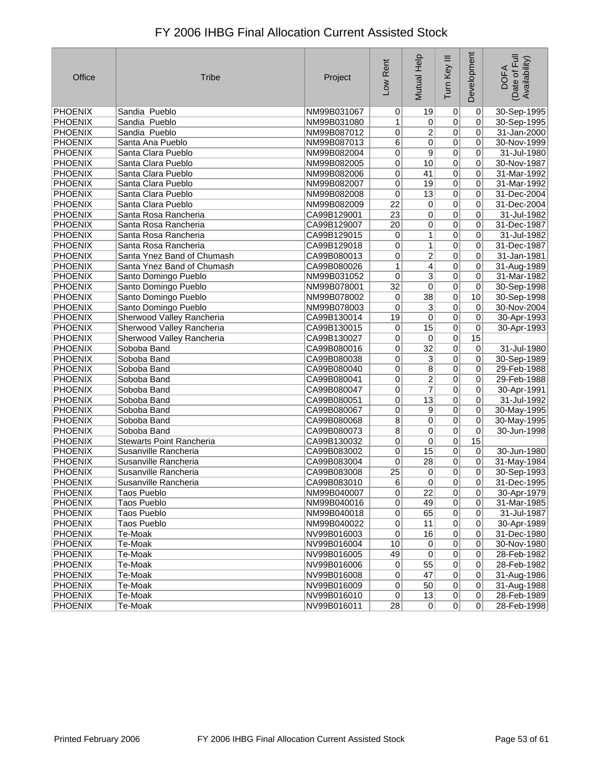| Office         | <b>Tribe</b>                    | Project     | Low Rent        | Mutual Help     | Tum Key III    | Development     | Date of Full<br>Availability)<br><b>DOFA</b> |
|----------------|---------------------------------|-------------|-----------------|-----------------|----------------|-----------------|----------------------------------------------|
| PHOENIX        | Sandia Pueblo                   | NM99B031067 | $\overline{0}$  | 19              | $\overline{0}$ | $\pmb{0}$       | 30-Sep-1995                                  |
| <b>PHOENIX</b> | Sandia Pueblo                   | NM99B031080 | 1               | $\overline{0}$  | $\overline{0}$ | 0               | 30-Sep-1995                                  |
| <b>PHOENIX</b> | Sandia Pueblo                   | NM99B087012 | 0               | $\overline{2}$  | $\overline{0}$ | 0               | 31-Jan-2000                                  |
| <b>PHOENIX</b> | Santa Ana Pueblo                | NM99B087013 | $6\overline{6}$ | 0               | $\overline{0}$ | $\pmb{0}$       | 30-Nov-1999                                  |
| PHOENIX        | Santa Clara Pueblo              | NM99B082004 | 0               | 9               | $\overline{0}$ | $\pmb{0}$       | 31-Jul-1980                                  |
| <b>PHOENIX</b> | Santa Clara Pueblo              | NM99B082005 | 0               | 10              | $\overline{0}$ | 0               | 30-Nov-1987                                  |
| <b>PHOENIX</b> | Santa Clara Pueblo              | NM99B082006 | $\overline{0}$  | 41              | $\overline{0}$ | 0               | 31-Mar-1992                                  |
| <b>PHOENIX</b> | Santa Clara Pueblo              | NM99B082007 | $\overline{0}$  | 19              | $\overline{0}$ | 0               | 31-Mar-1992                                  |
| <b>PHOENIX</b> | Santa Clara Pueblo              | NM99B082008 | 0               | 13              | $\overline{0}$ | 0               | 31-Dec-2004                                  |
| <b>PHOENIX</b> | Santa Clara Pueblo              | NM99B082009 | $\overline{22}$ | $\overline{0}$  | $\overline{0}$ | 0               | 31-Dec-2004                                  |
| <b>PHOENIX</b> | Santa Rosa Rancheria            | CA99B129001 | $\overline{23}$ | $\overline{0}$  | $\overline{0}$ | $\pmb{0}$       | 31-Jul-1982                                  |
| <b>PHOENIX</b> | Santa Rosa Rancheria            | CA99B129007 | $\overline{20}$ | 0               | $\overline{0}$ | $\pmb{0}$       | 31-Dec-1987                                  |
| <b>PHOENIX</b> | Santa Rosa Rancheria            | CA99B129015 | 0               | 1               | $\overline{0}$ | 0               | 31-Jul-1982                                  |
| <b>PHOENIX</b> | Santa Rosa Rancheria            | CA99B129018 | 0               | 1               | $\overline{0}$ | 0               | 31-Dec-1987                                  |
| <b>PHOENIX</b> | Santa Ynez Band of Chumash      | CA99B080013 | $\overline{0}$  | $\overline{2}$  | $\overline{0}$ | $\overline{0}$  | 31-Jan-1981                                  |
| <b>PHOENIX</b> | Santa Ynez Band of Chumash      | CA99B080026 | 1               | 4               | $\overline{0}$ | $\pmb{0}$       | 31-Aug-1989                                  |
| <b>PHOENIX</b> | Santo Domingo Pueblo            | NM99B031052 | 0               | 3               | $\overline{0}$ | 0               | 31-Mar-1982                                  |
| <b>PHOENIX</b> | Santo Domingo Pueblo            | NM99B078001 | $\overline{32}$ | 0               | $\overline{0}$ | 0               | 30-Sep-1998                                  |
| <b>PHOENIX</b> | Santo Domingo Pueblo            | NM99B078002 | 0               | $\overline{38}$ | $\overline{0}$ | 10              | 30-Sep-1998                                  |
| <b>PHOENIX</b> | Santo Domingo Pueblo            | NM99B078003 | 0               | $\overline{3}$  | $\overline{0}$ | 0               | 30-Nov-2004                                  |
| <b>PHOENIX</b> | Sherwood Valley Rancheria       | CA99B130014 | 19              | 0               | $\overline{0}$ | 0               | 30-Apr-1993                                  |
| <b>PHOENIX</b> | Sherwood Valley Rancheria       | CA99B130015 | 0               | 15              | $\overline{0}$ | 0               | 30-Apr-1993                                  |
| <b>PHOENIX</b> | Sherwood Valley Rancheria       | CA99B130027 | 0               | $\overline{0}$  | $\overline{0}$ | 15              |                                              |
| <b>PHOENIX</b> | Soboba Band                     | CA99B080016 | 0               | $\overline{32}$ | $\overline{0}$ | $\overline{0}$  | 31-Jul-1980                                  |
| <b>PHOENIX</b> | Soboba Band                     | CA99B080038 | $\overline{0}$  | $\overline{3}$  | $\overline{0}$ | 0               | 30-Sep-1989                                  |
| <b>PHOENIX</b> | Soboba Band                     | CA99B080040 | $\overline{0}$  | $\overline{8}$  | $\overline{0}$ | 0               | 29-Feb-1988                                  |
| <b>PHOENIX</b> | Soboba Band                     | CA99B080041 | $\overline{0}$  | $\overline{2}$  | $\overline{0}$ | $\pmb{0}$       | 29-Feb-1988                                  |
| PHOENIX        | Soboba Band                     | CA99B080047 | 0               | $\overline{7}$  | $\overline{0}$ | $\pmb{0}$       | 30-Apr-1991                                  |
| <b>PHOENIX</b> | Soboba Band                     | CA99B080051 | 0               | 13              | $\overline{0}$ | 0               | 31-Jul-1992                                  |
| <b>PHOENIX</b> | Soboba Band                     | CA99B080067 | 0               | 9               | $\overline{0}$ | 0               | 30-May-1995                                  |
| <b>PHOENIX</b> | Soboba Band                     | CA99B080068 | 8               | $\overline{0}$  | $\overline{0}$ | $\pmb{0}$       | 30-May-1995                                  |
| <b>PHOENIX</b> | Soboba Band                     | CA99B080073 | $\overline{8}$  | 0               | $\overline{0}$ | $\pmb{0}$       | 30-Jun-1998                                  |
| <b>PHOENIX</b> | <b>Stewarts Point Rancheria</b> | CA99B130032 | $\overline{0}$  | 0               | $\overline{0}$ | 15              |                                              |
| <b>PHOENIX</b> | Susanville Rancheria            | CA99B083002 | $\overline{0}$  | 15              | $\overline{0}$ | $\pmb{0}$       | 30-Jun-1980                                  |
| <b>PHOENIX</b> | Susanville Rancheria            | CA99B083004 | 0               | 28              | $\overline{0}$ | $\pmb{0}$       | 31-May-1984                                  |
| <b>PHOENIX</b> | Susanville Rancheria            | CA99B083008 | $\overline{25}$ | 0               | $\overline{0}$ | 0               | 30-Sep-1993                                  |
| <b>PHOENIX</b> | Susanville Rancheria            | CA99B083010 | 6               | 0               | 0              | 0               | 31-Dec-1995                                  |
| <b>PHOENIX</b> | Taos Pueblo                     | NM99B040007 | $\overline{0}$  | $\overline{22}$ | $\overline{0}$ | $\overline{0}$  | 30-Apr-1979                                  |
| PHOENIX        | Taos Pueblo                     | NM99B040016 | $\overline{0}$  | 49              | 0              | $\overline{0}$  | 31-Mar-1985                                  |
| PHOENIX        | Taos Pueblo                     | NM99B040018 | $\overline{0}$  | 65              | 0              | 0               | 31-Jul-1987                                  |
| PHOENIX        | Taos Pueblo                     | NM99B040022 | $\overline{0}$  | 11              | $\overline{0}$ | 0               | 30-Apr-1989                                  |
| <b>PHOENIX</b> | Te-Moak                         | NV99B016003 | 0               | 16              | 0              | $\vert 0 \vert$ | 31-Dec-1980                                  |
| PHOENIX        | Te-Moak                         | NV99B016004 | 10              | $\vert 0 \vert$ | 0              | $\pmb{0}$       | 30-Nov-1980                                  |
| <b>PHOENIX</b> | Te-Moak                         | NV99B016005 | 49              | $\overline{0}$  | $\overline{0}$ | 0               | 28-Feb-1982                                  |
| PHOENIX        | Te-Moak                         | NV99B016006 | $\overline{0}$  | 55              | $\overline{0}$ | $\overline{0}$  | 28-Feb-1982                                  |
| PHOENIX        | Te-Moak                         | NV99B016008 | 0               | 47              | 0              | $\vert 0 \vert$ | 31-Aug-1986                                  |
| PHOENIX        | Te-Moak                         | NV99B016009 | $\overline{0}$  | 50              | $\overline{0}$ | 0               | 31-Aug-1988                                  |
| PHOENIX        | Te-Moak                         | NV99B016010 | 0               | 13              | 0              | $\overline{0}$  | 28-Feb-1989                                  |
| PHOENIX        | Te-Moak                         | NV99B016011 | 28              | 0               | $\overline{0}$ | $\overline{0}$  | 28-Feb-1998                                  |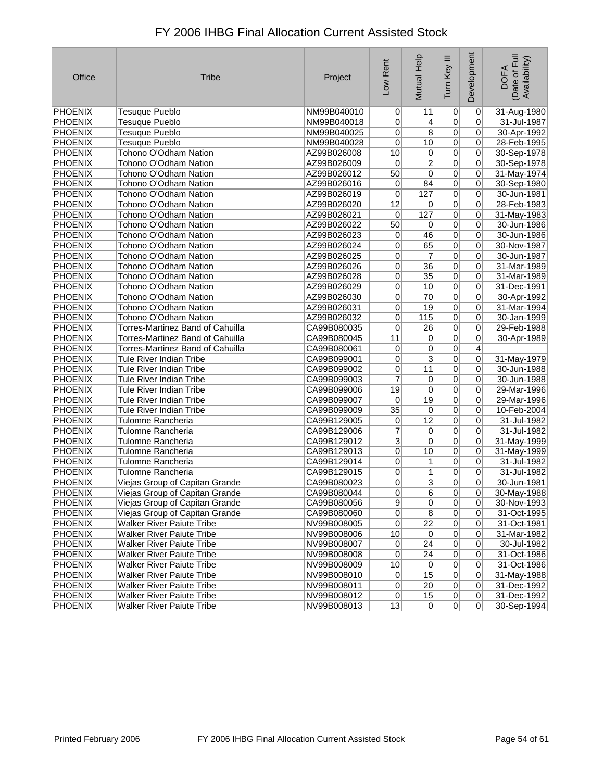| Office         | <b>Tribe</b>                            | Project     | Low Rent        | Mutual Help     | Tum Key III    | Development    | Date of Full<br>Availability)<br><b>DOFA</b> |
|----------------|-----------------------------------------|-------------|-----------------|-----------------|----------------|----------------|----------------------------------------------|
| PHOENIX        | <b>Tesuque Pueblo</b>                   | NM99B040010 | 0               | 11              | 0              | $\overline{0}$ | 31-Aug-1980                                  |
| PHOENIX        | <b>Tesuque Pueblo</b>                   | NM99B040018 | 0               | 4               | 0              | 0              | 31-Jul-1987                                  |
| <b>PHOENIX</b> | <b>Tesuque Pueblo</b>                   | NM99B040025 | 0               | $\overline{8}$  | 0              | 0              | 30-Apr-1992                                  |
| <b>PHOENIX</b> | <b>Tesuque Pueblo</b>                   | NM99B040028 | $\overline{0}$  | 10              | $\overline{0}$ | 0              | 28-Feb-1995                                  |
| PHOENIX        | Tohono O'Odham Nation                   | AZ99B026008 | 10              | 0               | $\overline{0}$ | 0              | 30-Sep-1978                                  |
| <b>PHOENIX</b> | Tohono O'Odham Nation                   | AZ99B026009 | 0               | 2               | 0              | 0              | 30-Sep-1978                                  |
| <b>PHOENIX</b> | Tohono O'Odham Nation                   | AZ99B026012 | 50              | 0               | $\overline{0}$ | 0              | 31-May-1974                                  |
| <b>PHOENIX</b> | Tohono O'Odham Nation                   | AZ99B026016 | 0               | 84              | $\overline{0}$ | $\overline{0}$ | 30-Sep-1980                                  |
| PHOENIX        | Tohono O'Odham Nation                   | AZ99B026019 | 0               | 127             | $\overline{0}$ | $\overline{0}$ | 30-Jun-1981                                  |
| <b>PHOENIX</b> | Tohono O'Odham Nation                   | AZ99B026020 | 12              | 0               | $\overline{0}$ | 0              | 28-Feb-1983                                  |
| <b>PHOENIX</b> | Tohono O'Odham Nation                   | AZ99B026021 | 0               | 127             | 0              | 0              | 31-May-1983                                  |
| <b>PHOENIX</b> | Tohono O'Odham Nation                   | AZ99B026022 | 50              | 0               | $\overline{0}$ | 0              | 30-Jun-1986                                  |
| <b>PHOENIX</b> | Tohono O'Odham Nation                   | AZ99B026023 | 0               | 46              | $\overline{0}$ | 0              | 30-Jun-1986                                  |
| <b>PHOENIX</b> | Tohono O'Odham Nation                   | AZ99B026024 | 0               | 65              | $\overline{0}$ | 0              | 30-Nov-1987                                  |
| <b>PHOENIX</b> | Tohono O'Odham Nation                   | AZ99B026025 | 0               | $\overline{7}$  | $\overline{0}$ | $\overline{0}$ | 30-Jun-1987                                  |
| <b>PHOENIX</b> | Tohono O'Odham Nation                   | AZ99B026026 | 0               | $\overline{36}$ | $\overline{0}$ | 0              | 31-Mar-1989                                  |
| <b>PHOENIX</b> | Tohono O'Odham Nation                   | AZ99B026028 | 0               | $\overline{35}$ | $\overline{0}$ | 0              | 31-Mar-1989                                  |
| <b>PHOENIX</b> | Tohono O'Odham Nation                   | AZ99B026029 | 0               | 10              | $\overline{0}$ | 0              | 31-Dec-1991                                  |
| <b>PHOENIX</b> | Tohono O'Odham Nation                   | AZ99B026030 | 0               | $\overline{70}$ | $\overline{0}$ | 0              | 30-Apr-1992                                  |
| <b>PHOENIX</b> | Tohono O'Odham Nation                   | AZ99B026031 | 0               | $\overline{19}$ | $\overline{0}$ | 0              | 31-Mar-1994                                  |
| PHOENIX        | Tohono O'Odham Nation                   | AZ99B026032 | 0               | 115             | $\overline{0}$ | 0              | 30-Jan-1999                                  |
| <b>PHOENIX</b> | Torres-Martinez Band of Cahuilla        | CA99B080035 | 0               | 26              | 0              | 0              | 29-Feb-1988                                  |
| <b>PHOENIX</b> | <b>Torres-Martinez Band of Cahuilla</b> | CA99B080045 | 11              | 0               | $\overline{0}$ | 0              | 30-Apr-1989                                  |
| PHOENIX        | Torres-Martinez Band of Cahuilla        | CA99B080061 | $\pmb{0}$       | 0               | 0              | 4              |                                              |
| PHOENIX        | Tule River Indian Tribe                 | CA99B099001 | 0               | 3               | 0              | 0              | 31-May-1979                                  |
| <b>PHOENIX</b> | <b>Tule River Indian Tribe</b>          | CA99B099002 | 0               | 11              | $\overline{0}$ | 0              | 30-Jun-1988                                  |
| <b>PHOENIX</b> | Tule River Indian Tribe                 | CA99B099003 | $\overline{7}$  | 0               | $\overline{0}$ | 0              | 30-Jun-1988                                  |
| PHOENIX        | Tule River Indian Tribe                 | CA99B099006 | 19              | 0               | $\overline{0}$ | 0              | 29-Mar-1996                                  |
| PHOENIX        | Tule River Indian Tribe                 | CA99B099007 | 0               | 19              | 0              | 0              | 29-Mar-1996                                  |
| <b>PHOENIX</b> | Tule River Indian Tribe                 | CA99B099009 | $\overline{35}$ | 0               | 0              | 0              | 10-Feb-2004                                  |
| <b>PHOENIX</b> | <b>Tulomne Rancheria</b>                | CA99B129005 | 0               | 12              | $\overline{0}$ | $\pmb{0}$      | 31-Jul-1982                                  |
| <b>PHOENIX</b> | <b>Tulomne Rancheria</b>                | CA99B129006 | $\overline{7}$  | 0               | $\overline{0}$ | 0              | 31-Jul-1982                                  |
| <b>PHOENIX</b> | Tulomne Rancheria                       | CA99B129012 | $\overline{3}$  | 0               | $\overline{0}$ | 0              | 31-May-1999                                  |
| <b>PHOENIX</b> | <b>Tulomne Rancheria</b>                | CA99B129013 | 0               | 10              | 0              | 0              | 31-May-1999                                  |
| <b>PHOENIX</b> | Tulomne Rancheria                       | CA99B129014 | 0               | 1               | 0              | $\overline{0}$ | 31-Jul-1982                                  |
| PHOENIX        | <b>Tulomne Rancheria</b>                | CA99B129015 | 0               | 1               | 0              | 0              | 31-Jul-1982                                  |
| <b>PHOENIX</b> | Viejas Group of Capitan Grande          | CA99B080023 | 0               | 3               | 0              | 0              | 30-Jun-1981                                  |
| PHOENIX        | Viejas Group of Capitan Grande          | CA99B080044 | $\mathsf{U}$    | 6               | $\sigma$       | $\mathsf{U}$   | 30-May-1988                                  |
| <b>PHOENIX</b> | Viejas Group of Capitan Grande          | CA99B080056 | $\overline{9}$  | 0               | $\overline{0}$ | $\overline{0}$ | 30-Nov-1993                                  |
| PHOENIX        | Viejas Group of Capitan Grande          | CA99B080060 | $\overline{0}$  | $\overline{8}$  | $\overline{0}$ | $\overline{0}$ | 31-Oct-1995                                  |
| <b>PHOENIX</b> | <b>Walker River Paiute Tribe</b>        | NV99B008005 | $\overline{0}$  | $\overline{22}$ | $\sigma$       | $\overline{0}$ | 31-Oct-1981                                  |
| PHOENIX        | <b>Walker River Paiute Tribe</b>        | NV99B008006 | 10              | $\overline{0}$  | $\overline{0}$ | 0              | 31-Mar-1982                                  |
| <b>PHOENIX</b> | <b>Walker River Paiute Tribe</b>        | NV99B008007 | $\overline{0}$  | 24              | $\overline{0}$ | 0              | 30-Jul-1982                                  |
| PHOENIX        | <b>Walker River Paiute Tribe</b>        | NV99B008008 | 0               | 24              | $\overline{0}$ | 0              | 31-Oct-1986                                  |
| <b>PHOENIX</b> | <b>Walker River Paiute Tribe</b>        | NV99B008009 | 10              | $\vert 0 \vert$ | $\overline{0}$ | $\overline{0}$ | 31-Oct-1986                                  |
| <b>PHOENIX</b> | <b>Walker River Paiute Tribe</b>        | NV99B008010 | $\overline{0}$  | 15              | $\sigma$       | 0              | 31-May-1988                                  |
| <b>PHOENIX</b> | <b>Walker River Paiute Tribe</b>        | NV99B008011 | $\overline{0}$  | $\overline{20}$ | $\overline{0}$ | 0              | 31-Dec-1992                                  |
| PHOENIX        | <b>Walker River Paiute Tribe</b>        | NV99B008012 | $\overline{0}$  | 15              | 0              | 0              | 31-Dec-1992                                  |
| PHOENIX        | <b>Walker River Paiute Tribe</b>        | NV99B008013 | 13              | $\overline{0}$  | $\Omega$       | $\overline{0}$ | 30-Sep-1994                                  |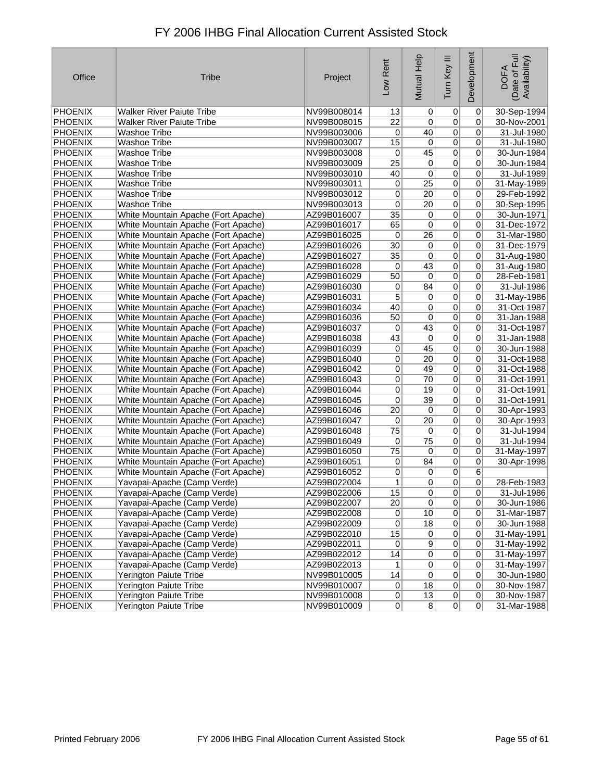| Office         | <b>Tribe</b>                        | Project     | Low Rent         | Mutual Help     | Tum Key III    | Development    | Date of Full<br>Availability)<br><b>DOFA</b> |
|----------------|-------------------------------------|-------------|------------------|-----------------|----------------|----------------|----------------------------------------------|
| PHOENIX        | <b>Walker River Paiute Tribe</b>    | NV99B008014 | 13               | $\overline{0}$  | $\overline{0}$ | 0              | 30-Sep-1994                                  |
| PHOENIX        | <b>Walker River Paiute Tribe</b>    | NV99B008015 | 22               | $\overline{0}$  | 0              | 0              | 30-Nov-2001                                  |
| PHOENIX        | <b>Washoe Tribe</b>                 | NV99B003006 | 0                | 40              | $\pmb{0}$      | 0              | 31-Jul-1980                                  |
| PHOENIX        | <b>Washoe Tribe</b>                 | NV99B003007 | 15               | $\overline{0}$  | 0              | 0              | 31-Jul-1980                                  |
| PHOENIX        | <b>Washoe Tribe</b>                 | NV99B003008 | $\boldsymbol{0}$ | 45              | 0              | 0              | 30-Jun-1984                                  |
| PHOENIX        | <b>Washoe Tribe</b>                 | NV99B003009 | $\overline{25}$  | $\overline{0}$  | 0              | 0              | 30-Jun-1984                                  |
| PHOENIX        | <b>Washoe Tribe</b>                 | NV99B003010 | 40               | $\overline{0}$  | 0              | 0              | 31-Jul-1989                                  |
| <b>PHOENIX</b> | <b>Washoe Tribe</b>                 | NV99B003011 | $\overline{0}$   | $\overline{25}$ | $\overline{0}$ | $\overline{0}$ | 31-May-1989                                  |
| PHOENIX        | <b>Washoe Tribe</b>                 | NV99B003012 | 0                | $\overline{20}$ | $\overline{0}$ | 0              | 29-Feb-1992                                  |
| PHOENIX        | <b>Washoe Tribe</b>                 | NV99B003013 | 0                | 20              | $\overline{0}$ | 0              | 30-Sep-1995                                  |
| PHOENIX        | White Mountain Apache (Fort Apache) | AZ99B016007 | 35               | $\pmb{0}$       | 0              | 0              | 30-Jun-1971                                  |
| PHOENIX        | White Mountain Apache (Fort Apache) | AZ99B016017 | 65               | $\overline{0}$  | $\overline{0}$ | 0              | 31-Dec-1972                                  |
| PHOENIX        | White Mountain Apache (Fort Apache) | AZ99B016025 | 0                | $\overline{26}$ | $\overline{0}$ | 0              | 31-Mar-1980                                  |
| <b>PHOENIX</b> | White Mountain Apache (Fort Apache) | AZ99B016026 | 30               | $\overline{0}$  | $\overline{0}$ | 0              | 31-Dec-1979                                  |
| PHOENIX        | White Mountain Apache (Fort Apache) | AZ99B016027 | 35               | $\overline{0}$  | $\overline{0}$ | 0              | 31-Aug-1980                                  |
| PHOENIX        | White Mountain Apache (Fort Apache) | AZ99B016028 | 0                | 43              | $\overline{0}$ | 0              | 31-Aug-1980                                  |
| PHOENIX        | White Mountain Apache (Fort Apache) | AZ99B016029 | 50               | $\overline{0}$  | $\overline{0}$ | 0              | 28-Feb-1981                                  |
| PHOENIX        | White Mountain Apache (Fort Apache) | AZ99B016030 | 0                | 84              | $\overline{0}$ | 0              | 31-Jul-1986                                  |
| PHOENIX        | White Mountain Apache (Fort Apache) | AZ99B016031 | 5                | $\overline{0}$  | 0              | 0              | 31-May-1986                                  |
| <b>PHOENIX</b> | White Mountain Apache (Fort Apache) | AZ99B016034 | 40               | $\overline{0}$  | $\overline{0}$ | 0              | 31-Oct-1987                                  |
| PHOENIX        | White Mountain Apache (Fort Apache) | AZ99B016036 | 50               | $\overline{0}$  | $\overline{0}$ | 0              | 31-Jan-1988                                  |
| PHOENIX        | White Mountain Apache (Fort Apache) | AZ99B016037 | 0                | 43              | $\pmb{0}$      | 0              | 31-Oct-1987                                  |
| PHOENIX        | White Mountain Apache (Fort Apache) | AZ99B016038 | 43               | $\overline{0}$  | $\overline{0}$ | 0              | 31-Jan-1988                                  |
| <b>PHOENIX</b> | White Mountain Apache (Fort Apache) | AZ99B016039 | $\overline{0}$   | 45              | $\overline{0}$ | 0              | 30-Jun-1988                                  |
| <b>PHOENIX</b> | White Mountain Apache (Fort Apache) | AZ99B016040 | 0                | $\overline{20}$ | $\overline{0}$ | 0              | 31-Oct-1988                                  |
| PHOENIX        | White Mountain Apache (Fort Apache) | AZ99B016042 | 0                | 49              | $\overline{0}$ | 0              | 31-Oct-1988                                  |
| PHOENIX        | White Mountain Apache (Fort Apache) | AZ99B016043 | 0                | 70              | 0              | 0              | 31-Oct-1991                                  |
| PHOENIX        | White Mountain Apache (Fort Apache) | AZ99B016044 | 0                | 19              | $\overline{0}$ | 0              | 31-Oct-1991                                  |
| PHOENIX        | White Mountain Apache (Fort Apache) | AZ99B016045 | 0                | 39              | $\overline{0}$ | 0              | 31-Oct-1991                                  |
| PHOENIX        | White Mountain Apache (Fort Apache) | AZ99B016046 | 20               | 0               | $\overline{0}$ | 0              | 30-Apr-1993                                  |
| PHOENIX        | White Mountain Apache (Fort Apache) | AZ99B016047 | 0                | $\overline{20}$ | $\overline{0}$ | 0              | 30-Apr-1993                                  |
| PHOENIX        | White Mountain Apache (Fort Apache) | AZ99B016048 | 75               | $\Omega$        | 0              | 0              | 31-Jul-1994                                  |
| PHOENIX        | White Mountain Apache (Fort Apache) | AZ99B016049 | 0                | $\overline{75}$ | $\overline{0}$ | 0              | 31-Jul-1994                                  |
| PHOENIX        | White Mountain Apache (Fort Apache) | AZ99B016050 | 75               | $\pmb{0}$       | 0              | 0              | 31-May-1997                                  |
| <b>PHOENIX</b> | White Mountain Apache (Fort Apache) | AZ99B016051 | 0                | 84              | 0              | 0              | 30-Apr-1998                                  |
| PHOENIX        | White Mountain Apache (Fort Apache) | AZ99B016052 | 0                | $\overline{0}$  | 0              | 6              |                                              |
| PHOENIX        | Yavapai-Apache (Camp Verde)         | AZ99B022004 | 1                | 0               | 0              | 0              | 28-Feb-1983                                  |
| PHOENIX        | Yavapai-Apache (Camp Verde)         | AZ99B022006 | 15               | 0               | 0              | 0              | 31-Jul-1986                                  |
| <b>PHOENIX</b> | Yavapai-Apache (Camp Verde)         | AZ99B022007 | $\overline{20}$  | $\overline{0}$  | $\overline{0}$ | 0              | 30-Jun-1986                                  |
| <b>PHOENIX</b> | Yavapai-Apache (Camp Verde)         | AZ99B022008 | $\overline{0}$   | 10              | $\overline{0}$ | $\mathbf 0$    | 31-Mar-1987                                  |
| <b>PHOENIX</b> | Yavapai-Apache (Camp Verde)         | AZ99B022009 | 0                | 18              | $\pmb{0}$      | 0              | 30-Jun-1988                                  |
| <b>PHOENIX</b> | Yavapai-Apache (Camp Verde)         | AZ99B022010 | 15               | $\sigma$        | $\overline{0}$ | 0              | 31-May-1991                                  |
| <b>PHOENIX</b> | Yavapai-Apache (Camp Verde)         | AZ99B022011 | 0                | $\overline{9}$  | $\overline{0}$ | 0              | 31-May-1992                                  |
| <b>PHOENIX</b> | Yavapai-Apache (Camp Verde)         | AZ99B022012 | 14               | $\overline{0}$  | $\overline{0}$ | 0              | 31-May-1997                                  |
| <b>PHOENIX</b> | Yavapai-Apache (Camp Verde)         | AZ99B022013 | 1                | $\overline{0}$  | $\pmb{0}$      | 0              | 31-May-1997                                  |
| <b>PHOENIX</b> | Yerington Paiute Tribe              | NV99B010005 | 14               | 0               | $\overline{0}$ | 0              | 30-Jun-1980                                  |
| <b>PHOENIX</b> | Yerington Paiute Tribe              | NV99B010007 | 0                | 18              | $\overline{0}$ | 0              | 30-Nov-1987                                  |
| PHOENIX        | <b>Yerington Paiute Tribe</b>       | NV99B010008 | 0                | 13              | $\overline{0}$ | 0              | 30-Nov-1987                                  |
| PHOENIX        | Yerington Paiute Tribe              | NV99B010009 | 0                | 8 <sup>2</sup>  | 0              | 0              | 31-Mar-1988                                  |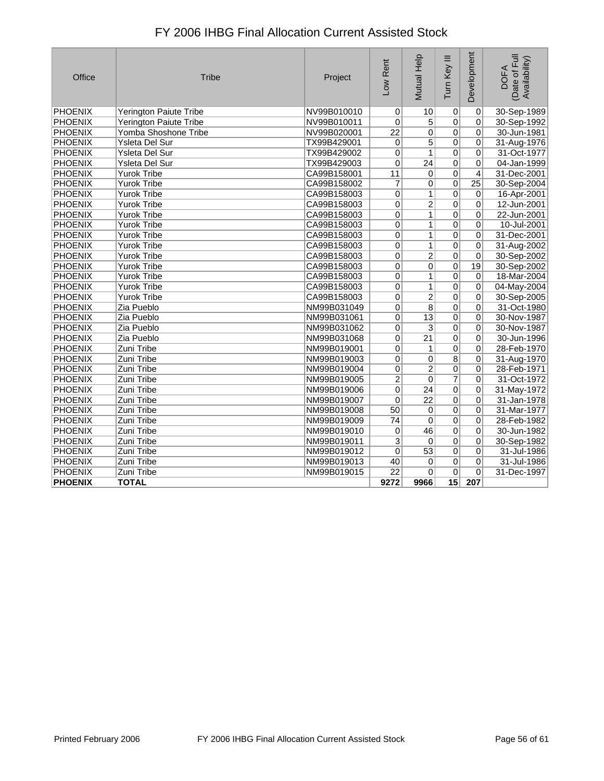| Office         | <b>Tribe</b>                  | Project     | Low Rent                | Mutual Help     | Tum Key III    | Development     | (Date of Full<br>Availability)<br><b>DOFA</b> |
|----------------|-------------------------------|-------------|-------------------------|-----------------|----------------|-----------------|-----------------------------------------------|
| <b>PHOENIX</b> | <b>Yerington Paiute Tribe</b> | NV99B010010 | 0                       | 10              | $\pmb{0}$      | $\overline{0}$  | 30-Sep-1989                                   |
| <b>PHOENIX</b> | Yerington Paiute Tribe        | NV99B010011 | 0                       | 5               | $\overline{0}$ | $\mathbf 0$     | 30-Sep-1992                                   |
| <b>PHOENIX</b> | Yomba Shoshone Tribe          | NV99B020001 | $\overline{22}$         | 0               | $\Omega$       | $\mathbf 0$     | 30-Jun-1981                                   |
| <b>PHOENIX</b> | Ysleta Del Sur                | TX99B429001 | 0                       | $\overline{5}$  | $\overline{0}$ | $\mathbf 0$     | 31-Aug-1976                                   |
| <b>PHOENIX</b> | Ysleta Del Sur                | TX99B429002 | 0                       | $\mathbf{1}$    | $\overline{0}$ | $\mathbf 0$     | 31-Oct-1977                                   |
| <b>PHOENIX</b> | Ysleta Del Sur                | TX99B429003 | $\overline{0}$          | $\overline{24}$ | $\overline{0}$ | 0               | 04-Jan-1999                                   |
| PHOENIX        | <b>Yurok Tribe</b>            | CA99B158001 | 11                      | 0               | $\overline{0}$ | 4               | 31-Dec-2001                                   |
| <b>PHOENIX</b> | <b>Yurok Tribe</b>            | CA99B158002 | 7                       | 0               | $\overline{0}$ | $\overline{25}$ | 30-Sep-2004                                   |
| <b>PHOENIX</b> | <b>Yurok Tribe</b>            | CA99B158003 | $\overline{0}$          | $\overline{1}$  | $\overline{0}$ | $\overline{0}$  | 16-Apr-2001                                   |
| <b>PHOENIX</b> | <b>Yurok Tribe</b>            | CA99B158003 | $\overline{0}$          | $\overline{2}$  | $\overline{0}$ | $\mathbf 0$     | 12-Jun-2001                                   |
| <b>PHOENIX</b> | <b>Yurok Tribe</b>            | CA99B158003 | 0                       | 1               | $\overline{0}$ | $\overline{0}$  | 22-Jun-2001                                   |
| PHOENIX        | <b>Yurok Tribe</b>            | CA99B158003 | 0                       | $\mathbf{1}$    | $\overline{0}$ | $\mathbf 0$     | 10-Jul-2001                                   |
| <b>PHOENIX</b> | <b>Yurok Tribe</b>            | CA99B158003 | $\overline{0}$          | $\overline{1}$  | $\overline{0}$ | $\overline{0}$  | 31-Dec-2001                                   |
| <b>PHOENIX</b> | <b>Yurok Tribe</b>            | CA99B158003 | $\overline{0}$          | $\overline{1}$  | $\overline{0}$ | $\overline{0}$  | 31-Aug-2002                                   |
| <b>PHOENIX</b> | <b>Yurok Tribe</b>            | CA99B158003 | 0                       | $\overline{2}$  | $\overline{0}$ | $\mathbf 0$     | 30-Sep-2002                                   |
| PHOENIX        | <b>Yurok Tribe</b>            | CA99B158003 | 0                       | 0               | $\overline{0}$ | 19              | 30-Sep-2002                                   |
| <b>PHOENIX</b> | <b>Yurok Tribe</b>            | CA99B158003 | $\overline{0}$          | $\mathbf{1}$    | $\overline{0}$ | $\overline{0}$  | 18-Mar-2004                                   |
| <b>PHOENIX</b> | <b>Yurok Tribe</b>            | CA99B158003 | $\overline{0}$          | $\mathbf{1}$    | $\overline{0}$ | 0               | 04-May-2004                                   |
| <b>PHOENIX</b> | <b>Yurok Tribe</b>            | CA99B158003 | 0                       | $\overline{2}$  | $\overline{0}$ | $\overline{0}$  | 30-Sep-2005                                   |
| <b>PHOENIX</b> | Zia Pueblo                    | NM99B031049 | $\overline{0}$          | $\overline{8}$  | $\overline{0}$ | $\overline{0}$  | 31-Oct-1980                                   |
| <b>PHOENIX</b> | Zia Pueblo                    | NM99B031061 | $\overline{0}$          | $\overline{13}$ | $\overline{0}$ | 0               | 30-Nov-1987                                   |
| <b>PHOENIX</b> | Zia Pueblo                    | NM99B031062 | $\overline{0}$          | $\overline{3}$  | $\overline{0}$ | 0               | 30-Nov-1987                                   |
| <b>PHOENIX</b> | Zia Pueblo                    | NM99B031068 | 0                       | $\overline{21}$ | $\overline{0}$ | 0               | 30-Jun-1996                                   |
| <b>PHOENIX</b> | Zuni Tribe                    | NM99B019001 | 0                       | 1               | $\overline{0}$ | 0               | 28-Feb-1970                                   |
| <b>PHOENIX</b> | Zuni Tribe                    | NM99B019003 | 0                       | 0               | $\overline{8}$ | 0               | 31-Aug-1970                                   |
| <b>PHOENIX</b> | Zuni Tribe                    | NM99B019004 | $\overline{0}$          | $\overline{2}$  | $\overline{0}$ | $\overline{0}$  | 28-Feb-1971                                   |
| <b>PHOENIX</b> | Zuni Tribe                    | NM99B019005 | $\overline{2}$          | 0               | 7              | $\overline{0}$  | 31-Oct-1972                                   |
| <b>PHOENIX</b> | Zuni Tribe                    | NM99B019006 | 0                       | 24              | $\overline{0}$ | 0               | 31-May-1972                                   |
| <b>PHOENIX</b> | Zuni Tribe                    | NM99B019007 | $\mathbf 0$             | 22              | $\overline{0}$ | 0               | 31-Jan-1978                                   |
| <b>PHOENIX</b> | Zuni Tribe                    | NM99B019008 | $\overline{50}$         | 0               | $\overline{0}$ | 0               | 31-Mar-1977                                   |
| PHOENIX        | Zuni Tribe                    | NM99B019009 | 74                      | 0               | $\overline{0}$ | 0               | 28-Feb-1982                                   |
| <b>PHOENIX</b> | Zuni Tribe                    | NM99B019010 | 0                       | 46              | $\overline{0}$ | $\overline{0}$  | 30-Jun-1982                                   |
| <b>PHOENIX</b> | Zuni Tribe                    | NM99B019011 | $\overline{\mathbf{3}}$ | $\pmb{0}$       | $\overline{0}$ | 0               | 30-Sep-1982                                   |
| PHOENIX        | Zuni Tribe                    | NM99B019012 | 0                       | $\overline{53}$ | $\overline{0}$ | $\overline{0}$  | 31-Jul-1986                                   |
| <b>PHOENIX</b> | Zuni Tribe                    | NM99B019013 | 40                      | 0               | $\overline{0}$ | $\overline{0}$  | 31-Jul-1986                                   |
| <b>PHOENIX</b> | Zuni Tribe                    | NM99B019015 | $\overline{22}$         | 0               | $\Omega$       | 0               | 31-Dec-1997                                   |
| <b>PHOENIX</b> | <b>TOTAL</b>                  |             | 9272                    | 9966            | 15             | 207             |                                               |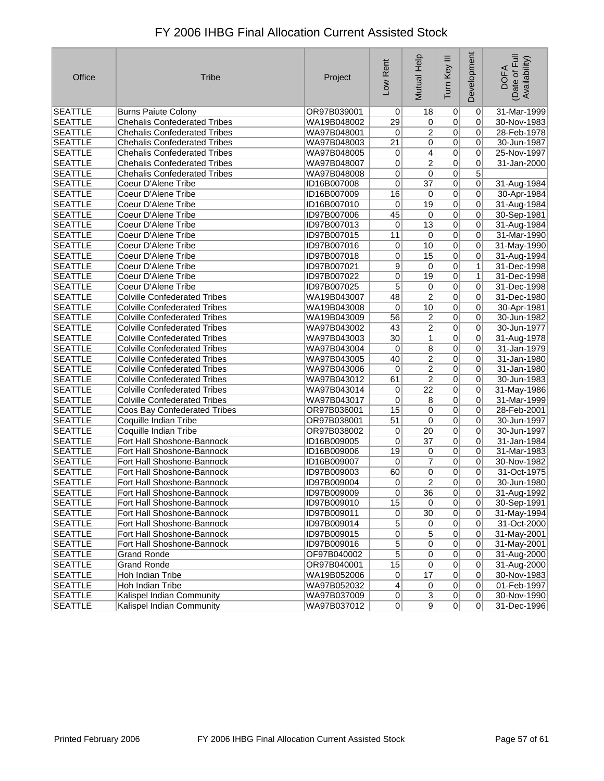| Office         | <b>Tribe</b>                        | Project     | Low Rent        | Mutual Help     | Tum Key III    | Development    | Date of Full<br>Availability)<br><b>DOFA</b> |
|----------------|-------------------------------------|-------------|-----------------|-----------------|----------------|----------------|----------------------------------------------|
| <b>SEATTLE</b> | <b>Burns Paiute Colony</b>          | OR97B039001 | $\overline{0}$  | 18              | 0              | 0              | 31-Mar-1999                                  |
| <b>SEATTLE</b> | <b>Chehalis Confederated Tribes</b> | WA19B048002 | 29              | $\overline{0}$  | $\overline{0}$ | 0              | 30-Nov-1983                                  |
| <b>SEATTLE</b> | <b>Chehalis Confederated Tribes</b> | WA97B048001 | 0               | $\overline{2}$  | $\overline{0}$ | 0              | 28-Feb-1978                                  |
| <b>SEATTLE</b> | <b>Chehalis Confederated Tribes</b> | WA97B048003 | $\overline{21}$ | 0               | $\overline{0}$ | 0              | 30-Jun-1987                                  |
| <b>SEATTLE</b> | <b>Chehalis Confederated Tribes</b> | WA97B048005 | $\overline{0}$  | $\overline{4}$  | $\overline{0}$ | 0              | 25-Nov-1997                                  |
| <b>SEATTLE</b> | <b>Chehalis Confederated Tribes</b> | WA97B048007 | 0               | $\overline{2}$  | $\overline{0}$ | $\overline{0}$ | 31-Jan-2000                                  |
| <b>SEATTLE</b> | <b>Chehalis Confederated Tribes</b> | WA97B048008 | 0               | 0               | $\pmb{0}$      | 5              |                                              |
| <b>SEATTLE</b> | Coeur D'Alene Tribe                 | ID16B007008 | $\overline{0}$  | $\overline{37}$ | $\overline{0}$ | 0              | 31-Aug-1984                                  |
| <b>SEATTLE</b> | Coeur D'Alene Tribe                 | ID16B007009 | 16              | $\overline{0}$  | $\overline{0}$ | $\pmb{0}$      | 30-Apr-1984                                  |
| <b>SEATTLE</b> | Coeur D'Alene Tribe                 | ID16B007010 | 0               | 19              | $\overline{0}$ | 0              | 31-Aug-1984                                  |
| <b>SEATTLE</b> | Coeur D'Alene Tribe                 | ID97B007006 | 45              | $\overline{0}$  | $\overline{0}$ | 0              | 30-Sep-1981                                  |
| <b>SEATTLE</b> | Coeur D'Alene Tribe                 | ID97B007013 | 0               | $\overline{13}$ | $\overline{0}$ | 0              | 31-Aug-1984                                  |
| <b>SEATTLE</b> | Coeur D'Alene Tribe                 | ID97B007015 | 11              | $\overline{0}$  | $\overline{0}$ | 0              | 31-Mar-1990                                  |
| <b>SEATTLE</b> | Coeur D'Alene Tribe                 | ID97B007016 | 0               | 10              | $\overline{0}$ | 0              | 31-May-1990                                  |
| <b>SEATTLE</b> | Coeur D'Alene Tribe                 | ID97B007018 | 0               | 15              | $\overline{0}$ | 0              | 31-Aug-1994                                  |
| <b>SEATTLE</b> | Coeur D'Alene Tribe                 | ID97B007021 | 9               | $\overline{0}$  | $\overline{0}$ | $\mathbf{1}$   | 31-Dec-1998                                  |
| <b>SEATTLE</b> | Coeur D'Alene Tribe                 | ID97B007022 | $\overline{0}$  | $\overline{19}$ | $\overline{0}$ | $\overline{1}$ | 31-Dec-1998                                  |
| <b>SEATTLE</b> | Coeur D'Alene Tribe                 | ID97B007025 | 5               | $\overline{0}$  | $\overline{0}$ | 0              | 31-Dec-1998                                  |
| <b>SEATTLE</b> | <b>Colville Confederated Tribes</b> | WA19B043007 | 48              | 2               | $\overline{0}$ | 0              | 31-Dec-1980                                  |
| <b>SEATTLE</b> | <b>Colville Confederated Tribes</b> | WA19B043008 | 0               | 10              | $\overline{0}$ | 0              | 30-Apr-1981                                  |
| <b>SEATTLE</b> | <b>Colville Confederated Tribes</b> | WA19B043009 | $\overline{56}$ | 2               | $\mathbf 0$    | 0              | 30-Jun-1982                                  |
| <b>SEATTLE</b> | <b>Colville Confederated Tribes</b> | WA97B043002 | 43              | 2               | $\overline{0}$ | 0              | 30-Jun-1977                                  |
| <b>SEATTLE</b> | <b>Colville Confederated Tribes</b> | WA97B043003 | 30              | 1               | $\pmb{0}$      | 0              | 31-Aug-1978                                  |
| <b>SEATTLE</b> | <b>Colville Confederated Tribes</b> | WA97B043004 | 0               | $\overline{8}$  | $\overline{0}$ | 0              | 31-Jan-1979                                  |
| <b>SEATTLE</b> | <b>Colville Confederated Tribes</b> | WA97B043005 | 40              | $\overline{2}$  | $\overline{0}$ | 0              | 31-Jan-1980                                  |
| <b>SEATTLE</b> | <b>Colville Confederated Tribes</b> | WA97B043006 | 0               | $\overline{2}$  | $\overline{0}$ | 0              | 31-Jan-1980                                  |
| <b>SEATTLE</b> | <b>Colville Confederated Tribes</b> | WA97B043012 | 61              | 2               | $\overline{0}$ | 0              | 30-Jun-1983                                  |
| <b>SEATTLE</b> | <b>Colville Confederated Tribes</b> | WA97B043014 | 0               | $\overline{22}$ | $\overline{0}$ | 0              | 31-May-1986                                  |
| <b>SEATTLE</b> | <b>Colville Confederated Tribes</b> | WA97B043017 | 0               | $\overline{8}$  | $\overline{0}$ | 0              | 31-Mar-1999                                  |
| <b>SEATTLE</b> | Coos Bay Confederated Tribes        | OR97B036001 | 15              | $\overline{0}$  | $\overline{0}$ | 0              | 28-Feb-2001                                  |
| <b>SEATTLE</b> | Coquille Indian Tribe               | OR97B038001 | 51              | $\pmb{0}$       | $\overline{0}$ | 0              | 30-Jun-1997                                  |
| <b>SEATTLE</b> | Coquille Indian Tribe               | OR97B038002 | 0               | $\overline{20}$ | $\overline{0}$ | 0              | 30-Jun-1997                                  |
| <b>SEATTLE</b> | Fort Hall Shoshone-Bannock          | ID16B009005 | 0               | $\overline{37}$ | $\overline{0}$ | 0              | 31-Jan-1984                                  |
| <b>SEATTLE</b> | Fort Hall Shoshone-Bannock          | ID16B009006 | 19              | 0               | $\overline{0}$ | 0              | 31-Mar-1983                                  |
| <b>SEATTLE</b> | Fort Hall Shoshone-Bannock          | ID16B009007 | 0               | 7               | 0              | 0              | 30-Nov-1982                                  |
| <b>SEATTLE</b> | Fort Hall Shoshone-Bannock          | ID97B009003 | 60              | 0               | $\overline{0}$ | 0              | 31-Oct-1975                                  |
| <b>SEATTLE</b> | Fort Hall Shoshone-Bannock          | ID97B009004 | 0               | $\overline{2}$  | 0              | 0              | 30-Jun-1980                                  |
| <b>SEATTLE</b> | Fort Hall Shoshone-Bannock          | ID97B009009 | 0               | 36              | $\overline{0}$ | $\overline{0}$ | 31-Aug-1992                                  |
| <b>SEATTLE</b> | Fort Hall Shoshone-Bannock          | ID97B009010 | 15              | 0               | $\overline{0}$ | $\overline{0}$ | 30-Sep-1991                                  |
| <b>SEATTLE</b> | Fort Hall Shoshone-Bannock          | ID97B009011 | $\overline{0}$  | 30              | $\overline{0}$ | $\mathbf 0$    | 31-May-1994                                  |
| <b>SEATTLE</b> | Fort Hall Shoshone-Bannock          | ID97B009014 | $\overline{5}$  | 0               | $\overline{0}$ | $\mathbf 0$    | 31-Oct-2000                                  |
| SEATTLE        | Fort Hall Shoshone-Bannock          | ID97B009015 | 0               | $\overline{5}$  | $\overline{0}$ | 0              | 31-May-2001                                  |
| <b>SEATTLE</b> | Fort Hall Shoshone-Bannock          | ID97B009016 | $\overline{5}$  | $\overline{0}$  | $\overline{0}$ | 0              | 31-May-2001                                  |
| <b>SEATTLE</b> | <b>Grand Ronde</b>                  | OF97B040002 | $\overline{5}$  | $\overline{0}$  | $\overline{0}$ | $\mathbf 0$    | 31-Aug-2000                                  |
| <b>SEATTLE</b> | <b>Grand Ronde</b>                  | OR97B040001 | 15              | $\overline{0}$  | $\overline{0}$ | 0              | 31-Aug-2000                                  |
| <b>SEATTLE</b> | Hoh Indian Tribe                    | WA19B052006 | $\overline{0}$  | 17              | $\mathbf 0$    | 0              | 30-Nov-1983                                  |
| <b>SEATTLE</b> | Hoh Indian Tribe                    | WA97B052032 | $\vert 4 \vert$ | 0               | $\pmb{0}$      | $\mathbf 0$    | 01-Feb-1997                                  |
| <b>SEATTLE</b> | Kalispel Indian Community           | WA97B037009 | 0               | $\overline{3}$  | $\overline{0}$ | 0              | 30-Nov-1990                                  |
| <b>SEATTLE</b> | Kalispel Indian Community           | WA97B037012 | 0               | 9               | $\overline{0}$ | 0              | 31-Dec-1996                                  |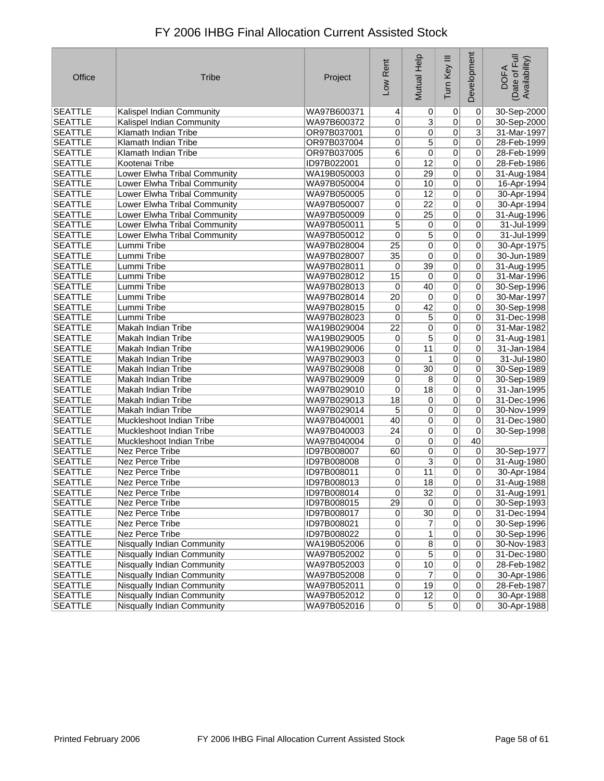| Office         | <b>Tribe</b>                      | Project     | Low Rent        | Mutual Help     | Tum Key III    | Development     | Date of Full<br>Availability)<br><b>DOFA</b> |
|----------------|-----------------------------------|-------------|-----------------|-----------------|----------------|-----------------|----------------------------------------------|
| <b>SEATTLE</b> | <b>Kalispel Indian Community</b>  | WA97B600371 | $\vert 4 \vert$ | $\vert 0 \vert$ | 0              | 0               | 30-Sep-2000                                  |
| <b>SEATTLE</b> | Kalispel Indian Community         | WA97B600372 | 0               | $\overline{3}$  | $\overline{0}$ | 0               | 30-Sep-2000                                  |
| <b>SEATTLE</b> | Klamath Indian Tribe              | OR97B037001 | 0               | 0               | $\overline{0}$ | $\overline{3}$  | 31-Mar-1997                                  |
| <b>SEATTLE</b> | Klamath Indian Tribe              | OR97B037004 | $\overline{0}$  | $\overline{5}$  | $\overline{0}$ | $\overline{0}$  | 28-Feb-1999                                  |
| <b>SEATTLE</b> | Klamath Indian Tribe              | OR97B037005 | $\overline{6}$  | $\overline{0}$  | $\overline{0}$ | 0               | 28-Feb-1999                                  |
| <b>SEATTLE</b> | Kootenai Tribe                    | ID97B022001 | 0               | $\overline{12}$ | $\overline{0}$ | 0               | 28-Feb-1986                                  |
| <b>SEATTLE</b> | Lower Elwha Tribal Community      | WA19B050003 | 0               | 29              | $\overline{0}$ | 0               | 31-Aug-1984                                  |
| <b>SEATTLE</b> | Lower Elwha Tribal Community      | WA97B050004 | 0               | 10              | $\overline{0}$ | 0               | 16-Apr-1994                                  |
| <b>SEATTLE</b> | Lower Elwha Tribal Community      | WA97B050005 | 0               | 12              | $\mathbf 0$    | $\overline{0}$  | 30-Apr-1994                                  |
| <b>SEATTLE</b> | Lower Elwha Tribal Community      | WA97B050007 | 0               | $\overline{22}$ | $\overline{0}$ | 0               | 30-Apr-1994                                  |
| <b>SEATTLE</b> | Lower Elwha Tribal Community      | WA97B050009 | 0               | 25              | $\overline{0}$ | 0               | 31-Aug-1996                                  |
| <b>SEATTLE</b> | Lower Elwha Tribal Community      | WA97B050011 | 5               | $\pmb{0}$       | $\overline{0}$ | $\overline{0}$  | 31-Jul-1999                                  |
| <b>SEATTLE</b> | Lower Elwha Tribal Community      | WA97B050012 | 0               | 5               | 0              | 0               | 31-Jul-1999                                  |
| <b>SEATTLE</b> | Lummi Tribe                       | WA97B028004 | $\overline{25}$ | 0               | $\overline{0}$ | 0               | 30-Apr-1975                                  |
| <b>SEATTLE</b> | Lummi Tribe                       | WA97B028007 | $\overline{35}$ | 0               | 0              | 0               | 30-Jun-1989                                  |
| <b>SEATTLE</b> | Lummi Tribe                       | WA97B028011 | 0               | 39              | $\overline{0}$ | 0               | 31-Aug-1995                                  |
| <b>SEATTLE</b> | Lummi Tribe                       | WA97B028012 | 15              | $\overline{0}$  | $\overline{0}$ | 0               | 31-Mar-1996                                  |
| <b>SEATTLE</b> | Lummi Tribe                       | WA97B028013 | 0               | 40              | $\overline{0}$ | 0               | 30-Sep-1996                                  |
| <b>SEATTLE</b> | Lummi Tribe                       | WA97B028014 | 20              | 0               | $\overline{0}$ | 0               | 30-Mar-1997                                  |
| <b>SEATTLE</b> | Lummi Tribe                       | WA97B028015 | 0               | 42              | $\overline{0}$ | 0               | 30-Sep-1998                                  |
| <b>SEATTLE</b> | Lummi Tribe                       | WA97B028023 | 0               | $\overline{5}$  | $\overline{0}$ | 0               | 31-Dec-1998                                  |
| <b>SEATTLE</b> | Makah Indian Tribe                | WA19B029004 | $\overline{22}$ | 0               | $\overline{0}$ | 0               | 31-Mar-1982                                  |
| <b>SEATTLE</b> | Makah Indian Tribe                | WA19B029005 | 0               | 5               | $\overline{0}$ | 0               | 31-Aug-1981                                  |
| <b>SEATTLE</b> | Makah Indian Tribe                | WA19B029006 | 0               | 11              | $\overline{0}$ | 0               | 31-Jan-1984                                  |
| <b>SEATTLE</b> | Makah Indian Tribe                | WA97B029003 | 0               | 1               | $\overline{0}$ | 0               | 31-Jul-1980                                  |
| <b>SEATTLE</b> | Makah Indian Tribe                | WA97B029008 | 0               | $\overline{30}$ | $\overline{0}$ | 0               | 30-Sep-1989                                  |
| <b>SEATTLE</b> | Makah Indian Tribe                | WA97B029009 | 0               | 8               | $\overline{0}$ | 0               | 30-Sep-1989                                  |
| <b>SEATTLE</b> | Makah Indian Tribe                | WA97B029010 | 0               | $\overline{18}$ | $\overline{0}$ | 0               | 31-Jan-1995                                  |
| <b>SEATTLE</b> | Makah Indian Tribe                | WA97B029013 | $\overline{18}$ | $\overline{0}$  | $\overline{0}$ | 0               | 31-Dec-1996                                  |
| <b>SEATTLE</b> | Makah Indian Tribe                | WA97B029014 | 5               | 0               | $\overline{0}$ | 0               | 30-Nov-1999                                  |
| <b>SEATTLE</b> | Muckleshoot Indian Tribe          | WA97B040001 | 40              | $\overline{0}$  | $\overline{0}$ | 0               | 31-Dec-1980                                  |
| <b>SEATTLE</b> | Muckleshoot Indian Tribe          | WA97B040003 | 24              | $\overline{0}$  | $\overline{0}$ | 0               | 30-Sep-1998                                  |
| <b>SEATTLE</b> | Muckleshoot Indian Tribe          | WA97B040004 | 0               | $\overline{0}$  | $\overline{0}$ | $\overline{40}$ |                                              |
| <b>SEATTLE</b> | Nez Perce Tribe                   | ID97B008007 | 60              | 0               | $\pmb{0}$      | 0               | 30-Sep-1977                                  |
| <b>SEATTLE</b> | Nez Perce Tribe                   | ID97B008008 | 0               | $\overline{3}$  | $\overline{0}$ | 0               | 31-Aug-1980                                  |
| <b>SEATTLE</b> | Nez Perce Tribe                   | ID97B008011 | 0               | 11              | $\overline{0}$ | 0               | 30-Apr-1984                                  |
| <b>SEATTLE</b> | Nez Perce Tribe                   | ID97B008013 | 0               | 18              | 0              | 0               | 31-Aug-1988                                  |
| SEATTLE        | Nez Perce Tribe                   | ID97B008014 | 0               | 32              | 0              | 0               | 31-Aug-1991                                  |
| <b>SEATTLE</b> | Nez Perce Tribe                   | ID97B008015 | 29              | 0               | $\overline{0}$ | $\overline{0}$  | 30-Sep-1993                                  |
| <b>SEATTLE</b> | Nez Perce Tribe                   | ID97B008017 | $\overline{0}$  | 30              | $\overline{0}$ | $\mathbf 0$     | 31-Dec-1994                                  |
| <b>SEATTLE</b> | Nez Perce Tribe                   | ID97B008021 | 0               | $\overline{7}$  | $\pmb{0}$      | 0               | 30-Sep-1996                                  |
| <b>SEATTLE</b> | Nez Perce Tribe                   | ID97B008022 | 0               | $\mathbf{1}$    | $\pmb{0}$      | 0               | 30-Sep-1996                                  |
| <b>SEATTLE</b> | Nisqually Indian Community        | WA19B052006 | $\overline{0}$  | $\overline{8}$  | $\pmb{0}$      | 0               | 30-Nov-1983                                  |
| <b>SEATTLE</b> | Nisqually Indian Community        | WA97B052002 | $\overline{0}$  | $\overline{5}$  | $\overline{0}$ | $\overline{0}$  | 31-Dec-1980                                  |
| <b>SEATTLE</b> | <b>Nisqually Indian Community</b> | WA97B052003 | $\vert 0 \vert$ | 10              | $\overline{0}$ | 0               | 28-Feb-1982                                  |
| <b>SEATTLE</b> | Nisqually Indian Community        | WA97B052008 | $\overline{0}$  | $\overline{7}$  | $\pmb{0}$      | 0               | 30-Apr-1986                                  |
| <b>SEATTLE</b> | Nisqually Indian Community        | WA97B052011 | 0               | 19              | $\overline{0}$ | $\pmb{0}$       | 28-Feb-1987                                  |
| <b>SEATTLE</b> | Nisqually Indian Community        | WA97B052012 | $\overline{0}$  | 12              | $\overline{0}$ | 0               | 30-Apr-1988                                  |
| <b>SEATTLE</b> | Nisqually Indian Community        | WA97B052016 | 0               | 5 <sup>5</sup>  | 0              | 0               | 30-Apr-1988                                  |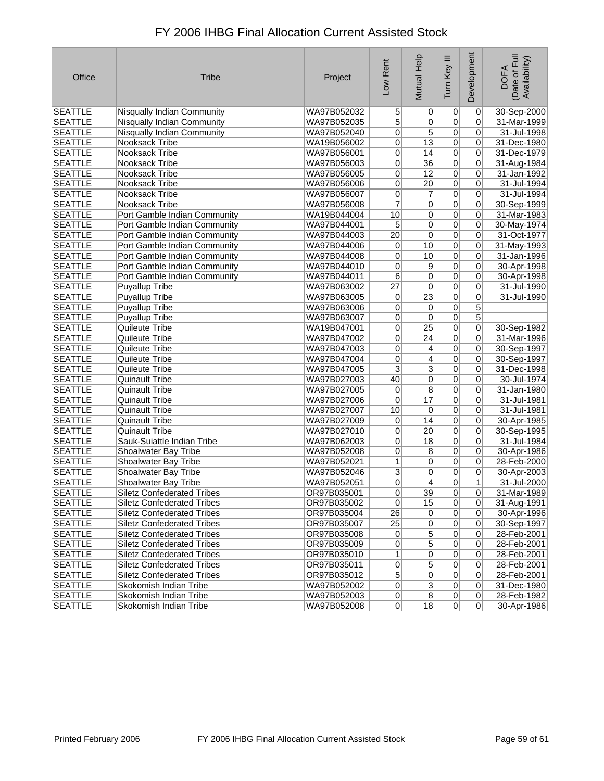| Office         | <b>Tribe</b>                      | Project     | Low Rent        | Mutual Help     | Tum Key III    | Development    | Date of Full<br>Availability)<br><b>DOFA</b> |
|----------------|-----------------------------------|-------------|-----------------|-----------------|----------------|----------------|----------------------------------------------|
| <b>SEATTLE</b> | <b>Nisqually Indian Community</b> | WA97B052032 | $\sqrt{5}$      | $\vert 0 \vert$ | 0              | 0              | 30-Sep-2000                                  |
| <b>SEATTLE</b> | Nisqually Indian Community        | WA97B052035 | $\overline{5}$  | $\overline{0}$  | $\overline{0}$ | 0              | 31-Mar-1999                                  |
| <b>SEATTLE</b> | Nisqually Indian Community        | WA97B052040 | 0               | 5               | $\overline{0}$ | 0              | 31-Jul-1998                                  |
| <b>SEATTLE</b> | Nooksack Tribe                    | WA19B056002 | 0               | $\overline{13}$ | $\overline{0}$ | 0              | 31-Dec-1980                                  |
| <b>SEATTLE</b> | Nooksack Tribe                    | WA97B056001 | 0               | 14              | $\overline{0}$ | 0              | 31-Dec-1979                                  |
| <b>SEATTLE</b> | Nooksack Tribe                    | WA97B056003 | 0               | $\overline{36}$ | $\overline{0}$ | 0              | 31-Aug-1984                                  |
| <b>SEATTLE</b> | Nooksack Tribe                    | WA97B056005 | 0               | 12              | $\overline{0}$ | 0              | 31-Jan-1992                                  |
| <b>SEATTLE</b> | Nooksack Tribe                    | WA97B056006 | $\overline{0}$  | $\overline{20}$ | $\overline{0}$ | 0              | 31-Jul-1994                                  |
| <b>SEATTLE</b> | Nooksack Tribe                    | WA97B056007 | $\overline{0}$  | $\overline{7}$  | $\overline{0}$ | 0              | 31-Jul-1994                                  |
| <b>SEATTLE</b> | Nooksack Tribe                    | WA97B056008 | $\overline{7}$  | $\overline{0}$  | $\overline{0}$ | 0              | 30-Sep-1999                                  |
| <b>SEATTLE</b> | Port Gamble Indian Community      | WA19B044004 | 10              | $\overline{0}$  | $\overline{0}$ | 0              | 31-Mar-1983                                  |
| <b>SEATTLE</b> | Port Gamble Indian Community      | WA97B044001 | 5               | $\overline{0}$  | $\overline{0}$ | 0              | 30-May-1974                                  |
| <b>SEATTLE</b> | Port Gamble Indian Community      | WA97B044003 | $\overline{20}$ | 0               | $\overline{0}$ | 0              | 31-Oct-1977                                  |
| <b>SEATTLE</b> | Port Gamble Indian Community      | WA97B044006 | 0               | 10              | $\overline{0}$ | 0              | 31-May-1993                                  |
| <b>SEATTLE</b> | Port Gamble Indian Community      | WA97B044008 | 0               | 10              | $\overline{0}$ | 0              | 31-Jan-1996                                  |
| <b>SEATTLE</b> | Port Gamble Indian Community      | WA97B044010 | 0               | $\overline{9}$  | $\overline{0}$ | 0              | 30-Apr-1998                                  |
| <b>SEATTLE</b> | Port Gamble Indian Community      | WA97B044011 | $\overline{6}$  | $\overline{0}$  | $\overline{0}$ | 0              | 30-Apr-1998                                  |
| <b>SEATTLE</b> | <b>Puyallup Tribe</b>             | WA97B063002 | $\overline{27}$ | 0               | $\overline{0}$ | $\overline{0}$ | 31-Jul-1990                                  |
| <b>SEATTLE</b> | <b>Puyallup Tribe</b>             | WA97B063005 | 0               | 23              | $\overline{0}$ | 0              | 31-Jul-1990                                  |
| <b>SEATTLE</b> | <b>Puyallup Tribe</b>             | WA97B063006 | 0               | $\overline{0}$  | $\overline{0}$ | $\overline{5}$ |                                              |
| <b>SEATTLE</b> | <b>Puyallup Tribe</b>             | WA97B063007 | 0               | 0               | $\overline{0}$ | $\overline{5}$ |                                              |
| <b>SEATTLE</b> | Quileute Tribe                    | WA19B047001 | 0               | $\overline{25}$ | $\overline{0}$ | 0              | 30-Sep-1982                                  |
| <b>SEATTLE</b> | Quileute Tribe                    | WA97B047002 | 0               | 24              | $\pmb{0}$      | 0              | 31-Mar-1996                                  |
| <b>SEATTLE</b> | Quileute Tribe                    | WA97B047003 | 0               | $\vert 4 \vert$ | $\overline{0}$ | 0              | 30-Sep-1997                                  |
| <b>SEATTLE</b> | Quileute Tribe                    | WA97B047004 | 0               | $\overline{4}$  | $\overline{0}$ | 0              | 30-Sep-1997                                  |
| <b>SEATTLE</b> | Quileute Tribe                    | WA97B047005 | $\overline{3}$  | $\overline{3}$  | $\overline{0}$ | 0              | 31-Dec-1998                                  |
| <b>SEATTLE</b> | <b>Quinault Tribe</b>             | WA97B027003 | 40              | $\overline{0}$  | $\overline{0}$ | 0              | 30-Jul-1974                                  |
| <b>SEATTLE</b> | <b>Quinault Tribe</b>             | WA97B027005 | 0               | $\overline{8}$  | $\overline{0}$ | 0              | 31-Jan-1980                                  |
| <b>SEATTLE</b> | <b>Quinault Tribe</b>             | WA97B027006 | 0               | $\overline{17}$ | $\overline{0}$ | 0              | 31-Jul-1981                                  |
| <b>SEATTLE</b> | <b>Quinault Tribe</b>             | WA97B027007 | 10              | $\overline{0}$  | $\overline{0}$ | 0              | 31-Jul-1981                                  |
| <b>SEATTLE</b> | <b>Quinault Tribe</b>             | WA97B027009 | 0               | 14              | $\overline{0}$ | 0              | 30-Apr-1985                                  |
| <b>SEATTLE</b> | <b>Quinault Tribe</b>             | WA97B027010 | 0               | $\overline{20}$ | $\overline{0}$ | 0              | 30-Sep-1995                                  |
| <b>SEATTLE</b> | Sauk-Suiattle Indian Tribe        | WA97B062003 | 0               | $\overline{18}$ | $\overline{0}$ | $\overline{0}$ | 31-Jul-1984                                  |
| <b>SEATTLE</b> | Shoalwater Bay Tribe              | WA97B052008 | 0               | 8               | $\overline{0}$ | 0              | 30-Apr-1986                                  |
| <b>SEATTLE</b> | Shoalwater Bay Tribe              | WA97B052021 | 1               | 0               | 0              | 0              | 28-Feb-2000                                  |
| <b>SEATTLE</b> | Shoalwater Bay Tribe              | WA97B052046 | $\overline{3}$  | 0               | $\overline{0}$ | 0              | 30-Apr-2003                                  |
| <b>SEATTLE</b> | Shoalwater Bay Tribe              | WA97B052051 | 0               | $\vert 4 \vert$ | 0              | $\mathbf{1}$   | 31-Jul-2000                                  |
| <b>SEATTLE</b> | <b>Siletz Confederated Tribes</b> | OR97B035001 | 0               | 39              | $\Omega$       | $\overline{0}$ | 31-Mar-1989                                  |
| <b>SEATTLE</b> | <b>Siletz Confederated Tribes</b> | OR97B035002 | 0               | 15              | $\overline{0}$ | $\mathbf 0$    | 31-Aug-1991                                  |
| <b>SEATTLE</b> | <b>Siletz Confederated Tribes</b> | OR97B035004 | 26              | 0               | $\overline{0}$ | $\mathbf 0$    | 30-Apr-1996                                  |
| <b>SEATTLE</b> | <b>Siletz Confederated Tribes</b> | OR97B035007 | $\overline{25}$ | 0               | $\overline{0}$ | $\mathbf 0$    | 30-Sep-1997                                  |
| SEATTLE        | <b>Siletz Confederated Tribes</b> | OR97B035008 | $\overline{0}$  | $\overline{5}$  | 0              | 0              | 28-Feb-2001                                  |
| SEATTLE        | <b>Siletz Confederated Tribes</b> | OR97B035009 | $\overline{0}$  | $\overline{5}$  | $\pmb{0}$      | 0              | 28-Feb-2001                                  |
| <b>SEATTLE</b> | <b>Siletz Confederated Tribes</b> | OR97B035010 | $\overline{1}$  | $\overline{0}$  | $\pmb{0}$      | 0              | 28-Feb-2001                                  |
| <b>SEATTLE</b> | <b>Siletz Confederated Tribes</b> | OR97B035011 | $\overline{0}$  | $\overline{5}$  | $\overline{0}$ | 0              | 28-Feb-2001                                  |
| <b>SEATTLE</b> | <b>Siletz Confederated Tribes</b> | OR97B035012 | $\overline{5}$  | 0               | 0              | 0              | 28-Feb-2001                                  |
| <b>SEATTLE</b> | Skokomish Indian Tribe            | WA97B052002 | 0               | $\overline{3}$  | $\pmb{0}$      | 0              | 31-Dec-1980                                  |
| SEATTLE        | Skokomish Indian Tribe            | WA97B052003 | 0               | $\overline{8}$  | $\overline{0}$ | 0              | 28-Feb-1982                                  |
| <b>SEATTLE</b> | Skokomish Indian Tribe            | WA97B052008 | 0               | 18              | 0              | 0              | 30-Apr-1986                                  |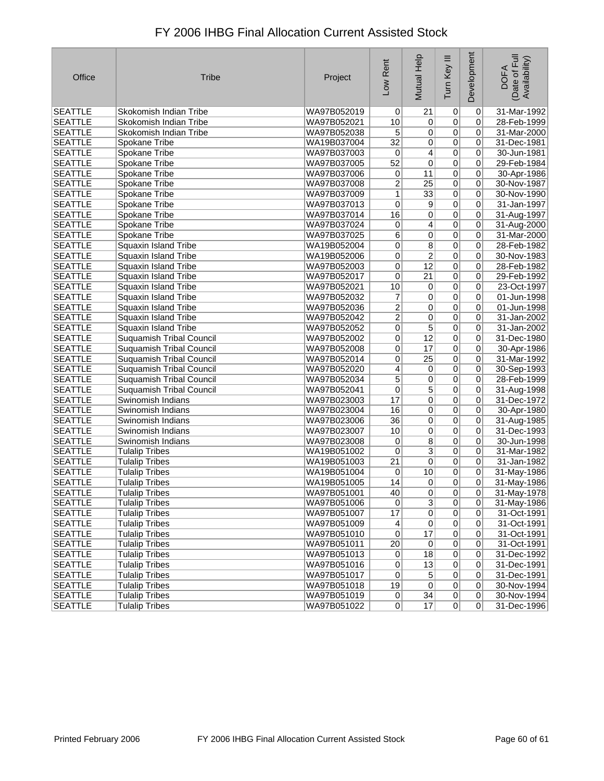| Office         | <b>Tribe</b>                    | Project     | Low Rent        | Mutual Help     | Ξ<br>Tum Key   | Development    | Date of Full<br>Availability)<br><b>DOFA</b> |
|----------------|---------------------------------|-------------|-----------------|-----------------|----------------|----------------|----------------------------------------------|
| <b>SEATTLE</b> | Skokomish Indian Tribe          | WA97B052019 | 0               | 21              | $\overline{0}$ | $\overline{0}$ | 31-Mar-1992                                  |
| <b>SEATTLE</b> | Skokomish Indian Tribe          | WA97B052021 | 10              | 0               | $\overline{0}$ | 0              | 28-Feb-1999                                  |
| <b>SEATTLE</b> | Skokomish Indian Tribe          | WA97B052038 | 5               | 0               | $\overline{0}$ | 0              | 31-Mar-2000                                  |
| <b>SEATTLE</b> | Spokane Tribe                   | WA19B037004 | 32              | 0               | $\overline{0}$ | 0              | 31-Dec-1981                                  |
| <b>SEATTLE</b> | Spokane Tribe                   | WA97B037003 | 0               | 4               | $\overline{0}$ | 0              | 30-Jun-1981                                  |
| <b>SEATTLE</b> | Spokane Tribe                   | WA97B037005 | 52              | 0               | $\overline{0}$ | 0              | 29-Feb-1984                                  |
| SEATTLE        | Spokane Tribe                   | WA97B037006 | 0               | 11              | $\overline{0}$ | 0              | 30-Apr-1986                                  |
| <b>SEATTLE</b> | Spokane Tribe                   | WA97B037008 | $\overline{2}$  | $\overline{25}$ | $\overline{0}$ | 0              | 30-Nov-1987                                  |
| <b>SEATTLE</b> | Spokane Tribe                   | WA97B037009 | $\mathbf{1}$    | $\overline{33}$ | $\overline{0}$ | 0              | 30-Nov-1990                                  |
| <b>SEATTLE</b> | Spokane Tribe                   | WA97B037013 | 0               | 9               | $\overline{0}$ | 0              | 31-Jan-1997                                  |
| <b>SEATTLE</b> | Spokane Tribe                   | WA97B037014 | 16              | 0               | $\overline{0}$ | 0              | 31-Aug-1997                                  |
| <b>SEATTLE</b> | Spokane Tribe                   | WA97B037024 | 0               | 4               | $\overline{0}$ | 0              | 31-Aug-2000                                  |
| <b>SEATTLE</b> | Spokane Tribe                   | WA97B037025 | 6               | 0               | $\overline{0}$ | 0              | 31-Mar-2000                                  |
| <b>SEATTLE</b> | Squaxin Island Tribe            | WA19B052004 | 0               | 8               | $\overline{0}$ | 0              | 28-Feb-1982                                  |
| <b>SEATTLE</b> | Squaxin Island Tribe            | WA19B052006 | 0               | $\overline{2}$  | $\overline{0}$ | 0              | 30-Nov-1983                                  |
| <b>SEATTLE</b> | Squaxin Island Tribe            | WA97B052003 | 0               | $\overline{12}$ | $\overline{0}$ | 0              | 28-Feb-1982                                  |
| <b>SEATTLE</b> | <b>Squaxin Island Tribe</b>     | WA97B052017 | 0               | 21              | $\overline{0}$ | 0              | 29-Feb-1992                                  |
| <b>SEATTLE</b> | <b>Squaxin Island Tribe</b>     | WA97B052021 | 10              | 0               | $\overline{0}$ | 0              | 23-Oct-1997                                  |
| <b>SEATTLE</b> | Squaxin Island Tribe            | WA97B052032 | 7               | 0               | $\overline{0}$ | 0              | 01-Jun-1998                                  |
| <b>SEATTLE</b> | Squaxin Island Tribe            | WA97B052036 | $\overline{2}$  | 0               | $\overline{0}$ | 0              | 01-Jun-1998                                  |
| <b>SEATTLE</b> | Squaxin Island Tribe            | WA97B052042 | $\overline{2}$  | 0               | $\overline{0}$ | 0              | 31-Jan-2002                                  |
| <b>SEATTLE</b> | Squaxin Island Tribe            | WA97B052052 | 0               | 5               | $\overline{0}$ | 0              | 31-Jan-2002                                  |
| <b>SEATTLE</b> | Suquamish Tribal Council        | WA97B052002 | 0               | $\overline{12}$ | $\overline{0}$ | $\overline{0}$ | 31-Dec-1980                                  |
| <b>SEATTLE</b> | Suquamish Tribal Council        | WA97B052008 | $\mathbf 0$     | 17              | $\overline{0}$ | 0              | 30-Apr-1986                                  |
| <b>SEATTLE</b> | <b>Suquamish Tribal Council</b> | WA97B052014 | $\mathbf 0$     | $\overline{25}$ | $\overline{0}$ | 0              | 31-Mar-1992                                  |
| SEATTLE        | <b>Suquamish Tribal Council</b> | WA97B052020 | 4               | 0               | $\overline{0}$ | 0              | 30-Sep-1993                                  |
| SEATTLE        | <b>Suquamish Tribal Council</b> | WA97B052034 | $\overline{5}$  | $\overline{0}$  | $\overline{0}$ | 0              | 28-Feb-1999                                  |
| <b>SEATTLE</b> | <b>Suquamish Tribal Council</b> | WA97B052041 | $\pmb{0}$       | $\overline{5}$  | $\overline{0}$ | 0              | 31-Aug-1998                                  |
| <b>SEATTLE</b> | Swinomish Indians               | WA97B023003 | 17              | 0               | $\overline{0}$ | 0              | 31-Dec-1972                                  |
| <b>SEATTLE</b> | Swinomish Indians               | WA97B023004 | 16              | 0               | $\overline{0}$ | 0              | 30-Apr-1980                                  |
| <b>SEATTLE</b> | Swinomish Indians               | WA97B023006 | $\overline{36}$ | 0               | $\overline{0}$ | 0              | 31-Aug-1985                                  |
| <b>SEATTLE</b> | Swinomish Indians               | WA97B023007 | 10              | 0               | $\overline{0}$ | $\pmb{0}$      | 31-Dec-1993                                  |
| <b>SEATTLE</b> | Swinomish Indians               | WA97B023008 | 0               | $\overline{8}$  | $\overline{0}$ | 0              | 30-Jun-1998                                  |
| <b>SEATTLE</b> | <b>Tulalip Tribes</b>           | WA19B051002 | 0               | $\overline{3}$  | $\overline{0}$ | 0              | 31-Mar-1982                                  |
| <b>SEATTLE</b> | <b>Tulalip Tribes</b>           | WA19B051003 | 21              | $\overline{0}$  | $\overline{0}$ | 0              | 31-Jan-1982                                  |
| <b>SEATTLE</b> | <b>Tulalip Tribes</b>           | WA19B051004 | 0               | 10              | $\overline{0}$ | $\pmb{0}$      | 31-May-1986                                  |
| <b>SEATTLE</b> | <b>Tulalip Tribes</b>           | WA19B051005 | 14              | 0               | $\overline{0}$ | 0              | 31-May-1986                                  |
| SEATTLE        | Tulalip Tribes                  | WA97B051001 | 40              | 0               | 0              | $\sigma$       | 31-May-1978                                  |
| <b>SEATTLE</b> | <b>Tulalip Tribes</b>           | WA97B051006 | $\overline{0}$  | $\overline{3}$  | $\overline{0}$ | $\pmb{0}$      | 31-May-1986                                  |
| <b>SEATTLE</b> | <b>Tulalip Tribes</b>           | WA97B051007 | 17              | 0               | $\overline{0}$ | $\pmb{0}$      | 31-Oct-1991                                  |
| <b>SEATTLE</b> | <b>Tulalip Tribes</b>           | WA97B051009 | 4               | 0               | $\overline{0}$ | 0              | 31-Oct-1991                                  |
| <b>SEATTLE</b> | <b>Tulalip Tribes</b>           | WA97B051010 | $\overline{0}$  | 17              | $\overline{0}$ | $\pmb{0}$      | 31-Oct-1991                                  |
| <b>SEATTLE</b> | <b>Tulalip Tribes</b>           | WA97B051011 | 20              | $\pmb{0}$       | $\overline{0}$ | $\pmb{0}$      | 31-Oct-1991                                  |
| <b>SEATTLE</b> | <b>Tulalip Tribes</b>           | WA97B051013 | 0               | 18              | $\overline{0}$ | $\pmb{0}$      | 31-Dec-1992                                  |
| <b>SEATTLE</b> | <b>Tulalip Tribes</b>           | WA97B051016 | 0               | 13              | $\overline{0}$ | 0              | 31-Dec-1991                                  |
| <b>SEATTLE</b> | <b>Tulalip Tribes</b>           | WA97B051017 | 0               | 5               | $\overline{0}$ | 0              | 31-Dec-1991                                  |
| SEATTLE        | <b>Tulalip Tribes</b>           | WA97B051018 | 19              | $\overline{0}$  | $\overline{0}$ | 0              | 30-Nov-1994                                  |
| <b>SEATTLE</b> | <b>Tulalip Tribes</b>           | WA97B051019 | 0               | $\overline{34}$ | $\overline{0}$ | 0              | 30-Nov-1994                                  |
| <b>SEATTLE</b> | <b>Tulalip Tribes</b>           | WA97B051022 | 0               | 17              | 0              | 0              | 31-Dec-1996                                  |
|                |                                 |             |                 |                 |                |                |                                              |